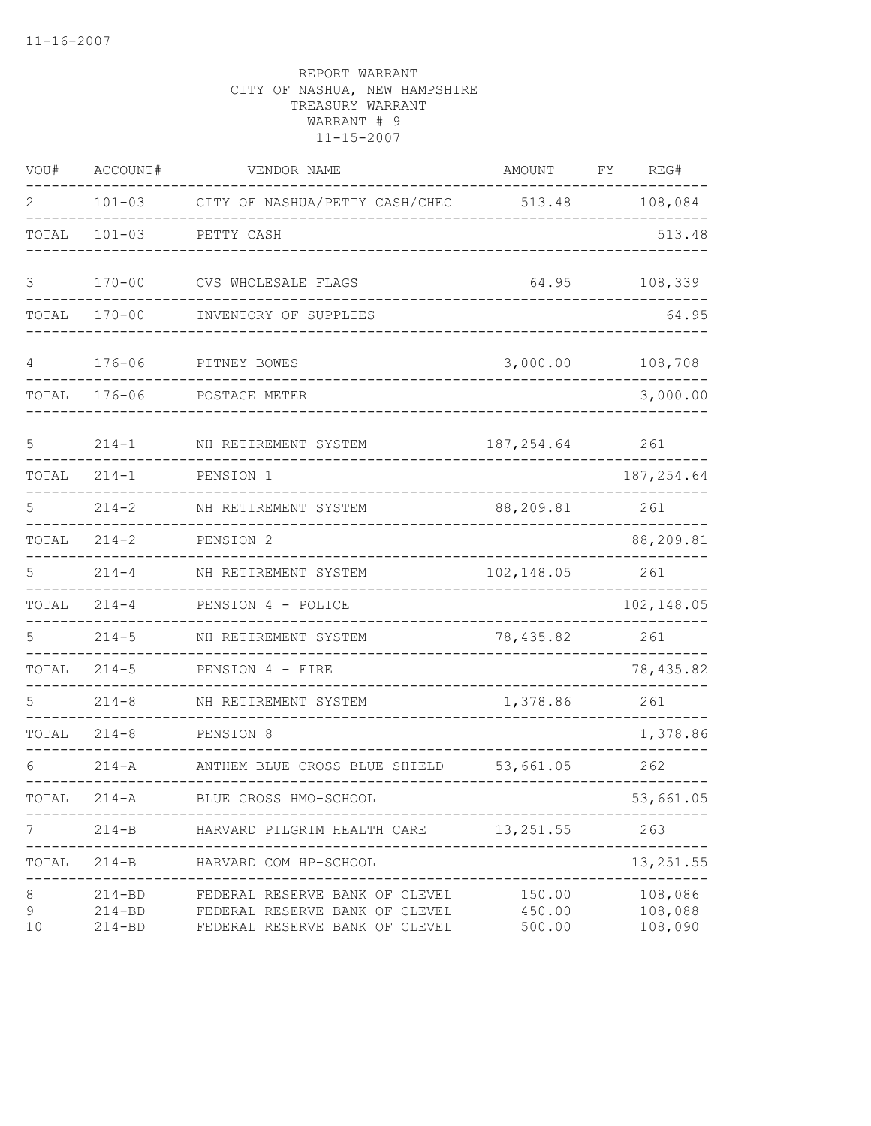| VOU#                     | ACCOUNT#                               | VENDOR NAME                                                                                                                             | AMOUNT                                    | FΥ | REG#                                     |
|--------------------------|----------------------------------------|-----------------------------------------------------------------------------------------------------------------------------------------|-------------------------------------------|----|------------------------------------------|
| 2                        | $101 - 03$                             | CITY OF NASHUA/PETTY CASH/CHEC                                                                                                          | 513.48                                    |    | 108,084                                  |
| TOTAL                    | $101 - 03$                             | PETTY CASH                                                                                                                              |                                           |    | 513.48                                   |
| 3                        | $170 - 00$                             | CVS WHOLESALE FLAGS                                                                                                                     | 64.95                                     |    | 108,339                                  |
| TOTAL                    | $170 - 00$                             | INVENTORY OF SUPPLIES                                                                                                                   |                                           |    | 64.95                                    |
| 4                        | $176 - 06$                             | PITNEY BOWES                                                                                                                            | 3,000.00                                  |    | 108,708                                  |
| TOTAL                    | $176 - 06$                             | POSTAGE METER                                                                                                                           |                                           |    | 3,000.00                                 |
| 5                        | $214 - 1$                              | NH RETIREMENT SYSTEM                                                                                                                    | 187, 254.64                               |    | 261                                      |
| TOTAL                    | $214 - 1$                              | PENSION 1                                                                                                                               |                                           |    | 187, 254.64                              |
| 5                        | $214 - 2$                              | NH RETIREMENT SYSTEM                                                                                                                    | 88,209.81                                 |    | 261                                      |
| TOTAL                    | $214 - 2$                              | PENSION 2                                                                                                                               |                                           |    | 88,209.81                                |
| 5                        | $214 - 4$                              | NH RETIREMENT SYSTEM                                                                                                                    | 102, 148.05                               |    | 261                                      |
| TOTAL                    | $214 - 4$                              | PENSION 4 - POLICE                                                                                                                      |                                           |    | 102,148.05                               |
| 5                        | $214 - 5$                              | NH RETIREMENT SYSTEM                                                                                                                    | 78,435.82                                 |    | 261                                      |
| TOTAL                    | $214 - 5$                              | PENSION 4 - FIRE                                                                                                                        |                                           |    | 78, 435.82                               |
|                          | $214 - 8$                              | NH RETIREMENT SYSTEM                                                                                                                    | 1,378.86                                  |    | 261                                      |
| TOTAL                    | $214 - 8$                              | PENSION 8                                                                                                                               |                                           |    | 1,378.86                                 |
| 6                        | $214 - A$                              | ANTHEM BLUE CROSS BLUE SHIELD                                                                                                           | 53,661.05                                 |    | 262                                      |
| TOTAL                    | $214 - A$                              | BLUE CROSS HMO-SCHOOL                                                                                                                   |                                           |    | 53,661.05                                |
|                          | --------                               | 214-B HARVARD PILGRIM HEALTH CARE 13,251.55                                                                                             |                                           |    | 263                                      |
| TOTAL                    | -------------<br>214-B<br>----------   | HARVARD COM HP-SCHOOL                                                                                                                   | -------------------------<br>____________ |    | 13, 251.55                               |
| 8<br>$\mathcal{G}$<br>10 | $214 - BD$<br>$214 - BD$<br>$214 - BD$ | ---------------------------------<br>FEDERAL RESERVE BANK OF CLEVEL<br>FEDERAL RESERVE BANK OF CLEVEL<br>FEDERAL RESERVE BANK OF CLEVEL | 150.00<br>450.00<br>500.00                |    | -------<br>108,086<br>108,088<br>108,090 |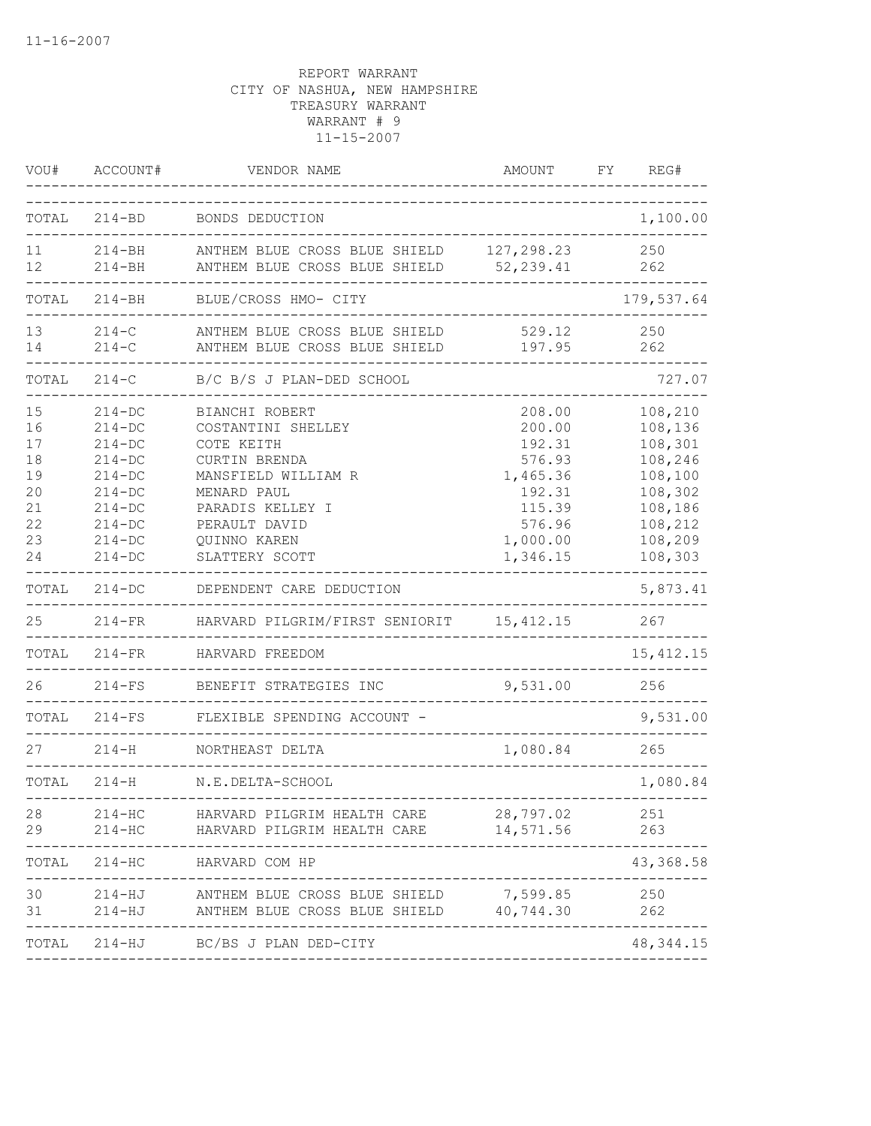| VOU#                                                     | ACCOUNT#                                                                                                                               | VENDOR NAME                                                                                                                                                                             | AMOUNT                                                                                                 | FY | REG#                                                                                                       |
|----------------------------------------------------------|----------------------------------------------------------------------------------------------------------------------------------------|-----------------------------------------------------------------------------------------------------------------------------------------------------------------------------------------|--------------------------------------------------------------------------------------------------------|----|------------------------------------------------------------------------------------------------------------|
| TOTAL                                                    | $214 - BD$                                                                                                                             | BONDS DEDUCTION                                                                                                                                                                         |                                                                                                        |    | 1,100.00                                                                                                   |
| 11<br>12                                                 | $214 - BH$<br>$214 - BH$                                                                                                               | ANTHEM BLUE CROSS BLUE SHIELD<br>ANTHEM BLUE CROSS BLUE SHIELD 52,239.41                                                                                                                | 127,298.23                                                                                             |    | 250<br>262                                                                                                 |
| TOTAL                                                    | $214 - BH$                                                                                                                             | BLUE/CROSS HMO- CITY                                                                                                                                                                    |                                                                                                        |    | 179,537.64                                                                                                 |
| 13<br>14                                                 | $214-C$<br>$214-C$                                                                                                                     | ANTHEM BLUE CROSS BLUE SHIELD<br>ANTHEM BLUE CROSS BLUE SHIELD                                                                                                                          | 529.12<br>197.95                                                                                       |    | 250<br>262                                                                                                 |
| TOTAL                                                    | $214 - C$                                                                                                                              | B/C B/S J PLAN-DED SCHOOL                                                                                                                                                               |                                                                                                        |    | 727.07                                                                                                     |
| 15<br>16<br>17<br>18<br>19<br>20<br>21<br>22<br>23<br>24 | $214 - DC$<br>$214 - DC$<br>$214 - DC$<br>$214 - DC$<br>$214 - DC$<br>$214 - DC$<br>$214 - DC$<br>$214-DC$<br>$214 - DC$<br>$214 - DC$ | BIANCHI ROBERT<br>COSTANTINI SHELLEY<br>COTE KEITH<br><b>CURTIN BRENDA</b><br>MANSFIELD WILLIAM R<br>MENARD PAUL<br>PARADIS KELLEY I<br>PERAULT DAVID<br>QUINNO KAREN<br>SLATTERY SCOTT | 208.00<br>200.00<br>192.31<br>576.93<br>1,465.36<br>192.31<br>115.39<br>576.96<br>1,000.00<br>1,346.15 |    | 108,210<br>108,136<br>108,301<br>108,246<br>108,100<br>108,302<br>108,186<br>108,212<br>108,209<br>108,303 |
| TOTAL                                                    | $214 - DC$                                                                                                                             | DEPENDENT CARE DEDUCTION                                                                                                                                                                |                                                                                                        |    | 5,873.41                                                                                                   |
| 25                                                       | $214-FR$                                                                                                                               | HARVARD PILGRIM/FIRST SENIORIT 15,412.15                                                                                                                                                |                                                                                                        |    | 267                                                                                                        |
| TOTAL                                                    | $214-FR$                                                                                                                               | HARVARD FREEDOM                                                                                                                                                                         |                                                                                                        |    | 15, 412.15                                                                                                 |
| 26                                                       | $214-FS$                                                                                                                               | BENEFIT STRATEGIES INC                                                                                                                                                                  | 9,531.00                                                                                               |    | 256                                                                                                        |
| TOTAL                                                    | $214-FS$                                                                                                                               | FLEXIBLE SPENDING ACCOUNT -                                                                                                                                                             |                                                                                                        |    | 9,531.00                                                                                                   |
| 27                                                       | $214 - H$                                                                                                                              | NORTHEAST DELTA                                                                                                                                                                         | 1,080.84                                                                                               |    | 265                                                                                                        |
| TOTAL                                                    | $214 - H$                                                                                                                              | N.E.DELTA-SCHOOL                                                                                                                                                                        |                                                                                                        |    | 1,080.84                                                                                                   |
| 28<br>29                                                 | $214 - HC$<br>$214 - HC$                                                                                                               | ------------------------<br>HARVARD PILGRIM HEALTH CARE<br>HARVARD PILGRIM HEALTH CARE                                                                                                  | 28,797.02<br>14,571.56                                                                                 |    | 251<br>263                                                                                                 |
| TOTAL                                                    | $214 - HC$                                                                                                                             | HARVARD COM HP                                                                                                                                                                          |                                                                                                        |    | 43, 368.58                                                                                                 |
| 30<br>31                                                 | 214-HJ<br>$214 - HJ$                                                                                                                   | ANTHEM BLUE CROSS BLUE SHIELD<br>ANTHEM BLUE CROSS BLUE SHIELD 40,744.30                                                                                                                | 7,599.85                                                                                               |    | 250<br>262                                                                                                 |
| TOTAL                                                    |                                                                                                                                        | 214-HJ BC/BS J PLAN DED-CITY                                                                                                                                                            |                                                                                                        |    | 48, 344. 15                                                                                                |
|                                                          |                                                                                                                                        |                                                                                                                                                                                         |                                                                                                        |    |                                                                                                            |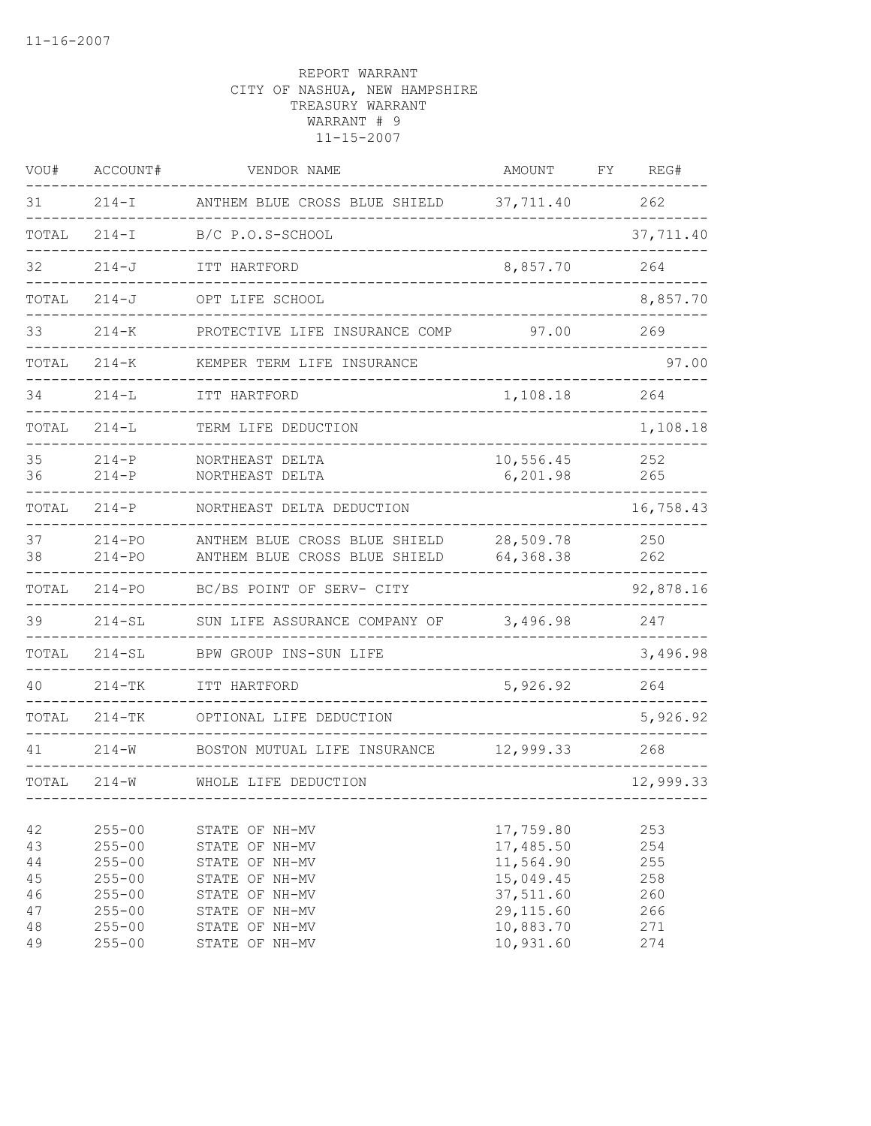| VOU#                       | ACCOUNT#                                                           | VENDOR NAME                                                                            | AMOUNT                                                        | FΥ | REG#                            |
|----------------------------|--------------------------------------------------------------------|----------------------------------------------------------------------------------------|---------------------------------------------------------------|----|---------------------------------|
| 31                         | $214-I$                                                            | ANTHEM BLUE CROSS BLUE SHIELD                                                          | 37,711.40                                                     |    | 262                             |
| TOTAL                      | $214 - I$                                                          | B/C P.O.S-SCHOOL                                                                       |                                                               |    | 37,711.40                       |
| 32                         | $214 - J$                                                          | ITT HARTFORD                                                                           | 8,857.70                                                      |    | 264                             |
| TOTAL                      | $214 - J$                                                          | OPT LIFE SCHOOL                                                                        |                                                               |    | 8,857.70                        |
| 33                         | $214 - K$                                                          | PROTECTIVE LIFE INSURANCE COMP                                                         | 97.00                                                         |    | 269                             |
| TOTAL                      | $214 - K$                                                          | KEMPER TERM LIFE INSURANCE                                                             |                                                               |    | 97.00                           |
| 34                         | $214 - L$                                                          | ITT HARTFORD                                                                           | 1,108.18                                                      |    | 264                             |
| TOTAL                      | $214 - L$                                                          | TERM LIFE DEDUCTION                                                                    |                                                               |    | 1,108.18                        |
| 35<br>36                   | $214 - P$<br>$214-P$                                               | NORTHEAST DELTA<br>NORTHEAST DELTA                                                     | 10,556.45<br>6,201.98                                         |    | 252<br>265                      |
| TOTAL                      | $214-P$                                                            | NORTHEAST DELTA DEDUCTION                                                              |                                                               |    | 16,758.43                       |
| 37<br>38                   | $214 - PQ$<br>$214 - PQ$                                           | ANTHEM BLUE CROSS BLUE SHIELD<br>ANTHEM BLUE CROSS BLUE SHIELD                         | 28,509.78<br>64,368.38                                        |    | 250<br>262                      |
| TOTAL                      | $214 - PQ$                                                         | BC/BS POINT OF SERV- CITY                                                              |                                                               |    | 92,878.16                       |
| 39                         | $214 - SL$                                                         | SUN LIFE ASSURANCE COMPANY OF                                                          | 3,496.98                                                      |    | 247                             |
| TOTAL                      | $214 - SL$                                                         | BPW GROUP INS-SUN LIFE                                                                 |                                                               |    | 3,496.98                        |
| 40                         | $214 - TK$                                                         | ITT HARTFORD                                                                           | 5,926.92                                                      |    | 264                             |
| TOTAL                      | $214 - TK$                                                         | OPTIONAL LIFE DEDUCTION                                                                |                                                               |    | 5,926.92                        |
| 41                         | $214 - W$                                                          | BOSTON MUTUAL LIFE INSURANCE                                                           | 12,999.33                                                     |    | 268                             |
| TOTAL                      | $214 - W$                                                          | WHOLE LIFE DEDUCTION                                                                   |                                                               |    | 12,999.33                       |
| 42<br>43<br>44<br>45<br>46 | $255 - 00$<br>$255 - 00$<br>$255 - 00$<br>$255 - 00$<br>$255 - 00$ | STATE OF NH-MV<br>STATE OF NH-MV<br>STATE OF NH-MV<br>STATE OF NH-MV<br>STATE OF NH-MV | 17,759.80<br>17,485.50<br>11,564.90<br>15,049.45<br>37,511.60 |    | 253<br>254<br>255<br>258<br>260 |
| 47<br>48<br>49             | $255 - 00$<br>$255 - 00$<br>$255 - 00$                             | STATE OF NH-MV<br>STATE OF NH-MV<br>STATE OF NH-MV                                     | 29, 115.60<br>10,883.70<br>10,931.60                          |    | 266<br>271<br>274               |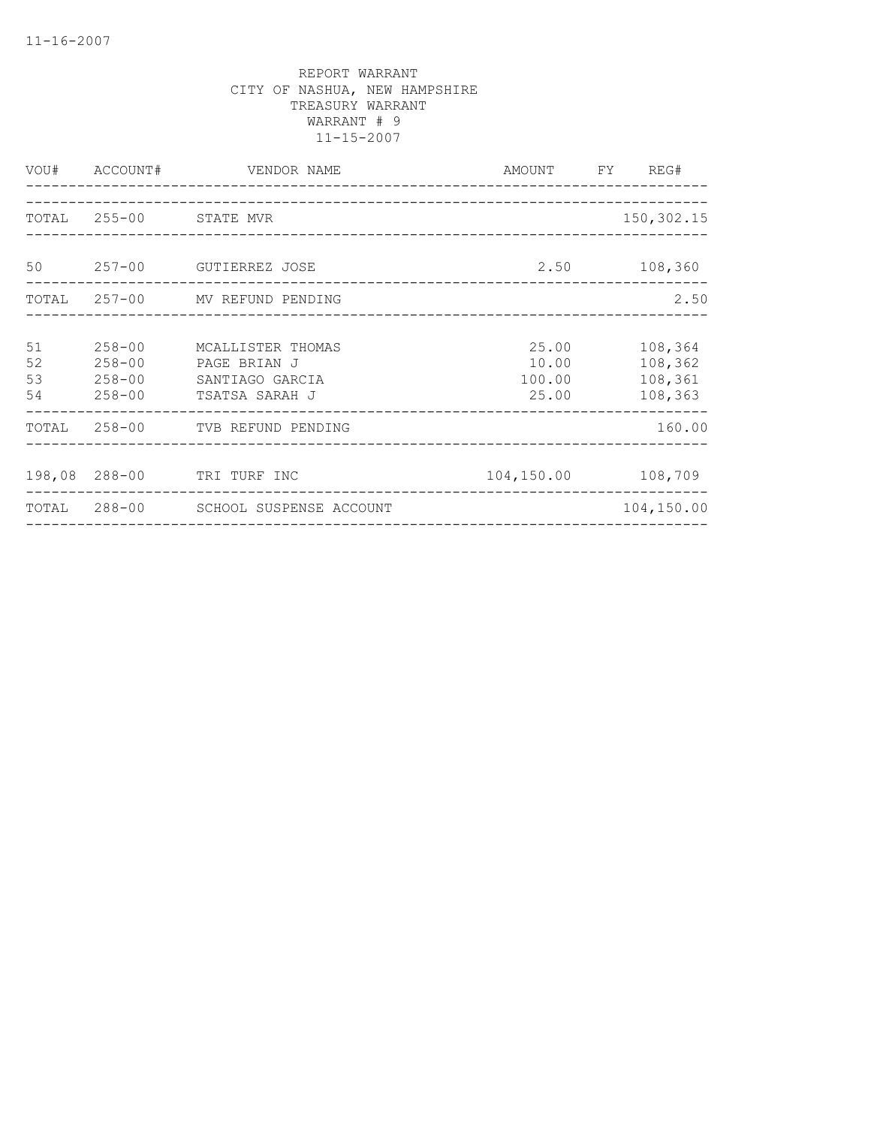|                      | VOU# ACCOUNT#            | VENDOR NAME<br>_________________________                                             | AMOUNT FY REG#                    |                                          |
|----------------------|--------------------------|--------------------------------------------------------------------------------------|-----------------------------------|------------------------------------------|
|                      | TOTAL 255-00 STATE MVR   |                                                                                      |                                   | 150, 302.15                              |
|                      |                          | 50 257-00 GUTIERREZ JOSE                                                             |                                   | 2.50 108,360                             |
|                      |                          | TOTAL 257-00 MV REFUND PENDING                                                       |                                   | 2.50                                     |
| 51<br>52<br>53<br>54 | $258 - 00$<br>$258 - 00$ | MCALLISTER THOMAS<br>PAGE BRIAN J<br>258-00 SANTIAGO GARCIA<br>258-00 TSATSA SARAH J | 25.00<br>10.00<br>100.00<br>25.00 | 108,364<br>108,362<br>108,361<br>108,363 |
|                      |                          | TOTAL 258-00 TVB REFUND PENDING                                                      |                                   | 160.00                                   |
|                      |                          | 198,08 288-00 TRI TURF INC                                                           | 104,150.00 108,709                |                                          |
|                      |                          | TOTAL 288-00 SCHOOL SUSPENSE ACCOUNT<br>___________________________________          |                                   | 104,150.00                               |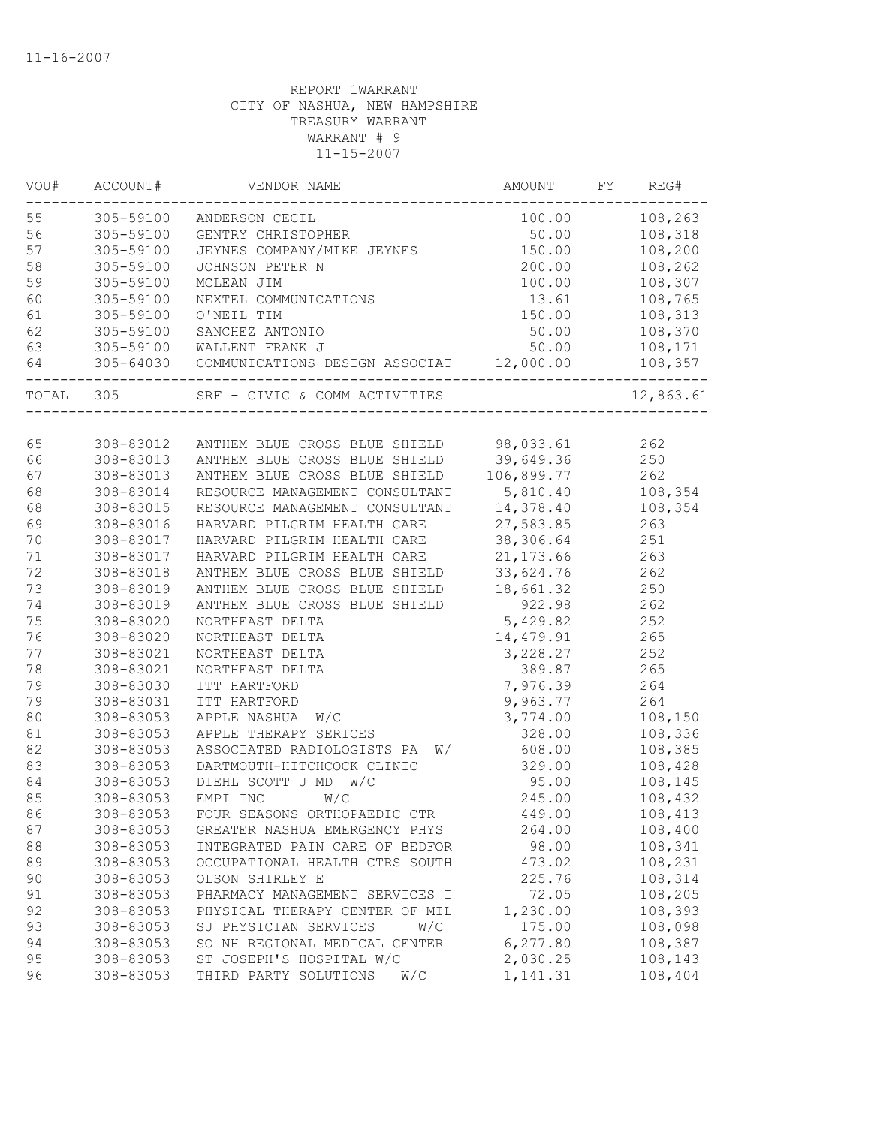| VOU#  | ACCOUNT#  | VENDOR NAME                                        | AMOUNT     | FY | REG#      |
|-------|-----------|----------------------------------------------------|------------|----|-----------|
| 55    | 305-59100 | ANDERSON CECIL                                     | 100.00     |    | 108,263   |
| 56    | 305-59100 | GENTRY CHRISTOPHER                                 | 50.00      |    | 108,318   |
| 57    | 305-59100 | JEYNES COMPANY/MIKE JEYNES                         | 150.00     |    | 108,200   |
| 58    | 305-59100 | JOHNSON PETER N                                    | 200.00     |    | 108,262   |
| 59    | 305-59100 | MCLEAN JIM                                         | 100.00     |    | 108,307   |
| 60    | 305-59100 | NEXTEL COMMUNICATIONS                              | 13.61      |    | 108,765   |
| 61    | 305-59100 | O'NEIL TIM                                         | 150.00     |    | 108,313   |
| 62    | 305-59100 | SANCHEZ ANTONIO                                    | 50.00      |    | 108,370   |
| 63    | 305-59100 | WALLENT FRANK J                                    | 50.00      |    | 108,171   |
| 64    |           | 305-64030 COMMUNICATIONS DESIGN ASSOCIAT 12,000.00 |            |    | 108,357   |
| TOTAL | 305       | SRF - CIVIC & COMM ACTIVITIES                      |            |    | 12,863.61 |
|       |           |                                                    |            |    |           |
| 65    | 308-83012 | ANTHEM BLUE CROSS BLUE SHIELD                      | 98,033.61  |    | 262       |
| 66    | 308-83013 | ANTHEM BLUE CROSS BLUE SHIELD                      | 39,649.36  |    | 250       |
| 67    | 308-83013 | ANTHEM BLUE CROSS BLUE SHIELD                      | 106,899.77 |    | 262       |
| 68    | 308-83014 | RESOURCE MANAGEMENT CONSULTANT                     | 5,810.40   |    | 108,354   |
| 68    | 308-83015 | RESOURCE MANAGEMENT CONSULTANT                     | 14,378.40  |    | 108,354   |
| 69    | 308-83016 | HARVARD PILGRIM HEALTH CARE                        | 27,583.85  |    | 263       |
| 70    | 308-83017 | HARVARD PILGRIM HEALTH CARE                        | 38,306.64  |    | 251       |
| 71    | 308-83017 | HARVARD PILGRIM HEALTH CARE                        | 21, 173.66 |    | 263       |
| 72    | 308-83018 | ANTHEM BLUE CROSS BLUE SHIELD                      | 33,624.76  |    | 262       |
| 73    | 308-83019 | ANTHEM BLUE CROSS BLUE SHIELD                      | 18,661.32  |    | 250       |
| 74    | 308-83019 | ANTHEM BLUE CROSS BLUE SHIELD                      | 922.98     |    | 262       |
| 75    | 308-83020 | NORTHEAST DELTA                                    | 5,429.82   |    | 252       |
| 76    | 308-83020 | NORTHEAST DELTA                                    | 14,479.91  |    | 265       |
| 77    | 308-83021 | NORTHEAST DELTA                                    | 3,228.27   |    | 252       |
| 78    | 308-83021 | NORTHEAST DELTA                                    | 389.87     |    | 265       |
| 79    | 308-83030 | ITT HARTFORD                                       | 7,976.39   |    | 264       |
| 79    | 308-83031 | ITT HARTFORD                                       | 9,963.77   |    | 264       |
| 80    | 308-83053 | APPLE NASHUA W/C                                   | 3,774.00   |    | 108,150   |
| 81    | 308-83053 | APPLE THERAPY SERICES                              | 328.00     |    | 108,336   |
| 82    | 308-83053 | ASSOCIATED RADIOLOGISTS PA<br>W/                   | 608.00     |    | 108,385   |
| 83    | 308-83053 | DARTMOUTH-HITCHCOCK CLINIC                         | 329.00     |    | 108,428   |
| 84    | 308-83053 | DIEHL SCOTT J MD W/C                               | 95.00      |    | 108,145   |
| 85    | 308-83053 | EMPI INC<br>W/C                                    | 245.00     |    | 108,432   |
| 86    | 308-83053 | FOUR SEASONS ORTHOPAEDIC CTR                       | 449.00     |    | 108,413   |
| 87    | 308-83053 | GREATER NASHUA EMERGENCY PHYS                      | 264.00     |    | 108,400   |
| 88    | 308-83053 | INTEGRATED PAIN CARE OF BEDFOR                     | 98.00      |    | 108,341   |
| 89    | 308-83053 | OCCUPATIONAL HEALTH CTRS SOUTH                     | 473.02     |    | 108,231   |
| 90    | 308-83053 | OLSON SHIRLEY E                                    | 225.76     |    | 108,314   |
| 91    | 308-83053 | PHARMACY MANAGEMENT SERVICES I                     | 72.05      |    | 108,205   |
| 92    | 308-83053 | PHYSICAL THERAPY CENTER OF MIL                     | 1,230.00   |    | 108,393   |
| 93    | 308-83053 | SJ PHYSICIAN SERVICES<br>W/C                       | 175.00     |    | 108,098   |
| 94    | 308-83053 | SO NH REGIONAL MEDICAL CENTER                      | 6,277.80   |    | 108,387   |
| 95    | 308-83053 | ST JOSEPH'S HOSPITAL W/C                           | 2,030.25   |    | 108,143   |
| 96    | 308-83053 | THIRD PARTY SOLUTIONS<br>W/C                       | 1,141.31   |    | 108,404   |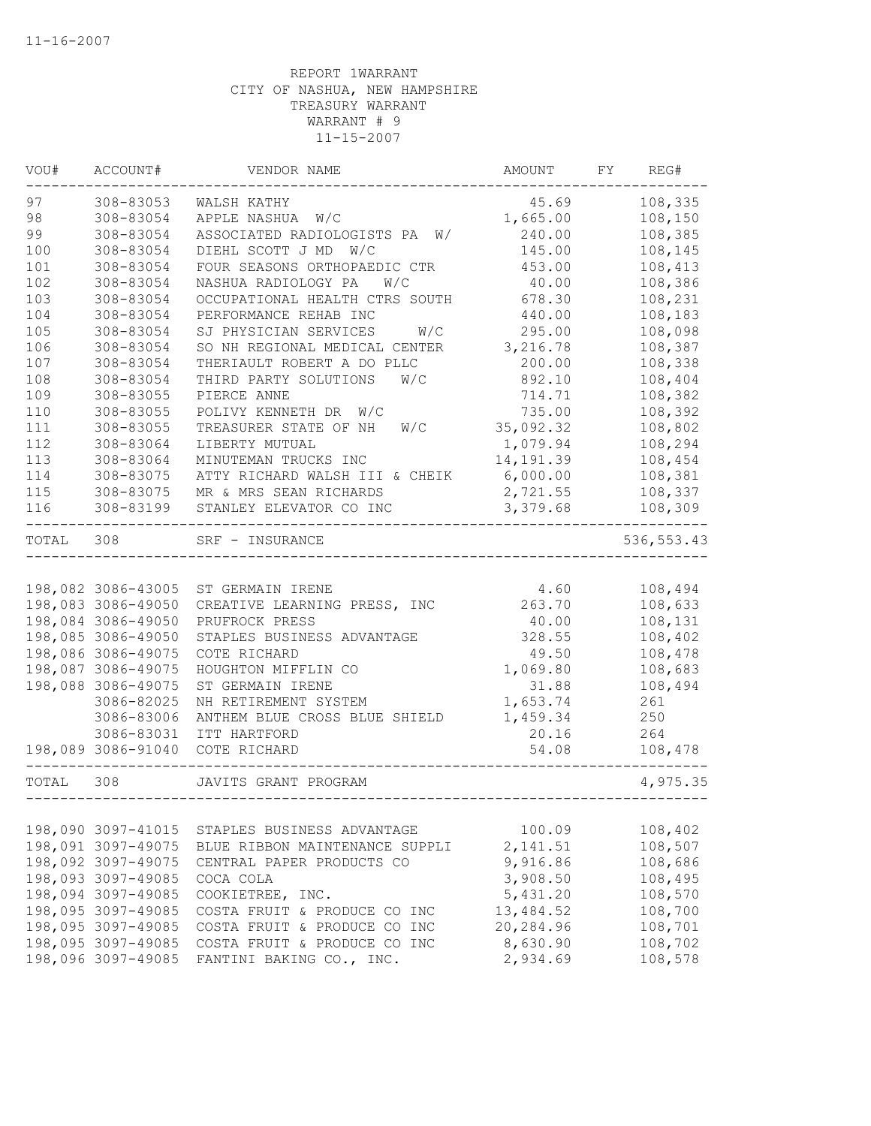| VOU#  | ACCOUNT#           | VENDOR NAME                      | AMOUNT    | FY | REG#        |
|-------|--------------------|----------------------------------|-----------|----|-------------|
| 97    | 308-83053          | WALSH KATHY                      | 45.69     |    | 108,335     |
| 98    | 308-83054          | APPLE NASHUA W/C                 | 1,665.00  |    | 108,150     |
| 99    | 308-83054          | ASSOCIATED RADIOLOGISTS PA<br>W/ | 240.00    |    | 108,385     |
| 100   | 308-83054          | DIEHL SCOTT J MD W/C             | 145.00    |    | 108,145     |
| 101   | 308-83054          | FOUR SEASONS ORTHOPAEDIC CTR     | 453.00    |    | 108,413     |
| 102   | 308-83054          | NASHUA RADIOLOGY PA<br>W/C       | 40.00     |    | 108,386     |
| 103   | 308-83054          | OCCUPATIONAL HEALTH CTRS SOUTH   | 678.30    |    | 108,231     |
| 104   | 308-83054          | PERFORMANCE REHAB INC            | 440.00    |    | 108,183     |
| 105   | 308-83054          | SJ PHYSICIAN SERVICES<br>W/C     | 295.00    |    | 108,098     |
| 106   | 308-83054          | SO NH REGIONAL MEDICAL CENTER    | 3,216.78  |    | 108,387     |
| 107   | 308-83054          | THERIAULT ROBERT A DO PLLC       | 200.00    |    | 108,338     |
| 108   | 308-83054          | THIRD PARTY SOLUTIONS<br>W/C     | 892.10    |    | 108,404     |
| 109   | 308-83055          | PIERCE ANNE                      | 714.71    |    | 108,382     |
| 110   | 308-83055          | POLIVY KENNETH DR<br>W/C         | 735.00    |    | 108,392     |
| 111   | 308-83055          | TREASURER STATE OF NH<br>W/C     | 35,092.32 |    | 108,802     |
| 112   | 308-83064          | LIBERTY MUTUAL                   | 1,079.94  |    | 108,294     |
| 113   | 308-83064          | MINUTEMAN TRUCKS INC             | 14,191.39 |    | 108,454     |
| 114   | 308-83075          | ATTY RICHARD WALSH III & CHEIK   | 6,000.00  |    | 108,381     |
| 115   | 308-83075          | MR & MRS SEAN RICHARDS           | 2,721.55  |    | 108,337     |
| 116   | 308-83199          | STANLEY ELEVATOR CO INC          | 3,379.68  |    | 108,309     |
| TOTAL | 308                | SRF - INSURANCE                  |           |    | 536, 553.43 |
|       |                    |                                  |           |    |             |
|       | 198,082 3086-43005 | ST GERMAIN IRENE                 | 4.60      |    | 108,494     |
|       | 198,083 3086-49050 | CREATIVE LEARNING PRESS, INC     | 263.70    |    | 108,633     |
|       | 198,084 3086-49050 | PRUFROCK PRESS                   | 40.00     |    | 108,131     |
|       | 198,085 3086-49050 | STAPLES BUSINESS ADVANTAGE       | 328.55    |    | 108,402     |
|       | 198,086 3086-49075 | COTE RICHARD                     | 49.50     |    | 108,478     |
|       | 198,087 3086-49075 | HOUGHTON MIFFLIN CO              | 1,069.80  |    | 108,683     |
|       | 198,088 3086-49075 | ST GERMAIN IRENE                 | 31.88     |    | 108,494     |
|       | 3086-82025         | NH RETIREMENT SYSTEM             | 1,653.74  |    | 261         |
|       | 3086-83006         | ANTHEM BLUE CROSS BLUE SHIELD    | 1,459.34  |    | 250         |
|       | 3086-83031         | ITT HARTFORD                     | 20.16     |    | 264         |
|       | 198,089 3086-91040 | COTE RICHARD                     | 54.08     |    | 108,478     |
| TOTAL | 308                | JAVITS GRANT PROGRAM             |           |    | 4,975.35    |
|       |                    |                                  |           |    |             |
|       | 198,090 3097-41015 | STAPLES BUSINESS ADVANTAGE       | 100.09    |    | 108,402     |
|       | 198,091 3097-49075 | BLUE RIBBON MAINTENANCE SUPPLI   | 2, 141.51 |    | 108,507     |
|       | 198,092 3097-49075 | CENTRAL PAPER PRODUCTS CO        | 9,916.86  |    | 108,686     |
|       | 198,093 3097-49085 | COCA COLA                        | 3,908.50  |    | 108,495     |
|       | 198,094 3097-49085 | COOKIETREE, INC.                 | 5,431.20  |    | 108,570     |
|       | 198,095 3097-49085 | COSTA FRUIT & PRODUCE CO INC     | 13,484.52 |    | 108,700     |
|       | 198,095 3097-49085 | COSTA FRUIT & PRODUCE CO INC     | 20,284.96 |    | 108,701     |
|       | 198,095 3097-49085 | COSTA FRUIT & PRODUCE CO INC     | 8,630.90  |    | 108,702     |
|       | 198,096 3097-49085 | FANTINI BAKING CO., INC.         | 2,934.69  |    | 108,578     |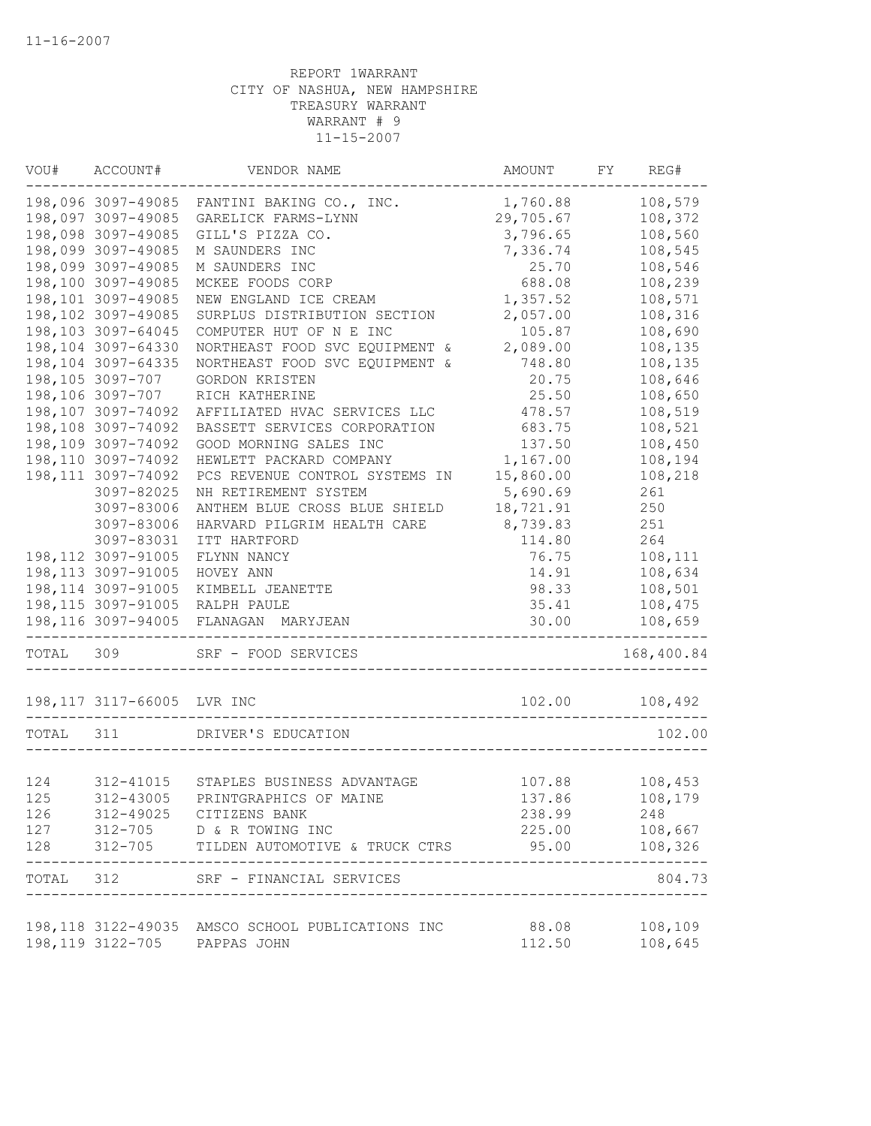| VOU#      | ACCOUNT#                   | VENDOR NAME                                      | AMOUNT    | FY | REG#                |
|-----------|----------------------------|--------------------------------------------------|-----------|----|---------------------|
|           | 198,096 3097-49085         | FANTINI BAKING CO., INC.                         | 1,760.88  |    | 108,579             |
|           | 198,097 3097-49085         | GARELICK FARMS-LYNN                              | 29,705.67 |    | 108,372             |
|           | 198,098 3097-49085         | GILL'S PIZZA CO.                                 | 3,796.65  |    | 108,560             |
|           | 198,099 3097-49085         | M SAUNDERS INC                                   | 7,336.74  |    | 108,545             |
|           | 198,099 3097-49085         | M SAUNDERS INC                                   | 25.70     |    | 108,546             |
|           | 198,100 3097-49085         | MCKEE FOODS CORP                                 | 688.08    |    | 108,239             |
|           | 198,101 3097-49085         | NEW ENGLAND ICE CREAM                            | 1,357.52  |    | 108,571             |
|           | 198,102 3097-49085         | SURPLUS DISTRIBUTION SECTION                     | 2,057.00  |    | 108,316             |
|           | 198,103 3097-64045         | COMPUTER HUT OF N E INC                          | 105.87    |    | 108,690             |
|           | 198,104 3097-64330         | NORTHEAST FOOD SVC EQUIPMENT &                   | 2,089.00  |    | 108,135             |
|           | 198,104 3097-64335         | NORTHEAST FOOD SVC EQUIPMENT &                   | 748.80    |    | 108,135             |
|           | 198,105 3097-707           | GORDON KRISTEN                                   | 20.75     |    | 108,646             |
|           | 198,106 3097-707           | RICH KATHERINE                                   | 25.50     |    | 108,650             |
|           | 198,107 3097-74092         | AFFILIATED HVAC SERVICES LLC                     | 478.57    |    | 108,519             |
|           | 198,108 3097-74092         | BASSETT SERVICES CORPORATION                     | 683.75    |    | 108,521             |
|           | 198,109 3097-74092         | GOOD MORNING SALES INC                           | 137.50    |    | 108,450             |
|           | 198,110 3097-74092         | HEWLETT PACKARD COMPANY                          | 1,167.00  |    | 108,194             |
|           | 198, 111 3097-74092        | PCS REVENUE CONTROL SYSTEMS IN                   | 15,860.00 |    | 108,218             |
|           | 3097-82025                 | NH RETIREMENT SYSTEM                             | 5,690.69  |    | 261                 |
|           | 3097-83006                 | ANTHEM BLUE CROSS BLUE SHIELD                    | 18,721.91 |    | 250                 |
|           | 3097-83006                 | HARVARD PILGRIM HEALTH CARE                      | 8,739.83  |    | 251                 |
|           | 3097-83031                 | ITT HARTFORD                                     | 114.80    |    | 264                 |
|           | 198, 112 3097-91005        | FLYNN NANCY                                      | 76.75     |    | 108,111             |
|           | 198, 113 3097-91005        | HOVEY ANN                                        | 14.91     |    | 108,634             |
|           | 198, 114 3097-91005        | KIMBELL JEANETTE                                 | 98.33     |    | 108,501             |
|           | 198, 115 3097-91005        | RALPH PAULE                                      | 35.41     |    | 108,475             |
|           | 198,116 3097-94005         | FLANAGAN MARYJEAN                                | 30.00     |    | 108,659             |
| TOTAL 309 |                            | SRF - FOOD SERVICES                              |           |    | 168,400.84          |
|           | 198,117 3117-66005 LVR INC |                                                  | 102.00    |    | 108,492             |
| TOTAL     | 311                        | DRIVER'S EDUCATION                               |           |    | 102.00              |
|           |                            |                                                  |           |    |                     |
| 124       | 312-41015                  | STAPLES BUSINESS ADVANTAGE                       | 107.88    |    | 108,453             |
| 125       |                            | 312-43005 PRINTGRAPHICS OF MAINE                 | 137.86    |    | 108,179             |
| 126       |                            | 312-49025 CITIZENS BANK                          | 238.99    |    | 248                 |
|           |                            | 127 312-705 D & R TOWING INC                     |           |    | 225.00 108,667      |
|           |                            |                                                  |           |    | . _ _ _ _ _ _ _ _ _ |
|           | --------------------       | TOTAL 312 SRF - FINANCIAL SERVICES               |           |    | 804.73              |
|           |                            | 198,118 3122-49035 AMSCO SCHOOL PUBLICATIONS INC | 88.08     |    | 108,109             |
|           |                            | 198,119 3122-705 PAPPAS JOHN                     | 112.50    |    | 108,645             |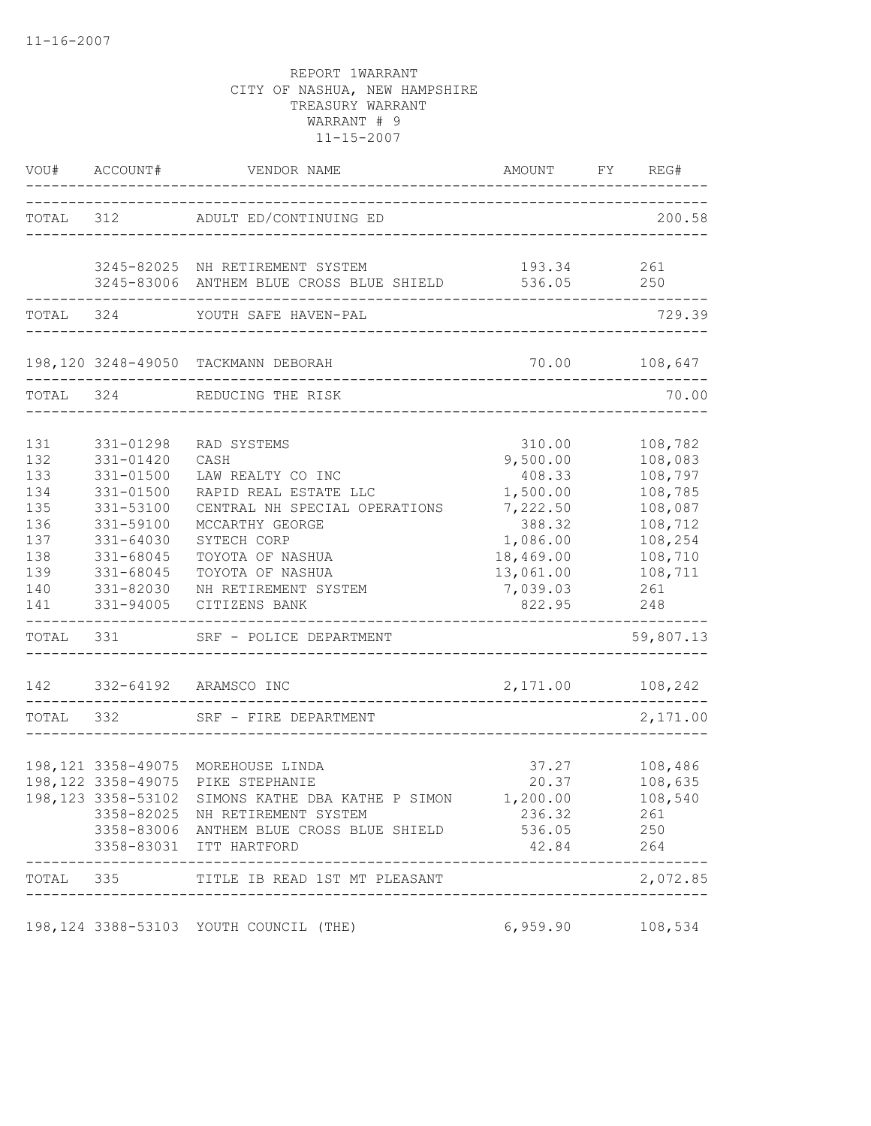|           | VOU# ACCOUNT#       | VENDOR NAME                                                | AMOUNT FY REG#               |               |
|-----------|---------------------|------------------------------------------------------------|------------------------------|---------------|
|           |                     | TOTAL 312 ADULT ED/CONTINUING ED                           | _______________________      | 200.58        |
|           |                     | 3245-82025 NH RETIREMENT SYSTEM                            | 193.34 261                   |               |
|           |                     | 3245-83006 ANTHEM BLUE CROSS BLUE SHIELD                   | 536.05 250                   |               |
| TOTAL 324 |                     | YOUTH SAFE HAVEN-PAL                                       |                              | 729.39        |
|           |                     | 198,120 3248-49050 TACKMANN DEBORAH                        |                              | 70.00 108,647 |
| TOTAL 324 |                     | REDUCING THE RISK                                          | ____________________________ | 70.00         |
|           |                     |                                                            |                              |               |
| 131       | 331-01298           | RAD SYSTEMS                                                | 310.00                       | 108,782       |
| 132       | 331-01420           | CASH                                                       | 9,500.00                     | 108,083       |
| 133       | 331-01500           | LAW REALTY CO INC                                          | 408.33                       | 108,797       |
| 134       | 331-01500           | RAPID REAL ESTATE LLC                                      | 1,500.00                     | 108,785       |
| 135       | 331-53100           | CENTRAL NH SPECIAL OPERATIONS                              | 7,222.50                     | 108,087       |
| 136       | 331-59100           | MCCARTHY GEORGE                                            | 388.32                       | 108,712       |
| 137       | 331-64030           | SYTECH CORP                                                | 1,086.00                     | 108,254       |
| 138       | 331-68045           | TOYOTA OF NASHUA                                           | 18,469.00                    | 108,710       |
| 139       | 331-68045           | TOYOTA OF NASHUA                                           | 13,061.00                    | 108,711       |
| 140       | 331-82030           | NH RETIREMENT SYSTEM                                       | 7,039.03                     | 261           |
| 141       | 331-94005           | CITIZENS BANK                                              | 822.95                       | 248           |
| TOTAL 331 |                     | SRF - POLICE DEPARTMENT                                    |                              | 59,807.13     |
|           |                     | 142 332-64192 ARAMSCO INC                                  | 2, 171.00 108, 242           |               |
| TOTAL 332 |                     | SRF - FIRE DEPARTMENT                                      |                              | 2,171.00      |
|           |                     |                                                            |                              |               |
|           |                     | 198,121 3358-49075 MOREHOUSE LINDA                         | 37.27                        | 108,486       |
|           | 198, 122 3358-49075 | PIKE STEPHANIE                                             | 20.37                        | 108,635       |
|           |                     | 198,123 3358-53102 SIMONS KATHE DBA KATHE P SIMON 1,200.00 |                              | 108,540       |
|           |                     | 3358-82025 NH RETIREMENT SYSTEM                            | 236.32                       | 261           |
|           |                     | 3358-83006 ANTHEM BLUE CROSS BLUE SHIELD                   | 536.05                       | 250           |
|           |                     | 3358-83031 ITT HARTFORD                                    | 42.84                        | 264           |
|           |                     | TOTAL 335 TITLE IB READ 1ST MT PLEASANT                    |                              | 2,072.85      |
|           |                     |                                                            |                              |               |
|           |                     | 198,124 3388-53103 YOUTH COUNCIL (THE)                     | 6,959.90                     | 108,534       |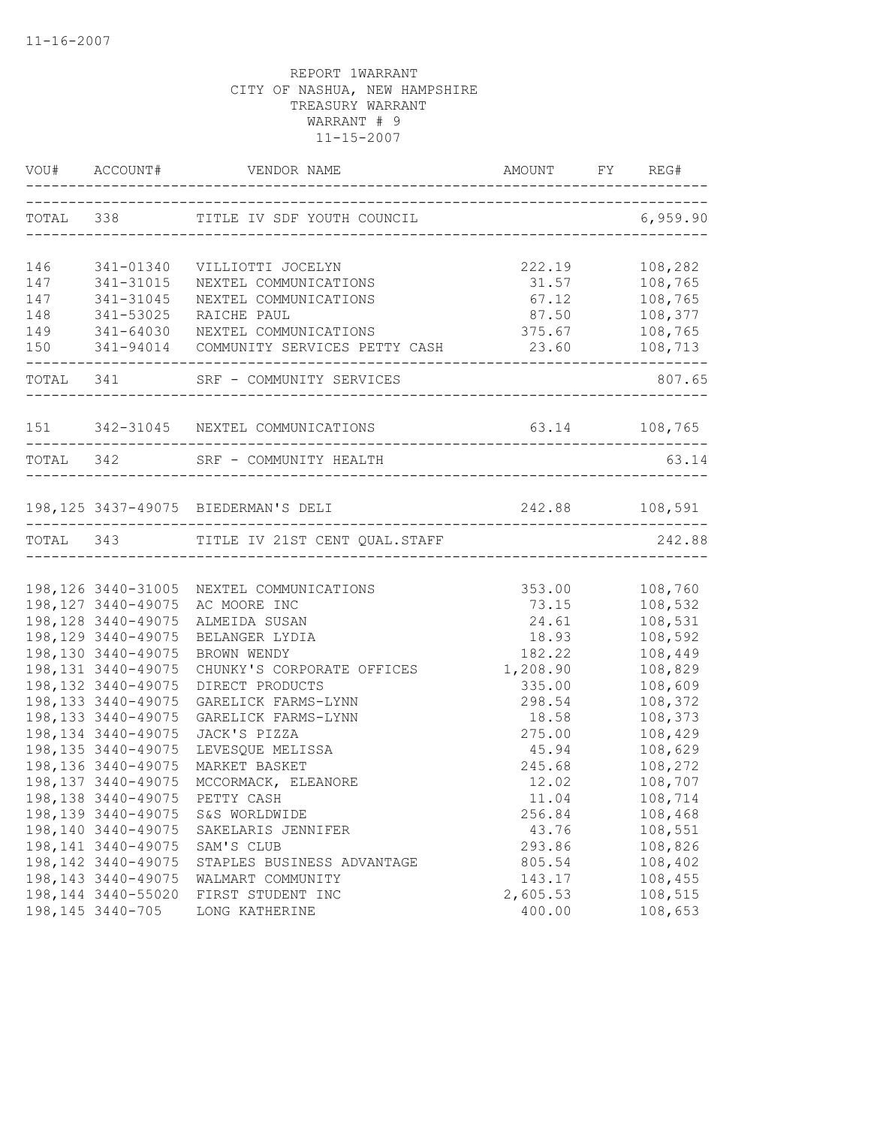|     |                     | VOU# ACCOUNT# VENDOR NAME AMOUNT FY RE                                     | AMOUNT FY REG#                         |          |
|-----|---------------------|----------------------------------------------------------------------------|----------------------------------------|----------|
|     |                     | TOTAL 338 TITLE IV SDF YOUTH COUNCIL                                       |                                        | 6,959.90 |
| 146 | 341-01340           | VILLIOTTI JOCELYN                                                          | 222.19                                 | 108,282  |
| 147 | 341-31015           | NEXTEL COMMUNICATIONS                                                      | 31.57                                  | 108,765  |
| 147 | 341-31045           | NEXTEL COMMUNICATIONS                                                      | 67.12                                  | 108,765  |
| 148 | 341-53025           | RAICHE PAUL                                                                | 87.50                                  | 108,377  |
| 149 |                     |                                                                            | 375.67                                 | 108,765  |
| 150 |                     | 341-64030 NEXTEL COMMUNICATIONS<br>341-94014 COMMUNITY SERVICES PETTY CASH | 23.60                                  | 108,713  |
|     |                     | TOTAL 341 SRF - COMMUNITY SERVICES                                         |                                        | 807.65   |
|     |                     | 151 342-31045 NEXTEL COMMUNICATIONS                                        | 63.14 108,765                          |          |
|     | TOTAL 342           | SRF - COMMUNITY HEALTH                                                     |                                        | 63.14    |
|     |                     |                                                                            | -------------------------------------- |          |
|     |                     | 198,125 3437-49075 BIEDERMAN'S DELI 242.88 108,591                         |                                        |          |
|     |                     | TOTAL 343 TITLE IV 21ST CENT QUAL.STAFF                                    | ------------------------------         | 242.88   |
|     |                     |                                                                            |                                        |          |
|     |                     | 198,126 3440-31005 NEXTEL COMMUNICATIONS                                   | 353.00                                 | 108,760  |
|     | 198, 127 3440-49075 | AC MOORE INC                                                               | 73.15                                  | 108,532  |
|     | 198, 128 3440-49075 | ALMEIDA SUSAN                                                              | 24.61                                  | 108,531  |
|     | 198, 129 3440-49075 | BELANGER LYDIA                                                             | 18.93                                  | 108,592  |
|     | 198,130 3440-49075  | BROWN WENDY                                                                | 182.22                                 | 108,449  |
|     | 198, 131 3440-49075 | CHUNKY'S CORPORATE OFFICES                                                 | 1,208.90                               | 108,829  |
|     | 198, 132 3440-49075 | DIRECT PRODUCTS                                                            | 335.00                                 | 108,609  |
|     | 198, 133 3440-49075 | GARELICK FARMS-LYNN                                                        | 298.54                                 | 108,372  |
|     | 198, 133 3440-49075 | GARELICK FARMS-LYNN                                                        | 18.58                                  | 108,373  |
|     | 198, 134 3440-49075 | JACK'S PIZZA                                                               | 275.00                                 | 108,429  |
|     | 198, 135 3440-49075 | LEVESQUE MELISSA                                                           | 45.94                                  | 108,629  |
|     | 198,136 3440-49075  | MARKET BASKET                                                              | 245.68                                 | 108,272  |
|     | 198, 137 3440-49075 | MCCORMACK, ELEANORE                                                        | 12.02                                  | 108,707  |
|     |                     | 198,138 3440-49075 PETTY CASH                                              | 11.04                                  | 108,714  |
|     | 198, 139 3440-49075 | S&S WORLDWIDE                                                              | 256.84                                 | 108,468  |
|     | 198,140 3440-49075  | SAKELARIS JENNIFER                                                         | 43.76                                  | 108,551  |
|     | 198, 141 3440-49075 | SAM'S CLUB                                                                 | 293.86                                 | 108,826  |
|     | 198, 142 3440-49075 | STAPLES BUSINESS ADVANTAGE                                                 | 805.54                                 | 108,402  |
|     | 198, 143 3440-49075 | WALMART COMMUNITY                                                          | 143.17                                 | 108,455  |
|     | 198,144 3440-55020  | FIRST STUDENT INC                                                          | 2,605.53                               | 108,515  |
|     | 198, 145 3440-705   | LONG KATHERINE                                                             | 400.00                                 | 108,653  |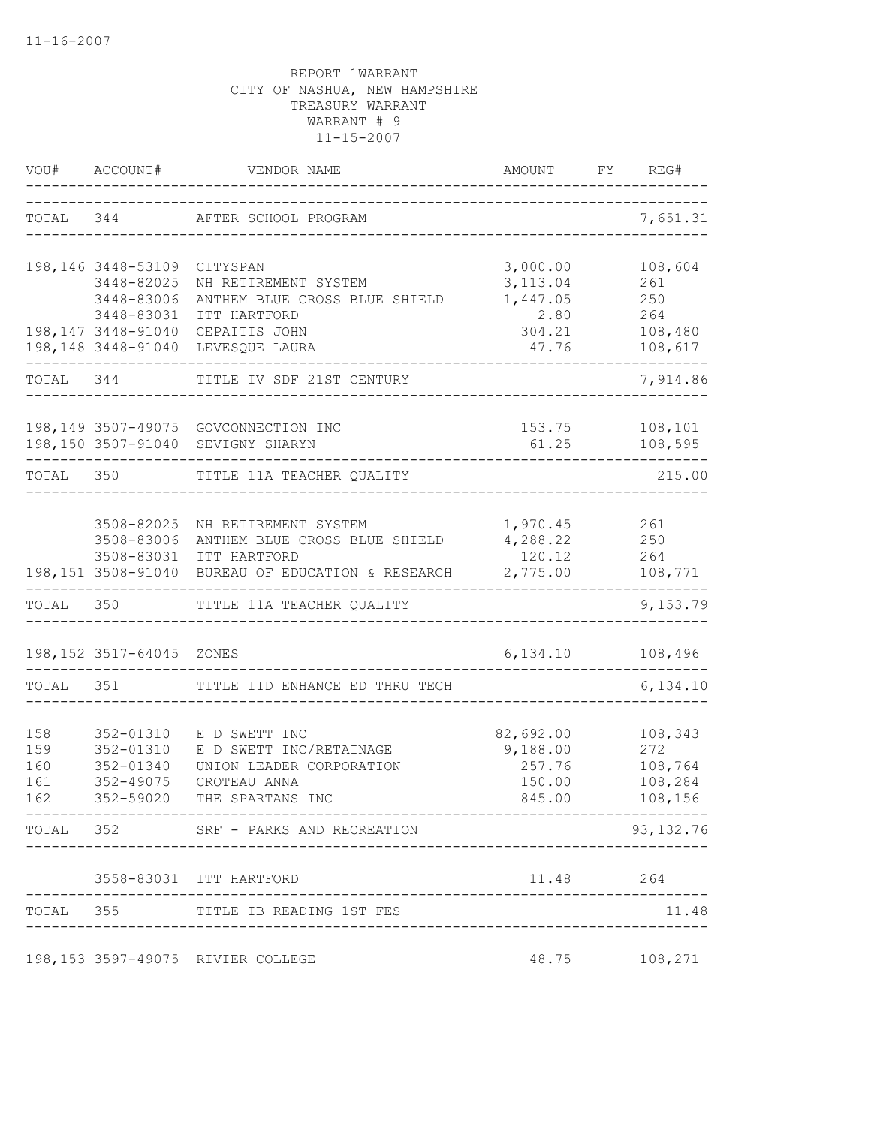|           | VOU# ACCOUNT#      | VENDOR NAME                                                | AMOUNT                           | REG#<br>FY         |
|-----------|--------------------|------------------------------------------------------------|----------------------------------|--------------------|
|           |                    | TOTAL 344 AFTER SCHOOL PROGRAM                             | ------------------------------   | 7,651.31           |
|           | 198,146 3448-53109 | CITYSPAN                                                   | 3,000.00                         | 108,604            |
|           | 3448-82025         | NH RETIREMENT SYSTEM                                       | 3, 113.04                        | 261                |
|           | 3448-83006         | ANTHEM BLUE CROSS BLUE SHIELD                              | 1,447.05                         | 250                |
|           | 3448-83031         | ITT HARTFORD                                               | 2.80                             | 264                |
|           | 198,147 3448-91040 | CEPAITIS JOHN<br>198,148 3448-91040 LEVESQUE LAURA         | 304.21<br>47.76                  | 108,480<br>108,617 |
|           |                    |                                                            |                                  |                    |
| TOTAL 344 |                    | TITLE IV SDF 21ST CENTURY                                  |                                  | 7,914.86           |
|           |                    | 198,149 3507-49075 GOVCONNECTION INC                       | 153.75                           | 108,101            |
|           |                    | 198,150 3507-91040 SEVIGNY SHARYN                          | 61.25                            | 108,595            |
| TOTAL 350 |                    | TITLE 11A TEACHER QUALITY                                  | ____________________             | 215.00             |
|           |                    |                                                            |                                  |                    |
|           |                    | 3508-82025 NH RETIREMENT SYSTEM                            | 1,970.45 261                     |                    |
|           | 3508-83006         | ANTHEM BLUE CROSS BLUE SHIELD                              | 4,288.22 250                     |                    |
|           |                    | 3508-83031 ITT HARTFORD                                    | 120.12                           | 264                |
|           |                    | 198,151 3508-91040 BUREAU OF EDUCATION & RESEARCH 2,775.00 |                                  | 108,771            |
|           |                    | TOTAL 350 TITLE 11A TEACHER QUALITY                        |                                  | 9,153.79           |
|           | 198,152 3517-64045 | ZONES                                                      | 6,134.10                         | 108,496            |
| TOTAL     | 351                | TITLE IID ENHANCE ED THRU TECH                             |                                  | 6,134.10           |
|           |                    |                                                            |                                  |                    |
| 158       | 352-01310          | E D SWETT INC                                              | 82,692.00                        | 108,343            |
| 159       | 352-01310          | E D SWETT INC/RETAINAGE                                    | 9,188.00                         | 272                |
| 160       | 352-01340          | UNION LEADER CORPORATION                                   | 257.76                           | 108,764            |
| 161       | 352-49075          | CROTEAU ANNA                                               | 150.00                           | 108,284            |
| 162       | 352-59020          | THE SPARTANS INC                                           | 845.00                           | 108,156            |
|           |                    | TOTAL 352 SRF - PARKS AND RECREATION                       |                                  | 93, 132. 76        |
|           |                    | 3558-83031 ITT HARTFORD                                    | 11.48                            | 264                |
|           |                    | TOTAL 355 TITLE IB READING 1ST FES                         |                                  | 11.48              |
|           |                    |                                                            | -------------------------------- |                    |
|           |                    | 198,153 3597-49075 RIVIER COLLEGE                          | 48.75                            | 108,271            |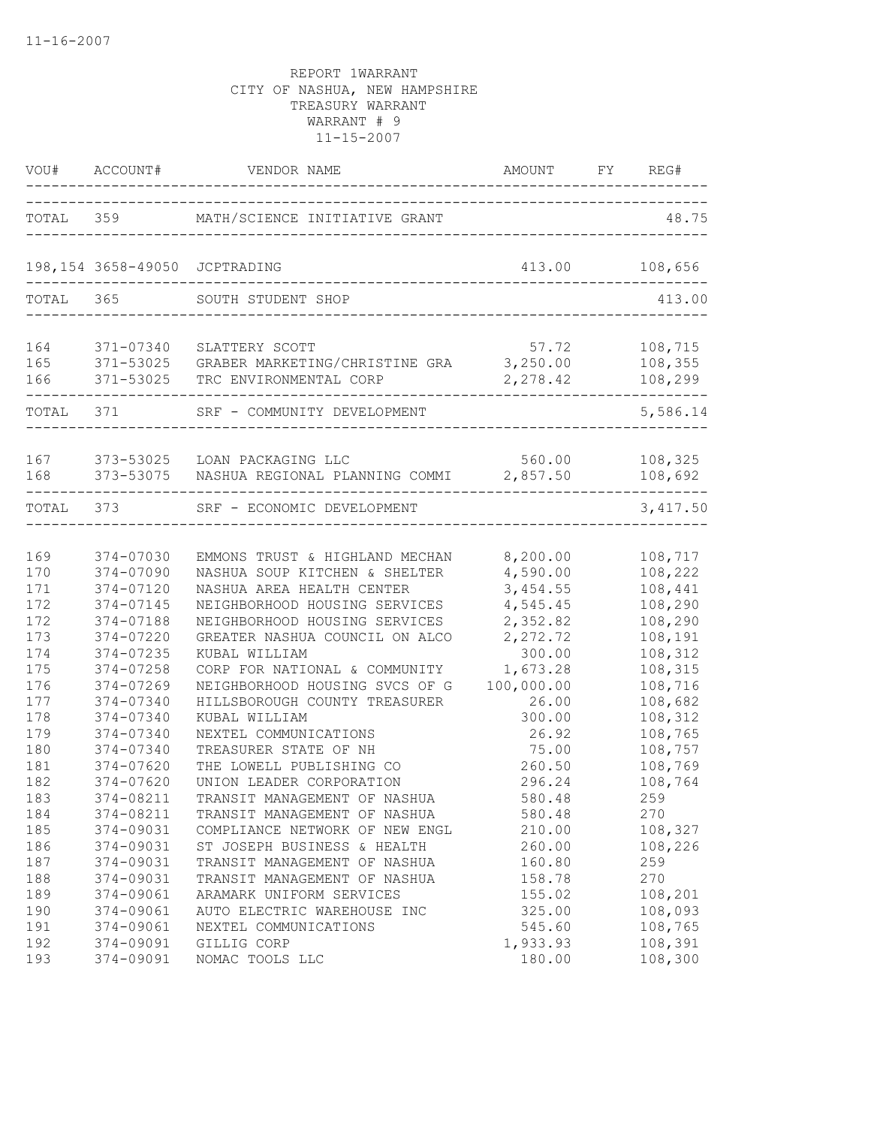| VOU#              | ACCOUNT#                            | VENDOR NAME                                                                         | AMOUNT                                        | FY REG#                       |
|-------------------|-------------------------------------|-------------------------------------------------------------------------------------|-----------------------------------------------|-------------------------------|
|                   |                                     | TOTAL 359 MATH/SCIENCE INITIATIVE GRANT                                             |                                               | 48.75                         |
|                   | 198,154 3658-49050                  | JCPTRADING                                                                          | 413.00<br>----------------------------------- | 108,656                       |
| TOTAL 365         |                                     | SOUTH STUDENT SHOP<br>------------------------------------                          |                                               | 413.00                        |
| 164<br>165<br>166 | 371-07340<br>371-53025<br>371-53025 | SLATTERY SCOTT<br>GRABER MARKETING/CHRISTINE GRA 3,250.00<br>TRC ENVIRONMENTAL CORP | 57.72<br>2,278.42                             | 108,715<br>108,355<br>108,299 |
| TOTAL 371         |                                     | SRF - COMMUNITY DEVELOPMENT                                                         |                                               | 5,586.14                      |
| 167<br>168        | 373-53025<br>373-53075              | LOAN PACKAGING LLC<br>NASHUA REGIONAL PLANNING COMMI 2,857.50                       | 560.00                                        | 108,325<br>108,692            |
| TOTAL 373         |                                     | SRF - ECONOMIC DEVELOPMENT                                                          |                                               | 3,417.50                      |
| 169               | 374-07030                           | EMMONS TRUST & HIGHLAND MECHAN                                                      | 8,200.00                                      | 108,717                       |
| 170               | 374-07090                           | NASHUA SOUP KITCHEN & SHELTER                                                       | 4,590.00                                      | 108,222                       |
| 171               | 374-07120                           | NASHUA AREA HEALTH CENTER                                                           | 3,454.55                                      | 108,441                       |
| 172               | 374-07145                           | NEIGHBORHOOD HOUSING SERVICES                                                       | 4,545.45                                      | 108,290                       |
| 172               | 374-07188                           | NEIGHBORHOOD HOUSING SERVICES                                                       | 2,352.82                                      | 108,290                       |
| 173               | 374-07220                           | GREATER NASHUA COUNCIL ON ALCO                                                      | 2, 272.72                                     | 108,191                       |
| 174               | 374-07235                           | KUBAL WILLIAM                                                                       | 300.00                                        | 108,312                       |
| 175               | 374-07258                           | CORP FOR NATIONAL & COMMUNITY                                                       | 1,673.28                                      | 108,315                       |
| 176               | 374-07269                           | NEIGHBORHOOD HOUSING SVCS OF G                                                      | 100,000.00                                    | 108,716                       |
| 177               | 374-07340                           | HILLSBOROUGH COUNTY TREASURER                                                       | 26.00                                         | 108,682                       |
| 178               | 374-07340                           | KUBAL WILLIAM                                                                       | 300.00                                        | 108,312                       |
| 179               | 374-07340                           | NEXTEL COMMUNICATIONS                                                               | 26.92                                         | 108,765                       |
| 180               | 374-07340                           | TREASURER STATE OF NH                                                               | 75.00                                         | 108,757                       |
| 181               | 374-07620                           | THE LOWELL PUBLISHING CO                                                            | 260.50                                        | 108,769                       |
| 182               | $374 - 07620$                       | UNION LEADER CORPORATION                                                            | 296.24                                        | 108,764                       |
| 183               | 374-08211                           | TRANSIT MANAGEMENT OF NASHUA                                                        | 580.48                                        | 259                           |
| 184               | 374-08211                           | TRANSIT MANAGEMENT OF NASHUA                                                        | 580.48                                        | 270                           |
| 185               | 374-09031                           | COMPLIANCE NETWORK OF NEW ENGL                                                      | 210.00                                        | 108,327                       |
| 186               | 374-09031                           | ST JOSEPH BUSINESS & HEALTH                                                         | 260.00                                        | 108,226                       |
| 187               | 374-09031                           | TRANSIT MANAGEMENT OF NASHUA                                                        | 160.80                                        | 259                           |
| 188               | 374-09031                           | TRANSIT MANAGEMENT OF NASHUA                                                        | 158.78                                        | 270                           |
| 189               | 374-09061                           | ARAMARK UNIFORM SERVICES                                                            | 155.02                                        | 108,201                       |
| 190               | 374-09061                           | AUTO ELECTRIC WAREHOUSE INC                                                         | 325.00                                        | 108,093                       |
| 191               | 374-09061                           | NEXTEL COMMUNICATIONS                                                               | 545.60                                        | 108,765                       |
| 192               | 374-09091                           | GILLIG CORP                                                                         | 1,933.93                                      | 108,391                       |
| 193               | 374-09091                           | NOMAC TOOLS LLC                                                                     | 180.00                                        | 108,300                       |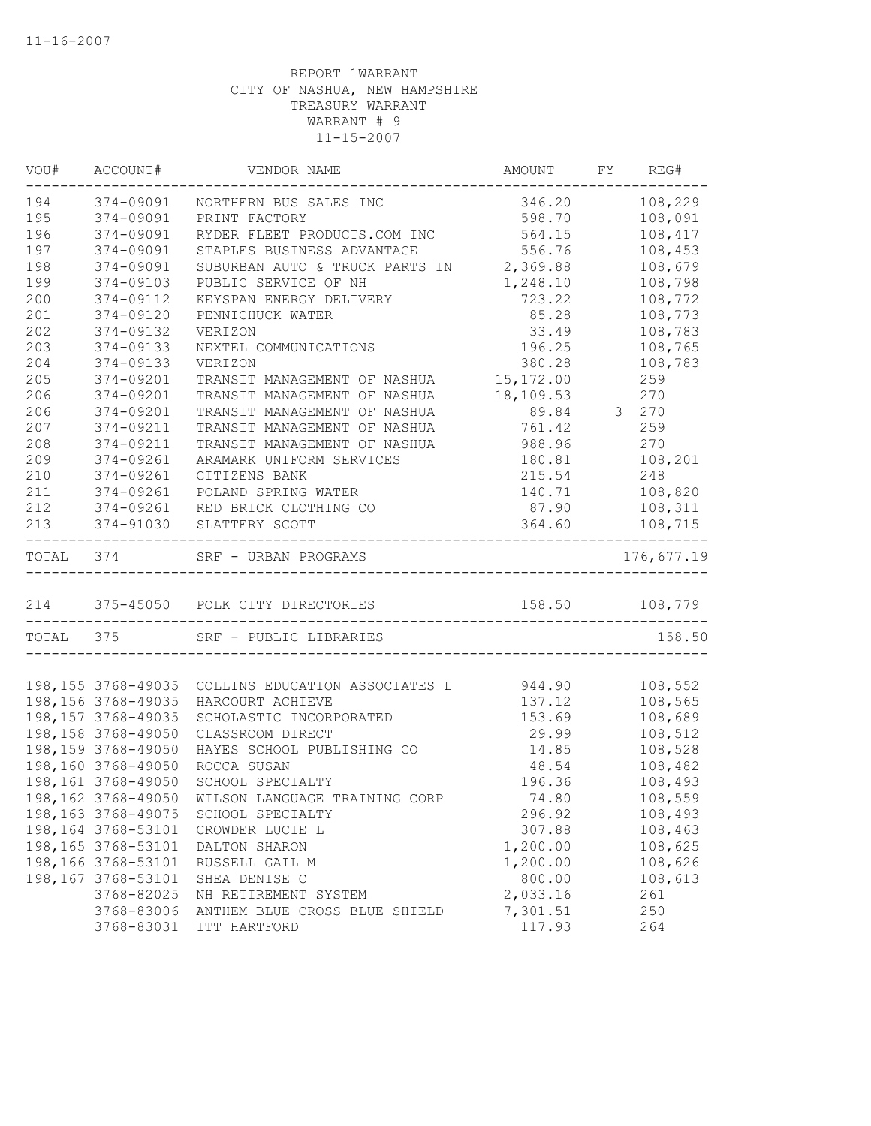| VOU#      | ACCOUNT#            | VENDOR NAME                                | AMOUNT         | FY REG#    |
|-----------|---------------------|--------------------------------------------|----------------|------------|
| 194       | 374-09091           | NORTHERN BUS SALES INC                     | 346.20         | 108,229    |
| 195       | 374-09091           | PRINT FACTORY                              | 598.70         | 108,091    |
| 196       | 374-09091           | RYDER FLEET PRODUCTS.COM INC               | 564.15         | 108,417    |
| 197       | 374-09091           | STAPLES BUSINESS ADVANTAGE                 | 556.76         | 108,453    |
| 198       | 374-09091           | SUBURBAN AUTO & TRUCK PARTS IN 2,369.88    |                | 108,679    |
| 199       | 374-09103           | PUBLIC SERVICE OF NH                       | 1,248.10       | 108,798    |
| 200       | 374-09112           | KEYSPAN ENERGY DELIVERY<br>PENNICUUCY ***- | 723.22         | 108,772    |
| 201       | 374-09120           | PENNICHUCK WATER                           | 85.28          | 108,773    |
| 202       | 374-09132           | <b>VERIZON</b>                             | 33.49          | 108,783    |
| 203       | 374-09133           | NEXTEL COMMUNICATIONS                      | 196.25         | 108,765    |
| 204       | 374-09133           | VERIZON                                    | 380.28         | 108,783    |
| 205       | 374-09201           | TRANSIT MANAGEMENT OF NASHUA 15,172.00     |                | 259        |
| 206       | 374-09201           | TRANSIT MANAGEMENT OF NASHUA               | 18,109.53      | 270        |
| 206       | 374-09201           | TRANSIT MANAGEMENT OF NASHUA               | 89.84          | 3 270      |
| 207       | 374-09211           | TRANSIT MANAGEMENT OF NASHUA               | 761.42         | 259        |
| 208       | 374-09211           | TRANSIT MANAGEMENT OF NASHUA               | 988.96         | 270        |
| 209       | 374-09261           | ARAMARK UNIFORM SERVICES                   | 180.81         | 108,201    |
| 210       | 374-09261           | CITIZENS BANK                              | 215.54         | 248        |
| 211       | 374-09261           | POLAND SPRING WATER                        | 140.71         | 108,820    |
| 212       | 374-09261           | RED BRICK CLOTHING CO                      | 87.90          | 108,311    |
| 213       | 374-91030           | SLATTERY SCOTT                             | 364.60         | 108,715    |
| TOTAL 374 |                     | SRF - URBAN PROGRAMS                       |                | 176,677.19 |
|           |                     | 214 375-45050 POLK CITY DIRECTORIES        | 158.50 108,779 |            |
| TOTAL 375 |                     | SRF - PUBLIC LIBRARIES                     |                | 158.50     |
|           |                     |                                            |                |            |
|           | 198,155 3768-49035  | COLLINS EDUCATION ASSOCIATES L 944.90      |                | 108,552    |
|           | 198,156 3768-49035  | HARCOURT ACHIEVE                           | 137.12         | 108,565    |
|           | 198, 157 3768-49035 | SCHOLASTIC INCORPORATED                    | 153.69         | 108,689    |
|           | 198,158 3768-49050  | CLASSROOM DIRECT                           | 29.99          | 108,512    |
|           | 198,159 3768-49050  | HAYES SCHOOL PUBLISHING CO                 | 14.85          | 108,528    |
|           | 198,160 3768-49050  | ROCCA SUSAN                                | 48.54          | 108,482    |
|           | 198,161 3768-49050  | SCHOOL SPECIALTY                           | 196.36         | 108,493    |
|           | 198,162 3768-49050  | WILSON LANGUAGE TRAINING CORP              | 74.80          | 108,559    |
|           | 198,163 3768-49075  | SCHOOL SPECIALTY                           | 296.92         | 108,493    |
|           | 198,164 3768-53101  | CROWDER LUCIE L                            | 307.88         | 108,463    |
|           | 198,165 3768-53101  | DALTON SHARON                              | 1,200.00       | 108,625    |
|           | 198,166 3768-53101  | RUSSELL GAIL M                             | 1,200.00       | 108,626    |
|           | 198,167 3768-53101  | SHEA DENISE C                              | 800.00         | 108,613    |
|           | 3768-82025          | NH RETIREMENT SYSTEM                       | 2,033.16       | 261        |
|           | 3768-83006          | ANTHEM BLUE CROSS BLUE SHIELD              | 7,301.51       | 250        |
|           | 3768-83031          | ITT HARTFORD                               | 117.93         | 264        |
|           |                     |                                            |                |            |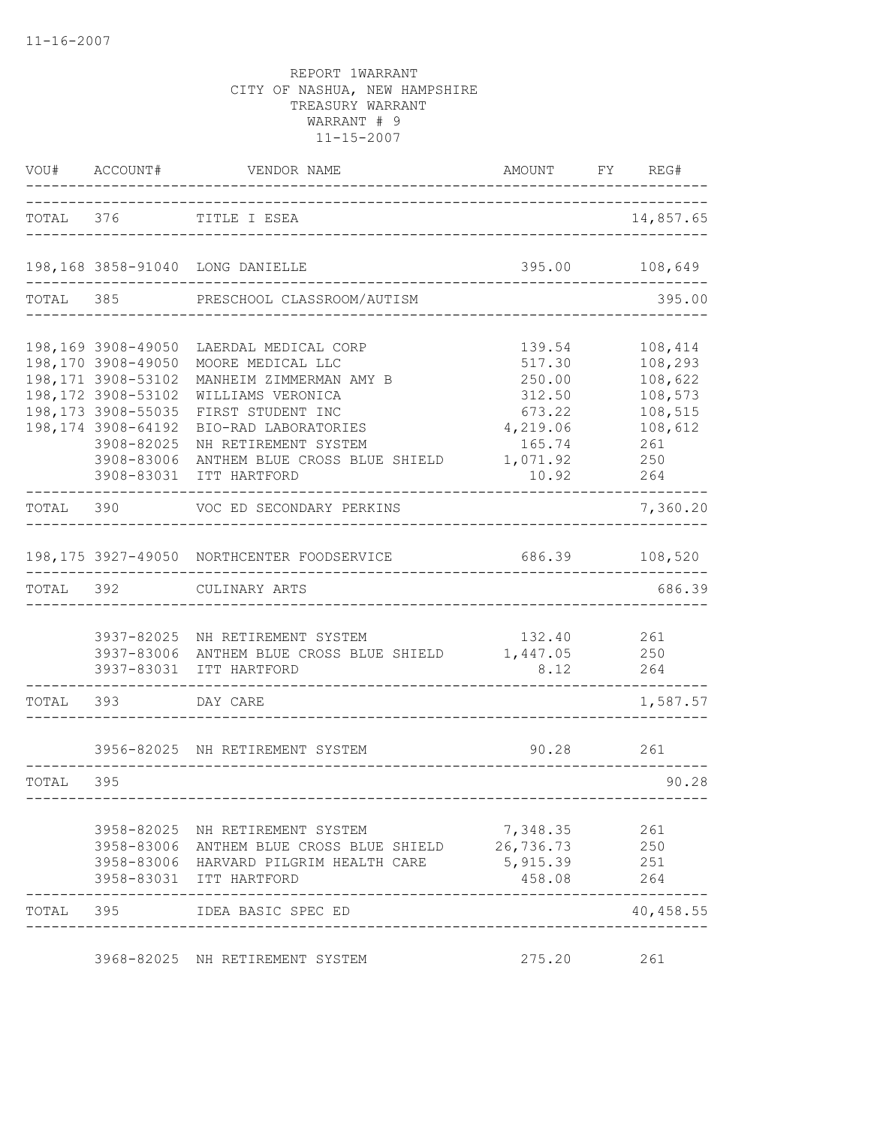| VOU#      | ACCOUNT#                                                                                                                          | VENDOR NAME                                                                                                                                                | AMOUNT FY REG#                                             |                                                                |
|-----------|-----------------------------------------------------------------------------------------------------------------------------------|------------------------------------------------------------------------------------------------------------------------------------------------------------|------------------------------------------------------------|----------------------------------------------------------------|
|           |                                                                                                                                   | TOTAL 376 TITLE I ESEA                                                                                                                                     |                                                            | 14,857.65                                                      |
|           |                                                                                                                                   | 198,168 3858-91040 LONG DANIELLE                                                                                                                           |                                                            | 395.00 108,649                                                 |
| TOTAL     |                                                                                                                                   | 385 PRESCHOOL CLASSROOM/AUTISM                                                                                                                             |                                                            | 395.00                                                         |
|           | 198,169 3908-49050<br>198,170 3908-49050<br>198,171 3908-53102<br>198,172 3908-53102<br>198,173 3908-55035<br>198, 174 3908-64192 | LAERDAL MEDICAL CORP<br>MOORE MEDICAL LLC<br>MANHEIM ZIMMERMAN AMY B<br>WILLIAMS VERONICA<br>FIRST STUDENT INC<br>BIO-RAD LABORATORIES                     | 139.54<br>517.30<br>250.00<br>312.50<br>673.22<br>4,219.06 | 108,414<br>108,293<br>108,622<br>108,573<br>108,515<br>108,612 |
|           | 3908-82025<br>3908-83006<br>3908-83031                                                                                            | NH RETIREMENT SYSTEM<br>ANTHEM BLUE CROSS BLUE SHIELD<br>ITT HARTFORD                                                                                      | 165.74<br>1,071.92<br>10.92                                | 261<br>250<br>264                                              |
| TOTAL 390 |                                                                                                                                   | VOC ED SECONDARY PERKINS                                                                                                                                   |                                                            | 7,360.20                                                       |
|           |                                                                                                                                   | 198,175 3927-49050 NORTHCENTER FOODSERVICE                                                                                                                 | 686.39                                                     | 108,520                                                        |
| TOTAL     | 392                                                                                                                               | CULINARY ARTS                                                                                                                                              |                                                            | 686.39                                                         |
|           | 3937-83031                                                                                                                        | 3937-82025 NH RETIREMENT SYSTEM<br>3937-83006 ANTHEM BLUE CROSS BLUE SHIELD 1,447.05<br>ITT HARTFORD                                                       | 132.40<br>8.12                                             | 261<br>250<br>264                                              |
| TOTAL     | 393                                                                                                                               | DAY CARE                                                                                                                                                   |                                                            | 1,587.57                                                       |
|           |                                                                                                                                   | 3956-82025 NH RETIREMENT SYSTEM                                                                                                                            | 90.28                                                      | 261                                                            |
| TOTAL     | 395                                                                                                                               |                                                                                                                                                            |                                                            | 90.28                                                          |
|           |                                                                                                                                   | 3958-82025 NH RETIREMENT SYSTEM<br>3958-83006 ANTHEM BLUE CROSS BLUE SHIELD 26,736.73<br>3958-83006 HARVARD PILGRIM HEALTH CARE<br>3958-83031 ITT HARTFORD | 7,348.35<br>5,915.39<br>458.08                             | 261<br>250<br>251<br>264                                       |
| TOTAL     | 395                                                                                                                               | IDEA BASIC SPEC ED                                                                                                                                         |                                                            | 40,458.55                                                      |
|           |                                                                                                                                   | 3968-82025 NH RETIREMENT SYSTEM                                                                                                                            | 275.20                                                     | 261                                                            |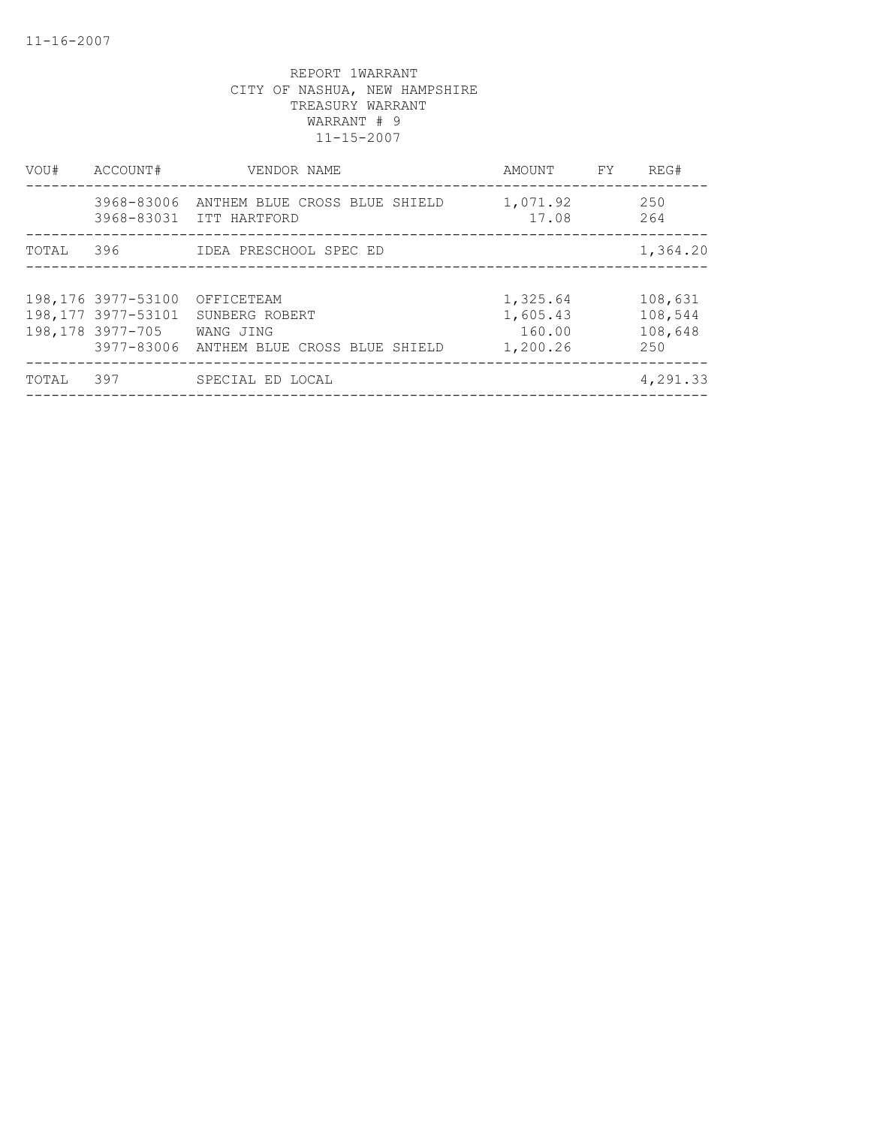| VOU#  | ACCOUNT#                                                      | VENDOR NAME                                                                           | AMOUNT                                     | FY | REG#                                 |
|-------|---------------------------------------------------------------|---------------------------------------------------------------------------------------|--------------------------------------------|----|--------------------------------------|
|       | 3968-83006                                                    | ANTHEM BLUE CROSS BLUE SHIELD<br>3968-83031 ITT HARTFORD                              | 1,071.92<br>17.08                          |    | 250<br>264                           |
| TOTAL | 396                                                           | IDEA PRESCHOOL SPEC ED                                                                |                                            |    | 1,364.20                             |
|       | 198,176 3977-53100<br>198, 177 3977-53101<br>198,178 3977-705 | OFFICETEAM<br>SUNBERG ROBERT<br>WANG JING<br>3977-83006 ANTHEM BLUE CROSS BLUE SHIELD | 1,325.64<br>1,605.43<br>160.00<br>1,200.26 |    | 108,631<br>108,544<br>108,648<br>250 |
| TOTAL | 397                                                           | SPECIAL ED LOCAL                                                                      |                                            |    | 4,291.33                             |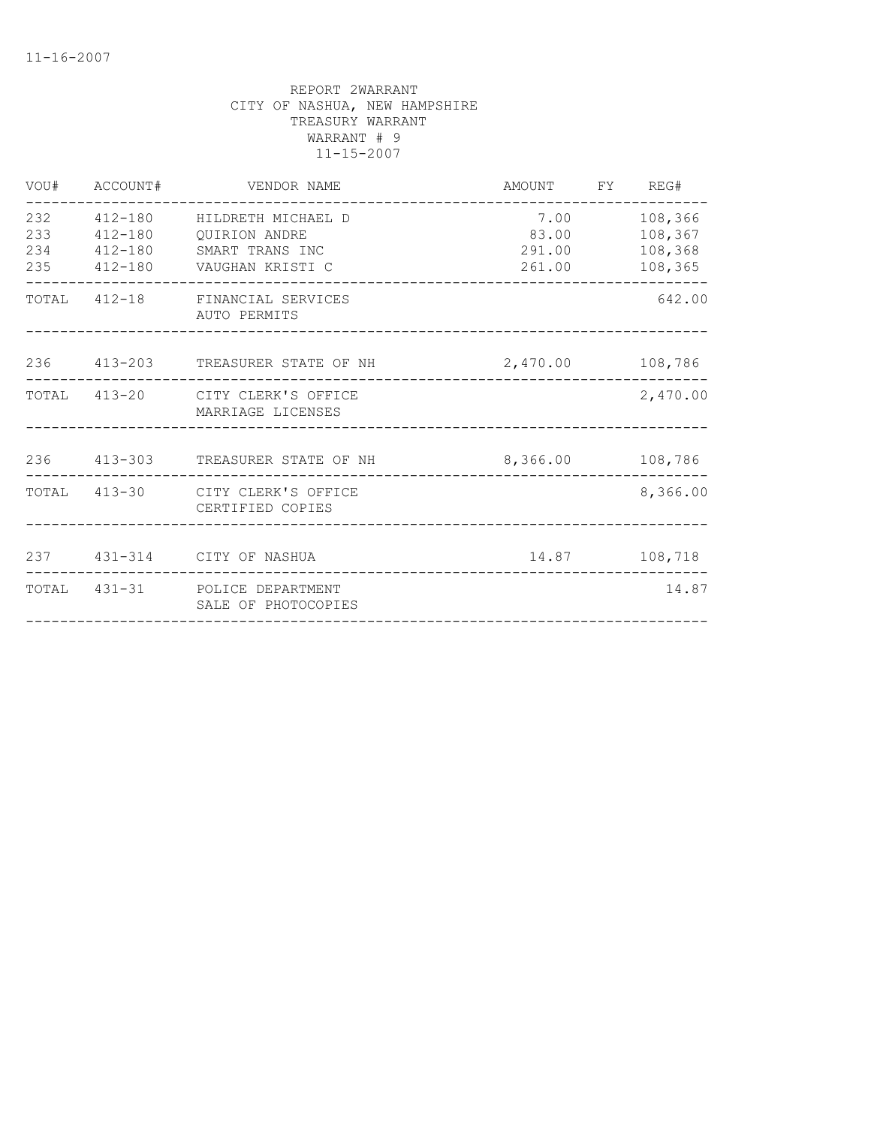| 232<br>108,366<br>412-180 HILDRETH MICHAEL D<br>7.00<br>233<br>83.00<br>108,367<br>412-180 OUIRION ANDRE<br>234<br>412-180 SMART TRANS INC<br>291.00<br>108,368<br>235<br>412-180     VAUGHAN KRISTI C<br>108,365<br>261.00<br>TOTAL<br>412-18 FINANCIAL SERVICES<br>642.00<br>AUTO PERMITS<br>236 413-203 TREASURER STATE OF NH<br>2,470.00 108,786<br>2,470.00<br>413-20 CITY CLERK'S OFFICE<br>TOTAL<br>MARRIAGE LICENSES<br>236 413-303 TREASURER STATE OF NH<br>8,366.00 108,786<br>8,366.00<br>TOTAL 413-30 CITY CLERK'S OFFICE<br>CERTIFIED COPIES<br>237 431-314 CITY OF NASHUA<br>TOTAL 431-31 POLICE DEPARTMENT<br>14.87<br>SALE OF PHOTOCOPIES | VOU# ACCOUNT# | VENDOR NAME | AMOUNT FY REG# |  |
|-----------------------------------------------------------------------------------------------------------------------------------------------------------------------------------------------------------------------------------------------------------------------------------------------------------------------------------------------------------------------------------------------------------------------------------------------------------------------------------------------------------------------------------------------------------------------------------------------------------------------------------------------------------|---------------|-------------|----------------|--|
|                                                                                                                                                                                                                                                                                                                                                                                                                                                                                                                                                                                                                                                           |               |             |                |  |
|                                                                                                                                                                                                                                                                                                                                                                                                                                                                                                                                                                                                                                                           |               |             |                |  |
|                                                                                                                                                                                                                                                                                                                                                                                                                                                                                                                                                                                                                                                           |               |             |                |  |
|                                                                                                                                                                                                                                                                                                                                                                                                                                                                                                                                                                                                                                                           |               |             |                |  |
|                                                                                                                                                                                                                                                                                                                                                                                                                                                                                                                                                                                                                                                           |               |             |                |  |
|                                                                                                                                                                                                                                                                                                                                                                                                                                                                                                                                                                                                                                                           |               |             |                |  |
|                                                                                                                                                                                                                                                                                                                                                                                                                                                                                                                                                                                                                                                           |               |             |                |  |
|                                                                                                                                                                                                                                                                                                                                                                                                                                                                                                                                                                                                                                                           |               |             |                |  |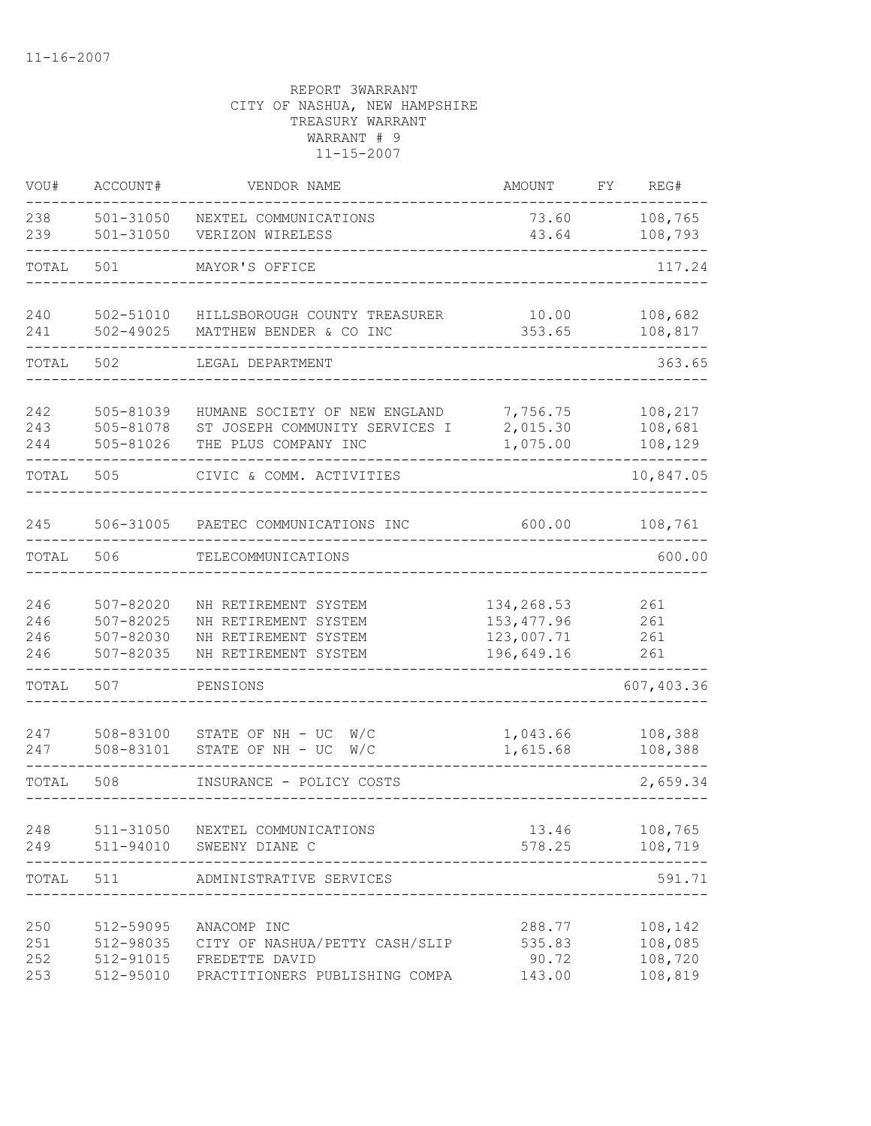| VOU#                     | ACCOUNT#                                             | VENDOR NAME                                                                                       | AMOUNT                                                | FY | REG#                                     |
|--------------------------|------------------------------------------------------|---------------------------------------------------------------------------------------------------|-------------------------------------------------------|----|------------------------------------------|
| 238<br>239               | $501 - 31050$<br>$501 - 31050$                       | NEXTEL COMMUNICATIONS<br>VERIZON WIRELESS                                                         | 73.60<br>43.64                                        |    | 108,765<br>108,793                       |
| TOTAL                    | 501                                                  | MAYOR'S OFFICE                                                                                    |                                                       |    | 117.24                                   |
| 240<br>241               | $502 - 51010$<br>$502 - 49025$                       | HILLSBOROUGH COUNTY TREASURER<br>MATTHEW BENDER & CO INC                                          | 10.00<br>353.65                                       |    | 108,682<br>108,817                       |
| TOTAL                    | 502                                                  | LEGAL DEPARTMENT                                                                                  |                                                       |    | 363.65                                   |
| 242<br>243<br>244        | 505-81039<br>505-81078<br>505-81026                  | HUMANE SOCIETY OF NEW ENGLAND<br>ST JOSEPH COMMUNITY SERVICES I<br>THE PLUS COMPANY INC           | 7,756.75<br>2,015.30<br>1,075.00                      |    | 108,217<br>108,681<br>108,129            |
| TOTAL                    | 505                                                  | CIVIC & COMM. ACTIVITIES                                                                          |                                                       |    | 10,847.05                                |
| 245                      | 506-31005                                            | PAETEC COMMUNICATIONS INC                                                                         | 600.00                                                |    | 108,761                                  |
| TOTAL                    | 506                                                  | TELECOMMUNICATIONS                                                                                |                                                       |    | 600.00                                   |
| 246<br>246<br>246<br>246 | $507 - 82020$<br>507-82025<br>507-82030<br>507-82035 | NH RETIREMENT SYSTEM<br>NH RETIREMENT SYSTEM<br>NH RETIREMENT SYSTEM<br>NH RETIREMENT SYSTEM      | 134,268.53<br>153, 477.96<br>123,007.71<br>196,649.16 |    | 261<br>261<br>261<br>261                 |
| TOTAL                    | 507                                                  | PENSIONS                                                                                          |                                                       |    | 607,403.36                               |
| 247<br>247               | 508-83100<br>508-83101                               | STATE OF NH - UC<br>W/C<br>STATE OF NH - UC<br>W/C                                                | 1,043.66<br>1,615.68                                  |    | 108,388<br>108,388                       |
| TOTAL                    | 508                                                  | INSURANCE - POLICY COSTS                                                                          |                                                       |    | 2,659.34                                 |
| 248<br>249               | 511-94010                                            | 511-31050 NEXTEL COMMUNICATIONS<br>SWEENY DIANE C                                                 | 13.46<br>578.25                                       |    | 108,765<br>108,719                       |
| TOTAL                    | 511                                                  | ADMINISTRATIVE SERVICES                                                                           |                                                       |    | 591.71                                   |
| 250<br>251<br>252<br>253 | 512-59095<br>512-98035<br>512-91015<br>512-95010     | ANACOMP INC<br>CITY OF NASHUA/PETTY CASH/SLIP<br>FREDETTE DAVID<br>PRACTITIONERS PUBLISHING COMPA | 288.77<br>535.83<br>90.72<br>143.00                   |    | 108,142<br>108,085<br>108,720<br>108,819 |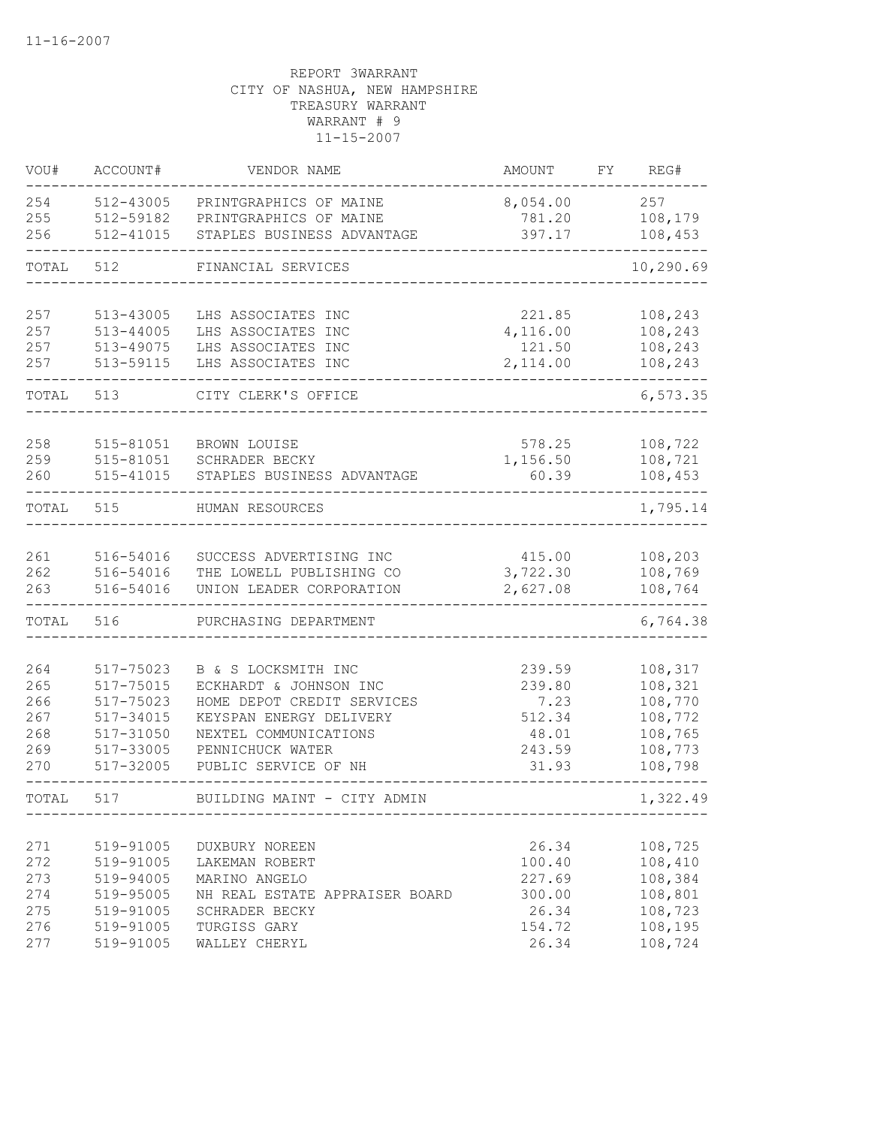| VOU#  | ACCOUNT#      | VENDOR NAME                    | AMOUNT   | FΥ | REG#      |
|-------|---------------|--------------------------------|----------|----|-----------|
| 254   | 512-43005     | PRINTGRAPHICS OF MAINE         | 8,054.00 |    | 257       |
| 255   | 512-59182     | PRINTGRAPHICS OF MAINE         | 781.20   |    | 108,179   |
| 256   | 512-41015     | STAPLES BUSINESS ADVANTAGE     | 397.17   |    | 108,453   |
| TOTAL | 512           | FINANCIAL SERVICES             |          |    | 10,290.69 |
| 257   | 513-43005     | LHS ASSOCIATES INC             | 221.85   |    | 108,243   |
| 257   | $513 - 44005$ | LHS ASSOCIATES INC             | 4,116.00 |    | 108,243   |
| 257   | 513-49075     | LHS ASSOCIATES INC             | 121.50   |    | 108,243   |
| 257   | 513-59115     | LHS ASSOCIATES INC             | 2,114.00 |    | 108,243   |
| TOTAL | 513           | CITY CLERK'S OFFICE            |          |    | 6,573.35  |
|       |               |                                |          |    |           |
| 258   | 515-81051     | BROWN LOUISE                   | 578.25   |    | 108,722   |
| 259   | 515-81051     | SCHRADER BECKY                 | 1,156.50 |    | 108,721   |
| 260   | 515-41015     | STAPLES BUSINESS ADVANTAGE     | 60.39    |    | 108,453   |
| TOTAL | 515           | HUMAN RESOURCES                |          |    | 1,795.14  |
|       |               |                                |          |    |           |
| 261   | 516-54016     | SUCCESS ADVERTISING INC        | 415.00   |    | 108,203   |
| 262   | 516-54016     | THE LOWELL PUBLISHING CO       | 3,722.30 |    | 108,769   |
| 263   | 516-54016     | UNION LEADER CORPORATION       | 2,627.08 |    | 108,764   |
| TOTAL | 516           | PURCHASING DEPARTMENT          |          |    | 6,764.38  |
| 264   | 517-75023     | B & S LOCKSMITH INC            | 239.59   |    | 108,317   |
| 265   | 517-75015     | ECKHARDT & JOHNSON INC         | 239.80   |    | 108,321   |
| 266   | 517-75023     | HOME DEPOT CREDIT SERVICES     | 7.23     |    | 108,770   |
| 267   | 517-34015     | KEYSPAN ENERGY DELIVERY        | 512.34   |    | 108,772   |
| 268   | 517-31050     | NEXTEL COMMUNICATIONS          | 48.01    |    | 108,765   |
| 269   | 517-33005     | PENNICHUCK WATER               | 243.59   |    | 108,773   |
| 270   | 517-32005     | PUBLIC SERVICE OF NH           | 31.93    |    | 108,798   |
| TOTAL | 517           | BUILDING MAINT - CITY ADMIN    |          |    | 1,322.49  |
|       |               |                                |          |    |           |
| 271   | 519-91005     | DUXBURY NOREEN                 | 26.34    |    | 108,725   |
| 272   | 519-91005     | LAKEMAN ROBERT                 | 100.40   |    | 108,410   |
| 273   | 519-94005     | MARINO ANGELO                  | 227.69   |    | 108,384   |
| 274   | 519-95005     | NH REAL ESTATE APPRAISER BOARD | 300.00   |    | 108,801   |
| 275   | 519-91005     | SCHRADER BECKY                 | 26.34    |    | 108,723   |
| 276   | 519-91005     | TURGISS GARY                   | 154.72   |    | 108,195   |
| 277   | 519-91005     | WALLEY CHERYL                  | 26.34    |    | 108,724   |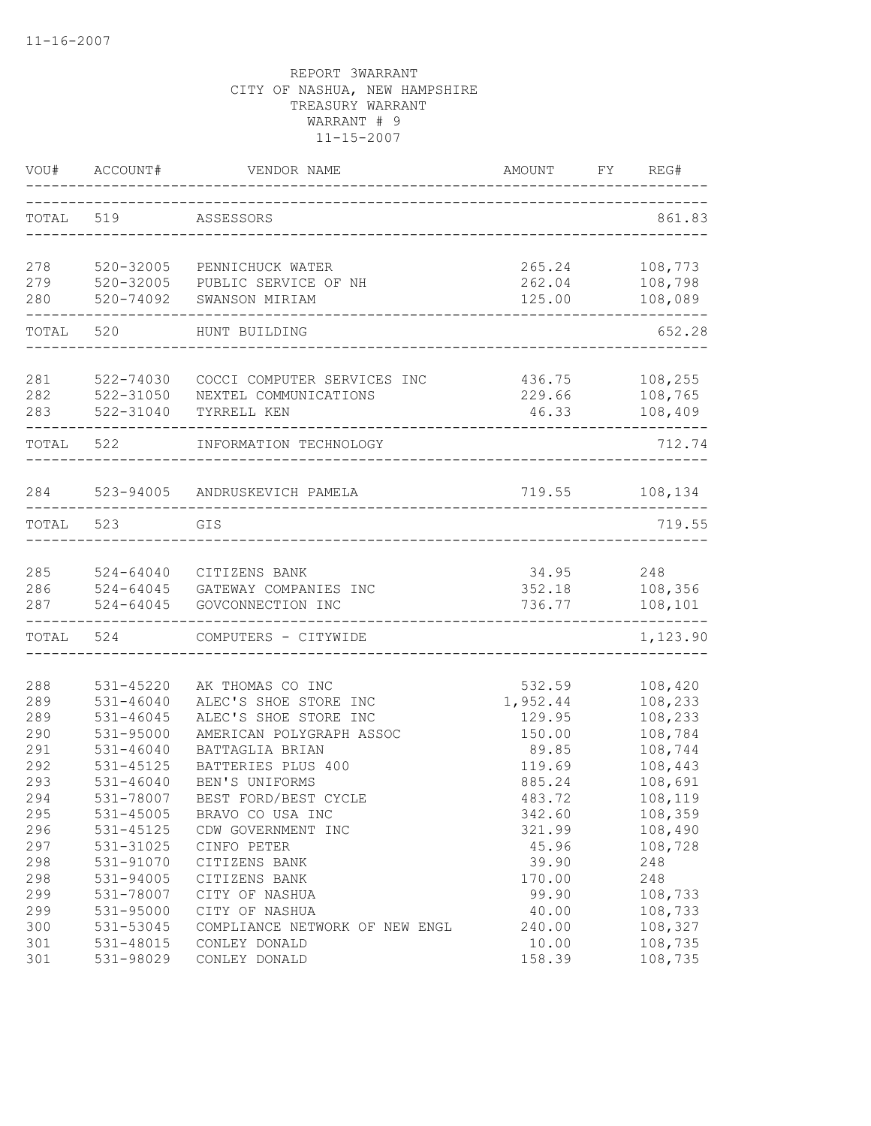| VOU#       | ACCOUNT#               | VENDOR NAME                                          | AMOUNT           | FY | REG#               |
|------------|------------------------|------------------------------------------------------|------------------|----|--------------------|
| TOTAL 519  |                        | ASSESSORS                                            |                  |    | 861.83             |
| 278        | 520-32005              | PENNICHUCK WATER                                     | 265.24           |    | 108,773            |
| 279        | 520-32005              | PUBLIC SERVICE OF NH                                 | 262.04           |    | 108,798            |
| 280        | 520-74092              | SWANSON MIRIAM                                       | 125.00           |    | 108,089            |
| TOTAL      | 520                    | HUNT BUILDING                                        |                  |    | 652.28             |
|            |                        |                                                      |                  |    |                    |
| 281<br>282 | 522-74030<br>522-31050 | COCCI COMPUTER SERVICES INC<br>NEXTEL COMMUNICATIONS | 436.75<br>229.66 |    | 108,255<br>108,765 |
| 283        | 522-31040              | TYRRELL KEN                                          | 46.33            |    | 108,409            |
| TOTAL 522  |                        | INFORMATION TECHNOLOGY                               |                  |    | 712.74             |
|            |                        |                                                      |                  |    |                    |
| 284        |                        | 523-94005 ANDRUSKEVICH PAMELA                        | 719.55 108,134   |    |                    |
| TOTAL      | 523                    | GIS                                                  |                  |    | 719.55             |
| 285        | 524-64040              | CITIZENS BANK                                        | 34.95            |    | 248                |
| 286        |                        | 524-64045 GATEWAY COMPANIES INC                      | 352.18           |    | 108,356            |
| 287        | $524 - 64045$          | GOVCONNECTION INC                                    | 736.77           |    | 108,101            |
|            | TOTAL 524              | COMPUTERS - CITYWIDE                                 |                  |    | 1,123.90           |
| 288        | 531-45220              | AK THOMAS CO INC                                     | 532.59           |    | 108,420            |
| 289        | $531 - 46040$          | ALEC'S SHOE STORE INC                                | 1,952.44         |    | 108,233            |
| 289        | 531-46045              | ALEC'S SHOE STORE INC                                | 129.95           |    | 108,233            |
| 290        | 531-95000              | AMERICAN POLYGRAPH ASSOC                             | 150.00           |    | 108,784            |
| 291        | $531 - 46040$          | BATTAGLIA BRIAN                                      | 89.85            |    | 108,744            |
| 292        | 531-45125              | BATTERIES PLUS 400                                   | 119.69           |    | 108,443            |
| 293        | $531 - 46040$          | BEN'S UNIFORMS                                       | 885.24           |    | 108,691            |
| 294        | 531-78007              | BEST FORD/BEST CYCLE                                 | 483.72           |    | 108,119            |
| 295        | 531-45005              | BRAVO CO USA INC                                     | 342.60           |    | 108,359            |
| 296        | 531-45125              | CDW GOVERNMENT INC                                   | 321.99           |    | 108,490            |
| 297        | 531-31025              | CINFO PETER                                          | 45.96            |    | 108,728            |
| 298        | 531-91070              | CITIZENS BANK                                        | 39.90            |    | 248                |
| 298        | 531-94005              | CITIZENS BANK                                        | 170.00           |    | 248                |
| 299        | 531-78007              | CITY OF NASHUA                                       | 99.90            |    | 108,733            |
| 299        | 531-95000              | CITY OF NASHUA                                       | 40.00            |    | 108,733            |
| 300        | 531-53045              | COMPLIANCE NETWORK OF NEW ENGL                       | 240.00           |    | 108,327            |
| 301        | 531-48015              | CONLEY DONALD                                        | 10.00            |    | 108,735            |
| 301        | 531-98029              | CONLEY DONALD                                        | 158.39           |    | 108,735            |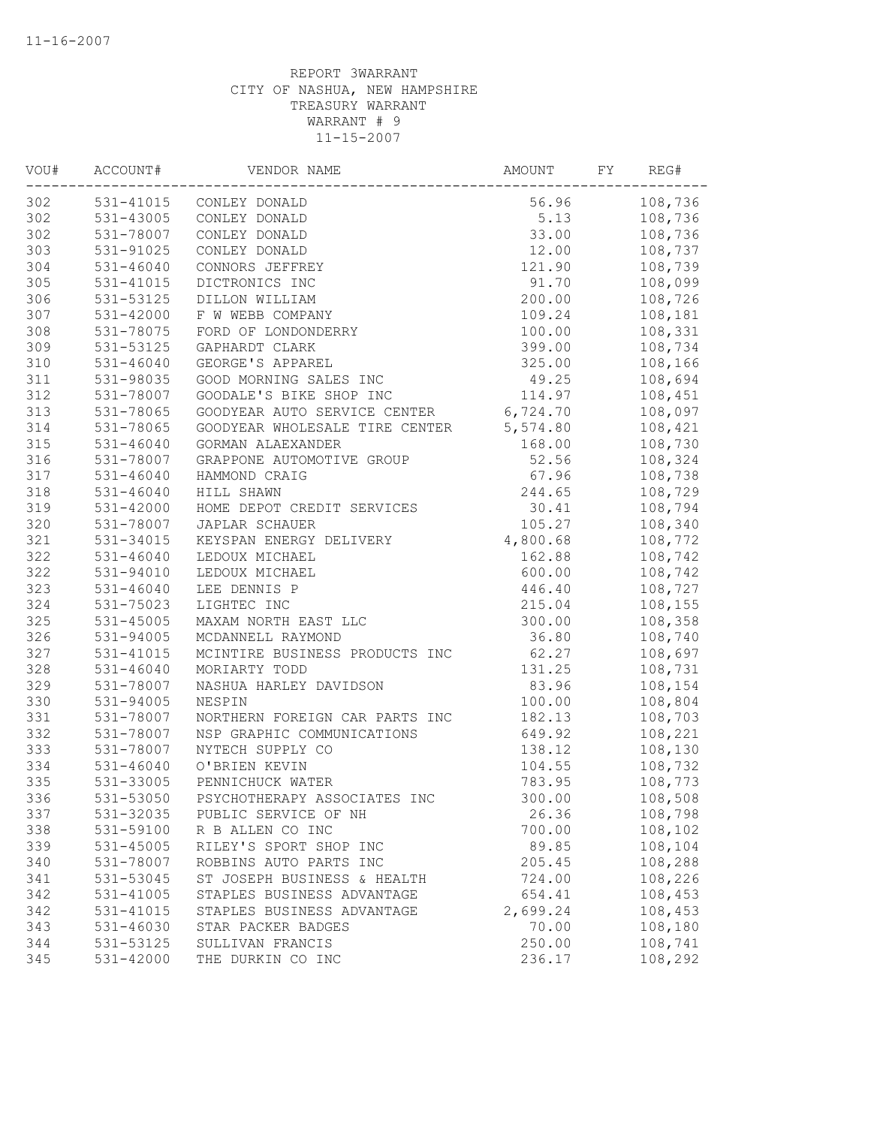| VOU# | ACCOUNT#      | VENDOR NAME                    | AMOUNT   | FY | REG#    |
|------|---------------|--------------------------------|----------|----|---------|
| 302  |               | 531-41015 CONLEY DONALD        | 56.96    |    | 108,736 |
| 302  | 531-43005     | CONLEY DONALD                  | 5.13     |    | 108,736 |
| 302  | 531-78007     | CONLEY DONALD                  | 33.00    |    | 108,736 |
| 303  | 531-91025     | CONLEY DONALD                  | 12.00    |    | 108,737 |
| 304  | $531 - 46040$ | CONNORS JEFFREY                | 121.90   |    | 108,739 |
| 305  | 531-41015     | DICTRONICS INC                 | 91.70    |    | 108,099 |
| 306  | 531-53125     | DILLON WILLIAM                 | 200.00   |    | 108,726 |
| 307  | $531 - 42000$ | F W WEBB COMPANY               | 109.24   |    | 108,181 |
| 308  | 531-78075     | FORD OF LONDONDERRY            | 100.00   |    | 108,331 |
| 309  | 531-53125     | GAPHARDT CLARK                 | 399.00   |    | 108,734 |
| 310  | 531-46040     | GEORGE'S APPAREL               | 325.00   |    | 108,166 |
| 311  | 531-98035     | GOOD MORNING SALES INC         | 49.25    |    | 108,694 |
| 312  | 531-78007     | GOODALE'S BIKE SHOP INC        | 114.97   |    | 108,451 |
| 313  | 531-78065     | GOODYEAR AUTO SERVICE CENTER   | 6,724.70 |    | 108,097 |
| 314  | 531-78065     | GOODYEAR WHOLESALE TIRE CENTER | 5,574.80 |    | 108,421 |
| 315  | $531 - 46040$ | GORMAN ALAEXANDER              | 168.00   |    | 108,730 |
| 316  | 531-78007     | GRAPPONE AUTOMOTIVE GROUP      | 52.56    |    | 108,324 |
| 317  | 531-46040     | HAMMOND CRAIG                  | 67.96    |    | 108,738 |
| 318  | 531-46040     | HILL SHAWN                     | 244.65   |    | 108,729 |
| 319  | 531-42000     | HOME DEPOT CREDIT SERVICES     | 30.41    |    | 108,794 |
| 320  | 531-78007     | JAPLAR SCHAUER                 | 105.27   |    | 108,340 |
| 321  | 531-34015     | KEYSPAN ENERGY DELIVERY        | 4,800.68 |    | 108,772 |
| 322  | $531 - 46040$ | LEDOUX MICHAEL                 | 162.88   |    | 108,742 |
| 322  | 531-94010     | LEDOUX MICHAEL                 | 600.00   |    | 108,742 |
| 323  | $531 - 46040$ | LEE DENNIS P                   | 446.40   |    | 108,727 |
| 324  | 531-75023     | LIGHTEC INC                    | 215.04   |    | 108,155 |
| 325  | 531-45005     | MAXAM NORTH EAST LLC           | 300.00   |    | 108,358 |
| 326  | 531-94005     | MCDANNELL RAYMOND              | 36.80    |    | 108,740 |
| 327  | 531-41015     | MCINTIRE BUSINESS PRODUCTS INC | 62.27    |    | 108,697 |
| 328  | $531 - 46040$ | MORIARTY TODD                  | 131.25   |    | 108,731 |
| 329  | 531-78007     | NASHUA HARLEY DAVIDSON         | 83.96    |    | 108,154 |
| 330  | 531-94005     | NESPIN                         | 100.00   |    | 108,804 |
| 331  | 531-78007     | NORTHERN FOREIGN CAR PARTS INC | 182.13   |    | 108,703 |
| 332  | 531-78007     | NSP GRAPHIC COMMUNICATIONS     | 649.92   |    | 108,221 |
| 333  | 531-78007     | NYTECH SUPPLY CO               | 138.12   |    | 108,130 |
| 334  | 531-46040     | O'BRIEN KEVIN                  | 104.55   |    | 108,732 |
| 335  | 531-33005     | PENNICHUCK WATER               | 783.95   |    | 108,773 |
| 336  | 531-53050     | PSYCHOTHERAPY ASSOCIATES INC   | 300.00   |    | 108,508 |
| 337  | 531-32035     | PUBLIC SERVICE OF NH           | 26.36    |    | 108,798 |
| 338  | 531-59100     | R B ALLEN CO INC               | 700.00   |    | 108,102 |
| 339  | 531-45005     | RILEY'S SPORT SHOP INC         | 89.85    |    | 108,104 |
| 340  | 531-78007     | ROBBINS AUTO PARTS INC         | 205.45   |    | 108,288 |
| 341  | 531-53045     | ST JOSEPH BUSINESS & HEALTH    | 724.00   |    | 108,226 |
| 342  | 531-41005     | STAPLES BUSINESS ADVANTAGE     | 654.41   |    | 108,453 |
| 342  | 531-41015     | STAPLES BUSINESS ADVANTAGE     | 2,699.24 |    | 108,453 |
| 343  | 531-46030     | STAR PACKER BADGES             | 70.00    |    | 108,180 |
| 344  | 531-53125     | SULLIVAN FRANCIS               | 250.00   |    | 108,741 |
| 345  | 531-42000     | THE DURKIN CO INC              | 236.17   |    | 108,292 |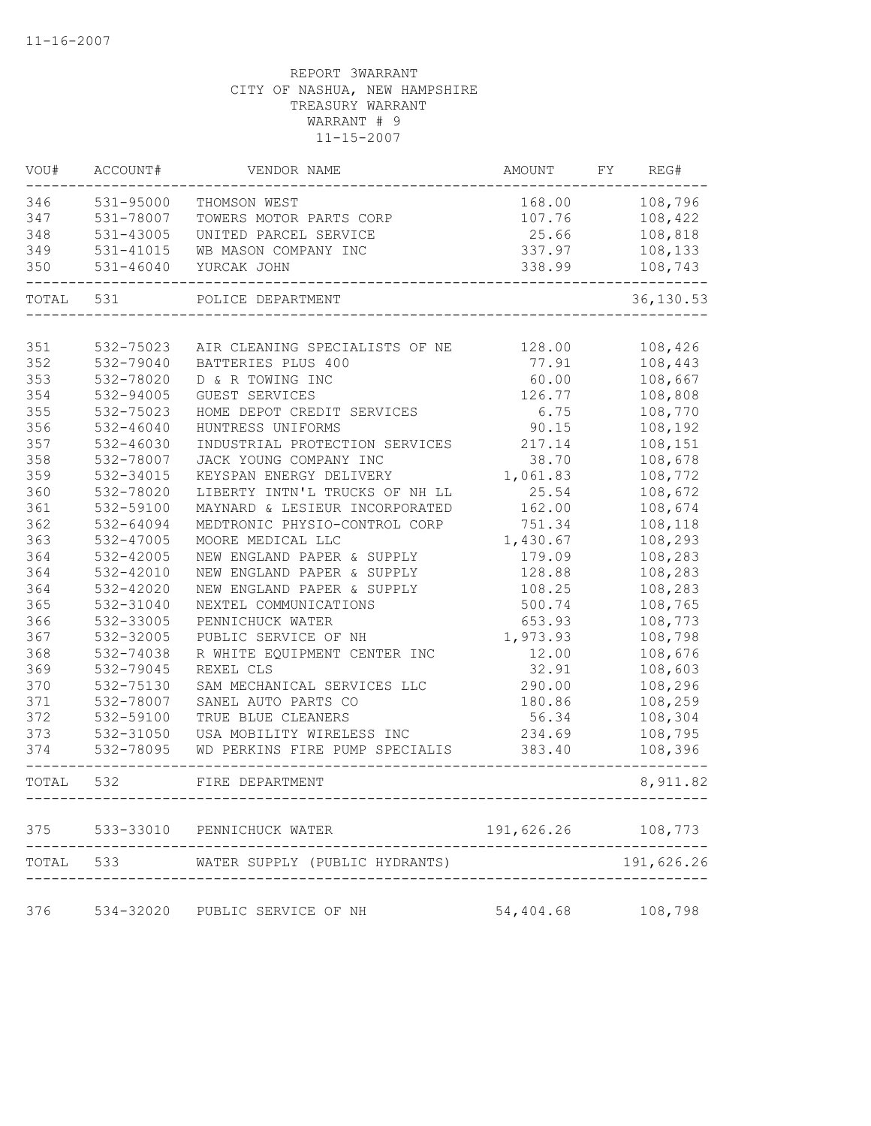| WOU#  | ACCOUNT#      | VENDOR NAME                         | AMOUNT     | FY | REG#       |
|-------|---------------|-------------------------------------|------------|----|------------|
| 346   | 531-95000     | THOMSON WEST                        | 168.00     |    | 108,796    |
| 347   | 531-78007     | TOWERS MOTOR PARTS CORP             | 107.76     |    | 108,422    |
| 348   | 531-43005     | UNITED PARCEL SERVICE               | 25.66      |    | 108,818    |
| 349   | 531-41015     | WB MASON COMPANY INC                | 337.97     |    | 108,133    |
| 350   | $531 - 46040$ | YURCAK JOHN                         | 338.99     |    | 108,743    |
| TOTAL | 531           | POLICE DEPARTMENT                   |            |    | 36,130.53  |
| 351   | 532-75023     | AIR CLEANING SPECIALISTS OF NE      | 128.00     |    | 108,426    |
| 352   | 532-79040     | BATTERIES PLUS 400                  | 77.91      |    | 108,443    |
| 353   | 532-78020     | D & R TOWING INC                    | 60.00      |    | 108,667    |
| 354   | 532-94005     | GUEST SERVICES                      | 126.77     |    | 108,808    |
| 355   | 532-75023     | HOME DEPOT CREDIT SERVICES          | 6.75       |    | 108,770    |
| 356   | 532-46040     | HUNTRESS UNIFORMS                   | 90.15      |    | 108,192    |
| 357   | 532-46030     | INDUSTRIAL PROTECTION SERVICES      | 217.14     |    | 108,151    |
| 358   | 532-78007     | JACK YOUNG COMPANY INC              | 38.70      |    | 108,678    |
| 359   | 532-34015     | KEYSPAN ENERGY DELIVERY             | 1,061.83   |    | 108,772    |
| 360   | 532-78020     | LIBERTY INTN'L TRUCKS OF NH LL      | 25.54      |    | 108,672    |
| 361   | 532-59100     | MAYNARD & LESIEUR INCORPORATED      | 162.00     |    | 108,674    |
| 362   | 532-64094     | MEDTRONIC PHYSIO-CONTROL CORP       | 751.34     |    | 108,118    |
| 363   | 532-47005     | MOORE MEDICAL LLC                   | 1,430.67   |    | 108,293    |
| 364   | 532-42005     | NEW ENGLAND PAPER & SUPPLY          | 179.09     |    | 108,283    |
| 364   | 532-42010     | NEW ENGLAND PAPER & SUPPLY          | 128.88     |    | 108,283    |
| 364   | 532-42020     | NEW ENGLAND PAPER & SUPPLY          | 108.25     |    | 108,283    |
| 365   | 532-31040     | NEXTEL COMMUNICATIONS               | 500.74     |    | 108,765    |
| 366   | 532-33005     | PENNICHUCK WATER                    | 653.93     |    | 108,773    |
| 367   | 532-32005     | PUBLIC SERVICE OF NH                | 1,973.93   |    | 108,798    |
| 368   | 532-74038     | R WHITE EQUIPMENT CENTER INC        | 12.00      |    | 108,676    |
| 369   | 532-79045     | REXEL CLS                           | 32.91      |    | 108,603    |
| 370   | 532-75130     | SAM MECHANICAL SERVICES LLC         | 290.00     |    | 108,296    |
| 371   | 532-78007     | SANEL AUTO PARTS CO                 | 180.86     |    | 108,259    |
| 372   | 532-59100     | TRUE BLUE CLEANERS                  | 56.34      |    | 108,304    |
| 373   | 532-31050     | USA MOBILITY WIRELESS INC           | 234.69     |    | 108,795    |
| 374   | 532-78095     | WD PERKINS FIRE PUMP SPECIALIS      | 383.40     |    | 108,396    |
| TOTAL | 532           | FIRE DEPARTMENT<br>---------------- |            |    | 8,911.82   |
| 375   |               | 533-33010 PENNICHUCK WATER          | 191,626.26 |    | 108,773    |
| TOTAL | 533           | WATER SUPPLY (PUBLIC HYDRANTS)      |            |    | 191,626.26 |
|       |               |                                     |            |    |            |
| 376   |               | 534-32020 PUBLIC SERVICE OF NH      | 54,404.68  |    | 108,798    |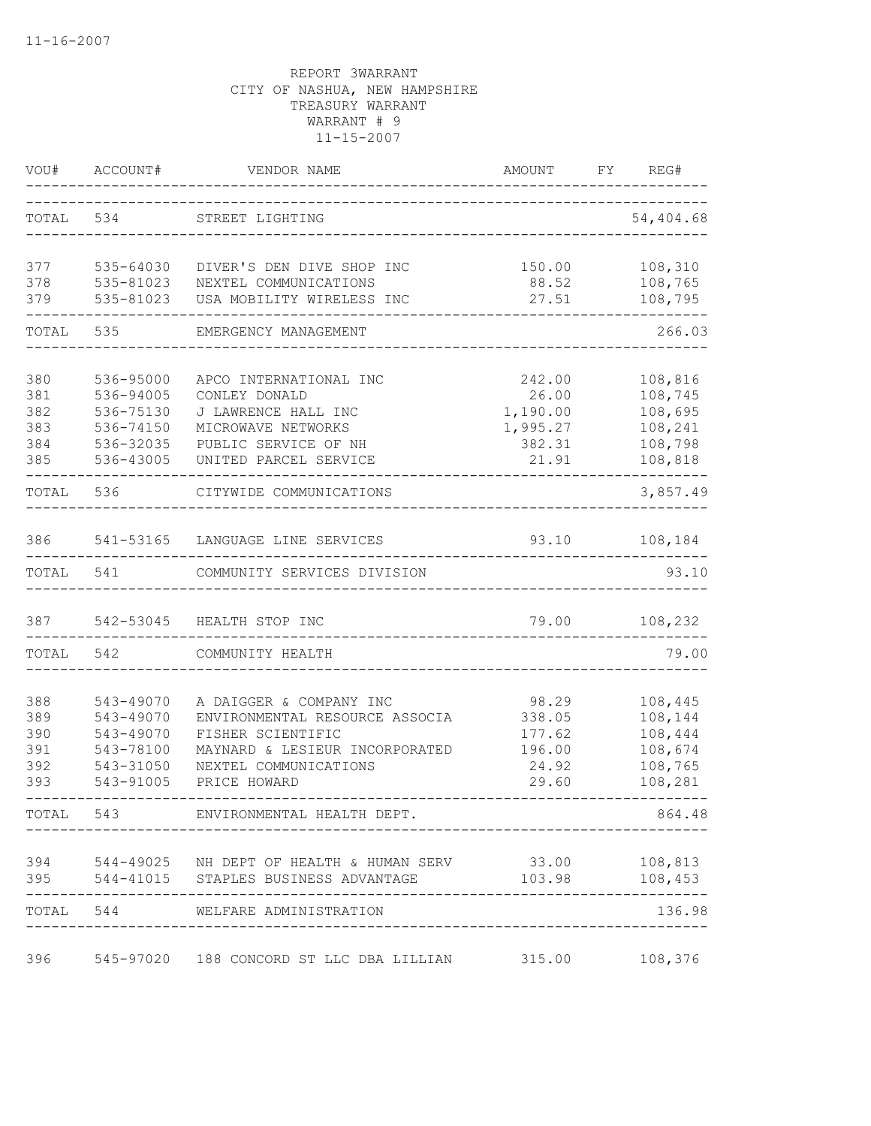| VOU#  | ACCOUNT#  | VENDOR NAME                                                | AMOUNT   | FY<br>REG# |
|-------|-----------|------------------------------------------------------------|----------|------------|
| TOTAL | 534       | STREET LIGHTING                                            |          | 54,404.68  |
| 377   | 535-64030 | DIVER'S DEN DIVE SHOP INC                                  | 150.00   | 108,310    |
| 378   | 535-81023 | NEXTEL COMMUNICATIONS                                      | 88.52    | 108,765    |
| 379   | 535-81023 | USA MOBILITY WIRELESS INC                                  | 27.51    | 108,795    |
| TOTAL | 535       | EMERGENCY MANAGEMENT                                       |          | 266.03     |
| 380   | 536-95000 | APCO INTERNATIONAL INC                                     | 242.00   | 108,816    |
| 381   | 536-94005 | CONLEY DONALD                                              | 26.00    | 108,745    |
| 382   | 536-75130 | J LAWRENCE HALL INC                                        | 1,190.00 | 108,695    |
| 383   | 536-74150 | MICROWAVE NETWORKS                                         | 1,995.27 | 108,241    |
| 384   | 536-32035 | PUBLIC SERVICE OF NH                                       | 382.31   | 108,798    |
| 385   | 536-43005 | UNITED PARCEL SERVICE                                      | 21.91    | 108,818    |
| TOTAL | 536       | CITYWIDE COMMUNICATIONS                                    |          | 3,857.49   |
| 386   |           | 541-53165 LANGUAGE LINE SERVICES                           | 93.10    | 108,184    |
| TOTAL | 541       | COMMUNITY SERVICES DIVISION                                |          | 93.10      |
| 387   | 542-53045 | HEALTH STOP INC                                            | 79.00    | 108,232    |
| TOTAL | 542       | COMMUNITY HEALTH                                           |          | 79.00      |
| 388   | 543-49070 | A DAIGGER & COMPANY INC                                    | 98.29    | 108,445    |
| 389   | 543-49070 | ENVIRONMENTAL RESOURCE ASSOCIA                             | 338.05   | 108,144    |
| 390   | 543-49070 | FISHER SCIENTIFIC                                          | 177.62   | 108,444    |
| 391   | 543-78100 | MAYNARD & LESIEUR INCORPORATED                             | 196.00   | 108,674    |
| 392   | 543-31050 | NEXTEL COMMUNICATIONS                                      | 24.92    | 108,765    |
| 393   | 543-91005 | PRICE HOWARD                                               | 29.60    | 108,281    |
| TOTAL |           | 543 ENVIRONMENTAL HEALTH DEPT.                             |          | 864.48     |
|       |           | 394 544-49025 NH DEPT OF HEALTH & HUMAN SERV 33.00 108,813 |          |            |
| 395   |           | 544-41015 STAPLES BUSINESS ADVANTAGE                       | 103.98   | 108,453    |
|       |           | TOTAL 544 WELFARE ADMINISTRATION                           |          | 136.98     |
| 396   |           | 545-97020 188 CONCORD ST LLC DBA LILLIAN 315.00 108,376    |          |            |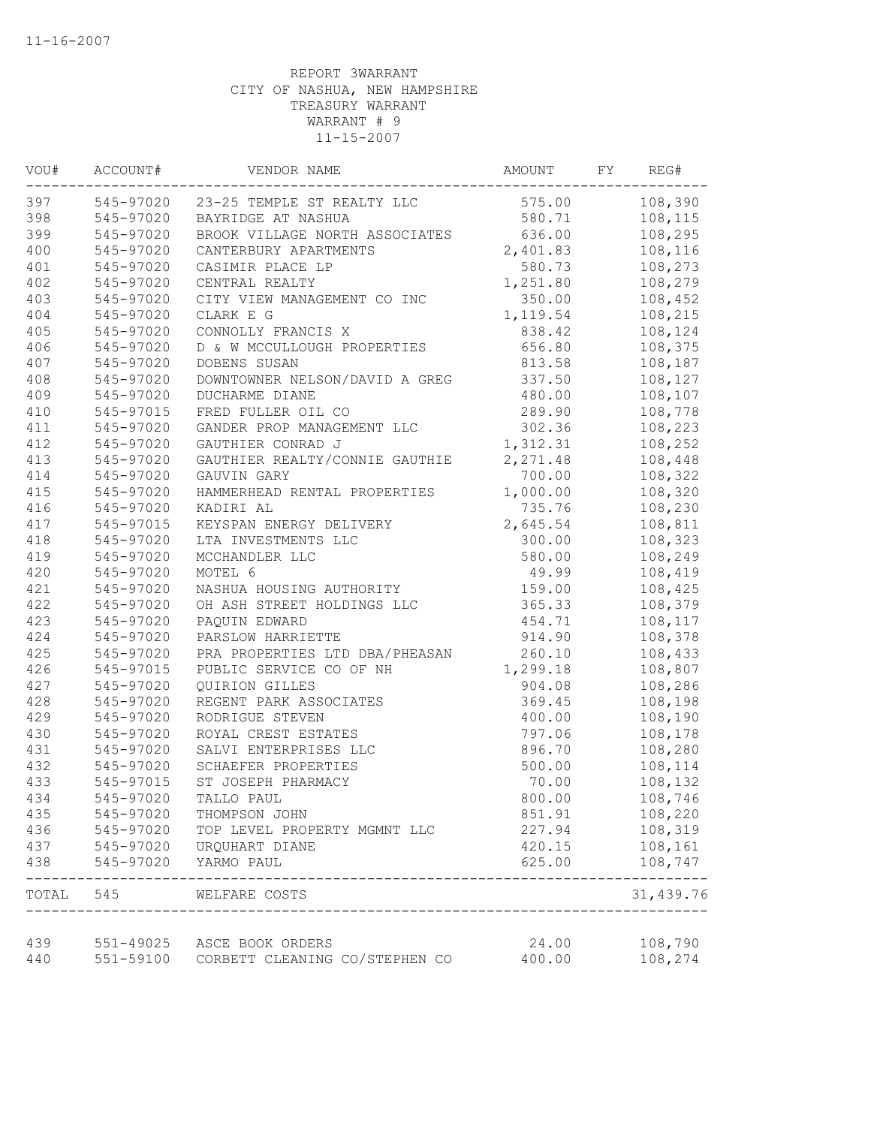| VOU# | ACCOUNT#  | VENDOR NAME                                                    | AMOUNT    | FY | REG#                |
|------|-----------|----------------------------------------------------------------|-----------|----|---------------------|
| 397  | 545-97020 | 23-25 TEMPLE ST REALTY LLC                                     | 575.00    |    | 108,390             |
| 398  | 545-97020 | BAYRIDGE AT NASHUA                                             | 580.71    |    | 108,115             |
| 399  | 545-97020 | BROOK VILLAGE NORTH ASSOCIATES                                 | 636.00    |    | 108,295             |
| 400  | 545-97020 | CANTERBURY APARTMENTS                                          | 2,401.83  |    | 108,116             |
| 401  | 545-97020 | CASIMIR PLACE LP                                               | 580.73    |    | 108,273             |
| 402  | 545-97020 | CENTRAL REALTY                                                 | 1,251.80  |    | 108,279             |
| 403  | 545-97020 | CITY VIEW MANAGEMENT CO INC                                    | 350.00    |    | 108,452             |
| 404  | 545-97020 | CLARK E G                                                      | 1,119.54  |    | 108,215             |
| 405  | 545-97020 | CONNOLLY FRANCIS X                                             | 838.42    |    | 108,124             |
| 406  | 545-97020 | D & W MCCULLOUGH PROPERTIES                                    | 656.80    |    | 108,375             |
| 407  | 545-97020 | DOBENS SUSAN                                                   | 813.58    |    | 108,187             |
| 408  | 545-97020 | DOWNTOWNER NELSON/DAVID A GREG                                 | 337.50    |    | 108,127             |
| 409  | 545-97020 | DUCHARME DIANE                                                 | 480.00    |    | 108,107             |
| 410  | 545-97015 | FRED FULLER OIL CO                                             | 289.90    |    | 108,778             |
| 411  | 545-97020 | GANDER PROP MANAGEMENT LLC                                     | 302.36    |    | 108,223             |
| 412  | 545-97020 | GAUTHIER CONRAD J                                              | 1,312.31  |    | 108,252             |
| 413  | 545-97020 | GAUTHIER REALTY/CONNIE GAUTHIE                                 | 2, 271.48 |    | 108,448             |
| 414  | 545-97020 | GAUVIN GARY                                                    | 700.00    |    | 108,322             |
| 415  | 545-97020 | HAMMERHEAD RENTAL PROPERTIES                                   | 1,000.00  |    | 108,320             |
| 416  | 545-97020 | KADIRI AL                                                      | 735.76    |    | 108,230             |
| 417  | 545-97015 | KEYSPAN ENERGY DELIVERY                                        | 2,645.54  |    | 108,811             |
| 418  | 545-97020 | LTA INVESTMENTS LLC                                            | 300.00    |    | 108,323             |
| 419  | 545-97020 | MCCHANDLER LLC                                                 | 580.00    |    | 108,249             |
| 420  | 545-97020 | MOTEL 6                                                        | 49.99     |    | 108,419             |
| 421  | 545-97020 | NASHUA HOUSING AUTHORITY                                       | 159.00    |    | 108,425             |
| 422  | 545-97020 | OH ASH STREET HOLDINGS LLC                                     | 365.33    |    | 108,379             |
| 423  | 545-97020 | PAQUIN EDWARD                                                  | 454.71    |    | 108,117             |
| 424  | 545-97020 | PARSLOW HARRIETTE                                              | 914.90    |    | 108,378             |
| 425  | 545-97020 | PRA PROPERTIES LTD DBA/PHEASAN                                 | 260.10    |    | 108,433             |
| 426  | 545-97015 | PUBLIC SERVICE CO OF NH                                        | 1,299.18  |    | 108,807             |
| 427  | 545-97020 | QUIRION GILLES                                                 | 904.08    |    | 108,286             |
| 428  | 545-97020 | REGENT PARK ASSOCIATES                                         | 369.45    |    | 108,198             |
| 429  | 545-97020 | RODRIGUE STEVEN                                                | 400.00    |    | 108,190             |
| 430  | 545-97020 | ROYAL CREST ESTATES                                            | 797.06    |    | 108,178             |
| 431  | 545-97020 | SALVI ENTERPRISES LLC                                          | 896.70    |    | 108,280             |
| 432  | 545-97020 | SCHAEFER PROPERTIES                                            | 500.00    |    | 108,114             |
| 433  | 545-97015 | ST JOSEPH PHARMACY                                             | 70.00     |    | 108,132             |
| 434  | 545-97020 | TALLO PAUL                                                     | 800.00    |    | 108,746             |
| 435  | 545-97020 | THOMPSON JOHN                                                  | 851.91    |    | 108,220             |
| 436  | 545-97020 | TOP LEVEL PROPERTY MGMNT LLC                                   | 227.94    |    | 108,319             |
| 437  | 545-97020 | URQUHART DIANE                                                 | 420.15    |    | 108,161             |
| 438  | 545-97020 | YARMO PAUL                                                     | 625.00    |    | 108,747<br>-------- |
|      |           | TOTAL 545 WELFARE COSTS<br>----------------------------------- |           |    | 31,439.76           |
| 439  |           | 551-49025 ASCE BOOK ORDERS                                     | 24.00     |    | 108,790             |
| 440  | 551-59100 | CORBETT CLEANING CO/STEPHEN CO                                 | 400.00    |    | 108,274             |
|      |           |                                                                |           |    |                     |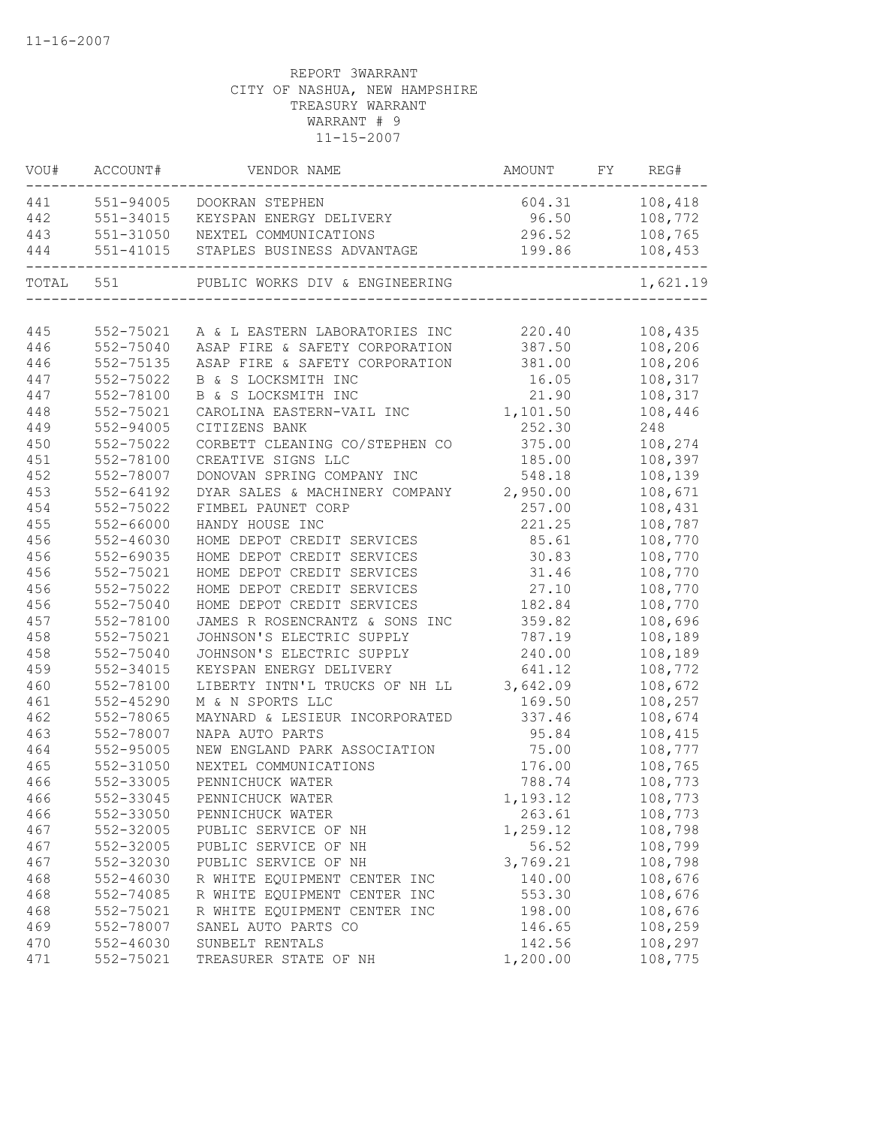| WOU#      | ACCOUNT#  | VENDOR NAME                             | AMOUNT         | FY | REG#     |
|-----------|-----------|-----------------------------------------|----------------|----|----------|
| 441       | 551-94005 | DOOKRAN STEPHEN                         | 604.31 108,418 |    |          |
| 442       | 551-34015 | KEYSPAN ENERGY DELIVERY                 | 96.50          |    | 108,772  |
| 443       | 551-31050 | NEXTEL COMMUNICATIONS                   | 296.52         |    | 108,765  |
| 444       |           | 551-41015 STAPLES BUSINESS ADVANTAGE    | 199.86         |    | 108,453  |
| TOTAL 551 |           | PUBLIC WORKS DIV & ENGINEERING          |                |    | 1,621.19 |
|           |           |                                         |                |    |          |
| 445       | 552-75021 | A & L EASTERN LABORATORIES INC          | 220.40         |    | 108,435  |
| 446       | 552-75040 | ASAP FIRE & SAFETY CORPORATION 387.50   |                |    | 108,206  |
| 446       | 552-75135 | ASAP FIRE & SAFETY CORPORATION 381.00   |                |    | 108,206  |
| 447       | 552-75022 | B & S LOCKSMITH INC                     | 16.05          |    | 108,317  |
| 447       | 552-78100 | B & S LOCKSMITH INC                     | 21.90          |    | 108,317  |
| 448       | 552-75021 | CAROLINA EASTERN-VAIL INC               | 1,101.50       |    | 108,446  |
| 449       | 552-94005 | CITIZENS BANK                           | 252.30         |    | 248      |
| 450       | 552-75022 | CORBETT CLEANING CO/STEPHEN CO          | 375.00         |    | 108,274  |
| 451       | 552-78100 | CREATIVE SIGNS LLC                      | 185.00         |    | 108,397  |
| 452       | 552-78007 | DONOVAN SPRING COMPANY INC              | 548.18         |    | 108,139  |
| 453       | 552-64192 | DYAR SALES & MACHINERY COMPANY 2,950.00 |                |    | 108,671  |
| 454       | 552-75022 | FIMBEL PAUNET CORP                      | 257.00         |    | 108,431  |
| 455       | 552-66000 | HANDY HOUSE INC                         | 221.25         |    | 108,787  |
| 456       | 552-46030 | HOME DEPOT CREDIT SERVICES              | 85.61          |    | 108,770  |
| 456       | 552-69035 | HOME DEPOT CREDIT SERVICES              | 30.83          |    | 108,770  |
| 456       | 552-75021 | HOME DEPOT CREDIT SERVICES              | 31.46          |    | 108,770  |
| 456       | 552-75022 | HOME DEPOT CREDIT SERVICES              | 27.10          |    | 108,770  |
| 456       | 552-75040 | HOME DEPOT CREDIT SERVICES              | 182.84         |    | 108,770  |
| 457       | 552-78100 | JAMES R ROSENCRANTZ & SONS INC          | 359.82         |    | 108,696  |
| 458       | 552-75021 | JOHNSON'S ELECTRIC SUPPLY               | 787.19         |    | 108,189  |
| 458       | 552-75040 | JOHNSON'S ELECTRIC SUPPLY               | 240.00         |    | 108,189  |
| 459       | 552-34015 | KEYSPAN ENERGY DELIVERY                 | 641.12         |    | 108,772  |
| 460       | 552-78100 | LIBERTY INTN'L TRUCKS OF NH LL 3,642.09 |                |    | 108,672  |
| 461       | 552-45290 | M & N SPORTS LLC                        | 169.50         |    | 108,257  |
| 462       | 552-78065 | MAYNARD & LESIEUR INCORPORATED          | 337.46         |    | 108,674  |
| 463       | 552-78007 | NAPA AUTO PARTS                         | 95.84          |    | 108,415  |
| 464       | 552-95005 | NEW ENGLAND PARK ASSOCIATION            | 75.00          |    | 108,777  |
| 465       | 552-31050 | NEXTEL COMMUNICATIONS                   | 176.00         |    | 108,765  |
| 466       | 552-33005 | PENNICHUCK WATER                        | 788.74         |    | 108,773  |
| 466       | 552-33045 | PENNICHUCK WATER                        | 1,193.12       |    | 108,773  |
| 466       | 552-33050 | PENNICHUCK WATER                        | 263.61         |    | 108,773  |
| 467       | 552-32005 | PUBLIC SERVICE OF NH                    | 1,259.12       |    | 108,798  |
| 467       | 552-32005 | PUBLIC SERVICE OF NH                    | 56.52          |    | 108,799  |
| 467       | 552-32030 | PUBLIC SERVICE OF NH                    | 3,769.21       |    | 108,798  |
| 468       | 552-46030 | R WHITE EQUIPMENT CENTER INC            | 140.00         |    | 108,676  |
| 468       | 552-74085 | R WHITE EQUIPMENT CENTER INC            | 553.30         |    | 108,676  |
| 468       | 552-75021 | R WHITE EQUIPMENT CENTER INC            | 198.00         |    | 108,676  |
| 469       | 552-78007 | SANEL AUTO PARTS CO                     | 146.65         |    | 108,259  |
| 470       | 552-46030 | SUNBELT RENTALS                         | 142.56         |    | 108,297  |
| 471       | 552-75021 | TREASURER STATE OF NH                   | 1,200.00       |    | 108,775  |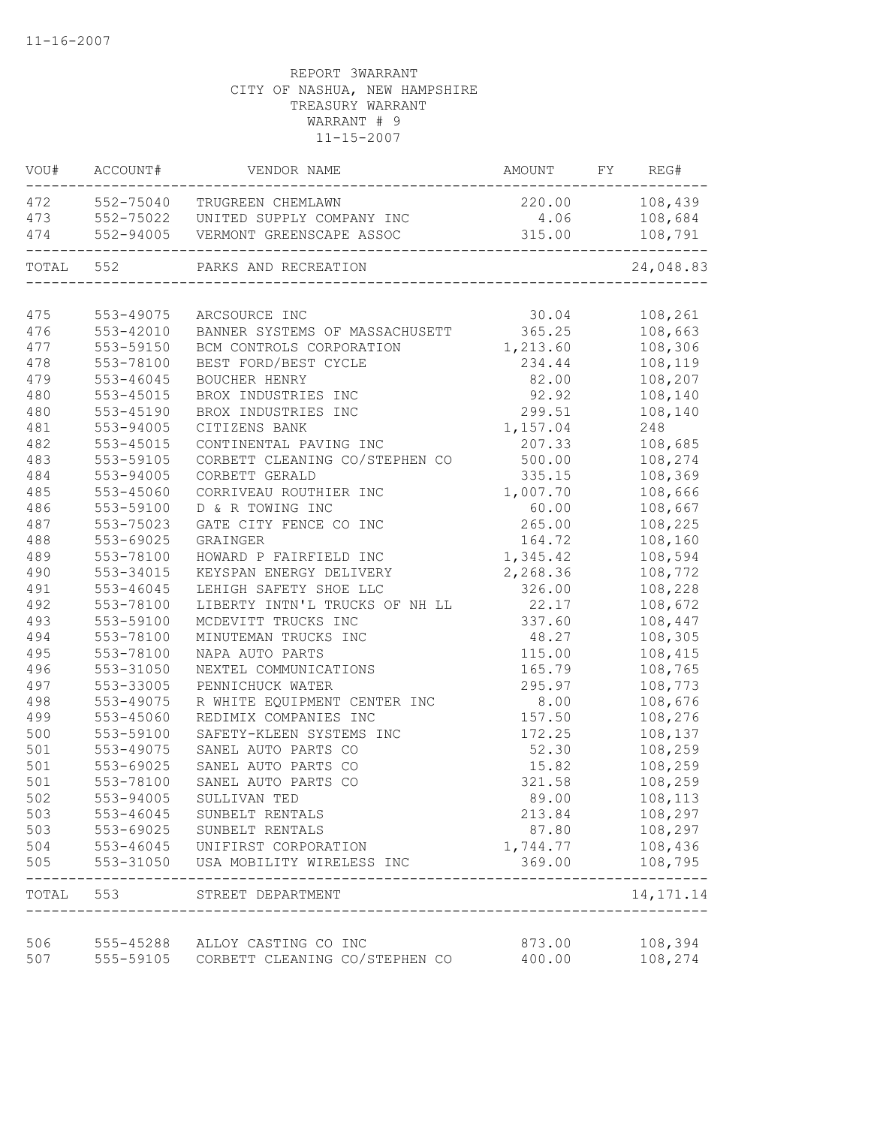|       | VOU# ACCOUNT# | VENDOR NAME                              | AMOUNT FY REG# |                            |
|-------|---------------|------------------------------------------|----------------|----------------------------|
|       |               | 472 552-75040 TRUGREEN CHEMLAWN          | 220.00 108,439 |                            |
| 473   |               | 552-75022 UNITED SUPPLY COMPANY INC      | 4.06           | 108,684                    |
| 474   |               | 552-94005 VERMONT GREENSCAPE ASSOC       | 315.00         | 108,791                    |
|       | TOTAL 552     | PARKS AND RECREATION                     |                | 24,048.83                  |
|       |               |                                          |                |                            |
| 475   | 553-49075     | ARCSOURCE INC                            | 30.04          | 108,261                    |
| 476   | 553-42010     | BANNER SYSTEMS OF MASSACHUSETT           | 365.25         | 108,663                    |
| 477   | 553-59150     | BCM CONTROLS CORPORATION                 | 1,213.60       | 108,306                    |
| 478   | 553-78100     | BEST FORD/BEST CYCLE                     | 234.44         | 108,119                    |
| 479   | 553-46045     | BOUCHER HENRY                            | 82.00          | 108,207                    |
| 480   | 553-45015     | BROX INDUSTRIES INC                      | 92.92          | 108,140                    |
| 480   | 553-45190     | BROX INDUSTRIES INC                      | 299.51         | 108,140                    |
| 481   | 553-94005     | CITIZENS BANK                            | 1,157.04       | 248                        |
| 482   | 553-45015     | CONTINENTAL PAVING INC                   | 207.33         | 108,685                    |
| 483   | 553-59105     | CORBETT CLEANING CO/STEPHEN CO           | 500.00         | 108,274                    |
| 484   | 553-94005     | CORBETT GERALD                           | 335.15         | 108,369                    |
| 485   | 553-45060     | CORRIVEAU ROUTHIER INC                   | 1,007.70       | 108,666                    |
| 486   | 553-59100     | D & R TOWING INC                         | 60.00          | 108,667                    |
| 487   | 553-75023     | GATE CITY FENCE CO INC                   | 265.00         | 108,225                    |
| 488   | 553-69025     | GRAINGER                                 | 164.72         | 108,160                    |
| 489   | 553-78100     | HOWARD P FAIRFIELD INC                   | 1,345.42       | 108,594                    |
| 490   | 553-34015     | KEYSPAN ENERGY DELIVERY                  | 2,268.36       | 108,772                    |
| 491   | 553-46045     | LEHIGH SAFETY SHOE LLC                   | 326.00         | 108,228                    |
| 492   | 553-78100     | LIBERTY INTN'L TRUCKS OF NH LL           | 22.17          | 108,672                    |
| 493   | 553-59100     | MCDEVITT TRUCKS INC                      | 337.60         | 108,447                    |
| 494   | 553-78100     | MINUTEMAN TRUCKS INC                     | 48.27          | 108,305                    |
| 495   | 553-78100     | NAPA AUTO PARTS                          | 115.00         | 108,415                    |
| 496   | 553-31050     | NEXTEL COMMUNICATIONS                    | 165.79         | 108,765                    |
| 497   | 553-33005     | PENNICHUCK WATER                         | 295.97         | 108,773                    |
| 498   | 553-49075     | R WHITE EQUIPMENT CENTER INC             | 8.00           | 108,676                    |
| 499   | 553-45060     | REDIMIX COMPANIES INC                    | 157.50         | 108,276                    |
| 500   | 553-59100     | SAFETY-KLEEN SYSTEMS INC                 | 172.25         | 108,137                    |
| 501   | 553-49075     | SANEL AUTO PARTS CO                      | 52.30          | 108,259                    |
| 501   | 553-69025     | SANEL AUTO PARTS CO                      | 15.82          | 108,259                    |
| 501   | 553-78100     | SANEL AUTO PARTS CO                      | 321.58         | 108,259                    |
| 502   | 553-94005     | SULLIVAN TED                             | 89.00          | 108,113                    |
| 503   | 553-46045     | SUNBELT RENTALS                          | 213.84         | 108,297                    |
| 503   |               | 553-69025 SUNBELT RENTALS                | 87.80          | 108,297                    |
| 504   |               | 553-46045 UNIFIRST CORPORATION           | 1,744.77       | 108,436                    |
| 505   | 553-31050     | USA MOBILITY WIRELESS INC                | 369.00         | 108,795                    |
| TOTAL | 553           | STREET DEPARTMENT                        |                | -----------<br>14, 171. 14 |
| 506   |               | 555-45288 ALLOY CASTING CO INC           | 873.00         | 108,394                    |
| 507   |               | 555-59105 CORBETT CLEANING CO/STEPHEN CO | 400.00         | 108,274                    |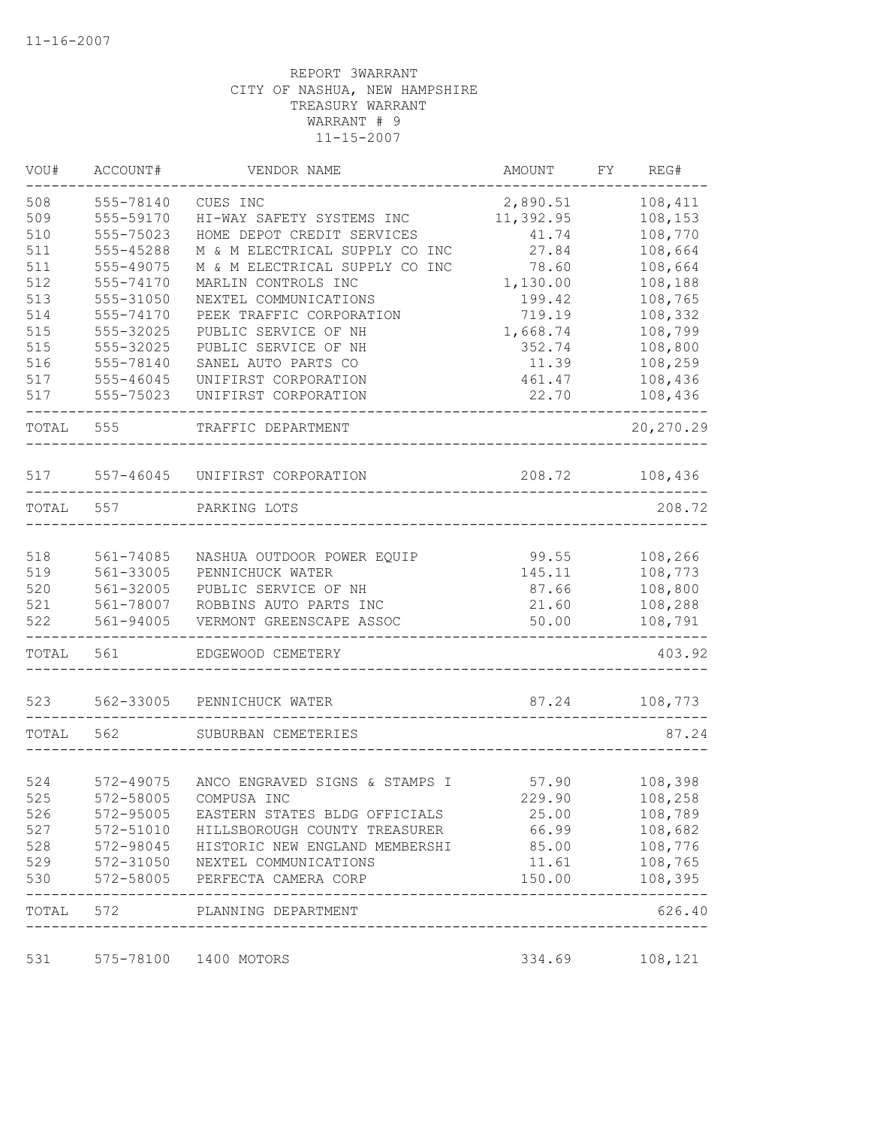| VOU#  | ACCOUNT#      | VENDOR NAME                     | AMOUNT    | FY | REG#           |
|-------|---------------|---------------------------------|-----------|----|----------------|
| 508   | 555-78140     | CUES INC                        | 2,890.51  |    | 108,411        |
| 509   | 555-59170     | HI-WAY SAFETY SYSTEMS INC       | 11,392.95 |    | 108,153        |
| 510   | 555-75023     | HOME DEPOT CREDIT SERVICES      | 41.74     |    | 108,770        |
| 511   | 555-45288     | M & M ELECTRICAL SUPPLY CO INC  | 27.84     |    | 108,664        |
| 511   | 555-49075     | M & M ELECTRICAL SUPPLY CO INC  | 78.60     |    | 108,664        |
| 512   | 555-74170     | MARLIN CONTROLS INC             | 1,130.00  |    | 108,188        |
| 513   | 555-31050     | NEXTEL COMMUNICATIONS           | 199.42    |    | 108,765        |
| 514   | 555-74170     | PEEK TRAFFIC CORPORATION        | 719.19    |    | 108,332        |
| 515   | 555-32025     | PUBLIC SERVICE OF NH            | 1,668.74  |    | 108,799        |
| 515   | 555-32025     | PUBLIC SERVICE OF NH            | 352.74    |    | 108,800        |
| 516   | 555-78140     | SANEL AUTO PARTS CO             | 11.39     |    | 108,259        |
| 517   | 555-46045     | UNIFIRST CORPORATION            | 461.47    |    | 108,436        |
| 517   | 555-75023     | UNIFIRST CORPORATION            | 22.70     |    | 108,436        |
| TOTAL | 555           | TRAFFIC DEPARTMENT              |           |    | 20,270.29      |
| 517   | $557 - 46045$ | UNIFIRST CORPORATION            | 208.72    |    | 108,436        |
| TOTAL | 557           | PARKING LOTS                    |           |    | 208.72         |
|       |               |                                 |           |    |                |
| 518   | 561-74085     | NASHUA OUTDOOR POWER EQUIP      | 99.55     |    | 108,266        |
| 519   | 561-33005     | PENNICHUCK WATER                | 145.11    |    | 108,773        |
| 520   | 561-32005     | PUBLIC SERVICE OF NH            | 87.66     |    | 108,800        |
| 521   | 561-78007     | ROBBINS AUTO PARTS INC          | 21.60     |    | 108,288        |
| 522   | 561-94005     | VERMONT GREENSCAPE ASSOC        | 50.00     |    | 108,791        |
| TOTAL | 561           | EDGEWOOD CEMETERY               |           |    | 403.92         |
| 523   | 562-33005     | PENNICHUCK WATER                | 87.24     |    | 108,773        |
| TOTAL | 562           | SUBURBAN CEMETERIES             |           |    | 87.24          |
|       |               |                                 |           |    |                |
| 524   | 572-49075     | ANCO ENGRAVED SIGNS & STAMPS I  | 57.90     |    | 108,398        |
| 525   | 572-58005     | COMPUSA INC                     | 229.90    |    | 108,258        |
| 526   | 572-95005     | EASTERN STATES BLDG OFFICIALS   | 25.00     |    | 108,789        |
| 527   | 572-51010     | HILLSBOROUGH COUNTY TREASURER   | 66.99     |    | 108,682        |
| 528   | 572-98045     | HISTORIC NEW ENGLAND MEMBERSHI  | 85.00     |    | 108,776        |
| 529   |               | 572-31050 NEXTEL COMMUNICATIONS | 11.61     |    | 108,765        |
| 530   |               | 572-58005 PERFECTA CAMERA CORP  | 150.00    |    | 108,395        |
| TOTAL | 572           | PLANNING DEPARTMENT             |           |    | 626.40         |
| 531   |               | 575-78100 1400 MOTORS           |           |    | 334.69 108,121 |
|       |               |                                 |           |    |                |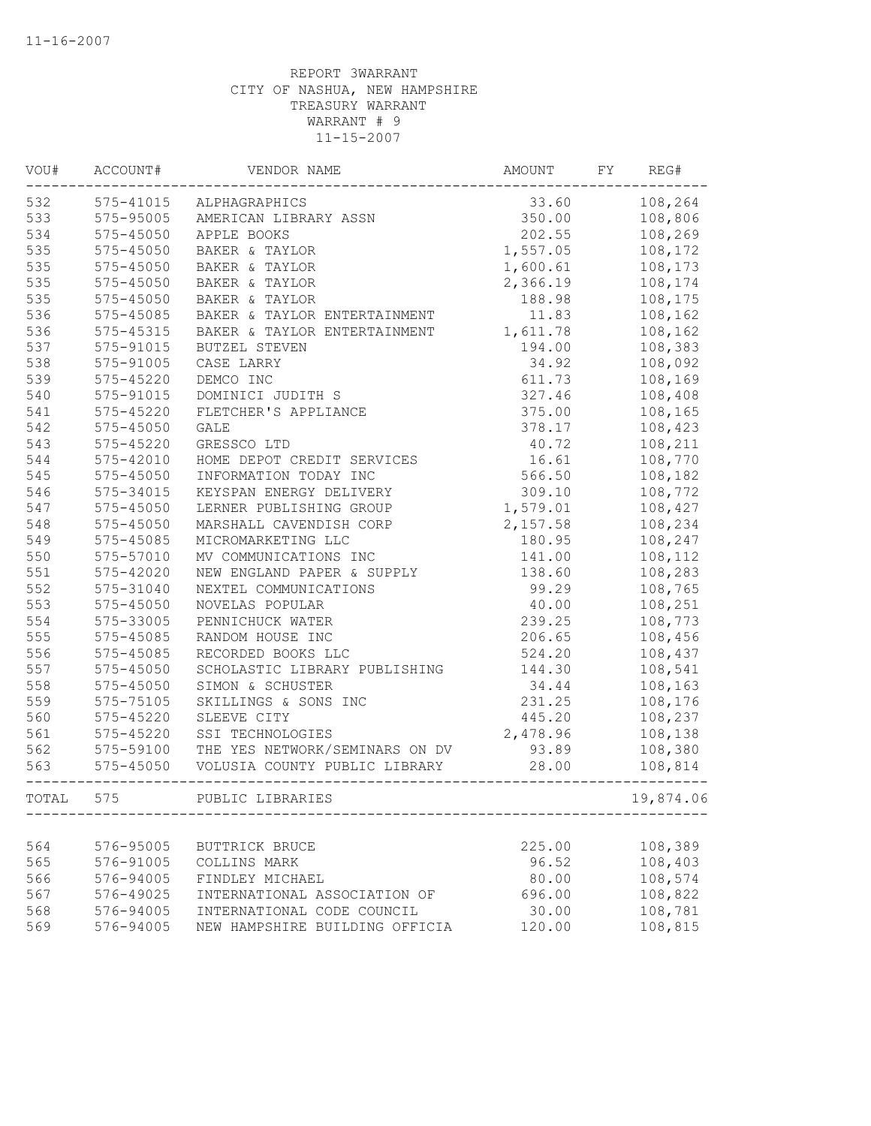| VOU#  | ACCOUNT#      | VENDOR NAME                    | AMOUNT   | FY | REG#      |
|-------|---------------|--------------------------------|----------|----|-----------|
| 532   | 575-41015     | ALPHAGRAPHICS                  | 33.60    |    | 108,264   |
| 533   | 575-95005     | AMERICAN LIBRARY ASSN          | 350.00   |    | 108,806   |
| 534   | 575-45050     | APPLE BOOKS                    | 202.55   |    | 108,269   |
| 535   | 575-45050     | BAKER & TAYLOR                 | 1,557.05 |    | 108,172   |
| 535   | 575-45050     | BAKER & TAYLOR                 | 1,600.61 |    | 108,173   |
| 535   | 575-45050     | BAKER & TAYLOR                 | 2,366.19 |    | 108,174   |
| 535   | 575-45050     | BAKER & TAYLOR                 | 188.98   |    | 108,175   |
| 536   | $575 - 45085$ | BAKER & TAYLOR ENTERTAINMENT   | 11.83    |    | 108,162   |
| 536   | $575 - 45315$ | BAKER & TAYLOR ENTERTAINMENT   | 1,611.78 |    | 108,162   |
| 537   | 575-91015     | BUTZEL STEVEN                  | 194.00   |    | 108,383   |
| 538   | 575-91005     | CASE LARRY                     | 34.92    |    | 108,092   |
| 539   | 575-45220     | DEMCO INC                      | 611.73   |    | 108,169   |
| 540   | 575-91015     | DOMINICI JUDITH S              | 327.46   |    | 108,408   |
| 541   | 575-45220     | FLETCHER'S APPLIANCE           | 375.00   |    | 108,165   |
| 542   | 575-45050     | <b>GALE</b>                    | 378.17   |    | 108,423   |
| 543   | $575 - 45220$ | GRESSCO LTD                    | 40.72    |    | 108,211   |
| 544   | 575-42010     | HOME DEPOT CREDIT SERVICES     | 16.61    |    | 108,770   |
| 545   | $575 - 45050$ | INFORMATION TODAY INC          | 566.50   |    | 108,182   |
| 546   | 575-34015     | KEYSPAN ENERGY DELIVERY        | 309.10   |    | 108,772   |
| 547   | 575-45050     | LERNER PUBLISHING GROUP        | 1,579.01 |    | 108,427   |
| 548   | 575-45050     | MARSHALL CAVENDISH CORP        | 2,157.58 |    | 108,234   |
| 549   | 575-45085     | MICROMARKETING LLC             | 180.95   |    | 108,247   |
| 550   | 575-57010     | MV COMMUNICATIONS INC          | 141.00   |    | 108,112   |
| 551   | 575-42020     | NEW ENGLAND PAPER & SUPPLY     | 138.60   |    | 108,283   |
| 552   | 575-31040     | NEXTEL COMMUNICATIONS          | 99.29    |    | 108,765   |
| 553   | $575 - 45050$ | NOVELAS POPULAR                | 40.00    |    | 108,251   |
| 554   | 575-33005     | PENNICHUCK WATER               | 239.25   |    | 108,773   |
| 555   | 575-45085     | RANDOM HOUSE INC               | 206.65   |    | 108,456   |
| 556   | 575-45085     | RECORDED BOOKS LLC             | 524.20   |    | 108,437   |
| 557   | $575 - 45050$ | SCHOLASTIC LIBRARY PUBLISHING  | 144.30   |    | 108,541   |
| 558   | $575 - 45050$ | SIMON & SCHUSTER               | 34.44    |    | 108,163   |
| 559   | 575-75105     | SKILLINGS & SONS INC           | 231.25   |    | 108,176   |
| 560   | 575-45220     | SLEEVE CITY                    | 445.20   |    | 108,237   |
| 561   | $575 - 45220$ | SSI TECHNOLOGIES               | 2,478.96 |    | 108,138   |
| 562   | 575-59100     | THE YES NETWORK/SEMINARS ON DV | 93.89    |    | 108,380   |
| 563   | 575-45050     | VOLUSIA COUNTY PUBLIC LIBRARY  | 28.00    |    | 108,814   |
| TOTAL | 575           | PUBLIC LIBRARIES               |          |    | 19,874.06 |
|       |               |                                |          |    |           |
| 564   | 576-95005     | <b>BUTTRICK BRUCE</b>          | 225.00   |    | 108,389   |
| 565   | 576-91005     | COLLINS MARK                   | 96.52    |    | 108,403   |
| 566   | 576-94005     | FINDLEY MICHAEL                | 80.00    |    | 108,574   |
| 567   | 576-49025     | INTERNATIONAL ASSOCIATION OF   | 696.00   |    | 108,822   |
| 568   | 576-94005     | INTERNATIONAL CODE COUNCIL     | 30.00    |    | 108,781   |
| 569   | 576-94005     | NEW HAMPSHIRE BUILDING OFFICIA | 120.00   |    | 108,815   |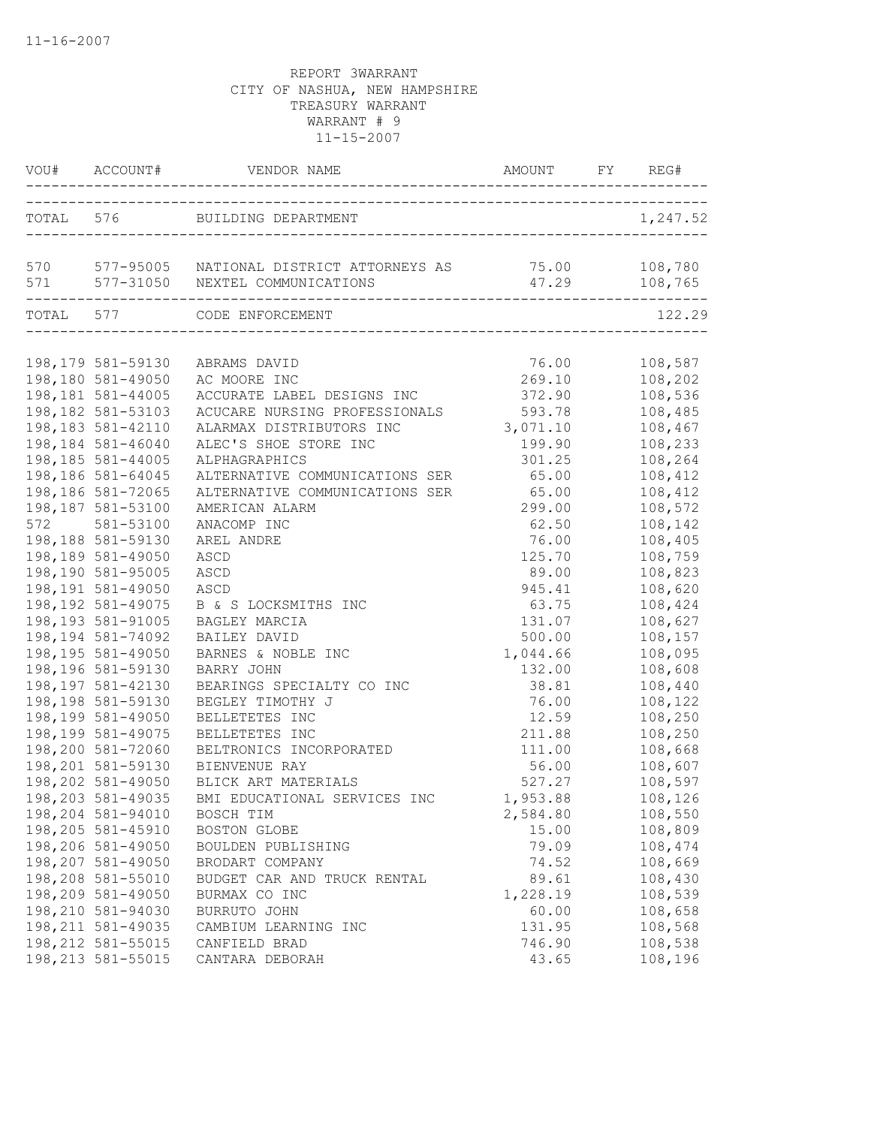|     |                                                               |                                                                                                   | AMOUNT FY REG#               |                               |  |
|-----|---------------------------------------------------------------|---------------------------------------------------------------------------------------------------|------------------------------|-------------------------------|--|
|     |                                                               |                                                                                                   |                              | 1,247.52                      |  |
|     |                                                               | 570 577-95005 NATIONAL DISTRICT ATTORNEYS AS 75.00 108,780<br>571 577-31050 NEXTEL COMMUNICATIONS | 47.29 108,765                |                               |  |
|     | TOTAL 577                                                     | CODE ENFORCEMENT                                                                                  |                              | 122.29                        |  |
|     | 198,179 581-59130                                             | ABRAMS DAVID                                                                                      | 76.00                        | 108,587                       |  |
|     | 198,180 581-49050<br>198,181 581-44005                        | AC MOORE INC<br>ACCURATE LABEL DESIGNS INC                                                        | 269.10<br>372.90             | 108,202<br>108,536            |  |
|     | 198,182 581-53103<br>198,183 581-42110                        | ACUCARE NURSING PROFESSIONALS<br>ALARMAX DISTRIBUTORS INC                                         | 593.78<br>3,071.10           | 108,485<br>108,467            |  |
|     | 198,184 581-46040<br>198,185 581-44005                        | ALEC'S SHOE STORE INC<br>ALPHAGRAPHICS                                                            | 199.90<br>301.25             | 108,233<br>108,264            |  |
|     | 198,186 581-64045<br>198,186 581-72065                        | ALTERNATIVE COMMUNICATIONS SER<br>ALTERNATIVE COMMUNICATIONS SER                                  | 65.00<br>65.00               | 108,412<br>108,412            |  |
| 572 | 198,187 581-53100<br>581-53100                                | AMERICAN ALARM<br>ANACOMP INC                                                                     | 299.00<br>62.50              | 108,572<br>108,142            |  |
|     | 198,188 581-59130<br>198,189 581-49050                        | AREL ANDRE<br>ASCD                                                                                | 76.00<br>125.70              | 108,405<br>108,759            |  |
|     | 198,190 581-95005<br>198,191 581-49050                        | ASCD<br>ASCD                                                                                      | 89.00<br>945.41              | 108,823<br>108,620            |  |
|     | 198, 192 581-49075<br>198,193 581-91005<br>198, 194 581-74092 | B & S LOCKSMITHS INC<br>BAGLEY MARCIA                                                             | 63.75<br>131.07              | 108,424<br>108,627<br>108,157 |  |
|     | 198,195 581-49050<br>198,196 581-59130                        | BAILEY DAVID<br>BARNES & NOBLE INC<br>BARRY JOHN                                                  | 500.00<br>1,044.66<br>132.00 | 108,095<br>108,608            |  |
|     | 198, 197 581-42130<br>198,198 581-59130                       | BEARINGS SPECIALTY CO INC<br>BEGLEY TIMOTHY J                                                     | 38.81<br>76.00               | 108,440<br>108,122            |  |
|     | 198,199 581-49050<br>198,199 581-49075                        | BELLETETES INC<br>BELLETETES INC                                                                  | 12.59<br>211.88              | 108,250<br>108,250            |  |
|     | 198,200 581-72060<br>198,201 581-59130                        | BELTRONICS INCORPORATED<br>BIENVENUE RAY                                                          | 111.00<br>56.00              | 108,668<br>108,607            |  |
|     | 198,202 581-49050<br>198,203 581-49035                        | BLICK ART MATERIALS<br>BMI EDUCATIONAL SERVICES INC                                               | 527.27<br>1,953.88           | 108,597<br>108,126            |  |
|     | 198,204 581-94010<br>198,205 581-45910                        | BOSCH TIM<br>BOSTON GLOBE                                                                         | 2,584.80<br>15.00            | 108,550<br>108,809            |  |
|     | 198,206 581-49050<br>198,207 581-49050                        | BOULDEN PUBLISHING<br>BRODART COMPANY                                                             | 79.09<br>74.52               | 108,474<br>108,669            |  |
|     | 198,208 581-55010<br>198,209 581-49050                        | BUDGET CAR AND TRUCK RENTAL<br>BURMAX CO INC                                                      | 89.61<br>1,228.19            | 108,430<br>108,539            |  |
|     | 198,210 581-94030<br>198, 211 581-49035                       | BURRUTO JOHN<br>CAMBIUM LEARNING INC                                                              | 60.00<br>131.95              | 108,658<br>108,568            |  |
|     | 198, 212 581-55015<br>198, 213 581-55015                      | CANFIELD BRAD<br>CANTARA DEBORAH                                                                  | 746.90<br>43.65              | 108,538<br>108,196            |  |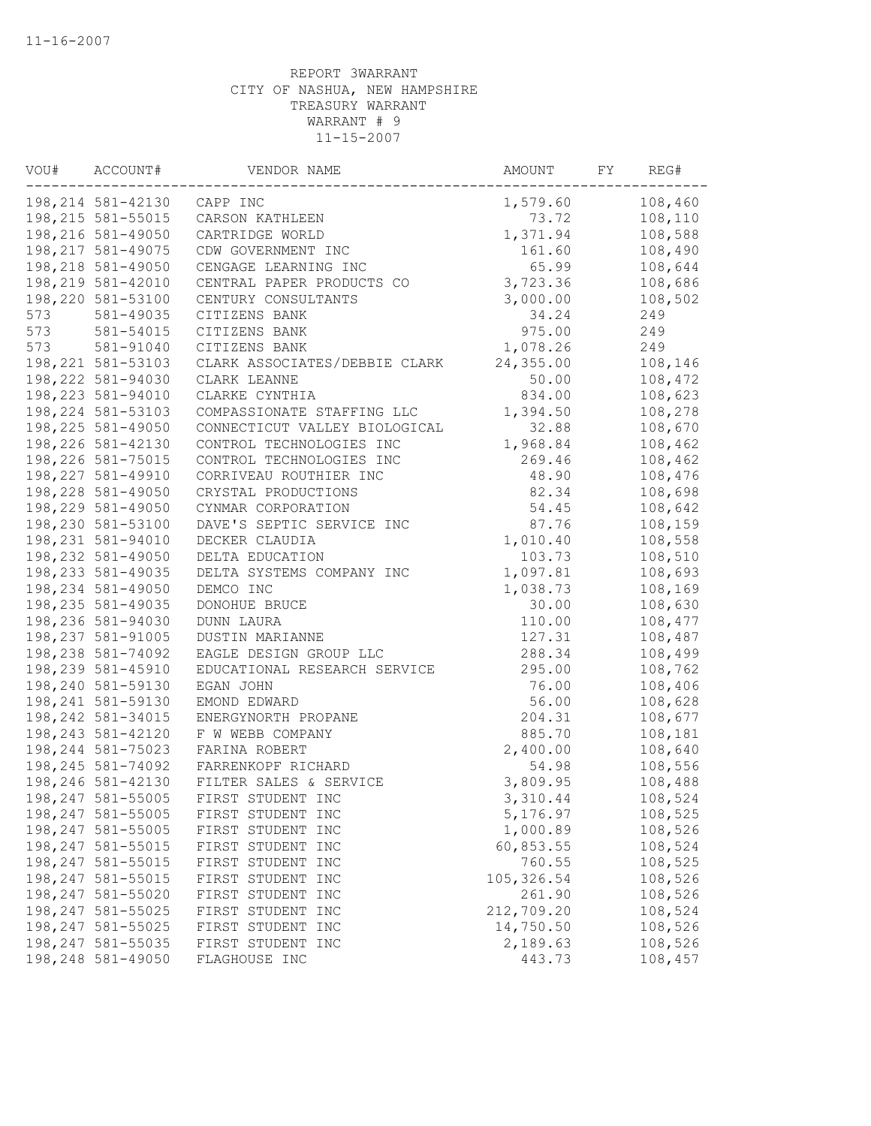| VOU# | ACCOUNT#           | VENDOR NAME                   | AMOUNT      | FY | REG#    |
|------|--------------------|-------------------------------|-------------|----|---------|
|      | 198,214 581-42130  | CAPP INC                      | 1,579.60    |    | 108,460 |
|      | 198, 215 581-55015 | CARSON KATHLEEN               | 73.72       |    | 108,110 |
|      | 198,216 581-49050  | CARTRIDGE WORLD               | 1,371.94    |    | 108,588 |
|      | 198, 217 581-49075 | CDW GOVERNMENT INC            | 161.60      |    | 108,490 |
|      | 198,218 581-49050  | CENGAGE LEARNING INC          | 65.99       |    | 108,644 |
|      | 198,219 581-42010  | CENTRAL PAPER PRODUCTS CO     | 3,723.36    |    | 108,686 |
|      | 198,220 581-53100  | CENTURY CONSULTANTS           | 3,000.00    |    | 108,502 |
| 573  | 581-49035          | CITIZENS BANK                 | 34.24       |    | 249     |
| 573  | 581-54015          | CITIZENS BANK                 | 975.00      |    | 249     |
| 573  | 581-91040          | CITIZENS BANK                 | 1,078.26    |    | 249     |
|      | 198, 221 581-53103 | CLARK ASSOCIATES/DEBBIE CLARK | 24,355.00   |    | 108,146 |
|      | 198,222 581-94030  | CLARK LEANNE                  | 50.00       |    | 108,472 |
|      | 198,223 581-94010  | CLARKE CYNTHIA                | 834.00      |    | 108,623 |
|      | 198, 224 581-53103 | COMPASSIONATE STAFFING LLC    | 1,394.50    |    | 108,278 |
|      | 198,225 581-49050  | CONNECTICUT VALLEY BIOLOGICAL | 32.88       |    | 108,670 |
|      | 198,226 581-42130  | CONTROL TECHNOLOGIES INC      | 1,968.84    |    | 108,462 |
|      | 198,226 581-75015  | CONTROL TECHNOLOGIES INC      | 269.46      |    | 108,462 |
|      | 198, 227 581-49910 | CORRIVEAU ROUTHIER INC        | 48.90       |    | 108,476 |
|      | 198,228 581-49050  | CRYSTAL PRODUCTIONS           | 82.34       |    | 108,698 |
|      | 198,229 581-49050  | CYNMAR CORPORATION            | 54.45       |    | 108,642 |
|      | 198,230 581-53100  | DAVE'S SEPTIC SERVICE INC     | 87.76       |    | 108,159 |
|      | 198,231 581-94010  | DECKER CLAUDIA                | 1,010.40    |    | 108,558 |
|      | 198,232 581-49050  | DELTA EDUCATION               | 103.73      |    | 108,510 |
|      | 198,233 581-49035  | DELTA SYSTEMS COMPANY INC     | 1,097.81    |    | 108,693 |
|      | 198,234 581-49050  | DEMCO INC                     | 1,038.73    |    | 108,169 |
|      | 198,235 581-49035  | DONOHUE BRUCE                 | 30.00       |    | 108,630 |
|      | 198,236 581-94030  | DUNN LAURA                    | 110.00      |    | 108,477 |
|      | 198,237 581-91005  | DUSTIN MARIANNE               | 127.31      |    | 108,487 |
|      | 198,238 581-74092  | EAGLE DESIGN GROUP LLC        | 288.34      |    | 108,499 |
|      | 198,239 581-45910  | EDUCATIONAL RESEARCH SERVICE  | 295.00      |    | 108,762 |
|      | 198,240 581-59130  | EGAN JOHN                     | 76.00       |    | 108,406 |
|      | 198, 241 581-59130 | EMOND EDWARD                  | 56.00       |    | 108,628 |
|      | 198, 242 581-34015 | ENERGYNORTH PROPANE           | 204.31      |    | 108,677 |
|      | 198,243 581-42120  | F W WEBB COMPANY              | 885.70      |    | 108,181 |
|      | 198, 244 581-75023 | FARINA ROBERT                 | 2,400.00    |    | 108,640 |
|      | 198, 245 581-74092 | FARRENKOPF RICHARD            | 54.98       |    | 108,556 |
|      | 198,246 581-42130  | FILTER SALES & SERVICE        | 3,809.95    |    | 108,488 |
|      | 198,247 581-55005  | FIRST STUDENT INC             | 3,310.44    |    | 108,524 |
|      | 198,247 581-55005  | FIRST STUDENT INC             | 5,176.97    |    | 108,525 |
|      | 198,247 581-55005  | FIRST STUDENT INC             | 1,000.89    |    | 108,526 |
|      | 198, 247 581-55015 | FIRST STUDENT INC             | 60,853.55   |    | 108,524 |
|      | 198, 247 581-55015 | FIRST STUDENT INC             | 760.55      |    | 108,525 |
|      | 198, 247 581-55015 | FIRST STUDENT INC             | 105, 326.54 |    | 108,526 |
|      | 198,247 581-55020  | FIRST STUDENT INC             | 261.90      |    | 108,526 |
|      | 198,247 581-55025  | FIRST STUDENT INC             | 212,709.20  |    | 108,524 |
|      | 198, 247 581-55025 | FIRST STUDENT INC             | 14,750.50   |    | 108,526 |
|      | 198, 247 581-55035 | FIRST STUDENT INC             | 2,189.63    |    | 108,526 |
|      | 198,248 581-49050  | FLAGHOUSE INC                 | 443.73      |    | 108,457 |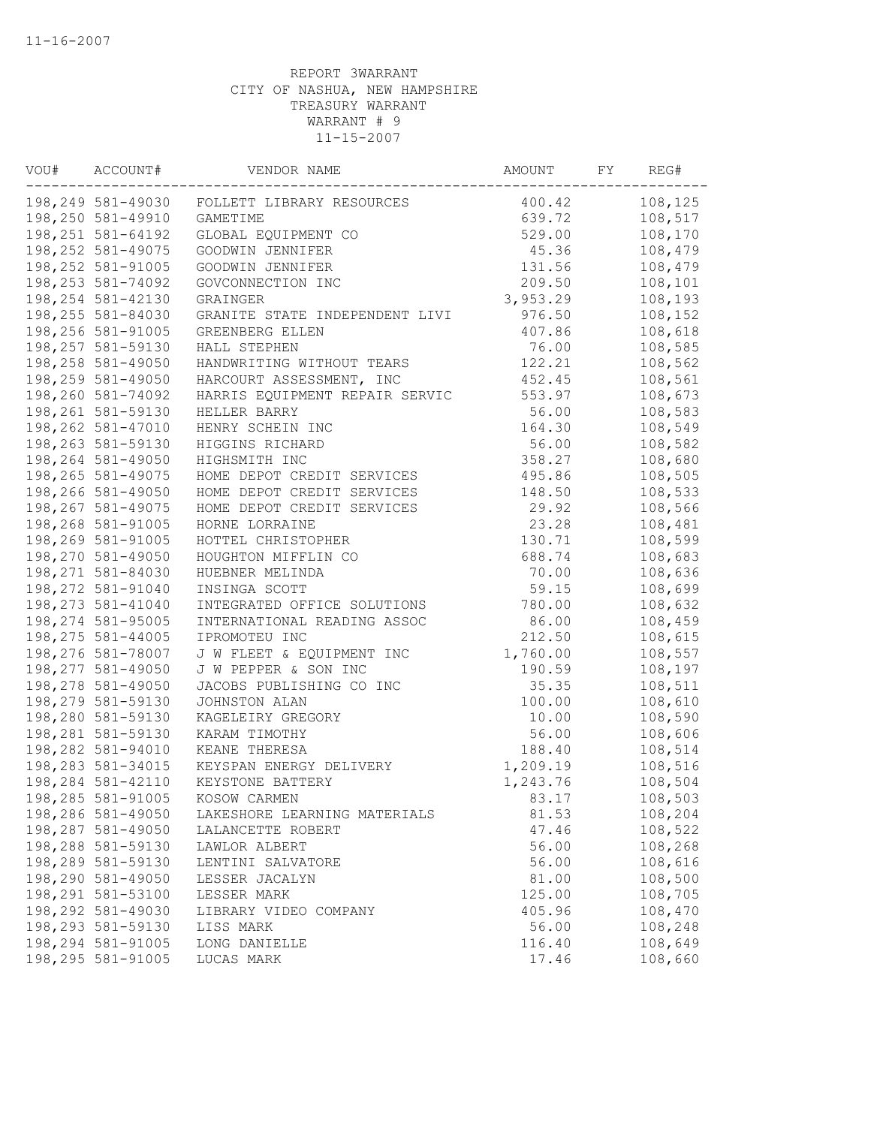| VOU# | ACCOUNT#           | VENDOR NAME                    | AMOUNT   | FY | REG#    |
|------|--------------------|--------------------------------|----------|----|---------|
|      | 198,249 581-49030  | FOLLETT LIBRARY RESOURCES      | 400.42   |    | 108,125 |
|      | 198,250 581-49910  | <b>GAMETIME</b>                | 639.72   |    | 108,517 |
|      | 198, 251 581-64192 | GLOBAL EQUIPMENT CO            | 529.00   |    | 108,170 |
|      | 198,252 581-49075  | GOODWIN JENNIFER               | 45.36    |    | 108,479 |
|      | 198, 252 581-91005 | GOODWIN JENNIFER               | 131.56   |    | 108,479 |
|      | 198,253 581-74092  | GOVCONNECTION INC              | 209.50   |    | 108,101 |
|      | 198,254 581-42130  | GRAINGER                       | 3,953.29 |    | 108,193 |
|      | 198,255 581-84030  | GRANITE STATE INDEPENDENT LIVI | 976.50   |    | 108,152 |
|      | 198,256 581-91005  | GREENBERG ELLEN                | 407.86   |    | 108,618 |
|      | 198, 257 581-59130 | HALL STEPHEN                   | 76.00    |    | 108,585 |
|      | 198,258 581-49050  | HANDWRITING WITHOUT TEARS      | 122.21   |    | 108,562 |
|      | 198,259 581-49050  | HARCOURT ASSESSMENT, INC       | 452.45   |    | 108,561 |
|      | 198,260 581-74092  | HARRIS EQUIPMENT REPAIR SERVIC | 553.97   |    | 108,673 |
|      | 198,261 581-59130  | HELLER BARRY                   | 56.00    |    | 108,583 |
|      | 198,262 581-47010  | HENRY SCHEIN INC               | 164.30   |    | 108,549 |
|      | 198,263 581-59130  | HIGGINS RICHARD                | 56.00    |    | 108,582 |
|      | 198,264 581-49050  | HIGHSMITH INC                  | 358.27   |    | 108,680 |
|      | 198,265 581-49075  | HOME DEPOT CREDIT SERVICES     | 495.86   |    | 108,505 |
|      | 198,266 581-49050  | HOME DEPOT CREDIT SERVICES     | 148.50   |    | 108,533 |
|      | 198,267 581-49075  | HOME DEPOT CREDIT SERVICES     | 29.92    |    | 108,566 |
|      | 198,268 581-91005  | HORNE LORRAINE                 | 23.28    |    | 108,481 |
|      | 198,269 581-91005  | HOTTEL CHRISTOPHER             | 130.71   |    | 108,599 |
|      | 198,270 581-49050  | HOUGHTON MIFFLIN CO            | 688.74   |    | 108,683 |
|      | 198,271 581-84030  | HUEBNER MELINDA                | 70.00    |    | 108,636 |
|      | 198,272 581-91040  | INSINGA SCOTT                  | 59.15    |    | 108,699 |
|      | 198, 273 581-41040 | INTEGRATED OFFICE SOLUTIONS    | 780.00   |    | 108,632 |
|      | 198,274 581-95005  | INTERNATIONAL READING ASSOC    | 86.00    |    | 108,459 |
|      | 198,275 581-44005  | IPROMOTEU INC                  | 212.50   |    | 108,615 |
|      | 198,276 581-78007  | J W FLEET & EQUIPMENT INC      | 1,760.00 |    | 108,557 |
|      | 198,277 581-49050  | J W PEPPER & SON INC           | 190.59   |    | 108,197 |
|      | 198,278 581-49050  | JACOBS PUBLISHING CO INC       | 35.35    |    | 108,511 |
|      | 198,279 581-59130  | JOHNSTON ALAN                  | 100.00   |    | 108,610 |
|      | 198,280 581-59130  | KAGELEIRY GREGORY              | 10.00    |    | 108,590 |
|      | 198,281 581-59130  | KARAM TIMOTHY                  | 56.00    |    | 108,606 |
|      | 198,282 581-94010  | KEANE THERESA                  | 188.40   |    | 108,514 |
|      | 198,283 581-34015  | KEYSPAN ENERGY DELIVERY        | 1,209.19 |    | 108,516 |
|      | 198,284 581-42110  | KEYSTONE BATTERY               | 1,243.76 |    | 108,504 |
|      | 198,285 581-91005  | KOSOW CARMEN                   | 83.17    |    | 108,503 |
|      | 198,286 581-49050  | LAKESHORE LEARNING MATERIALS   | 81.53    |    | 108,204 |
|      | 198,287 581-49050  | LALANCETTE ROBERT              | 47.46    |    | 108,522 |
|      | 198,288 581-59130  | LAWLOR ALBERT                  | 56.00    |    | 108,268 |
|      | 198,289 581-59130  | LENTINI SALVATORE              | 56.00    |    | 108,616 |
|      | 198,290 581-49050  | LESSER JACALYN                 | 81.00    |    | 108,500 |
|      | 198,291 581-53100  | LESSER MARK                    | 125.00   |    | 108,705 |
|      | 198,292 581-49030  | LIBRARY VIDEO COMPANY          | 405.96   |    | 108,470 |
|      | 198,293 581-59130  | LISS MARK                      | 56.00    |    | 108,248 |
|      | 198,294 581-91005  | LONG DANIELLE                  | 116.40   |    | 108,649 |
|      | 198,295 581-91005  | LUCAS MARK                     | 17.46    |    | 108,660 |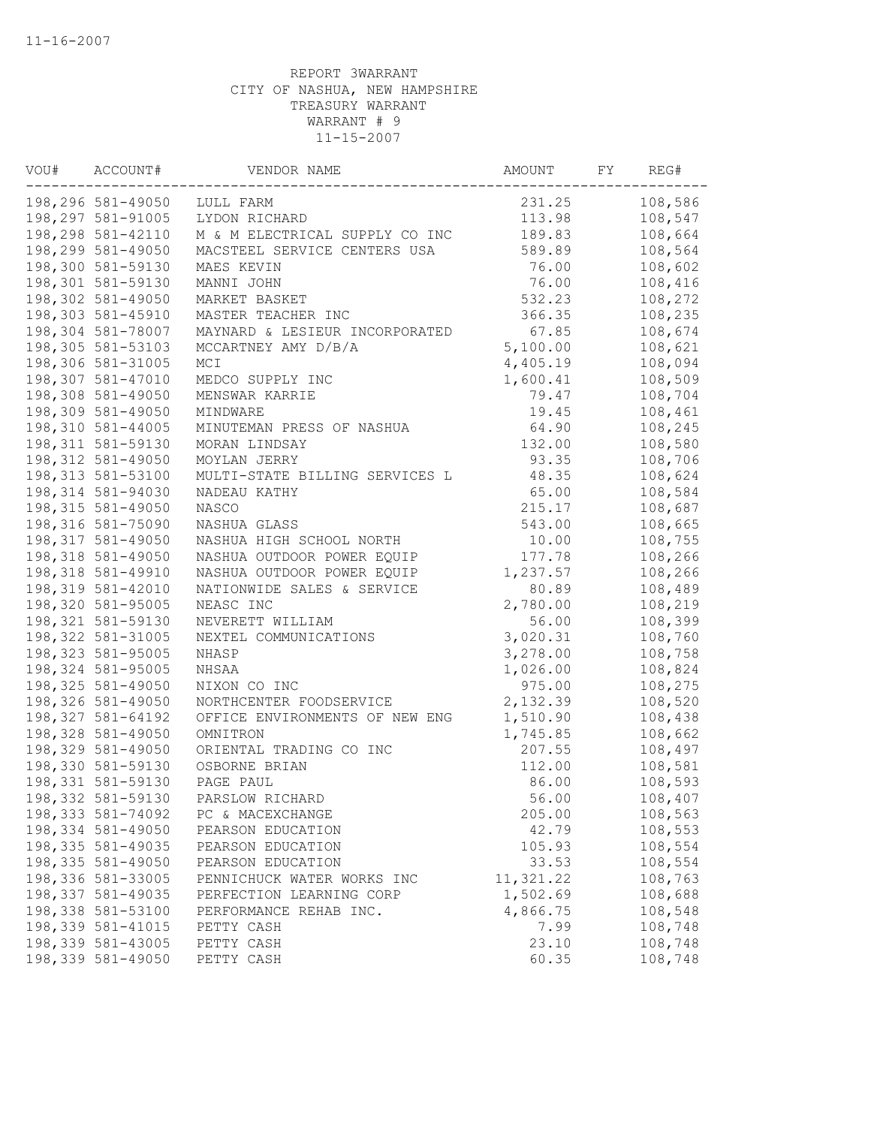| 108,586<br>198,296 581-49050<br>231.25<br>LULL FARM<br>198,297 581-91005<br>LYDON RICHARD<br>113.98<br>108,547<br>198,298 581-42110<br>M & M ELECTRICAL SUPPLY CO INC<br>108,664<br>189.83<br>198,299 581-49050<br>MACSTEEL SERVICE CENTERS USA<br>589.89<br>108,564<br>198,300 581-59130<br>76.00<br>108,602<br>MAES KEVIN<br>198,301 581-59130<br>76.00<br>108,416<br>MANNI JOHN<br>198,302 581-49050<br>532.23<br>108,272<br>MARKET BASKET<br>198,303 581-45910<br>108,235<br>MASTER TEACHER INC<br>366.35<br>198,304 581-78007<br>MAYNARD & LESIEUR INCORPORATED<br>67.85<br>108,674<br>198,305 581-53103<br>MCCARTNEY AMY D/B/A<br>5,100.00<br>108,621<br>198,306 581-31005<br>108,094<br>MCI<br>4,405.19<br>198,307 581-47010<br>108,509<br>MEDCO SUPPLY INC<br>1,600.41<br>198,308 581-49050<br>108,704<br>MENSWAR KARRIE<br>79.47<br>198,309 581-49050<br>108,461<br>19.45<br>MINDWARE<br>MINUTEMAN PRESS OF NASHUA<br>64.90<br>108,245<br>198,310 581-44005<br>108,580<br>198, 311 581-59130<br>MORAN LINDSAY<br>132.00<br>198,312 581-49050<br>93.35<br>108,706<br>MOYLAN JERRY<br>198, 313 581-53100<br>MULTI-STATE BILLING SERVICES L<br>48.35<br>108,624<br>198,314 581-94030<br>65.00<br>NADEAU KATHY<br>108,584<br>198, 315 581-49050<br><b>NASCO</b><br>215.17<br>108,687<br>198,316 581-75090<br>543.00<br>NASHUA GLASS<br>108,665<br>198,317 581-49050<br>NASHUA HIGH SCHOOL NORTH<br>10.00<br>108,755<br>198,318 581-49050<br>NASHUA OUTDOOR POWER EQUIP<br>177.78<br>108,266<br>198,318 581-49910<br>1,237.57<br>NASHUA OUTDOOR POWER EQUIP<br>108,266<br>198,319 581-42010<br>80.89<br>108,489<br>NATIONWIDE SALES & SERVICE<br>198,320 581-95005<br>2,780.00<br>108,219<br>NEASC INC<br>198,321 581-59130<br>108,399<br>NEVERETT WILLIAM<br>56.00<br>198, 322 581-31005<br>3,020.31<br>108,760<br>NEXTEL COMMUNICATIONS<br>198,323 581-95005<br>NHASP<br>3,278.00<br>108,758<br>198,324 581-95005<br>NHSAA<br>1,026.00<br>108,824<br>198, 325 581-49050<br>975.00<br>NIXON CO INC<br>108,275<br>198,326 581-49050<br>NORTHCENTER FOODSERVICE<br>2,132.39<br>108,520<br>1,510.90<br>198, 327 581-64192<br>OFFICE ENVIRONMENTS OF NEW ENG<br>108,438<br>198,328 581-49050<br>1,745.85<br>108,662<br>OMNITRON<br>198,329 581-49050<br>207.55<br>108,497<br>ORIENTAL TRADING CO INC<br>198,330 581-59130<br>108,581<br>OSBORNE BRIAN<br>112.00<br>198,331 581-59130<br>PAGE PAUL<br>86.00<br>108,593<br>198,332 581-59130<br>56.00<br>PARSLOW RICHARD<br>108,407<br>108,563<br>198,333 581-74092<br>205.00<br>PC & MACEXCHANGE<br>198,334 581-49050<br>42.79<br>108,553<br>PEARSON EDUCATION<br>198,335 581-49035<br>108,554<br>PEARSON EDUCATION<br>105.93<br>198,335 581-49050<br>108,554<br>33.53<br>PEARSON EDUCATION<br>198,336 581-33005<br>11,321.22<br>108,763<br>PENNICHUCK WATER WORKS INC<br>198,337 581-49035<br>1,502.69<br>108,688<br>PERFECTION LEARNING CORP<br>198,338 581-53100<br>4,866.75<br>108,548<br>PERFORMANCE REHAB INC.<br>198,339 581-41015<br>7.99<br>108,748<br>PETTY CASH<br>198,339 581-43005<br>23.10<br>108,748<br>PETTY CASH<br>198,339 581-49050<br>60.35<br>PETTY CASH<br>108,748 | VOU# | ACCOUNT# | VENDOR NAME | AMOUNT | FΥ | REG# |
|------------------------------------------------------------------------------------------------------------------------------------------------------------------------------------------------------------------------------------------------------------------------------------------------------------------------------------------------------------------------------------------------------------------------------------------------------------------------------------------------------------------------------------------------------------------------------------------------------------------------------------------------------------------------------------------------------------------------------------------------------------------------------------------------------------------------------------------------------------------------------------------------------------------------------------------------------------------------------------------------------------------------------------------------------------------------------------------------------------------------------------------------------------------------------------------------------------------------------------------------------------------------------------------------------------------------------------------------------------------------------------------------------------------------------------------------------------------------------------------------------------------------------------------------------------------------------------------------------------------------------------------------------------------------------------------------------------------------------------------------------------------------------------------------------------------------------------------------------------------------------------------------------------------------------------------------------------------------------------------------------------------------------------------------------------------------------------------------------------------------------------------------------------------------------------------------------------------------------------------------------------------------------------------------------------------------------------------------------------------------------------------------------------------------------------------------------------------------------------------------------------------------------------------------------------------------------------------------------------------------------------------------------------------------------------------------------------------------------------------------------------------------------------------------------------------------------------------------------------------------------------------------------------------------------------------------------------------------------------------------------------------------------------------------------------------------------------------------------------------------------------------|------|----------|-------------|--------|----|------|
|                                                                                                                                                                                                                                                                                                                                                                                                                                                                                                                                                                                                                                                                                                                                                                                                                                                                                                                                                                                                                                                                                                                                                                                                                                                                                                                                                                                                                                                                                                                                                                                                                                                                                                                                                                                                                                                                                                                                                                                                                                                                                                                                                                                                                                                                                                                                                                                                                                                                                                                                                                                                                                                                                                                                                                                                                                                                                                                                                                                                                                                                                                                                          |      |          |             |        |    |      |
|                                                                                                                                                                                                                                                                                                                                                                                                                                                                                                                                                                                                                                                                                                                                                                                                                                                                                                                                                                                                                                                                                                                                                                                                                                                                                                                                                                                                                                                                                                                                                                                                                                                                                                                                                                                                                                                                                                                                                                                                                                                                                                                                                                                                                                                                                                                                                                                                                                                                                                                                                                                                                                                                                                                                                                                                                                                                                                                                                                                                                                                                                                                                          |      |          |             |        |    |      |
|                                                                                                                                                                                                                                                                                                                                                                                                                                                                                                                                                                                                                                                                                                                                                                                                                                                                                                                                                                                                                                                                                                                                                                                                                                                                                                                                                                                                                                                                                                                                                                                                                                                                                                                                                                                                                                                                                                                                                                                                                                                                                                                                                                                                                                                                                                                                                                                                                                                                                                                                                                                                                                                                                                                                                                                                                                                                                                                                                                                                                                                                                                                                          |      |          |             |        |    |      |
|                                                                                                                                                                                                                                                                                                                                                                                                                                                                                                                                                                                                                                                                                                                                                                                                                                                                                                                                                                                                                                                                                                                                                                                                                                                                                                                                                                                                                                                                                                                                                                                                                                                                                                                                                                                                                                                                                                                                                                                                                                                                                                                                                                                                                                                                                                                                                                                                                                                                                                                                                                                                                                                                                                                                                                                                                                                                                                                                                                                                                                                                                                                                          |      |          |             |        |    |      |
|                                                                                                                                                                                                                                                                                                                                                                                                                                                                                                                                                                                                                                                                                                                                                                                                                                                                                                                                                                                                                                                                                                                                                                                                                                                                                                                                                                                                                                                                                                                                                                                                                                                                                                                                                                                                                                                                                                                                                                                                                                                                                                                                                                                                                                                                                                                                                                                                                                                                                                                                                                                                                                                                                                                                                                                                                                                                                                                                                                                                                                                                                                                                          |      |          |             |        |    |      |
|                                                                                                                                                                                                                                                                                                                                                                                                                                                                                                                                                                                                                                                                                                                                                                                                                                                                                                                                                                                                                                                                                                                                                                                                                                                                                                                                                                                                                                                                                                                                                                                                                                                                                                                                                                                                                                                                                                                                                                                                                                                                                                                                                                                                                                                                                                                                                                                                                                                                                                                                                                                                                                                                                                                                                                                                                                                                                                                                                                                                                                                                                                                                          |      |          |             |        |    |      |
|                                                                                                                                                                                                                                                                                                                                                                                                                                                                                                                                                                                                                                                                                                                                                                                                                                                                                                                                                                                                                                                                                                                                                                                                                                                                                                                                                                                                                                                                                                                                                                                                                                                                                                                                                                                                                                                                                                                                                                                                                                                                                                                                                                                                                                                                                                                                                                                                                                                                                                                                                                                                                                                                                                                                                                                                                                                                                                                                                                                                                                                                                                                                          |      |          |             |        |    |      |
|                                                                                                                                                                                                                                                                                                                                                                                                                                                                                                                                                                                                                                                                                                                                                                                                                                                                                                                                                                                                                                                                                                                                                                                                                                                                                                                                                                                                                                                                                                                                                                                                                                                                                                                                                                                                                                                                                                                                                                                                                                                                                                                                                                                                                                                                                                                                                                                                                                                                                                                                                                                                                                                                                                                                                                                                                                                                                                                                                                                                                                                                                                                                          |      |          |             |        |    |      |
|                                                                                                                                                                                                                                                                                                                                                                                                                                                                                                                                                                                                                                                                                                                                                                                                                                                                                                                                                                                                                                                                                                                                                                                                                                                                                                                                                                                                                                                                                                                                                                                                                                                                                                                                                                                                                                                                                                                                                                                                                                                                                                                                                                                                                                                                                                                                                                                                                                                                                                                                                                                                                                                                                                                                                                                                                                                                                                                                                                                                                                                                                                                                          |      |          |             |        |    |      |
|                                                                                                                                                                                                                                                                                                                                                                                                                                                                                                                                                                                                                                                                                                                                                                                                                                                                                                                                                                                                                                                                                                                                                                                                                                                                                                                                                                                                                                                                                                                                                                                                                                                                                                                                                                                                                                                                                                                                                                                                                                                                                                                                                                                                                                                                                                                                                                                                                                                                                                                                                                                                                                                                                                                                                                                                                                                                                                                                                                                                                                                                                                                                          |      |          |             |        |    |      |
|                                                                                                                                                                                                                                                                                                                                                                                                                                                                                                                                                                                                                                                                                                                                                                                                                                                                                                                                                                                                                                                                                                                                                                                                                                                                                                                                                                                                                                                                                                                                                                                                                                                                                                                                                                                                                                                                                                                                                                                                                                                                                                                                                                                                                                                                                                                                                                                                                                                                                                                                                                                                                                                                                                                                                                                                                                                                                                                                                                                                                                                                                                                                          |      |          |             |        |    |      |
|                                                                                                                                                                                                                                                                                                                                                                                                                                                                                                                                                                                                                                                                                                                                                                                                                                                                                                                                                                                                                                                                                                                                                                                                                                                                                                                                                                                                                                                                                                                                                                                                                                                                                                                                                                                                                                                                                                                                                                                                                                                                                                                                                                                                                                                                                                                                                                                                                                                                                                                                                                                                                                                                                                                                                                                                                                                                                                                                                                                                                                                                                                                                          |      |          |             |        |    |      |
|                                                                                                                                                                                                                                                                                                                                                                                                                                                                                                                                                                                                                                                                                                                                                                                                                                                                                                                                                                                                                                                                                                                                                                                                                                                                                                                                                                                                                                                                                                                                                                                                                                                                                                                                                                                                                                                                                                                                                                                                                                                                                                                                                                                                                                                                                                                                                                                                                                                                                                                                                                                                                                                                                                                                                                                                                                                                                                                                                                                                                                                                                                                                          |      |          |             |        |    |      |
|                                                                                                                                                                                                                                                                                                                                                                                                                                                                                                                                                                                                                                                                                                                                                                                                                                                                                                                                                                                                                                                                                                                                                                                                                                                                                                                                                                                                                                                                                                                                                                                                                                                                                                                                                                                                                                                                                                                                                                                                                                                                                                                                                                                                                                                                                                                                                                                                                                                                                                                                                                                                                                                                                                                                                                                                                                                                                                                                                                                                                                                                                                                                          |      |          |             |        |    |      |
|                                                                                                                                                                                                                                                                                                                                                                                                                                                                                                                                                                                                                                                                                                                                                                                                                                                                                                                                                                                                                                                                                                                                                                                                                                                                                                                                                                                                                                                                                                                                                                                                                                                                                                                                                                                                                                                                                                                                                                                                                                                                                                                                                                                                                                                                                                                                                                                                                                                                                                                                                                                                                                                                                                                                                                                                                                                                                                                                                                                                                                                                                                                                          |      |          |             |        |    |      |
|                                                                                                                                                                                                                                                                                                                                                                                                                                                                                                                                                                                                                                                                                                                                                                                                                                                                                                                                                                                                                                                                                                                                                                                                                                                                                                                                                                                                                                                                                                                                                                                                                                                                                                                                                                                                                                                                                                                                                                                                                                                                                                                                                                                                                                                                                                                                                                                                                                                                                                                                                                                                                                                                                                                                                                                                                                                                                                                                                                                                                                                                                                                                          |      |          |             |        |    |      |
|                                                                                                                                                                                                                                                                                                                                                                                                                                                                                                                                                                                                                                                                                                                                                                                                                                                                                                                                                                                                                                                                                                                                                                                                                                                                                                                                                                                                                                                                                                                                                                                                                                                                                                                                                                                                                                                                                                                                                                                                                                                                                                                                                                                                                                                                                                                                                                                                                                                                                                                                                                                                                                                                                                                                                                                                                                                                                                                                                                                                                                                                                                                                          |      |          |             |        |    |      |
|                                                                                                                                                                                                                                                                                                                                                                                                                                                                                                                                                                                                                                                                                                                                                                                                                                                                                                                                                                                                                                                                                                                                                                                                                                                                                                                                                                                                                                                                                                                                                                                                                                                                                                                                                                                                                                                                                                                                                                                                                                                                                                                                                                                                                                                                                                                                                                                                                                                                                                                                                                                                                                                                                                                                                                                                                                                                                                                                                                                                                                                                                                                                          |      |          |             |        |    |      |
|                                                                                                                                                                                                                                                                                                                                                                                                                                                                                                                                                                                                                                                                                                                                                                                                                                                                                                                                                                                                                                                                                                                                                                                                                                                                                                                                                                                                                                                                                                                                                                                                                                                                                                                                                                                                                                                                                                                                                                                                                                                                                                                                                                                                                                                                                                                                                                                                                                                                                                                                                                                                                                                                                                                                                                                                                                                                                                                                                                                                                                                                                                                                          |      |          |             |        |    |      |
|                                                                                                                                                                                                                                                                                                                                                                                                                                                                                                                                                                                                                                                                                                                                                                                                                                                                                                                                                                                                                                                                                                                                                                                                                                                                                                                                                                                                                                                                                                                                                                                                                                                                                                                                                                                                                                                                                                                                                                                                                                                                                                                                                                                                                                                                                                                                                                                                                                                                                                                                                                                                                                                                                                                                                                                                                                                                                                                                                                                                                                                                                                                                          |      |          |             |        |    |      |
|                                                                                                                                                                                                                                                                                                                                                                                                                                                                                                                                                                                                                                                                                                                                                                                                                                                                                                                                                                                                                                                                                                                                                                                                                                                                                                                                                                                                                                                                                                                                                                                                                                                                                                                                                                                                                                                                                                                                                                                                                                                                                                                                                                                                                                                                                                                                                                                                                                                                                                                                                                                                                                                                                                                                                                                                                                                                                                                                                                                                                                                                                                                                          |      |          |             |        |    |      |
|                                                                                                                                                                                                                                                                                                                                                                                                                                                                                                                                                                                                                                                                                                                                                                                                                                                                                                                                                                                                                                                                                                                                                                                                                                                                                                                                                                                                                                                                                                                                                                                                                                                                                                                                                                                                                                                                                                                                                                                                                                                                                                                                                                                                                                                                                                                                                                                                                                                                                                                                                                                                                                                                                                                                                                                                                                                                                                                                                                                                                                                                                                                                          |      |          |             |        |    |      |
|                                                                                                                                                                                                                                                                                                                                                                                                                                                                                                                                                                                                                                                                                                                                                                                                                                                                                                                                                                                                                                                                                                                                                                                                                                                                                                                                                                                                                                                                                                                                                                                                                                                                                                                                                                                                                                                                                                                                                                                                                                                                                                                                                                                                                                                                                                                                                                                                                                                                                                                                                                                                                                                                                                                                                                                                                                                                                                                                                                                                                                                                                                                                          |      |          |             |        |    |      |
|                                                                                                                                                                                                                                                                                                                                                                                                                                                                                                                                                                                                                                                                                                                                                                                                                                                                                                                                                                                                                                                                                                                                                                                                                                                                                                                                                                                                                                                                                                                                                                                                                                                                                                                                                                                                                                                                                                                                                                                                                                                                                                                                                                                                                                                                                                                                                                                                                                                                                                                                                                                                                                                                                                                                                                                                                                                                                                                                                                                                                                                                                                                                          |      |          |             |        |    |      |
|                                                                                                                                                                                                                                                                                                                                                                                                                                                                                                                                                                                                                                                                                                                                                                                                                                                                                                                                                                                                                                                                                                                                                                                                                                                                                                                                                                                                                                                                                                                                                                                                                                                                                                                                                                                                                                                                                                                                                                                                                                                                                                                                                                                                                                                                                                                                                                                                                                                                                                                                                                                                                                                                                                                                                                                                                                                                                                                                                                                                                                                                                                                                          |      |          |             |        |    |      |
|                                                                                                                                                                                                                                                                                                                                                                                                                                                                                                                                                                                                                                                                                                                                                                                                                                                                                                                                                                                                                                                                                                                                                                                                                                                                                                                                                                                                                                                                                                                                                                                                                                                                                                                                                                                                                                                                                                                                                                                                                                                                                                                                                                                                                                                                                                                                                                                                                                                                                                                                                                                                                                                                                                                                                                                                                                                                                                                                                                                                                                                                                                                                          |      |          |             |        |    |      |
|                                                                                                                                                                                                                                                                                                                                                                                                                                                                                                                                                                                                                                                                                                                                                                                                                                                                                                                                                                                                                                                                                                                                                                                                                                                                                                                                                                                                                                                                                                                                                                                                                                                                                                                                                                                                                                                                                                                                                                                                                                                                                                                                                                                                                                                                                                                                                                                                                                                                                                                                                                                                                                                                                                                                                                                                                                                                                                                                                                                                                                                                                                                                          |      |          |             |        |    |      |
|                                                                                                                                                                                                                                                                                                                                                                                                                                                                                                                                                                                                                                                                                                                                                                                                                                                                                                                                                                                                                                                                                                                                                                                                                                                                                                                                                                                                                                                                                                                                                                                                                                                                                                                                                                                                                                                                                                                                                                                                                                                                                                                                                                                                                                                                                                                                                                                                                                                                                                                                                                                                                                                                                                                                                                                                                                                                                                                                                                                                                                                                                                                                          |      |          |             |        |    |      |
|                                                                                                                                                                                                                                                                                                                                                                                                                                                                                                                                                                                                                                                                                                                                                                                                                                                                                                                                                                                                                                                                                                                                                                                                                                                                                                                                                                                                                                                                                                                                                                                                                                                                                                                                                                                                                                                                                                                                                                                                                                                                                                                                                                                                                                                                                                                                                                                                                                                                                                                                                                                                                                                                                                                                                                                                                                                                                                                                                                                                                                                                                                                                          |      |          |             |        |    |      |
|                                                                                                                                                                                                                                                                                                                                                                                                                                                                                                                                                                                                                                                                                                                                                                                                                                                                                                                                                                                                                                                                                                                                                                                                                                                                                                                                                                                                                                                                                                                                                                                                                                                                                                                                                                                                                                                                                                                                                                                                                                                                                                                                                                                                                                                                                                                                                                                                                                                                                                                                                                                                                                                                                                                                                                                                                                                                                                                                                                                                                                                                                                                                          |      |          |             |        |    |      |
|                                                                                                                                                                                                                                                                                                                                                                                                                                                                                                                                                                                                                                                                                                                                                                                                                                                                                                                                                                                                                                                                                                                                                                                                                                                                                                                                                                                                                                                                                                                                                                                                                                                                                                                                                                                                                                                                                                                                                                                                                                                                                                                                                                                                                                                                                                                                                                                                                                                                                                                                                                                                                                                                                                                                                                                                                                                                                                                                                                                                                                                                                                                                          |      |          |             |        |    |      |
|                                                                                                                                                                                                                                                                                                                                                                                                                                                                                                                                                                                                                                                                                                                                                                                                                                                                                                                                                                                                                                                                                                                                                                                                                                                                                                                                                                                                                                                                                                                                                                                                                                                                                                                                                                                                                                                                                                                                                                                                                                                                                                                                                                                                                                                                                                                                                                                                                                                                                                                                                                                                                                                                                                                                                                                                                                                                                                                                                                                                                                                                                                                                          |      |          |             |        |    |      |
|                                                                                                                                                                                                                                                                                                                                                                                                                                                                                                                                                                                                                                                                                                                                                                                                                                                                                                                                                                                                                                                                                                                                                                                                                                                                                                                                                                                                                                                                                                                                                                                                                                                                                                                                                                                                                                                                                                                                                                                                                                                                                                                                                                                                                                                                                                                                                                                                                                                                                                                                                                                                                                                                                                                                                                                                                                                                                                                                                                                                                                                                                                                                          |      |          |             |        |    |      |
|                                                                                                                                                                                                                                                                                                                                                                                                                                                                                                                                                                                                                                                                                                                                                                                                                                                                                                                                                                                                                                                                                                                                                                                                                                                                                                                                                                                                                                                                                                                                                                                                                                                                                                                                                                                                                                                                                                                                                                                                                                                                                                                                                                                                                                                                                                                                                                                                                                                                                                                                                                                                                                                                                                                                                                                                                                                                                                                                                                                                                                                                                                                                          |      |          |             |        |    |      |
|                                                                                                                                                                                                                                                                                                                                                                                                                                                                                                                                                                                                                                                                                                                                                                                                                                                                                                                                                                                                                                                                                                                                                                                                                                                                                                                                                                                                                                                                                                                                                                                                                                                                                                                                                                                                                                                                                                                                                                                                                                                                                                                                                                                                                                                                                                                                                                                                                                                                                                                                                                                                                                                                                                                                                                                                                                                                                                                                                                                                                                                                                                                                          |      |          |             |        |    |      |
|                                                                                                                                                                                                                                                                                                                                                                                                                                                                                                                                                                                                                                                                                                                                                                                                                                                                                                                                                                                                                                                                                                                                                                                                                                                                                                                                                                                                                                                                                                                                                                                                                                                                                                                                                                                                                                                                                                                                                                                                                                                                                                                                                                                                                                                                                                                                                                                                                                                                                                                                                                                                                                                                                                                                                                                                                                                                                                                                                                                                                                                                                                                                          |      |          |             |        |    |      |
|                                                                                                                                                                                                                                                                                                                                                                                                                                                                                                                                                                                                                                                                                                                                                                                                                                                                                                                                                                                                                                                                                                                                                                                                                                                                                                                                                                                                                                                                                                                                                                                                                                                                                                                                                                                                                                                                                                                                                                                                                                                                                                                                                                                                                                                                                                                                                                                                                                                                                                                                                                                                                                                                                                                                                                                                                                                                                                                                                                                                                                                                                                                                          |      |          |             |        |    |      |
|                                                                                                                                                                                                                                                                                                                                                                                                                                                                                                                                                                                                                                                                                                                                                                                                                                                                                                                                                                                                                                                                                                                                                                                                                                                                                                                                                                                                                                                                                                                                                                                                                                                                                                                                                                                                                                                                                                                                                                                                                                                                                                                                                                                                                                                                                                                                                                                                                                                                                                                                                                                                                                                                                                                                                                                                                                                                                                                                                                                                                                                                                                                                          |      |          |             |        |    |      |
|                                                                                                                                                                                                                                                                                                                                                                                                                                                                                                                                                                                                                                                                                                                                                                                                                                                                                                                                                                                                                                                                                                                                                                                                                                                                                                                                                                                                                                                                                                                                                                                                                                                                                                                                                                                                                                                                                                                                                                                                                                                                                                                                                                                                                                                                                                                                                                                                                                                                                                                                                                                                                                                                                                                                                                                                                                                                                                                                                                                                                                                                                                                                          |      |          |             |        |    |      |
|                                                                                                                                                                                                                                                                                                                                                                                                                                                                                                                                                                                                                                                                                                                                                                                                                                                                                                                                                                                                                                                                                                                                                                                                                                                                                                                                                                                                                                                                                                                                                                                                                                                                                                                                                                                                                                                                                                                                                                                                                                                                                                                                                                                                                                                                                                                                                                                                                                                                                                                                                                                                                                                                                                                                                                                                                                                                                                                                                                                                                                                                                                                                          |      |          |             |        |    |      |
|                                                                                                                                                                                                                                                                                                                                                                                                                                                                                                                                                                                                                                                                                                                                                                                                                                                                                                                                                                                                                                                                                                                                                                                                                                                                                                                                                                                                                                                                                                                                                                                                                                                                                                                                                                                                                                                                                                                                                                                                                                                                                                                                                                                                                                                                                                                                                                                                                                                                                                                                                                                                                                                                                                                                                                                                                                                                                                                                                                                                                                                                                                                                          |      |          |             |        |    |      |
|                                                                                                                                                                                                                                                                                                                                                                                                                                                                                                                                                                                                                                                                                                                                                                                                                                                                                                                                                                                                                                                                                                                                                                                                                                                                                                                                                                                                                                                                                                                                                                                                                                                                                                                                                                                                                                                                                                                                                                                                                                                                                                                                                                                                                                                                                                                                                                                                                                                                                                                                                                                                                                                                                                                                                                                                                                                                                                                                                                                                                                                                                                                                          |      |          |             |        |    |      |
|                                                                                                                                                                                                                                                                                                                                                                                                                                                                                                                                                                                                                                                                                                                                                                                                                                                                                                                                                                                                                                                                                                                                                                                                                                                                                                                                                                                                                                                                                                                                                                                                                                                                                                                                                                                                                                                                                                                                                                                                                                                                                                                                                                                                                                                                                                                                                                                                                                                                                                                                                                                                                                                                                                                                                                                                                                                                                                                                                                                                                                                                                                                                          |      |          |             |        |    |      |
|                                                                                                                                                                                                                                                                                                                                                                                                                                                                                                                                                                                                                                                                                                                                                                                                                                                                                                                                                                                                                                                                                                                                                                                                                                                                                                                                                                                                                                                                                                                                                                                                                                                                                                                                                                                                                                                                                                                                                                                                                                                                                                                                                                                                                                                                                                                                                                                                                                                                                                                                                                                                                                                                                                                                                                                                                                                                                                                                                                                                                                                                                                                                          |      |          |             |        |    |      |
|                                                                                                                                                                                                                                                                                                                                                                                                                                                                                                                                                                                                                                                                                                                                                                                                                                                                                                                                                                                                                                                                                                                                                                                                                                                                                                                                                                                                                                                                                                                                                                                                                                                                                                                                                                                                                                                                                                                                                                                                                                                                                                                                                                                                                                                                                                                                                                                                                                                                                                                                                                                                                                                                                                                                                                                                                                                                                                                                                                                                                                                                                                                                          |      |          |             |        |    |      |
|                                                                                                                                                                                                                                                                                                                                                                                                                                                                                                                                                                                                                                                                                                                                                                                                                                                                                                                                                                                                                                                                                                                                                                                                                                                                                                                                                                                                                                                                                                                                                                                                                                                                                                                                                                                                                                                                                                                                                                                                                                                                                                                                                                                                                                                                                                                                                                                                                                                                                                                                                                                                                                                                                                                                                                                                                                                                                                                                                                                                                                                                                                                                          |      |          |             |        |    |      |
|                                                                                                                                                                                                                                                                                                                                                                                                                                                                                                                                                                                                                                                                                                                                                                                                                                                                                                                                                                                                                                                                                                                                                                                                                                                                                                                                                                                                                                                                                                                                                                                                                                                                                                                                                                                                                                                                                                                                                                                                                                                                                                                                                                                                                                                                                                                                                                                                                                                                                                                                                                                                                                                                                                                                                                                                                                                                                                                                                                                                                                                                                                                                          |      |          |             |        |    |      |
|                                                                                                                                                                                                                                                                                                                                                                                                                                                                                                                                                                                                                                                                                                                                                                                                                                                                                                                                                                                                                                                                                                                                                                                                                                                                                                                                                                                                                                                                                                                                                                                                                                                                                                                                                                                                                                                                                                                                                                                                                                                                                                                                                                                                                                                                                                                                                                                                                                                                                                                                                                                                                                                                                                                                                                                                                                                                                                                                                                                                                                                                                                                                          |      |          |             |        |    |      |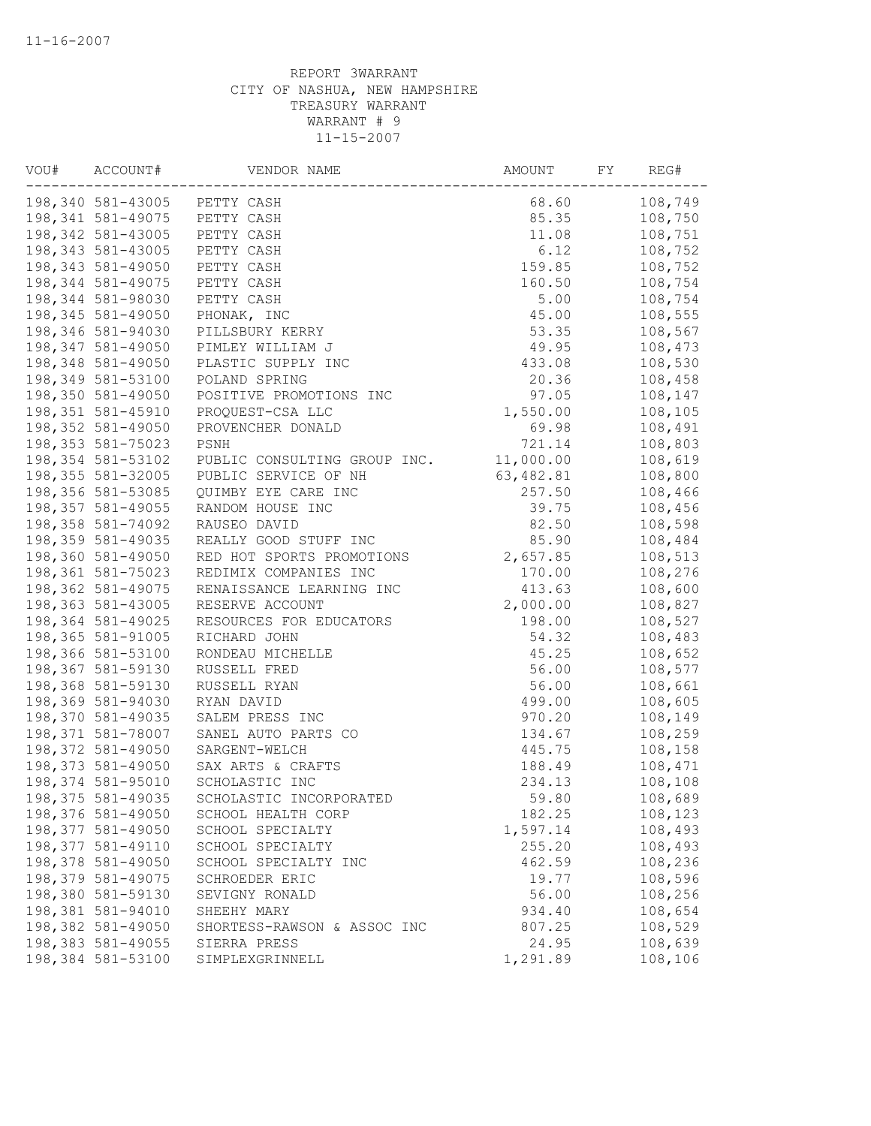| VOU# | ACCOUNT#           | VENDOR NAME                  | AMOUNT    | FY | REG#    |
|------|--------------------|------------------------------|-----------|----|---------|
|      |                    | 198,340 581-43005 PETTY CASH | 68.60     |    | 108,749 |
|      | 198,341 581-49075  | PETTY CASH                   | 85.35     |    | 108,750 |
|      | 198,342 581-43005  | PETTY CASH                   | 11.08     |    | 108,751 |
|      | 198,343 581-43005  | PETTY CASH                   | 6.12      |    | 108,752 |
|      | 198,343 581-49050  | PETTY CASH                   | 159.85    |    | 108,752 |
|      | 198,344 581-49075  | PETTY CASH                   | 160.50    |    | 108,754 |
|      | 198,344 581-98030  | PETTY CASH                   | 5.00      |    | 108,754 |
|      | 198,345 581-49050  | PHONAK, INC                  | 45.00     |    | 108,555 |
|      | 198,346 581-94030  | PILLSBURY KERRY              | 53.35     |    | 108,567 |
|      | 198,347 581-49050  | PIMLEY WILLIAM J             | 49.95     |    | 108,473 |
|      | 198,348 581-49050  | PLASTIC SUPPLY INC           | 433.08    |    | 108,530 |
|      | 198,349 581-53100  | POLAND SPRING                | 20.36     |    | 108,458 |
|      | 198,350 581-49050  | POSITIVE PROMOTIONS INC      | 97.05     |    | 108,147 |
|      | 198,351 581-45910  | PROQUEST-CSA LLC             | 1,550.00  |    | 108,105 |
|      | 198,352 581-49050  | PROVENCHER DONALD            | 69.98     |    | 108,491 |
|      | 198, 353 581-75023 | PSNH                         | 721.14    |    | 108,803 |
|      | 198,354 581-53102  | PUBLIC CONSULTING GROUP INC. | 11,000.00 |    | 108,619 |
|      | 198,355 581-32005  | PUBLIC SERVICE OF NH         | 63,482.81 |    | 108,800 |
|      | 198,356 581-53085  | QUIMBY EYE CARE INC          | 257.50    |    | 108,466 |
|      | 198,357 581-49055  | RANDOM HOUSE INC             | 39.75     |    | 108,456 |
|      | 198,358 581-74092  | RAUSEO DAVID                 | 82.50     |    | 108,598 |
|      | 198,359 581-49035  | REALLY GOOD STUFF INC        | 85.90     |    | 108,484 |
|      | 198,360 581-49050  | RED HOT SPORTS PROMOTIONS    | 2,657.85  |    | 108,513 |
|      | 198,361 581-75023  | REDIMIX COMPANIES INC        | 170.00    |    | 108,276 |
|      | 198,362 581-49075  | RENAISSANCE LEARNING INC     | 413.63    |    | 108,600 |
|      | 198,363 581-43005  | RESERVE ACCOUNT              | 2,000.00  |    | 108,827 |
|      | 198,364 581-49025  | RESOURCES FOR EDUCATORS      | 198.00    |    | 108,527 |
|      | 198,365 581-91005  | RICHARD JOHN                 | 54.32     |    | 108,483 |
|      |                    |                              |           |    |         |
|      | 198,366 581-53100  | RONDEAU MICHELLE             | 45.25     |    | 108,652 |
|      | 198,367 581-59130  | RUSSELL FRED                 | 56.00     |    | 108,577 |
|      | 198,368 581-59130  | RUSSELL RYAN                 | 56.00     |    | 108,661 |
|      | 198,369 581-94030  | RYAN DAVID                   | 499.00    |    | 108,605 |
|      | 198,370 581-49035  | SALEM PRESS INC              | 970.20    |    | 108,149 |
|      | 198,371 581-78007  | SANEL AUTO PARTS CO          | 134.67    |    | 108,259 |
|      | 198,372 581-49050  | SARGENT-WELCH                | 445.75    |    | 108,158 |
|      | 198,373 581-49050  | SAX ARTS & CRAFTS            | 188.49    |    | 108,471 |
|      | 198,374 581-95010  | SCHOLASTIC INC               | 234.13    |    | 108,108 |
|      | 198,375 581-49035  | SCHOLASTIC INCORPORATED      | 59.80     |    | 108,689 |
|      | 198,376 581-49050  | SCHOOL HEALTH CORP           | 182.25    |    | 108,123 |
|      | 198,377 581-49050  | SCHOOL SPECIALTY             | 1,597.14  |    | 108,493 |
|      | 198,377 581-49110  | SCHOOL SPECIALTY             | 255.20    |    | 108,493 |
|      | 198,378 581-49050  | SCHOOL SPECIALTY INC         | 462.59    |    | 108,236 |
|      | 198,379 581-49075  | SCHROEDER ERIC               | 19.77     |    | 108,596 |
|      | 198,380 581-59130  | SEVIGNY RONALD               | 56.00     |    | 108,256 |
|      | 198,381 581-94010  | SHEEHY MARY                  | 934.40    |    | 108,654 |
|      | 198,382 581-49050  | SHORTESS-RAWSON & ASSOC INC  | 807.25    |    | 108,529 |
|      | 198,383 581-49055  | SIERRA PRESS                 | 24.95     |    | 108,639 |
|      | 198,384 581-53100  | SIMPLEXGRINNELL              | 1,291.89  |    | 108,106 |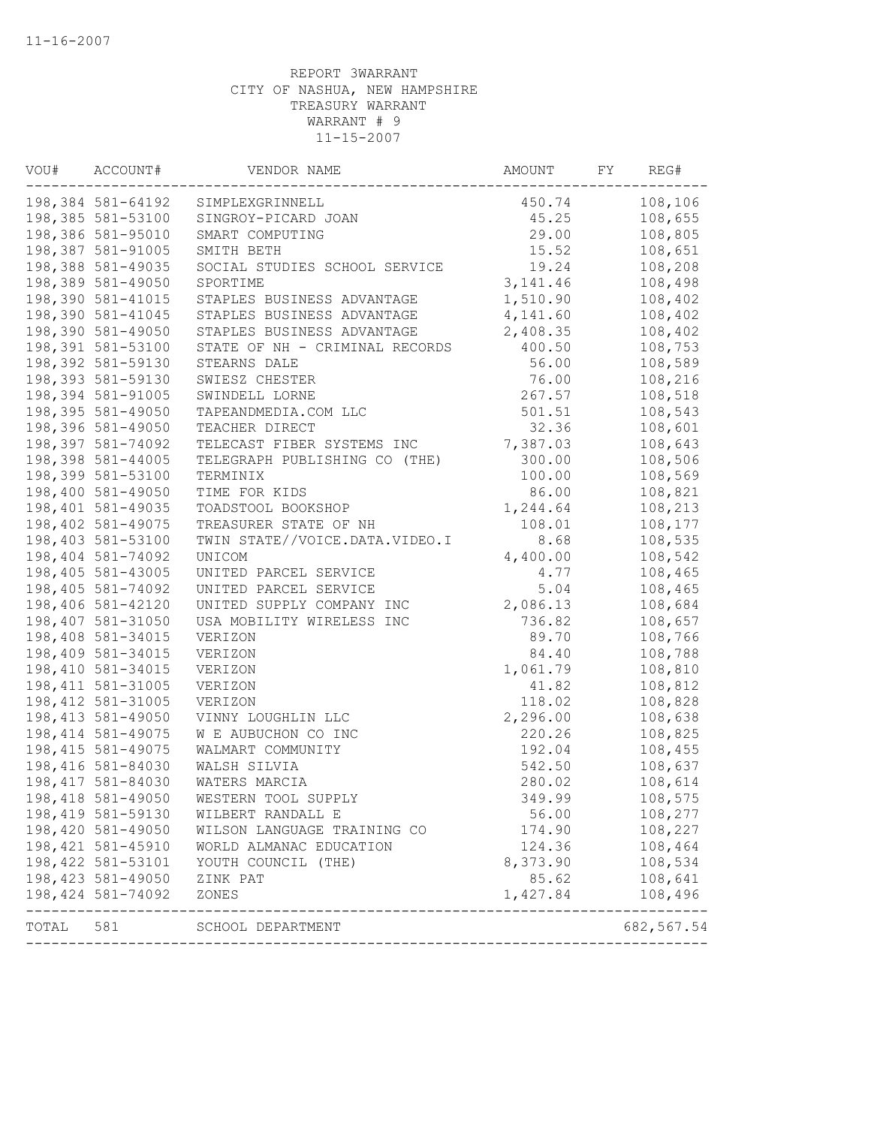| VOU#  | ACCOUNT#           | VENDOR NAME                    | AMOUNT    | FY | REG#                        |
|-------|--------------------|--------------------------------|-----------|----|-----------------------------|
|       | 198,384 581-64192  | SIMPLEXGRINNELL                | 450.74    |    | 108,106                     |
|       | 198,385 581-53100  | SINGROY-PICARD JOAN            | 45.25     |    | 108,655                     |
|       | 198,386 581-95010  | SMART COMPUTING                | 29.00     |    | 108,805                     |
|       | 198,387 581-91005  | SMITH BETH                     | 15.52     |    | 108,651                     |
|       | 198,388 581-49035  | SOCIAL STUDIES SCHOOL SERVICE  | 19.24     |    | 108,208                     |
|       | 198,389 581-49050  | SPORTIME                       | 3, 141.46 |    | 108,498                     |
|       | 198,390 581-41015  | STAPLES BUSINESS ADVANTAGE     | 1,510.90  |    | 108,402                     |
|       | 198,390 581-41045  | STAPLES BUSINESS ADVANTAGE     | 4,141.60  |    | 108,402                     |
|       | 198,390 581-49050  | STAPLES BUSINESS ADVANTAGE     | 2,408.35  |    | 108,402                     |
|       | 198,391 581-53100  | STATE OF NH - CRIMINAL RECORDS | 400.50    |    | 108,753                     |
|       | 198,392 581-59130  | STEARNS DALE                   | 56.00     |    | 108,589                     |
|       | 198,393 581-59130  | SWIESZ CHESTER                 | 76.00     |    | 108,216                     |
|       | 198,394 581-91005  | SWINDELL LORNE                 | 267.57    |    | 108,518                     |
|       | 198,395 581-49050  | TAPEANDMEDIA.COM LLC           | 501.51    |    | 108,543                     |
|       | 198,396 581-49050  | TEACHER DIRECT                 | 32.36     |    | 108,601                     |
|       | 198,397 581-74092  | TELECAST FIBER SYSTEMS INC     | 7,387.03  |    | 108,643                     |
|       | 198,398 581-44005  | TELEGRAPH PUBLISHING CO (THE)  | 300.00    |    | 108,506                     |
|       | 198,399 581-53100  | TERMINIX                       | 100.00    |    | 108,569                     |
|       | 198,400 581-49050  | TIME FOR KIDS                  | 86.00     |    | 108,821                     |
|       | 198,401 581-49035  | TOADSTOOL BOOKSHOP             | 1,244.64  |    | 108,213                     |
|       | 198,402 581-49075  | TREASURER STATE OF NH          | 108.01    |    | 108,177                     |
|       | 198,403 581-53100  | TWIN STATE//VOICE.DATA.VIDEO.I | 8.68      |    | 108,535                     |
|       | 198,404 581-74092  | UNICOM                         | 4,400.00  |    | 108,542                     |
|       | 198,405 581-43005  | UNITED PARCEL SERVICE          | 4.77      |    | 108,465                     |
|       | 198,405 581-74092  | UNITED PARCEL SERVICE          | 5.04      |    | 108,465                     |
|       | 198,406 581-42120  | UNITED SUPPLY COMPANY INC      | 2,086.13  |    | 108,684                     |
|       | 198,407 581-31050  | USA MOBILITY WIRELESS INC      | 736.82    |    | 108,657                     |
|       | 198,408 581-34015  | VERIZON                        | 89.70     |    | 108,766                     |
|       | 198,409 581-34015  | VERIZON                        | 84.40     |    | 108,788                     |
|       | 198,410 581-34015  | VERIZON                        | 1,061.79  |    | 108,810                     |
|       | 198, 411 581-31005 | VERIZON                        | 41.82     |    | 108,812                     |
|       | 198, 412 581-31005 | VERIZON                        | 118.02    |    | 108,828                     |
|       | 198, 413 581-49050 | VINNY LOUGHLIN LLC             | 2,296.00  |    | 108,638                     |
|       | 198, 414 581-49075 | W E AUBUCHON CO INC            | 220.26    |    | 108,825                     |
|       | 198, 415 581-49075 | WALMART COMMUNITY              | 192.04    |    | 108,455                     |
|       | 198,416 581-84030  | WALSH SILVIA                   | 542.50    |    | 108,637                     |
|       | 198,417 581-84030  | WATERS MARCIA                  | 280.02    |    | 108,614                     |
|       | 198,418 581-49050  | WESTERN TOOL SUPPLY            | 349.99    |    | 108,575                     |
|       | 198, 419 581-59130 | WILBERT RANDALL E              | 56.00     |    | 108,277                     |
|       | 198,420 581-49050  | WILSON LANGUAGE TRAINING CO    | 174.90    |    | 108,227                     |
|       | 198, 421 581-45910 | WORLD ALMANAC EDUCATION        | 124.36    |    | 108,464                     |
|       | 198, 422 581-53101 | YOUTH COUNCIL (THE)            | 8,373.90  |    | 108,534                     |
|       | 198,423 581-49050  | ZINK PAT                       | 85.62     |    | 108,641                     |
|       | 198,424 581-74092  | ZONES                          | 1,427.84  |    | 108,496                     |
| TOTAL | 581                | SCHOOL DEPARTMENT              |           |    | -------------<br>682,567.54 |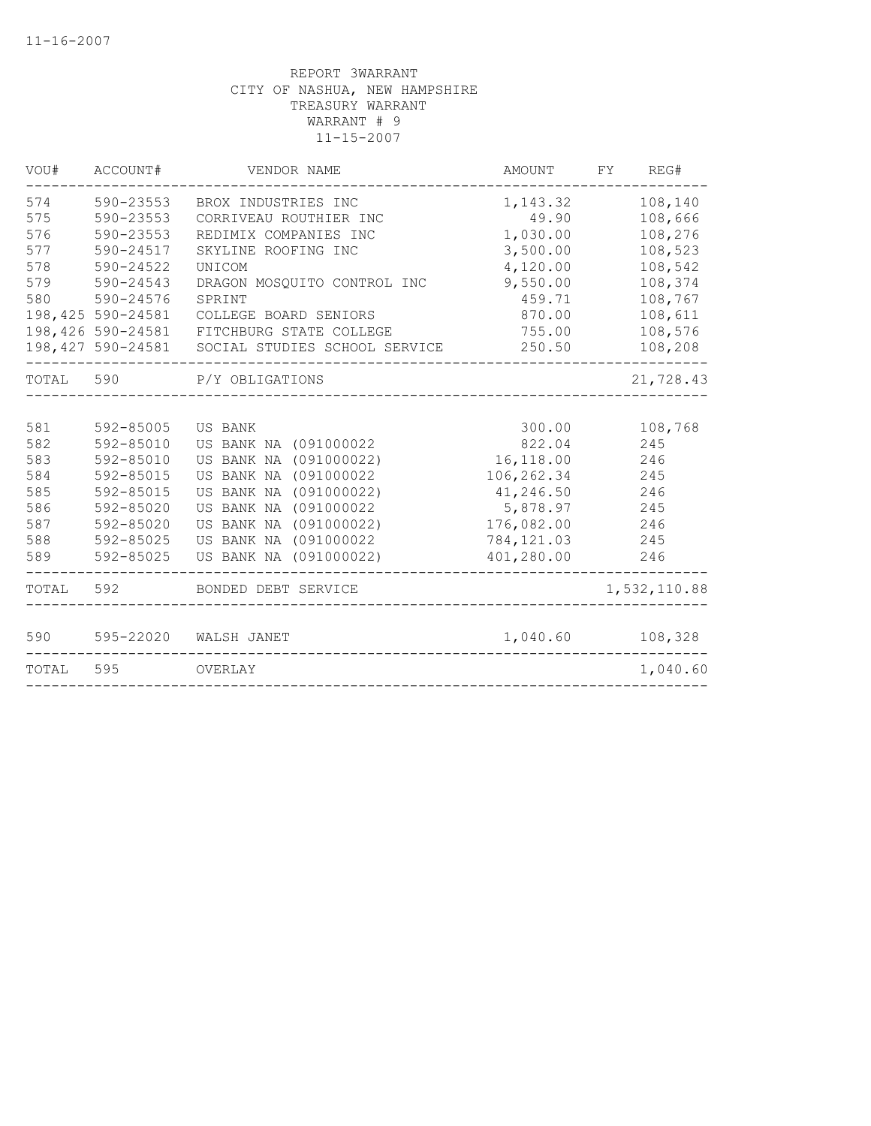| VOU#       | ACCOUNT#               | VENDOR NAME                           | AMOUNT             | REG#<br>FY.        |
|------------|------------------------|---------------------------------------|--------------------|--------------------|
| 574        | 590-23553              | BROX INDUSTRIES INC                   | 1,143.32           | 108,140            |
| 575        | 590-23553              | CORRIVEAU ROUTHIER INC                | 49.90              | 108,666            |
| 576        | 590-23553              | REDIMIX COMPANIES INC                 | 1,030.00           | 108,276            |
| 577        | 590-24517              | SKYLINE ROOFING INC                   | 3,500.00           | 108,523            |
| 578        | 590-24522              | UNICOM                                | 4,120.00           | 108,542            |
| 579<br>580 | 590-24543<br>590-24576 | DRAGON MOSQUITO CONTROL INC<br>SPRINT | 9,550.00<br>459.71 | 108,374<br>108,767 |
|            | 198, 425 590-24581     | COLLEGE BOARD SENIORS                 | 870.00             | 108,611            |
|            | 198,426 590-24581      | FITCHBURG STATE COLLEGE               | 755.00             | 108,576            |
|            | 198,427 590-24581      | SOCIAL STUDIES SCHOOL SERVICE         | 250.50             | 108,208            |
| TOTAL      | 590                    | P/Y OBLIGATIONS                       |                    | 21,728.43          |
|            |                        |                                       |                    |                    |
| 581        | 592-85005              | <b>US BANK</b>                        | 300.00             | 108,768            |
| 582        | 592-85010              | US BANK NA (091000022                 | 822.04             | 245                |
| 583        | 592-85010              | US BANK NA (091000022)                | 16,118.00          | 246                |
| 584        | 592-85015              | US BANK NA (091000022                 | 106,262.34         | 245                |
| 585        | 592-85015              | US BANK NA (091000022)                | 41,246.50          | 246                |
| 586        | 592-85020              | US BANK NA (091000022                 | 5,878.97           | 245                |
| 587        | 592-85020              | US BANK NA (091000022)                | 176,082.00         | 246                |
| 588        | 592-85025              | US BANK NA (091000022                 | 784, 121.03        | 245                |
| 589        | 592-85025              | US BANK NA (091000022)                | 401,280.00         | 246                |
| TOTAL      | 592                    | BONDED DEBT SERVICE                   |                    | 1,532,110.88       |
| 590        | 595-22020              | WALSH JANET                           | 1,040.60           | 108,328            |
| TOTAL      | 595                    | OVERLAY                               |                    | 1,040.60           |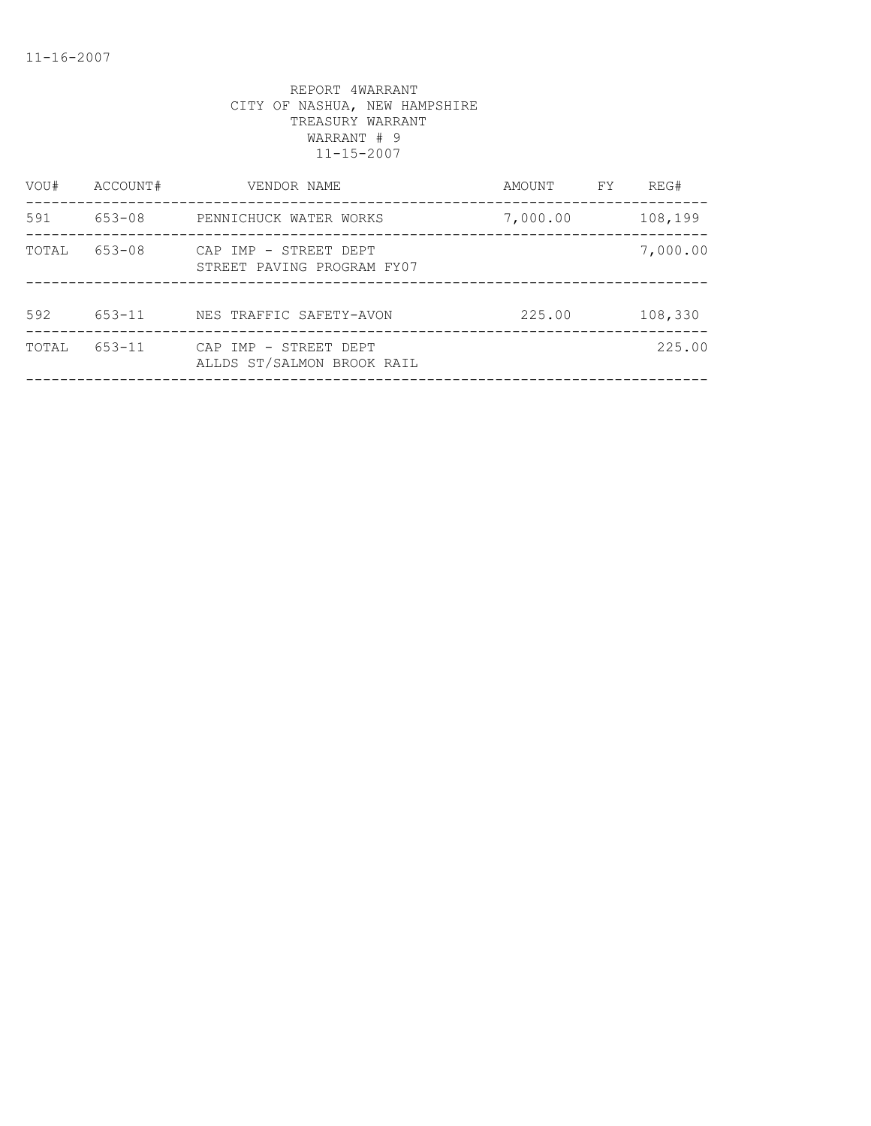| VOU#  | ACCOUNT#   | VENDOR NAME                                         | AMOUNT   | FY. | REG#     |
|-------|------------|-----------------------------------------------------|----------|-----|----------|
| 591   | 653-08     | PENNICHUCK WATER WORKS                              | 7,000.00 |     | 108,199  |
| TOTAL | 653-08     | CAP IMP - STREET DEPT<br>STREET PAVING PROGRAM FY07 |          |     | 7,000.00 |
| 592   | $653 - 11$ | NES TRAFFIC SAFETY-AVON                             | 225.00   |     | 108,330  |
| TOTAL | $653 - 11$ | CAP IMP - STREET DEPT<br>ALLDS ST/SALMON BROOK RAIL |          |     | 225.00   |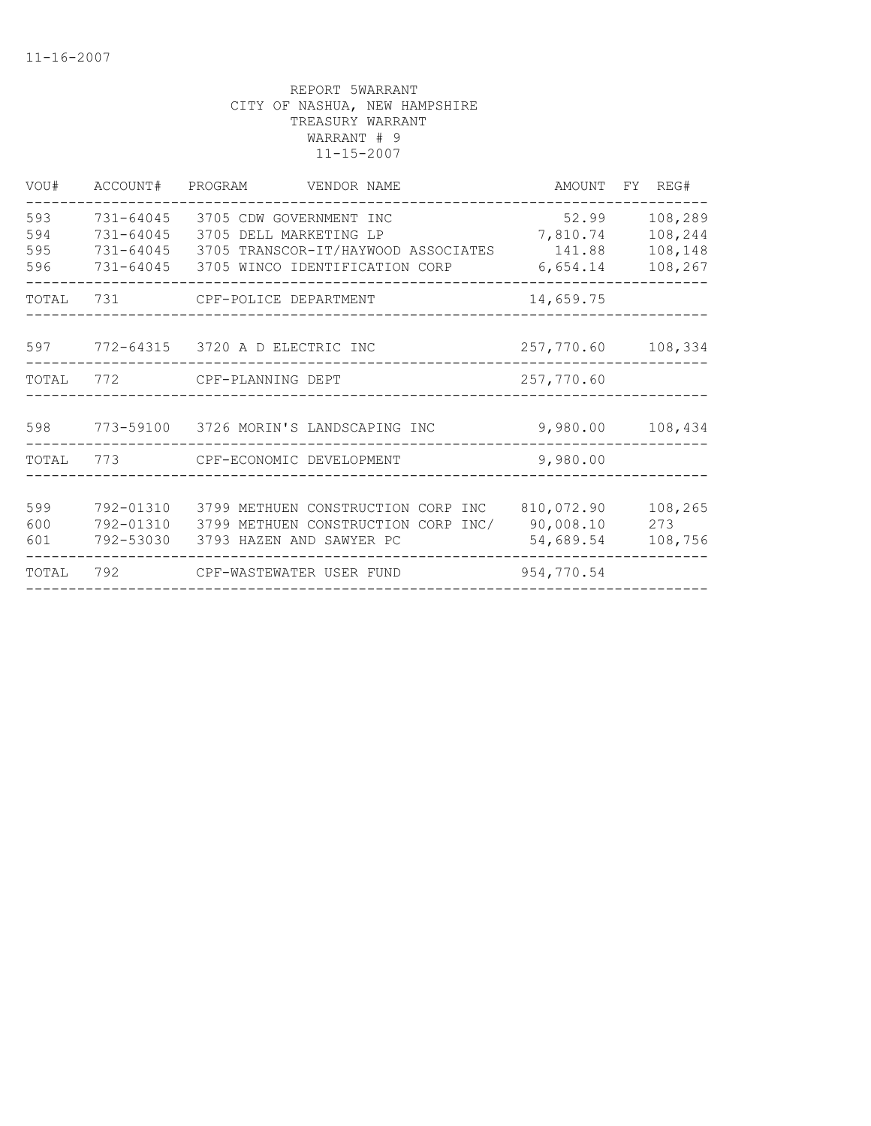| VOU#                     | ACCOUNT#                                             | PROGRAM<br>VENDOR NAME                                                                                                     | AMOUNT                                  | FY REG#                                  |
|--------------------------|------------------------------------------------------|----------------------------------------------------------------------------------------------------------------------------|-----------------------------------------|------------------------------------------|
| 593<br>594<br>595<br>596 | 731-64045<br>$731 - 64045$<br>731-64045<br>731-64045 | 3705 CDW GOVERNMENT INC<br>3705 DELL MARKETING LP<br>3705 TRANSCOR-IT/HAYWOOD ASSOCIATES<br>3705 WINCO IDENTIFICATION CORP | 52.99<br>7,810.74<br>141.88<br>6,654.14 | 108,289<br>108,244<br>108,148<br>108,267 |
| TOTAL                    | 731                                                  | CPF-POLICE DEPARTMENT                                                                                                      | 14,659.75                               |                                          |
| 597                      |                                                      | 772-64315 3720 A D ELECTRIC INC                                                                                            | 257,770.60                              | 108,334                                  |
| TOTAL                    | 772                                                  | CPF-PLANNING DEPT                                                                                                          | 257,770.60                              |                                          |
| 598                      |                                                      | 773-59100 3726 MORIN'S LANDSCAPING INC                                                                                     | 9,980.00                                | 108,434                                  |
| TOTAL                    | 773                                                  | CPF-ECONOMIC DEVELOPMENT                                                                                                   | 9,980.00                                |                                          |
| 599<br>600<br>601        | 792-01310<br>792-01310<br>792-53030                  | 3799 METHUEN CONSTRUCTION CORP INC<br>3799 METHUEN CONSTRUCTION CORP INC/<br>3793 HAZEN AND SAWYER PC                      | 810,072.90<br>90,008.10<br>54,689.54    | 108,265<br>273<br>108,756                |
| TOTAL                    | 792                                                  | CPF-WASTEWATER USER FUND                                                                                                   | 954,770.54                              |                                          |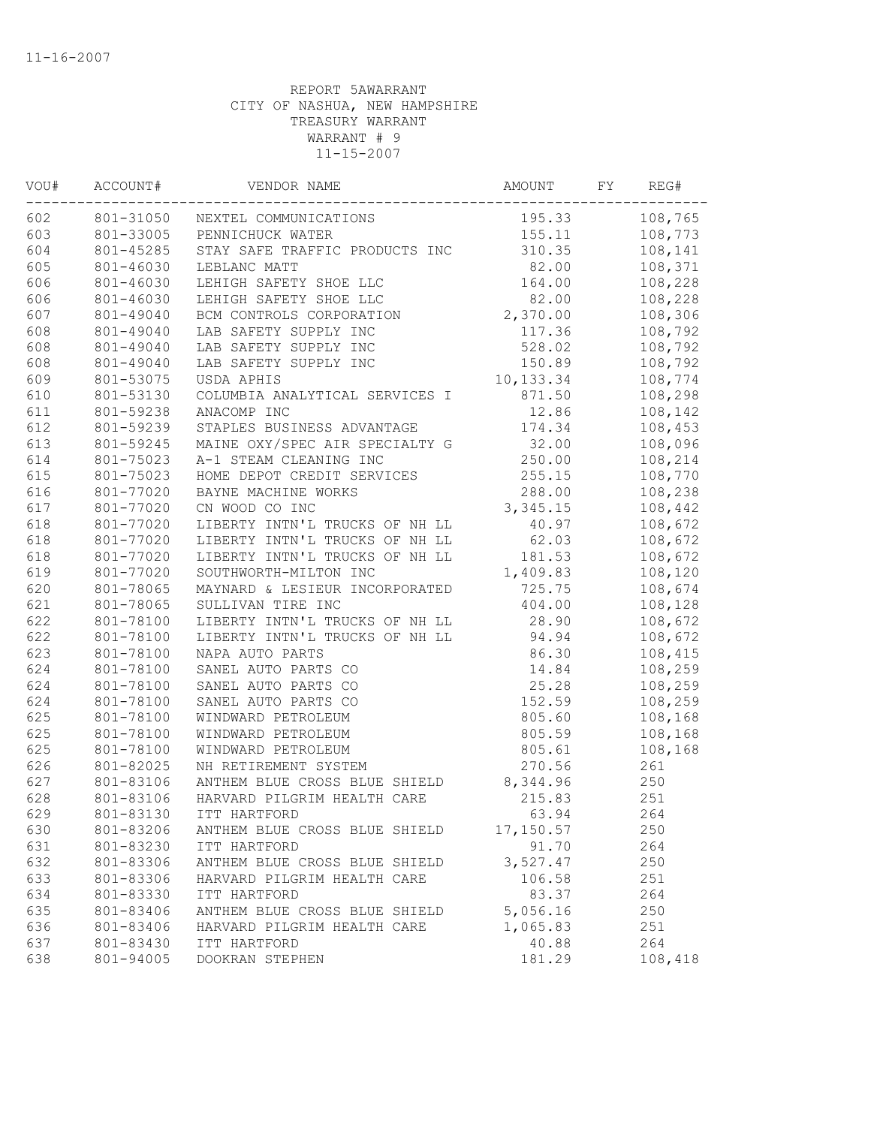| WOU# | ACCOUNT#  | VENDOR NAME                     | AMOUNT    | FY | REG#    |
|------|-----------|---------------------------------|-----------|----|---------|
| 602  |           | 801-31050 NEXTEL COMMUNICATIONS | 195.33    |    | 108,765 |
| 603  | 801-33005 | PENNICHUCK WATER                | 155.11    |    | 108,773 |
| 604  | 801-45285 | STAY SAFE TRAFFIC PRODUCTS INC  | 310.35    |    | 108,141 |
| 605  | 801-46030 | LEBLANC MATT                    | 82.00     |    | 108,371 |
| 606  | 801-46030 | LEHIGH SAFETY SHOE LLC          | 164.00    |    | 108,228 |
| 606  | 801-46030 | LEHIGH SAFETY SHOE LLC          | 82.00     |    | 108,228 |
| 607  | 801-49040 | BCM CONTROLS CORPORATION        | 2,370.00  |    | 108,306 |
| 608  | 801-49040 | LAB SAFETY SUPPLY INC           | 117.36    |    | 108,792 |
| 608  | 801-49040 | LAB SAFETY SUPPLY INC           | 528.02    |    | 108,792 |
| 608  | 801-49040 | LAB SAFETY SUPPLY INC           | 150.89    |    | 108,792 |
| 609  | 801-53075 | USDA APHIS                      | 10,133.34 |    | 108,774 |
| 610  | 801-53130 | COLUMBIA ANALYTICAL SERVICES I  | 871.50    |    | 108,298 |
| 611  | 801-59238 | ANACOMP INC                     | 12.86     |    | 108,142 |
| 612  | 801-59239 | STAPLES BUSINESS ADVANTAGE      | 174.34    |    | 108,453 |
| 613  | 801-59245 | MAINE OXY/SPEC AIR SPECIALTY G  | 32.00     |    | 108,096 |
| 614  | 801-75023 | A-1 STEAM CLEANING INC          | 250.00    |    | 108,214 |
| 615  | 801-75023 | HOME DEPOT CREDIT SERVICES      | 255.15    |    | 108,770 |
| 616  | 801-77020 | BAYNE MACHINE WORKS             | 288.00    |    | 108,238 |
| 617  | 801-77020 | CN WOOD CO INC                  | 3,345.15  |    | 108,442 |
| 618  | 801-77020 | LIBERTY INTN'L TRUCKS OF NH LL  | 40.97     |    | 108,672 |
| 618  | 801-77020 | LIBERTY INTN'L TRUCKS OF NH LL  | 62.03     |    | 108,672 |
| 618  | 801-77020 | LIBERTY INTN'L TRUCKS OF NH LL  | 181.53    |    | 108,672 |
| 619  | 801-77020 | SOUTHWORTH-MILTON INC           | 1,409.83  |    | 108,120 |
| 620  | 801-78065 | MAYNARD & LESIEUR INCORPORATED  | 725.75    |    | 108,674 |
| 621  | 801-78065 | SULLIVAN TIRE INC               | 404.00    |    | 108,128 |
| 622  | 801-78100 | LIBERTY INTN'L TRUCKS OF NH LL  | 28.90     |    | 108,672 |
| 622  | 801-78100 | LIBERTY INTN'L TRUCKS OF NH LL  | 94.94     |    | 108,672 |
| 623  | 801-78100 | NAPA AUTO PARTS                 | 86.30     |    | 108,415 |
| 624  | 801-78100 | SANEL AUTO PARTS CO             | 14.84     |    | 108,259 |
| 624  | 801-78100 | SANEL AUTO PARTS CO             | 25.28     |    | 108,259 |
| 624  | 801-78100 | SANEL AUTO PARTS CO             | 152.59    |    | 108,259 |
| 625  | 801-78100 | WINDWARD PETROLEUM              | 805.60    |    | 108,168 |
| 625  | 801-78100 | WINDWARD PETROLEUM              | 805.59    |    | 108,168 |
| 625  | 801-78100 | WINDWARD PETROLEUM              | 805.61    |    | 108,168 |
| 626  | 801-82025 | NH RETIREMENT SYSTEM            | 270.56    |    | 261     |
| 627  | 801-83106 | ANTHEM BLUE CROSS BLUE SHIELD   | 8,344.96  |    | 250     |
| 628  | 801-83106 | HARVARD PILGRIM HEALTH CARE     | 215.83    |    | 251     |
| 629  | 801-83130 | ITT HARTFORD                    | 63.94     |    | 264     |
| 630  | 801-83206 | ANTHEM BLUE CROSS BLUE SHIELD   | 17,150.57 |    | 250     |
| 631  | 801-83230 | ITT HARTFORD                    | 91.70     |    | 264     |
| 632  | 801-83306 | ANTHEM BLUE CROSS BLUE SHIELD   | 3,527.47  |    | 250     |
| 633  | 801-83306 | HARVARD PILGRIM HEALTH CARE     | 106.58    |    | 251     |
| 634  | 801-83330 | ITT HARTFORD                    | 83.37     |    | 264     |
| 635  | 801-83406 | ANTHEM BLUE CROSS BLUE SHIELD   | 5,056.16  |    | 250     |
| 636  | 801-83406 | HARVARD PILGRIM HEALTH CARE     | 1,065.83  |    | 251     |
| 637  | 801-83430 | ITT HARTFORD                    | 40.88     |    | 264     |
| 638  | 801-94005 | DOOKRAN STEPHEN                 | 181.29    |    | 108,418 |
|      |           |                                 |           |    |         |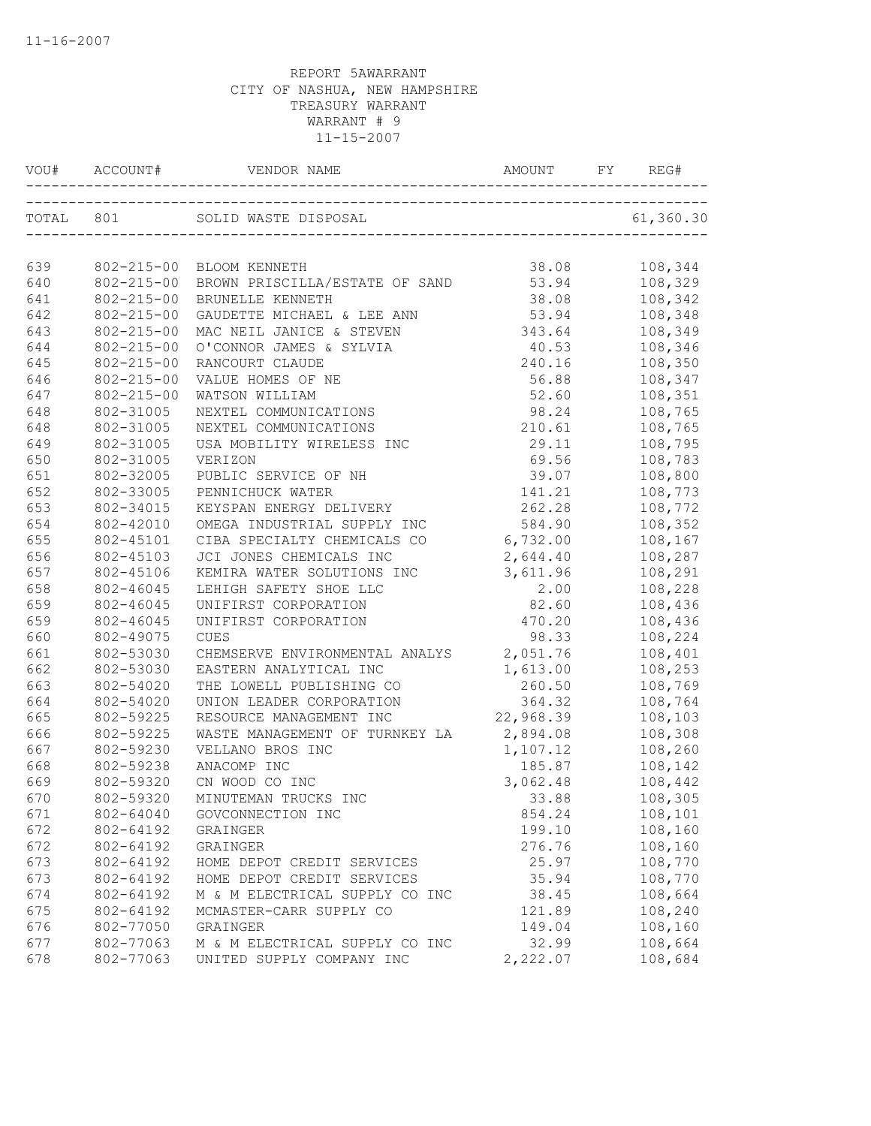| VOU#       |                                      |                                                        |                 | REG#               |
|------------|--------------------------------------|--------------------------------------------------------|-----------------|--------------------|
|            |                                      |                                                        |                 | 61, 360.30         |
|            |                                      |                                                        |                 |                    |
| 639        |                                      | 802-215-00 BLOOM KENNETH                               | 38.08           | 108,344            |
| 640        | 802-215-00                           | BROWN PRISCILLA/ESTATE OF SAND                         | 53.94           | 108,329            |
| 641        | $802 - 215 - 00$                     | BRUNELLE KENNETH                                       | 38.08           | 108,342            |
| 642<br>643 | $802 - 215 - 00$<br>$802 - 215 - 00$ | GAUDETTE MICHAEL & LEE ANN<br>MAC NEIL JANICE & STEVEN | 53.94           | 108,348<br>108,349 |
| 644        | $802 - 215 - 00$                     |                                                        | 343.64<br>40.53 | 108,346            |
| 645        | $802 - 215 - 00$                     | O'CONNOR JAMES & SYLVIA<br>RANCOURT CLAUDE             | 240.16          | 108,350            |
| 646        | $802 - 215 - 00$                     | VALUE HOMES OF NE                                      | 56.88           | 108,347            |
| 647        | $802 - 215 - 00$                     | WATSON WILLIAM                                         | 52.60           | 108,351            |
| 648        | 802-31005                            | NEXTEL COMMUNICATIONS                                  | 98.24           | 108,765            |
| 648        | 802-31005                            | NEXTEL COMMUNICATIONS                                  | 210.61          | 108,765            |
| 649        | 802-31005                            | USA MOBILITY WIRELESS INC                              | 29.11           | 108,795            |
| 650        | 802-31005                            | VERIZON                                                | 69.56           | 108,783            |
| 651        | 802-32005                            | PUBLIC SERVICE OF NH                                   | 39.07           | 108,800            |
| 652        | 802-33005                            | PENNICHUCK WATER                                       | 141.21          | 108,773            |
| 653        | 802-34015                            | KEYSPAN ENERGY DELIVERY                                | 262.28          | 108,772            |
| 654        | 802-42010                            | OMEGA INDUSTRIAL SUPPLY INC                            | 584.90          | 108,352            |
| 655        | 802-45101                            | CIBA SPECIALTY CHEMICALS CO 6,732.00                   |                 | 108,167            |
| 656        | 802-45103                            | JCI JONES CHEMICALS INC                                | 2,644.40        | 108,287            |
| 657        | 802-45106                            | KEMIRA WATER SOLUTIONS INC                             | 3,611.96        | 108,291            |
| 658        | 802-46045                            | LEHIGH SAFETY SHOE LLC                                 | 2.00            | 108,228            |
| 659        | 802-46045                            | UNIFIRST CORPORATION                                   | 82.60           | 108,436            |
| 659        | 802-46045                            | UNIFIRST CORPORATION                                   | 470.20          | 108,436            |
| 660        | 802-49075                            | <b>CUES</b>                                            | 98.33           | 108,224            |
| 661        | 802-53030                            | CHEMSERVE ENVIRONMENTAL ANALYS                         | 2,051.76        | 108,401            |
| 662        | 802-53030                            | EASTERN ANALYTICAL INC                                 | 1,613.00        | 108,253            |
| 663        | 802-54020                            | THE LOWELL PUBLISHING CO                               | 260.50          | 108,769            |
| 664        | 802-54020                            | UNION LEADER CORPORATION                               | 364.32          | 108,764            |
| 665        | 802-59225                            | RESOURCE MANAGEMENT INC                                | 22,968.39       | 108,103            |
| 666        | 802-59225                            | WASTE MANAGEMENT OF TURNKEY LA 2,894.08                |                 | 108,308            |
| 667        | 802-59230                            | VELLANO BROS INC                                       | 1,107.12        | 108,260            |
| 668        | 802-59238                            | ANACOMP INC                                            | 185.87          | 108,142            |
| 669        | 802-59320                            | CN WOOD CO INC                                         | 3,062.48        | 108,442            |
| 670        | 802-59320                            | MINUTEMAN TRUCKS INC                                   | 33.88           | 108,305            |
| 671        | 802-64040                            | GOVCONNECTION INC                                      | 854.24          | 108,101            |
| 672        | 802-64192                            | GRAINGER                                               | 199.10          | 108,160            |
| 672        | 802-64192                            | GRAINGER                                               | 276.76          | 108,160            |
| 673        | 802-64192                            | HOME DEPOT CREDIT SERVICES                             | 25.97           | 108,770            |
| 673        | 802-64192                            | HOME DEPOT CREDIT SERVICES                             | 35.94           | 108,770            |
| 674        | 802-64192                            | M & M ELECTRICAL SUPPLY CO INC                         | 38.45           | 108,664            |
| 675        | 802-64192                            | MCMASTER-CARR SUPPLY CO                                | 121.89          | 108,240            |
| 676        | 802-77050                            | GRAINGER                                               | 149.04          | 108,160            |
| 677        | 802-77063                            | M & M ELECTRICAL SUPPLY CO INC                         | 32.99           | 108,664            |
| 678        | 802-77063                            | UNITED SUPPLY COMPANY INC                              | 2,222.07        | 108,684            |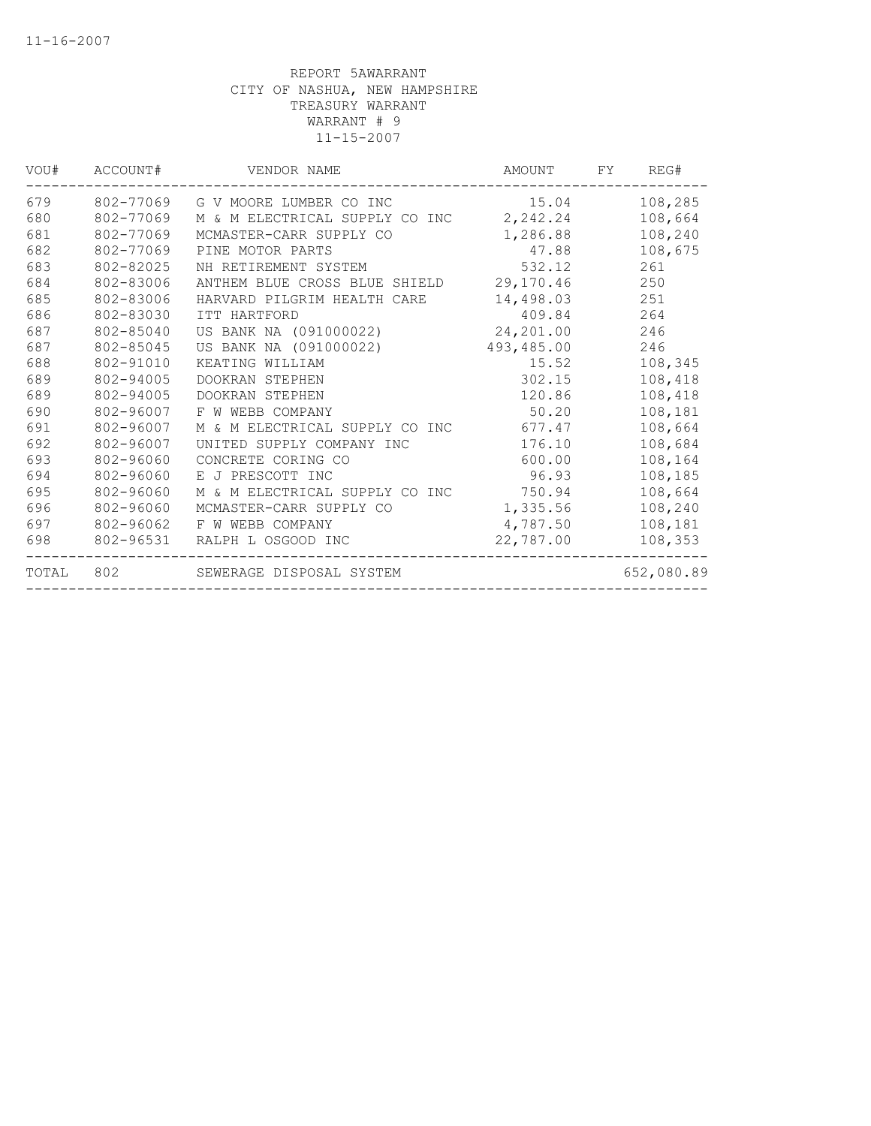| VOU#  | ACCOUNT#  | VENDOR NAME                    | AMOUNT     | FY. | REG#       |
|-------|-----------|--------------------------------|------------|-----|------------|
| 679   | 802-77069 | G V MOORE LUMBER CO INC        | 15.04      |     | 108,285    |
| 680   | 802-77069 | M & M ELECTRICAL SUPPLY CO INC | 2,242.24   |     | 108,664    |
| 681   | 802-77069 | MCMASTER-CARR SUPPLY CO        | 1,286.88   |     | 108,240    |
| 682   | 802-77069 | PINE MOTOR PARTS               | 47.88      |     | 108,675    |
| 683   | 802-82025 | NH RETIREMENT SYSTEM           | 532.12     |     | 261        |
| 684   | 802-83006 | ANTHEM BLUE CROSS BLUE SHIELD  | 29,170.46  |     | 250        |
| 685   | 802-83006 | HARVARD PILGRIM HEALTH CARE    | 14,498.03  |     | 251        |
| 686   | 802-83030 | ITT HARTFORD                   | 409.84     |     | 264        |
| 687   | 802-85040 | US BANK NA (091000022)         | 24,201.00  |     | 246        |
| 687   | 802-85045 | US BANK NA (091000022)         | 493,485.00 |     | 246        |
| 688   | 802-91010 | KEATING WILLIAM                | 15.52      |     | 108,345    |
| 689   | 802-94005 | DOOKRAN STEPHEN                | 302.15     |     | 108,418    |
| 689   | 802-94005 | <b>DOOKRAN STEPHEN</b>         | 120.86     |     | 108,418    |
| 690   | 802-96007 | F W WEBB COMPANY               | 50.20      |     | 108,181    |
| 691   | 802-96007 | M & M ELECTRICAL SUPPLY CO INC | 677.47     |     | 108,664    |
| 692   | 802-96007 | UNITED SUPPLY COMPANY INC      | 176.10     |     | 108,684    |
| 693   | 802-96060 | CONCRETE CORING CO             | 600.00     |     | 108,164    |
| 694   | 802-96060 | E J PRESCOTT INC               | 96.93      |     | 108,185    |
| 695   | 802-96060 | M & M ELECTRICAL SUPPLY CO INC | 750.94     |     | 108,664    |
| 696   | 802-96060 | MCMASTER-CARR SUPPLY CO        | 1,335.56   |     | 108,240    |
| 697   | 802-96062 | F W WEBB COMPANY               | 4,787.50   |     | 108,181    |
| 698   | 802-96531 | RALPH L OSGOOD INC             | 22,787.00  |     | 108,353    |
| TOTAL | 802       | SEWERAGE DISPOSAL SYSTEM       |            |     | 652,080.89 |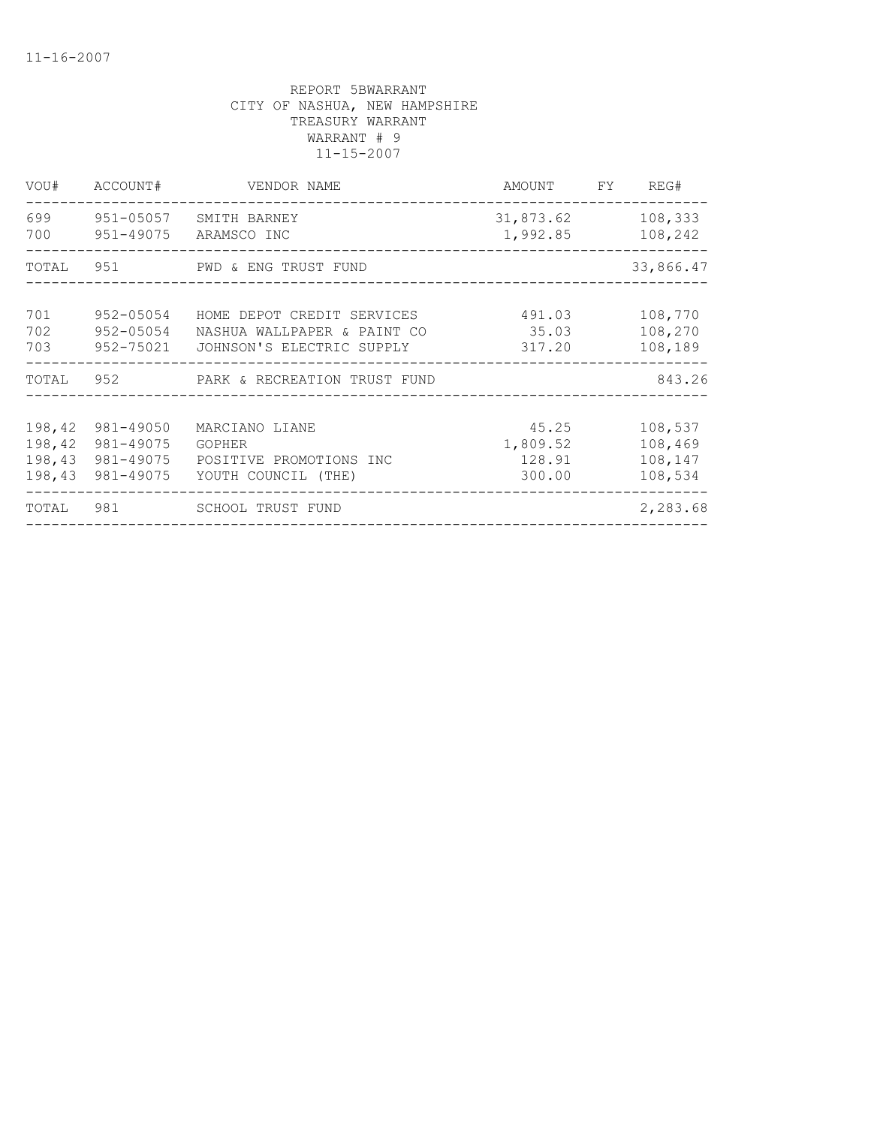| VOU#                                 | ACCOUNT#                                         | VENDOR NAME                                                                            | AMOUNT FY                             | REG#                                     |
|--------------------------------------|--------------------------------------------------|----------------------------------------------------------------------------------------|---------------------------------------|------------------------------------------|
| 699<br>700                           | 951-05057<br>951-49075                           | SMITH BARNEY<br>ARAMSCO INC                                                            | 31,873.62<br>1,992.85                 | 108,333<br>108,242                       |
| TOTAL                                |                                                  | 951 PWD & ENG TRUST FUND                                                               |                                       | 33,866.47                                |
| 701<br>702<br>703                    | 952-05054<br>952-05054<br>952-75021              | HOME DEPOT CREDIT SERVICES<br>NASHUA WALLPAPER & PAINT CO<br>JOHNSON'S ELECTRIC SUPPLY | 491.03<br>35.03<br>317.20             | 108,770<br>108,270<br>108,189            |
| TOTAL                                |                                                  |                                                                                        |                                       | 843.26                                   |
| 198,42<br>198,42<br>198,43<br>198,43 | 981-49050<br>981-49075<br>981-49075<br>981-49075 | MARCIANO LIANE<br>GOPHER<br>POSITIVE PROMOTIONS INC<br>YOUTH COUNCIL (THE)             | 45.25<br>1,809.52<br>128.91<br>300.00 | 108,537<br>108,469<br>108,147<br>108,534 |
| TOTAL                                |                                                  | 981 SCHOOL TRUST FUND                                                                  |                                       | 2,283.68                                 |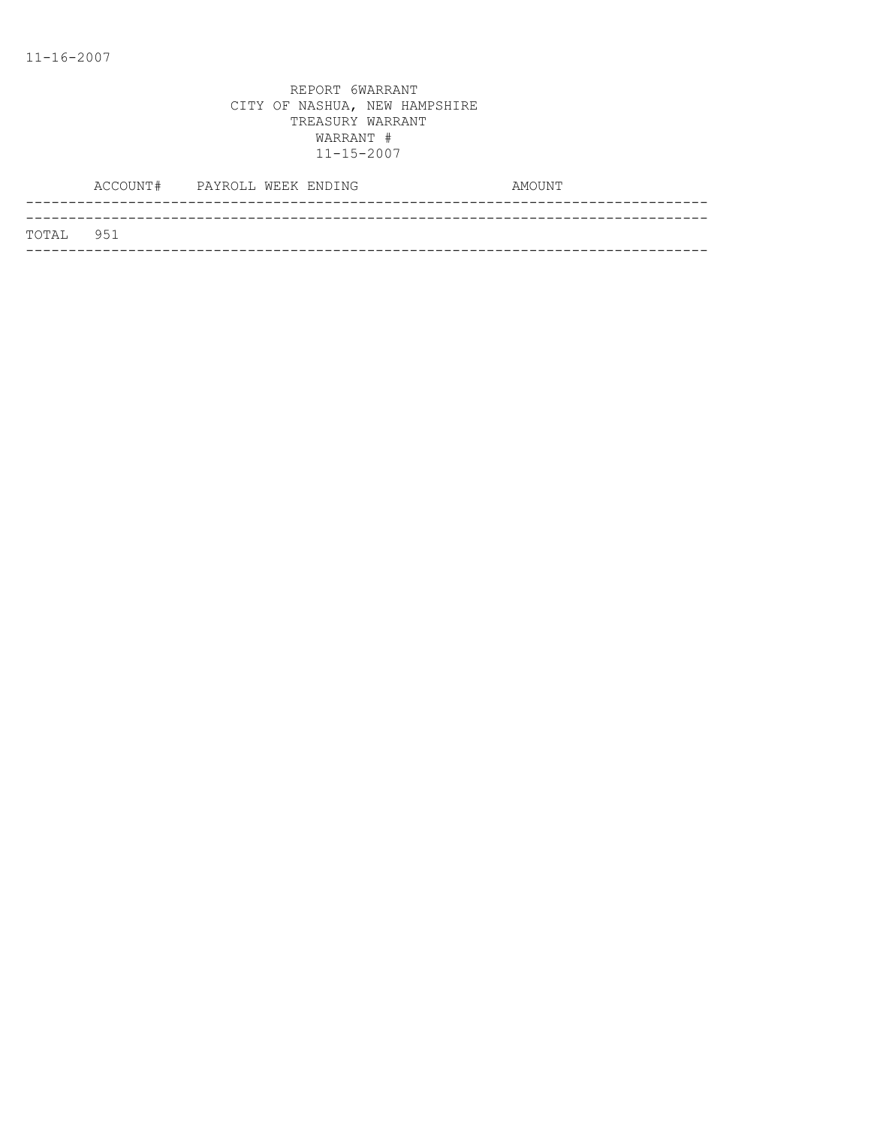| TOTAL 951 |  |
|-----------|--|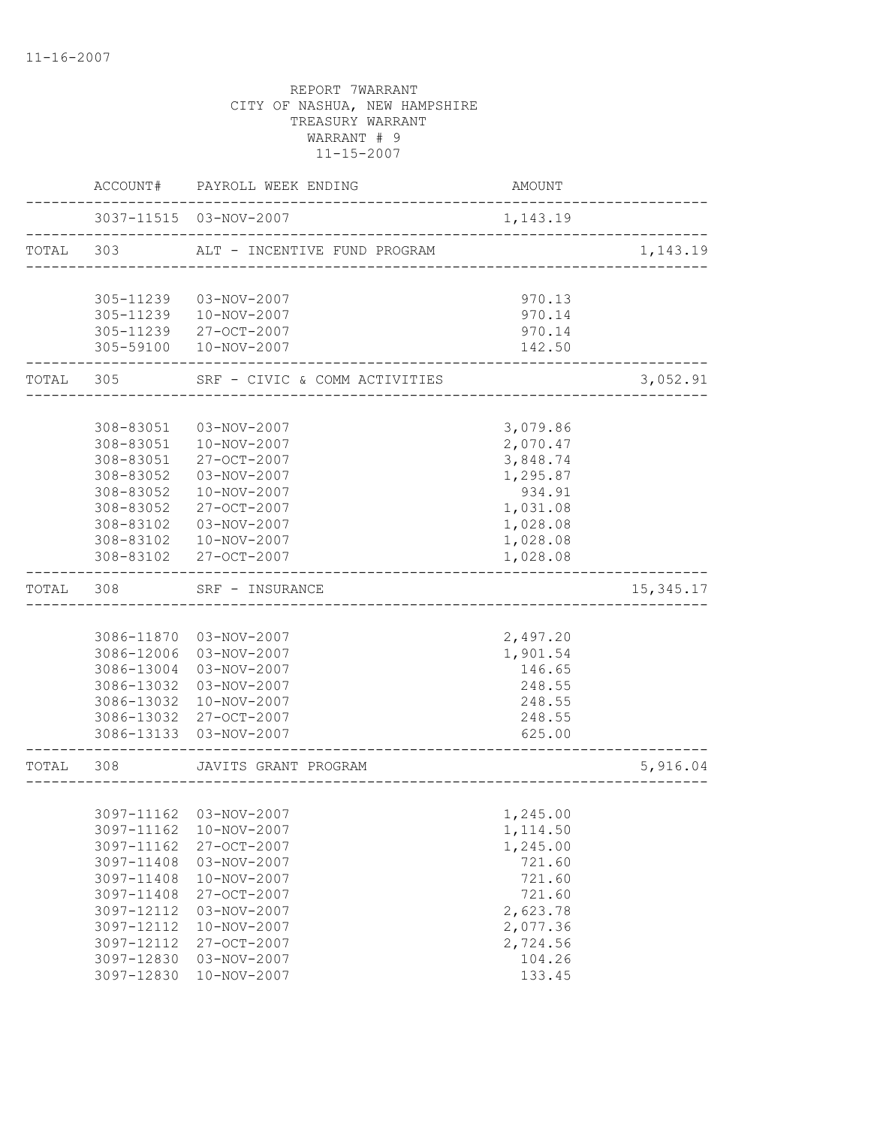|       | ACCOUNT#               | PAYROLL WEEK ENDING           | AMOUNT               |            |
|-------|------------------------|-------------------------------|----------------------|------------|
|       |                        | 3037-11515 03-NOV-2007        | 1,143.19             |            |
| TOTAL | 303                    | ALT - INCENTIVE FUND PROGRAM  |                      | 1,143.19   |
|       | 305-11239              | 03-NOV-2007                   | 970.13               |            |
|       | 305-11239              | 10-NOV-2007                   | 970.14               |            |
|       | 305-11239              | 27-OCT-2007                   | 970.14               |            |
|       | 305-59100              | 10-NOV-2007                   | 142.50               |            |
| TOTAL | 305                    | SRF - CIVIC & COMM ACTIVITIES |                      | 3,052.91   |
|       |                        |                               |                      |            |
|       | 308-83051              | 03-NOV-2007                   | 3,079.86             |            |
|       | 308-83051              | 10-NOV-2007                   | 2,070.47             |            |
|       | 308-83051              | 27-OCT-2007                   | 3,848.74             |            |
|       | 308-83052              | 03-NOV-2007                   | 1,295.87             |            |
|       | 308-83052              | 10-NOV-2007                   | 934.91               |            |
|       | 308-83052<br>308-83102 | 27-OCT-2007<br>03-NOV-2007    | 1,031.08             |            |
|       | 308-83102              | 10-NOV-2007                   | 1,028.08<br>1,028.08 |            |
|       | 308-83102              | 27-OCT-2007                   | 1,028.08             |            |
| TOTAL | 308                    | SRF - INSURANCE               |                      | 15, 345.17 |
|       |                        |                               |                      |            |
|       |                        | 3086-11870 03-NOV-2007        | 2,497.20             |            |
|       | 3086-12006             | 03-NOV-2007                   | 1,901.54             |            |
|       | 3086-13004             | 03-NOV-2007                   | 146.65               |            |
|       | 3086-13032             | 03-NOV-2007                   | 248.55               |            |
|       | 3086-13032             | 10-NOV-2007                   | 248.55               |            |
|       | 3086-13032             | 27-OCT-2007                   | 248.55               |            |
|       | 3086-13133             | 03-NOV-2007                   | 625.00               |            |
| TOTAL | 308                    | JAVITS GRANT PROGRAM          |                      | 5,916.04   |
|       |                        |                               |                      |            |
|       |                        | 3097-11162 03-NOV-2007        | 1,245.00             |            |
|       | 3097-11162             | 10-NOV-2007                   | 1,114.50             |            |
|       | 3097-11162             | 27-OCT-2007                   | 1,245.00             |            |
|       | 3097-11408             | 03-NOV-2007                   | 721.60               |            |
|       | 3097-11408             | 10-NOV-2007                   | 721.60               |            |
|       | 3097-11408             | 27-OCT-2007                   | 721.60               |            |
|       | 3097-12112             | 03-NOV-2007                   | 2,623.78             |            |
|       | 3097-12112             | 10-NOV-2007                   | 2,077.36             |            |
|       | 3097-12112             | 27-OCT-2007                   | 2,724.56             |            |
|       | 3097-12830             | 03-NOV-2007                   | 104.26               |            |
|       | 3097-12830             | 10-NOV-2007                   | 133.45               |            |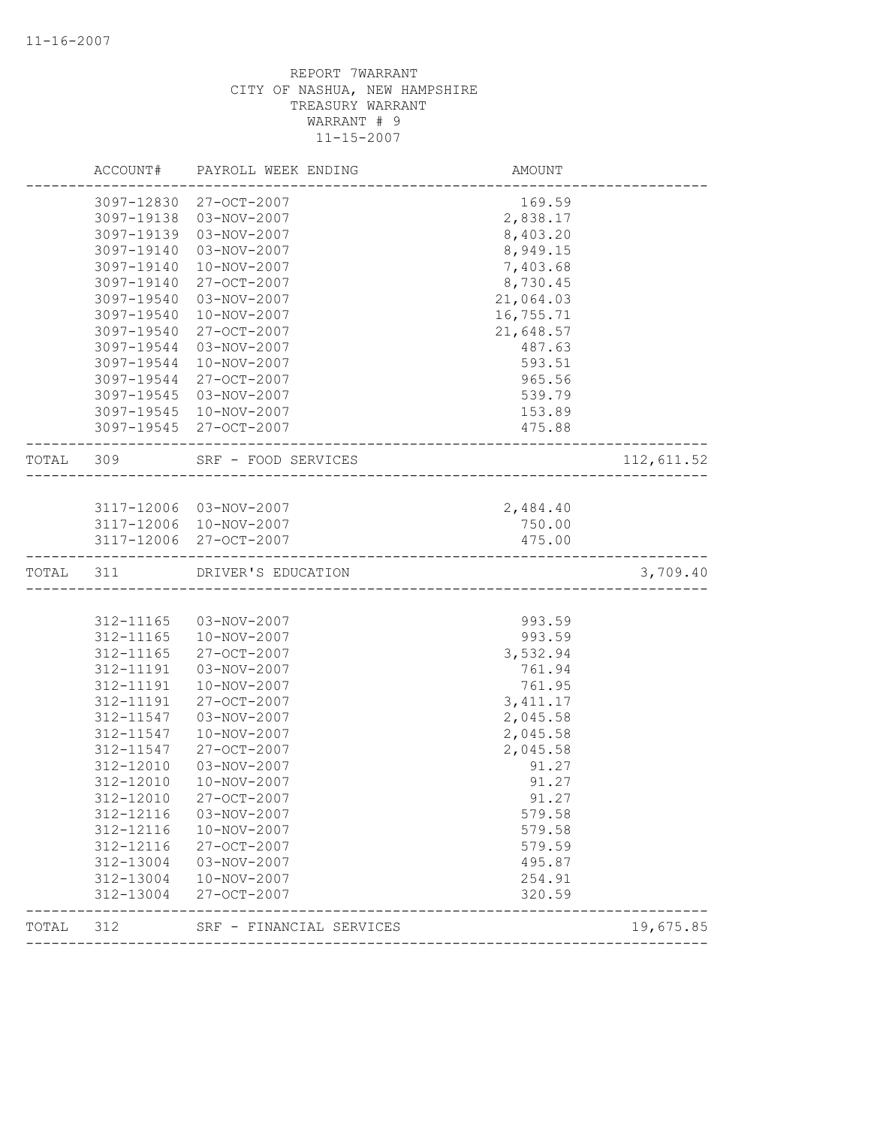|           | ACCOUNT#   | PAYROLL WEEK ENDING    | AMOUNT                                 |            |
|-----------|------------|------------------------|----------------------------------------|------------|
|           | 3097-12830 | 27-OCT-2007            | 169.59                                 |            |
|           | 3097-19138 | 03-NOV-2007            | 2,838.17                               |            |
|           | 3097-19139 | 03-NOV-2007            | 8,403.20                               |            |
|           | 3097-19140 | 03-NOV-2007            | 8,949.15                               |            |
|           | 3097-19140 | 10-NOV-2007            | 7,403.68                               |            |
|           | 3097-19140 | 27-OCT-2007            | 8,730.45                               |            |
|           | 3097-19540 | 03-NOV-2007            | 21,064.03                              |            |
|           | 3097-19540 | 10-NOV-2007            | 16,755.71                              |            |
|           | 3097-19540 | 27-OCT-2007            | 21,648.57                              |            |
|           | 3097-19544 | $03 - NOV - 2007$      | 487.63                                 |            |
|           | 3097-19544 | 10-NOV-2007            | 593.51                                 |            |
|           | 3097-19544 | 27-OCT-2007            | 965.56                                 |            |
|           | 3097-19545 | 03-NOV-2007            | 539.79                                 |            |
|           | 3097-19545 | 10-NOV-2007            | 153.89                                 |            |
|           |            | 3097-19545 27-OCT-2007 | 475.88                                 |            |
| TOTAL 309 |            | SRF - FOOD SERVICES    | . _ _ _ _ _ _ _ _ _ _ _ _ _ _ _ _ _ _  | 112,611.52 |
|           |            |                        |                                        |            |
|           |            | 3117-12006 03-NOV-2007 | 2,484.40                               |            |
|           |            | 3117-12006 10-NOV-2007 | 750.00                                 |            |
|           |            | 3117-12006 27-OCT-2007 | 475.00                                 |            |
| TOTAL     | 311        | DRIVER'S EDUCATION     | -------------------------------------- | 3,709.40   |
|           |            |                        |                                        |            |
|           | 312-11165  | 03-NOV-2007            | 993.59                                 |            |
|           | 312-11165  | 10-NOV-2007            | 993.59                                 |            |
|           | 312-11165  | 27-OCT-2007            | 3,532.94                               |            |
|           | 312-11191  | 03-NOV-2007            | 761.94                                 |            |
|           | 312-11191  | 10-NOV-2007            | 761.95                                 |            |
|           | 312-11191  | 27-OCT-2007            | 3, 411.17                              |            |
|           | 312-11547  | 03-NOV-2007            | 2,045.58                               |            |
|           | 312-11547  | 10-NOV-2007            | 2,045.58                               |            |
|           | 312-11547  | 27-OCT-2007            | 2,045.58                               |            |
|           | 312-12010  | 03-NOV-2007            | 91.27                                  |            |
|           | 312-12010  | 10-NOV-2007            | 91.27                                  |            |
|           | 312-12010  | 27-OCT-2007            | 91.27                                  |            |
|           | 312-12116  | 03-NOV-2007            | 579.58                                 |            |
|           |            | 10-NOV-2007            | 579.58                                 |            |
|           | 312-12116  |                        |                                        |            |
|           | 312-12116  | 27-OCT-2007            | 579.59                                 |            |
|           | 312-13004  | 03-NOV-2007            | 495.87                                 |            |
|           | 312-13004  | 10-NOV-2007            | 254.91                                 |            |
|           | 312-13004  | 27-OCT-2007            | 320.59                                 |            |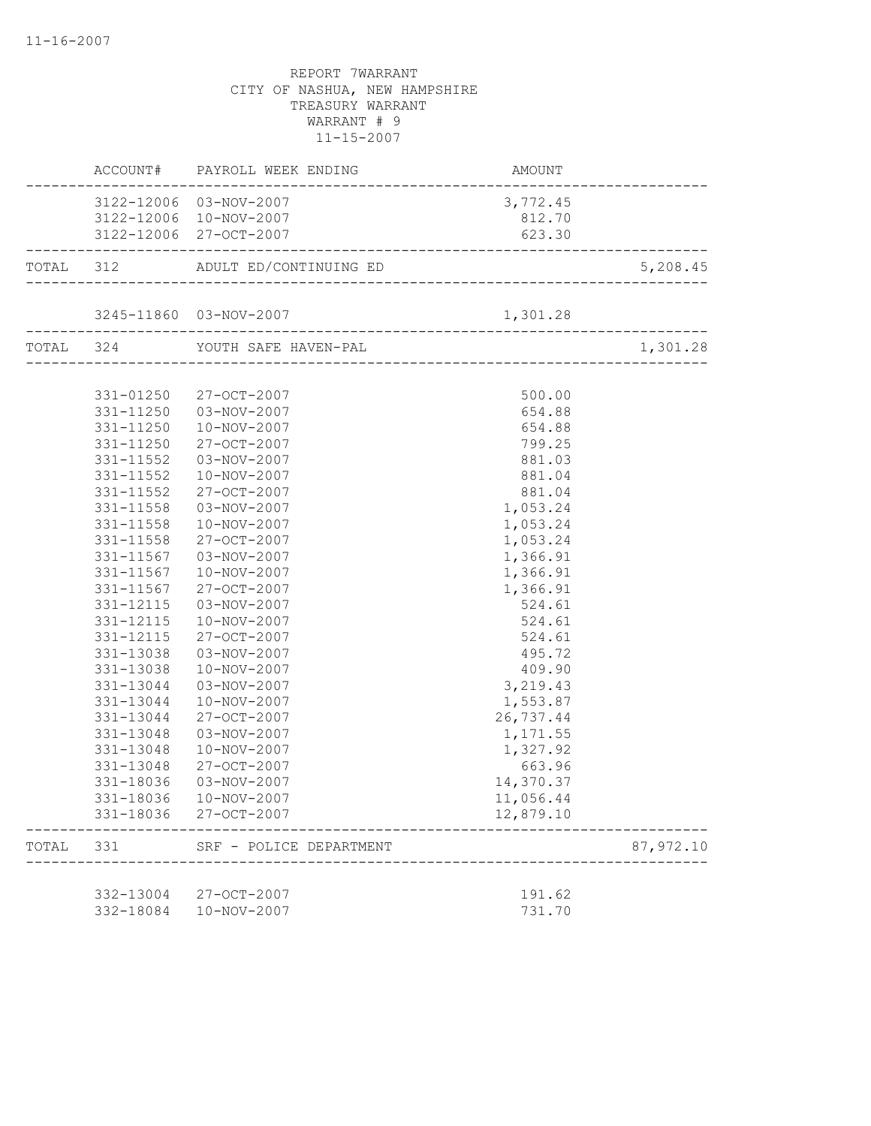|       |                        | ACCOUNT# PAYROLL WEEK ENDING AMOUNT AMOUNT |                  |           |
|-------|------------------------|--------------------------------------------|------------------|-----------|
|       |                        | 3122-12006 03-NOV-2007                     | 3,772.45         |           |
|       |                        | 3122-12006 10-NOV-2007                     | 812.70           |           |
|       |                        | 3122-12006 27-OCT-2007                     | 623.30           |           |
|       |                        |                                            |                  | 5,208.45  |
|       |                        |                                            |                  |           |
|       |                        | $3245-11860 \t 03-NOV-2007 \t 1,301.28$    |                  |           |
|       |                        | TOTAL 324 YOUTH SAFE HAVEN-PAL             |                  | 1,301.28  |
|       |                        |                                            |                  |           |
|       |                        | 331-01250 27-OCT-2007                      | 500.00           |           |
|       |                        | 331-11250  03-NOV-2007                     | 654.88           |           |
|       | 331-11250              | 10-NOV-2007                                | 654.88           |           |
|       | 331-11250<br>331-11552 | 27-OCT-2007<br>03-NOV-2007                 | 799.25<br>881.03 |           |
|       | 331-11552              | 10-NOV-2007                                | 881.04           |           |
|       | 331-11552              | 27-OCT-2007                                | 881.04           |           |
|       | 331-11558              | 03-NOV-2007                                | 1,053.24         |           |
|       | 331-11558              | 10-NOV-2007                                | 1,053.24         |           |
|       | 331-11558              | 27-OCT-2007                                | 1,053.24         |           |
|       | 331-11567              | 03-NOV-2007                                | 1,366.91         |           |
|       | 331-11567              | 10-NOV-2007                                | 1,366.91         |           |
|       | 331-11567              | 27-OCT-2007                                | 1,366.91         |           |
|       | 331-12115              | 03-NOV-2007                                | 524.61           |           |
|       | 331-12115              | 10-NOV-2007                                | 524.61           |           |
|       | 331-12115              | 27-OCT-2007                                | 524.61           |           |
|       | 331-13038              | 03-NOV-2007                                | 495.72           |           |
|       | 331-13038              | 10-NOV-2007                                | 409.90           |           |
|       | 331-13044              | 03-NOV-2007                                | 3, 219.43        |           |
|       | 331-13044              | 10-NOV-2007                                | 1,553.87         |           |
|       | 331-13044              | 27-OCT-2007                                | 26,737.44        |           |
|       | 331-13048              | 03-NOV-2007                                | 1,171.55         |           |
|       | 331-13048              | 10-NOV-2007                                | 1,327.92         |           |
|       | 331-13048              | 27-OCT-2007                                | 663.96           |           |
|       | 331-18036              | 03-NOV-2007                                | 14,370.37        |           |
|       |                        | 331-18036  10-NOV-2007                     | 11,056.44        |           |
|       |                        | 331-18036 27-OCT-2007                      | 12,879.10        |           |
| TOTAL | 331                    | SRF - POLICE DEPARTMENT                    |                  | 87,972.10 |
|       |                        |                                            |                  |           |
|       | 332-13004<br>332-18084 | 27-OCT-2007<br>10-NOV-2007                 | 191.62<br>731.70 |           |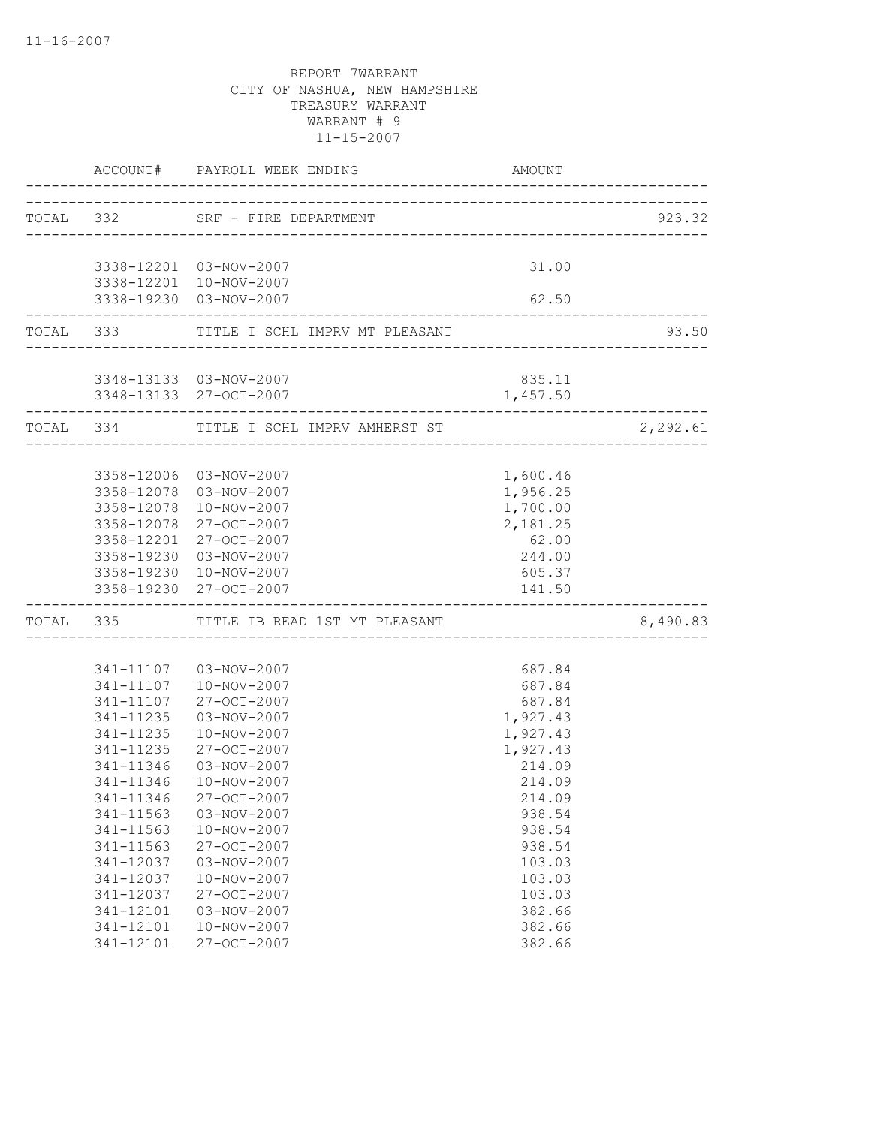|           |                        | ACCOUNT# PAYROLL WEEK ENDING             | AMOUNT               |          |
|-----------|------------------------|------------------------------------------|----------------------|----------|
| TOTAL 332 |                        | SRF - FIRE DEPARTMENT                    |                      | 923.32   |
|           |                        | 3338-12201  03-NOV-2007                  | 31.00                |          |
|           |                        | 3338-12201 10-NOV-2007                   |                      |          |
|           |                        | 3338-19230 03-NOV-2007                   | 62.50                |          |
|           |                        | TOTAL 333 TITLE I SCHL IMPRV MT PLEASANT |                      | 93.50    |
|           |                        | 3348-13133  03-NOV-2007                  | 835.11               |          |
|           |                        | 3348-13133 27-OCT-2007                   | 1,457.50             |          |
|           | TOTAL 334              | TITLE I SCHL IMPRV AMHERST ST            |                      | 2,292.61 |
|           |                        | 3358-12006 03-NOV-2007                   | 1,600.46             |          |
|           |                        | 3358-12078 03-NOV-2007                   | 1,956.25             |          |
|           |                        | 3358-12078 10-NOV-2007                   | 1,700.00             |          |
|           |                        | 3358-12078 27-OCT-2007                   | 2,181.25             |          |
|           |                        | 3358-12201 27-OCT-2007                   | 62.00                |          |
|           |                        | 3358-19230 03-NOV-2007                   | 244.00               |          |
|           |                        | 3358-19230 10-NOV-2007                   | 605.37               |          |
|           |                        | 3358-19230 27-OCT-2007                   | 141.50               |          |
|           |                        | TOTAL 335 TITLE IB READ 1ST MT PLEASANT  |                      | 8,490.83 |
|           |                        |                                          |                      |          |
|           |                        | 341-11107  03-NOV-2007                   | 687.84               |          |
|           |                        | 341-11107  10-NOV-2007                   | 687.84               |          |
|           | 341-11107              | 27-OCT-2007                              | 687.84               |          |
|           | 341-11235              | 03-NOV-2007                              | 1,927.43             |          |
|           | 341-11235<br>341-11235 | 10-NOV-2007<br>27-OCT-2007               | 1,927.43<br>1,927.43 |          |
|           | 341-11346              | 03-NOV-2007                              | 214.09               |          |
|           | 341-11346              | 10-NOV-2007                              | 214.09               |          |
|           | 341-11346              | 27-OCT-2007                              | 214.09               |          |
|           | 341-11563              | 03-NOV-2007                              | 938.54               |          |
|           | 341-11563              | 10-NOV-2007                              | 938.54               |          |
|           | 341-11563              | 27-OCT-2007                              | 938.54               |          |
|           | 341-12037              | 03-NOV-2007                              | 103.03               |          |
|           | 341-12037              | 10-NOV-2007                              | 103.03               |          |
|           | 341-12037              | 27-OCT-2007                              | 103.03               |          |
|           | 341-12101              | 03-NOV-2007                              | 382.66               |          |
|           | 341-12101              | 10-NOV-2007                              | 382.66               |          |
|           | 341-12101              | 27-OCT-2007                              | 382.66               |          |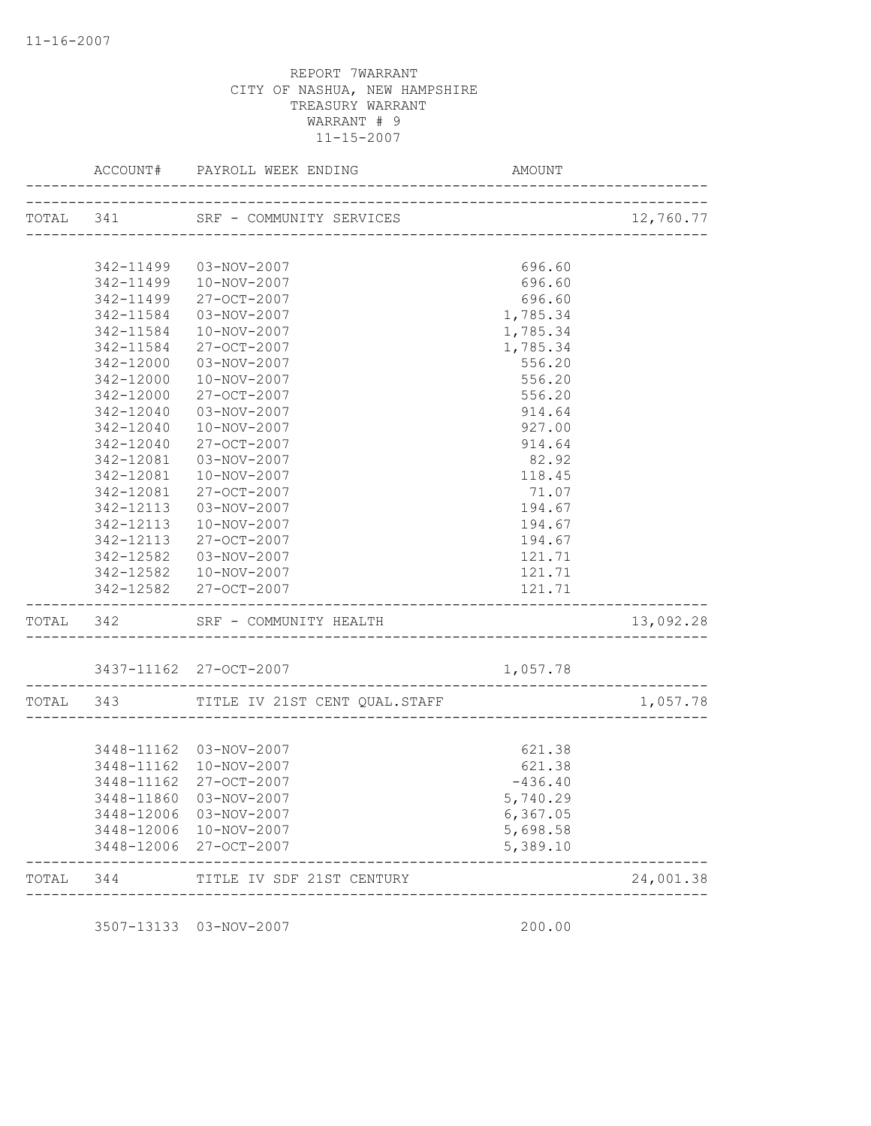|           | ACCOUNT#   | PAYROLL WEEK ENDING                                   | AMOUNT             |                             |
|-----------|------------|-------------------------------------------------------|--------------------|-----------------------------|
| TOTAL 341 |            | SRF - COMMUNITY SERVICES                              |                    | 12,760.77                   |
|           |            |                                                       |                    | . _ _ _ _ _ _ _ _           |
|           | 342-11499  | 03-NOV-2007                                           | 696.60             |                             |
|           | 342-11499  | 10-NOV-2007                                           | 696.60             |                             |
|           | 342-11499  | 27-OCT-2007                                           | 696.60             |                             |
|           | 342-11584  | 03-NOV-2007                                           | 1,785.34           |                             |
|           | 342-11584  | 10-NOV-2007                                           | 1,785.34           |                             |
|           | 342-11584  | 27-OCT-2007                                           | 1,785.34           |                             |
|           | 342-12000  | 03-NOV-2007                                           | 556.20             |                             |
|           | 342-12000  | 10-NOV-2007                                           | 556.20             |                             |
|           | 342-12000  | 27-OCT-2007                                           | 556.20             |                             |
|           | 342-12040  | 03-NOV-2007                                           | 914.64             |                             |
|           | 342-12040  | 10-NOV-2007                                           | 927.00             |                             |
|           | 342-12040  | 27-OCT-2007                                           | 914.64             |                             |
|           | 342-12081  | 03-NOV-2007                                           | 82.92              |                             |
|           | 342-12081  | 10-NOV-2007                                           | 118.45             |                             |
|           | 342-12081  | 27-OCT-2007                                           | 71.07              |                             |
|           | 342-12113  | 03-NOV-2007                                           | 194.67             |                             |
|           | 342-12113  | 10-NOV-2007                                           | 194.67             |                             |
|           | 342-12113  | 27-OCT-2007                                           | 194.67             |                             |
|           | 342-12582  | 03-NOV-2007                                           | 121.71             |                             |
|           |            | 342-12582  10-NOV-2007                                | 121.71             |                             |
|           |            | 342-12582 27-OCT-2007                                 | 121.71             |                             |
| TOTAL 342 |            | SRF - COMMUNITY HEALTH                                | __________________ | 13,092.28                   |
|           |            | 3437-11162 27-OCT-2007                                | 1,057.78           |                             |
| TOTAL 343 |            | TITLE IV 21ST CENT QUAL.STAFF                         |                    | 1,057.78                    |
|           |            |                                                       |                    |                             |
|           | 3448-11162 | 03-NOV-2007                                           | 621.38             |                             |
|           | 3448-11162 | 10-NOV-2007                                           | 621.38             |                             |
|           | 3448-11162 | 27-OCT-2007                                           | $-436.40$          |                             |
|           | 3448-11860 | 03-NOV-2007                                           | 5,740.29           |                             |
|           | 3448-12006 | 03-NOV-2007                                           | 6,367.05           |                             |
|           |            | 3448-12006 10-NOV-2007                                | 5,698.58           |                             |
|           |            | 3448-12006 27-OCT-2007                                | 5,389.10           |                             |
| TOTAL     | 344        | TITLE IV SDF 21ST CENTURY<br>------------------------ |                    | 24,001.38<br>______________ |

3507-13133 03-NOV-2007 200.00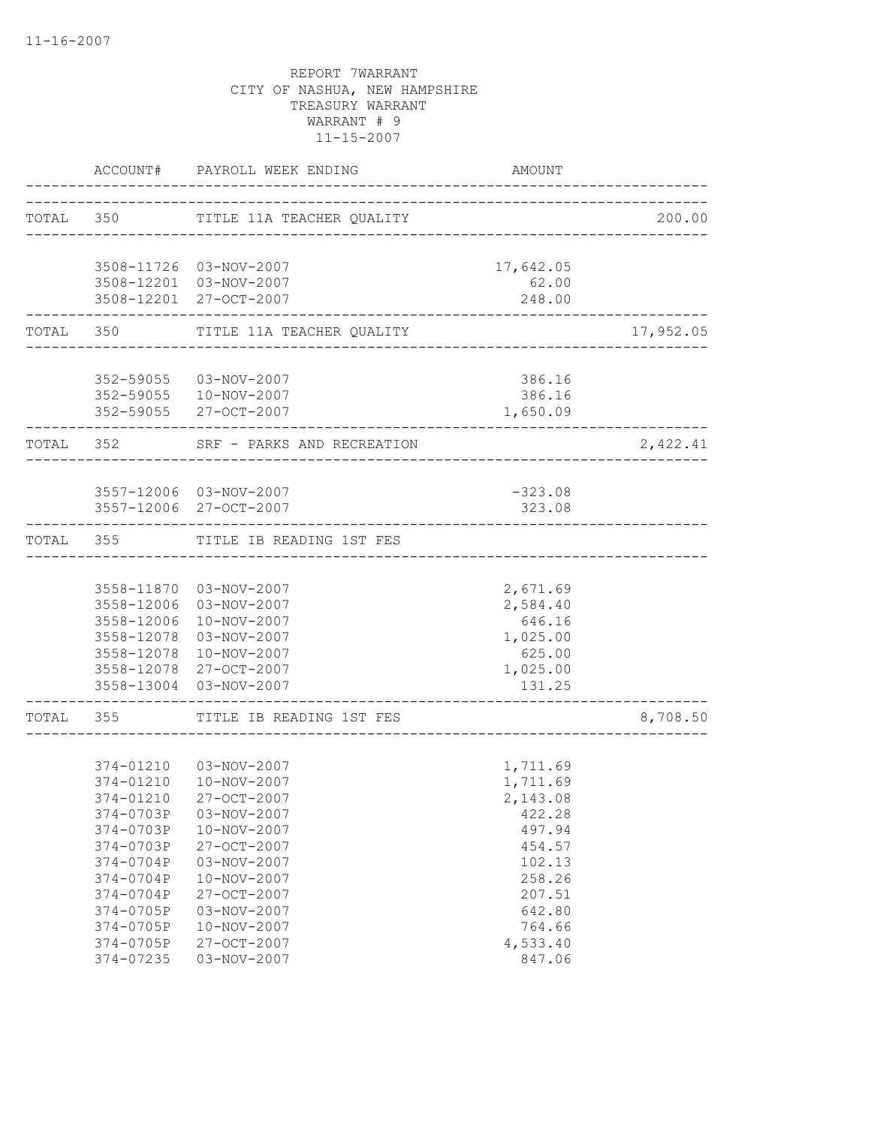|       |                                                                                                                                                          | ACCOUNT# PAYROLL WEEK ENDING                                                                                                                                                                               | AMOUNT                                                                                                                                 |           |
|-------|----------------------------------------------------------------------------------------------------------------------------------------------------------|------------------------------------------------------------------------------------------------------------------------------------------------------------------------------------------------------------|----------------------------------------------------------------------------------------------------------------------------------------|-----------|
|       |                                                                                                                                                          | TOTAL 350 TITLE 11A TEACHER QUALITY                                                                                                                                                                        |                                                                                                                                        | 200.00    |
|       |                                                                                                                                                          | 3508-11726 03-NOV-2007<br>3508-12201 03-NOV-2007<br>3508-12201 27-OCT-2007                                                                                                                                 | 17,642.05<br>62.00<br>248.00                                                                                                           |           |
|       |                                                                                                                                                          | TOTAL 350 TITLE 11A TEACHER QUALITY                                                                                                                                                                        |                                                                                                                                        | 17,952.05 |
|       |                                                                                                                                                          | 352-59055 03-NOV-2007<br>352-59055  10-NOV-2007<br>352-59055 27-OCT-2007                                                                                                                                   | 386.16<br>386.16<br>1,650.09                                                                                                           |           |
|       | TOTAL 352                                                                                                                                                | SRF - PARKS AND RECREATION                                                                                                                                                                                 |                                                                                                                                        | 2,422.41  |
|       |                                                                                                                                                          | 3557-12006 03-NOV-2007<br>3557-12006 27-OCT-2007                                                                                                                                                           | $-323.08$<br>323.08                                                                                                                    |           |
|       | TOTAL 355                                                                                                                                                | TITLE IB READING 1ST FES                                                                                                                                                                                   |                                                                                                                                        |           |
|       | 3558-12006<br>3558-12078<br>3558-13004                                                                                                                   | 3558-11870 03-NOV-2007<br>3558-12006 03-NOV-2007<br>10-NOV-2007<br>3558-12078 03-NOV-2007<br>10-NOV-2007<br>3558-12078 27-OCT-2007<br>03-NOV-2007                                                          | 2,671.69<br>2,584.40<br>646.16<br>1,025.00<br>625.00<br>1,025.00<br>131.25                                                             |           |
| TOTAL |                                                                                                                                                          | 355 TITLE IB READING 1ST FES                                                                                                                                                                               |                                                                                                                                        | 8,708.50  |
|       | 374-01210<br>374-01210<br>374-0703P<br>374-0703P<br>374-0703P<br>374-0704P<br>374-0704P<br>374-0704P<br>374-0705P<br>374-0705P<br>374-0705P<br>374-07235 | 374-01210  03-NOV-2007<br>10-NOV-2007<br>27-OCT-2007<br>03-NOV-2007<br>10-NOV-2007<br>27-OCT-2007<br>03-NOV-2007<br>10-NOV-2007<br>27-OCT-2007<br>03-NOV-2007<br>10-NOV-2007<br>27-OCT-2007<br>03-NOV-2007 | 1,711.69<br>1,711.69<br>2,143.08<br>422.28<br>497.94<br>454.57<br>102.13<br>258.26<br>207.51<br>642.80<br>764.66<br>4,533.40<br>847.06 |           |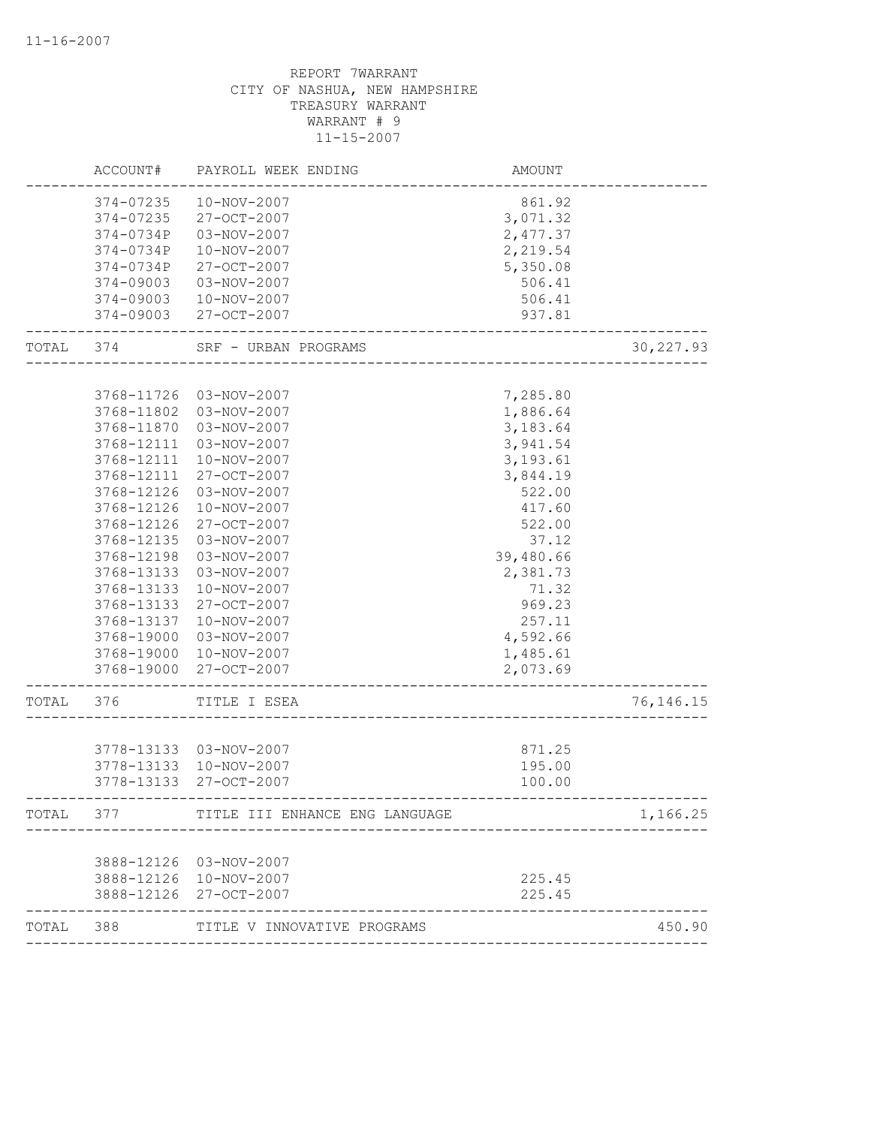|       | ACCOUNT#                 | PAYROLL WEEK ENDING            | AMOUNT               |             |
|-------|--------------------------|--------------------------------|----------------------|-------------|
|       | 374-07235                | 10-NOV-2007                    | 861.92               |             |
|       | 374-07235                | 27-OCT-2007                    | 3,071.32             |             |
|       | 374-0734P                | 03-NOV-2007                    | 2,477.37             |             |
|       | 374-0734P                | 10-NOV-2007                    | 2,219.54             |             |
|       | 374-0734P                | 27-OCT-2007                    | 5,350.08             |             |
|       | 374-09003                | 03-NOV-2007                    | 506.41               |             |
|       | 374-09003                | 10-NOV-2007                    | 506.41               |             |
|       | 374-09003                | 27-OCT-2007                    | 937.81               |             |
| TOTAL | 374                      | SRF - URBAN PROGRAMS           |                      | 30, 227.93  |
|       |                          |                                |                      |             |
|       | 3768-11726               | 03-NOV-2007                    | 7,285.80             |             |
|       | 3768-11802               | 03-NOV-2007                    | 1,886.64             |             |
|       | 3768-11870               | 03-NOV-2007                    | 3,183.64             |             |
|       | 3768-12111               | 03-NOV-2007                    | 3,941.54             |             |
|       | 3768-12111               | 10-NOV-2007                    | 3,193.61             |             |
|       | 3768-12111               | 27-OCT-2007                    | 3,844.19             |             |
|       | 3768-12126               | 03-NOV-2007                    | 522.00               |             |
|       | 3768-12126               | 10-NOV-2007                    | 417.60               |             |
|       | 3768-12126               | 27-OCT-2007                    | 522.00               |             |
|       | 3768-12135               | 03-NOV-2007                    | 37.12                |             |
|       | 3768-12198               | 03-NOV-2007                    | 39,480.66            |             |
|       | 3768-13133               | 03-NOV-2007                    | 2,381.73             |             |
|       | 3768-13133               | 10-NOV-2007                    | 71.32                |             |
|       | 3768-13133               | 27-OCT-2007                    | 969.23               |             |
|       | 3768-13137               | 10-NOV-2007                    | 257.11               |             |
|       | 3768-19000               | 03-NOV-2007                    | 4,592.66             |             |
|       | 3768-19000<br>3768-19000 | 10-NOV-2007<br>27-OCT-2007     | 1,485.61<br>2,073.69 |             |
| TOTAL | 376                      | TITLE I ESEA                   |                      | 76, 146. 15 |
|       |                          |                                |                      |             |
|       |                          | 3778-13133 03-NOV-2007         | 871.25               |             |
|       | 3778-13133               | 10-NOV-2007                    | 195.00               |             |
|       | 3778-13133               | 27-OCT-2007                    | 100.00               |             |
| TOTAL | 377                      | TITLE III ENHANCE ENG LANGUAGE |                      | 1,166.25    |
|       |                          |                                |                      |             |
|       |                          | 3888-12126 03-NOV-2007         |                      |             |
|       |                          | 3888-12126 10-NOV-2007         | 225.45               |             |
|       | 3888-12126               | 27-OCT-2007                    | 225.45               |             |
| TOTAL | 388                      | TITLE V INNOVATIVE PROGRAMS    |                      | 450.90      |
|       |                          |                                |                      |             |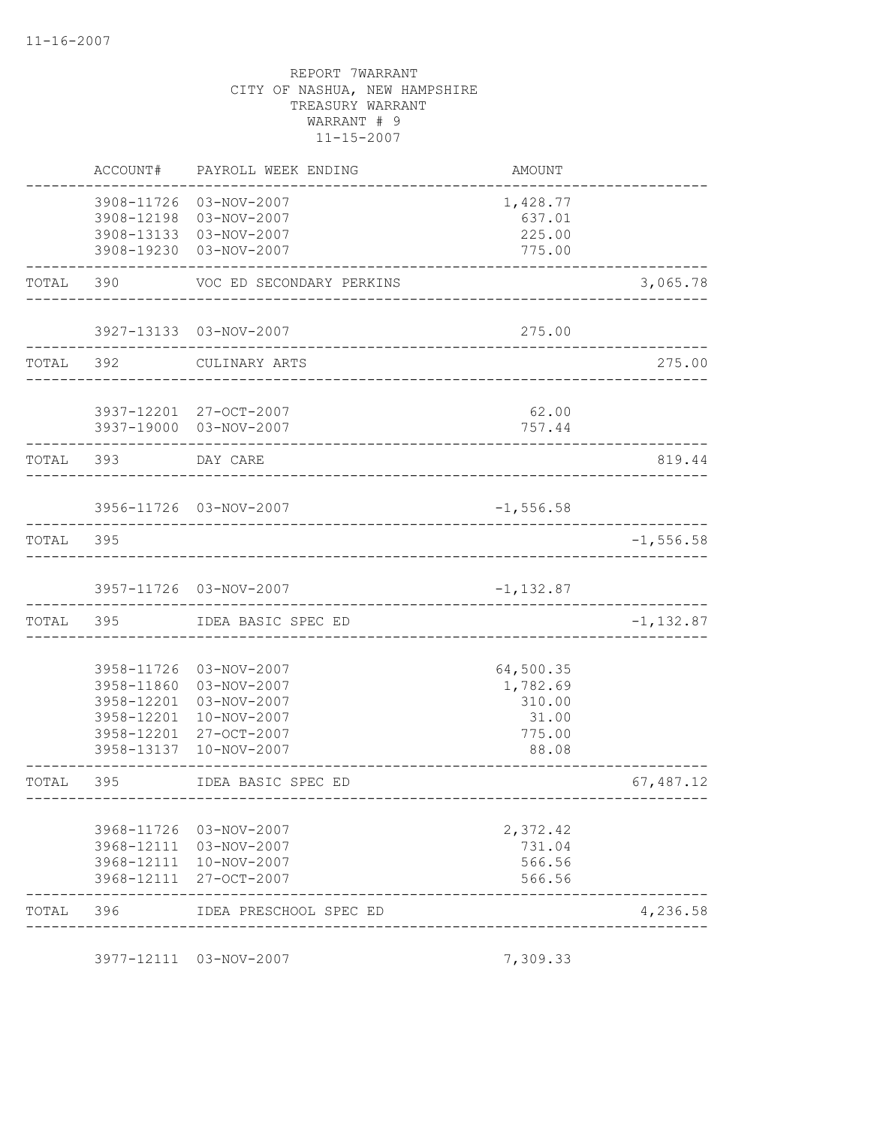|           | ACCOUNT#   | PAYROLL WEEK ENDING      | AMOUNT       |              |
|-----------|------------|--------------------------|--------------|--------------|
|           | 3908-11726 | 03-NOV-2007              | 1,428.77     |              |
|           | 3908-12198 | 03-NOV-2007              | 637.01       |              |
|           | 3908-13133 | 03-NOV-2007              | 225.00       |              |
|           | 3908-19230 | 03-NOV-2007              | 775.00       |              |
| TOTAL     | 390        | VOC ED SECONDARY PERKINS |              | 3,065.78     |
|           |            | 3927-13133 03-NOV-2007   | 275.00       |              |
| TOTAL 392 |            | CULINARY ARTS            |              | 275.00       |
|           |            | 3937-12201 27-OCT-2007   | 62.00        |              |
|           |            | 3937-19000 03-NOV-2007   | 757.44       |              |
| TOTAL 393 |            | DAY CARE                 |              | 819.44       |
|           |            | 3956-11726 03-NOV-2007   | $-1, 556.58$ |              |
| TOTAL     | 395        |                          |              | $-1, 556.58$ |
|           |            |                          |              |              |
|           |            | 3957-11726 03-NOV-2007   | $-1,132.87$  |              |
| TOTAL     | 395        | IDEA BASIC SPEC ED       |              | $-1, 132.87$ |
|           | 3958-11726 | 03-NOV-2007              | 64,500.35    |              |
|           | 3958-11860 | 03-NOV-2007              | 1,782.69     |              |
|           | 3958-12201 | 03-NOV-2007              | 310.00       |              |
|           | 3958-12201 | 10-NOV-2007              | 31.00        |              |
|           | 3958-12201 | 27-OCT-2007              | 775.00       |              |
|           | 3958-13137 | 10-NOV-2007              | 88.08        |              |
| TOTAL     | 395        | IDEA BASIC SPEC ED       |              | 67,487.12    |
|           |            | 3968-11726 03-NOV-2007   | 2,372.42     |              |
|           |            | 3968-12111 03-NOV-2007   | 731.04       |              |
|           |            | 3968-12111 10-NOV-2007   | 566.56       |              |
|           | 3968-12111 | 27-OCT-2007              | 566.56       |              |
| TOTAL     | 396        | IDEA PRESCHOOL SPEC ED   |              | 4,236.58     |

3977-12111 03-NOV-2007 7,309.33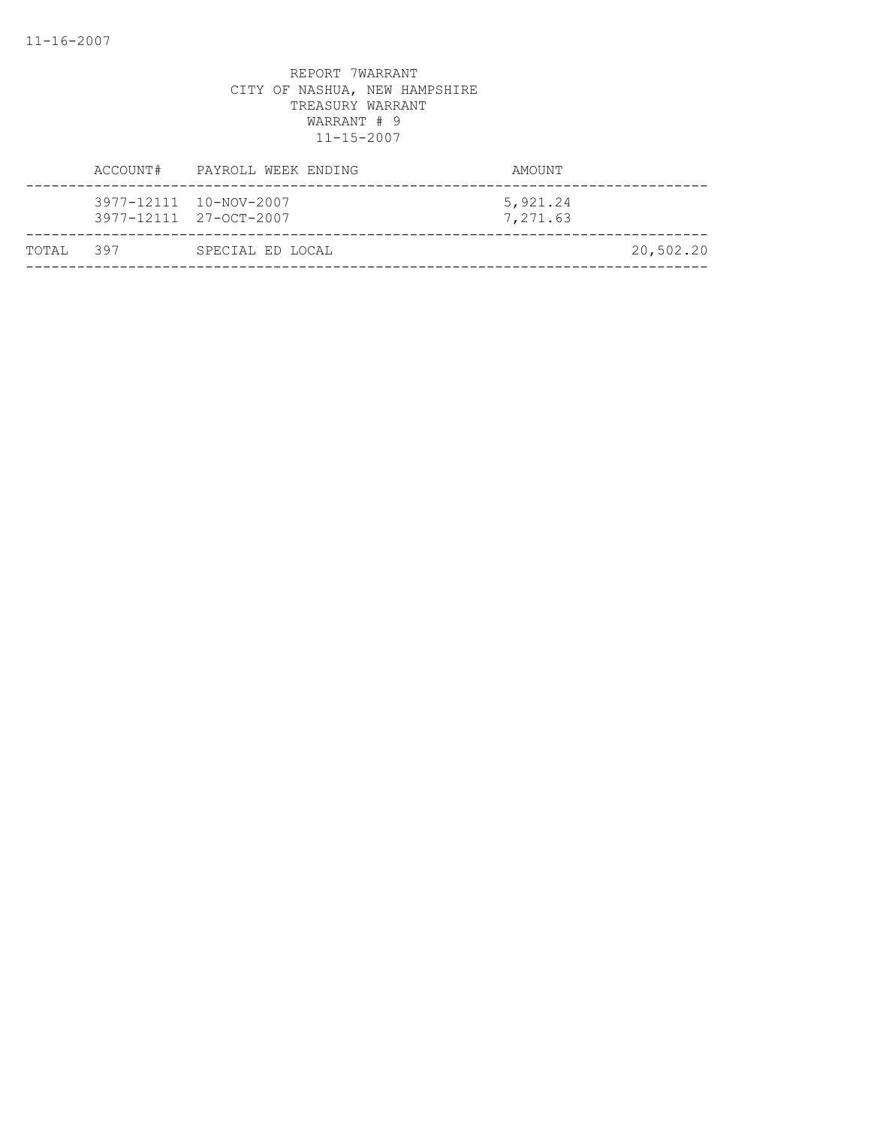|            | ACCOUNT# PAYROLL WEEK ENDING                     | AMOUNT               |           |
|------------|--------------------------------------------------|----------------------|-----------|
|            | 3977-12111 10-NOV-2007<br>3977-12111 27-OCT-2007 | 5,921.24<br>7,271.63 |           |
| ТОТАЈ, 397 | SPECIAL ED LOCAL                                 |                      | 20,502.20 |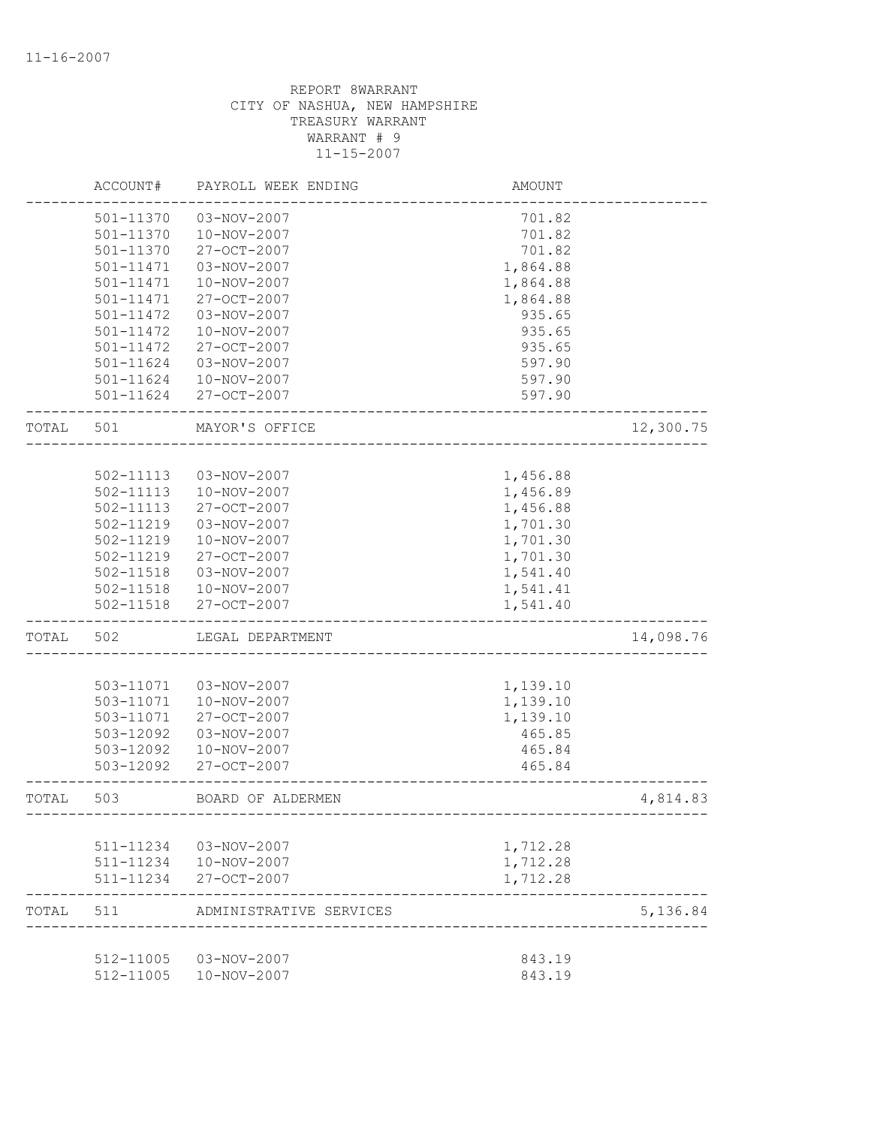|       | ACCOUNT#               | PAYROLL WEEK ENDING        | <b>AMOUNT</b>    |           |
|-------|------------------------|----------------------------|------------------|-----------|
|       | 501-11370              | 03-NOV-2007                | 701.82           |           |
|       | 501-11370              | 10-NOV-2007                | 701.82           |           |
|       | 501-11370              | 27-OCT-2007                | 701.82           |           |
|       | 501-11471              | 03-NOV-2007                | 1,864.88         |           |
|       | 501-11471              | 10-NOV-2007                | 1,864.88         |           |
|       | 501-11471              | 27-OCT-2007                | 1,864.88         |           |
|       | 501-11472              | 03-NOV-2007                | 935.65           |           |
|       | 501-11472              | 10-NOV-2007                | 935.65           |           |
|       | 501-11472              | $27 - OCT - 2007$          | 935.65           |           |
|       | 501-11624              | 03-NOV-2007                | 597.90           |           |
|       | 501-11624              | 10-NOV-2007                | 597.90           |           |
|       | 501-11624              | 27-OCT-2007                | 597.90           |           |
| TOTAL | 501                    | MAYOR'S OFFICE             |                  | 12,300.75 |
|       |                        |                            |                  |           |
|       | 502-11113              | 03-NOV-2007                | 1,456.88         |           |
|       | $502 - 11113$          | 10-NOV-2007                | 1,456.89         |           |
|       | 502-11113              | 27-OCT-2007                | 1,456.88         |           |
|       | 502-11219              | 03-NOV-2007                | 1,701.30         |           |
|       | 502-11219              | 10-NOV-2007                | 1,701.30         |           |
|       | 502-11219              | 27-OCT-2007                | 1,701.30         |           |
|       | 502-11518              | 03-NOV-2007                | 1,541.40         |           |
|       | 502-11518              | 10-NOV-2007                | 1,541.41         |           |
|       | 502-11518              | 27-OCT-2007                | 1,541.40         |           |
| TOTAL | 502                    | LEGAL DEPARTMENT           |                  | 14,098.76 |
|       |                        |                            |                  |           |
|       | 503-11071              | 03-NOV-2007                | 1,139.10         |           |
|       | 503-11071              | 10-NOV-2007                | 1,139.10         |           |
|       | 503-11071              | 27-OCT-2007                | 1,139.10         |           |
|       | 503-12092              | 03-NOV-2007                | 465.85           |           |
|       | 503-12092<br>503-12092 | 10-NOV-2007<br>27-OCT-2007 | 465.84<br>465.84 |           |
| TOTAL | 503                    | BOARD OF ALDERMEN          |                  | 4,814.83  |
|       |                        |                            |                  |           |
|       | 511-11234              | 03-NOV-2007                | 1,712.28         |           |
|       |                        | 511-11234  10-NOV-2007     | 1,712.28         |           |
|       | 511-11234              | $27 - OCT - 2007$          | 1,712.28         |           |
| TOTAL | 511                    | ADMINISTRATIVE SERVICES    |                  | 5,136.84  |
|       | 512-11005              | 03-NOV-2007                | 843.19           |           |
|       | 512-11005              | 10-NOV-2007                | 843.19           |           |
|       |                        |                            |                  |           |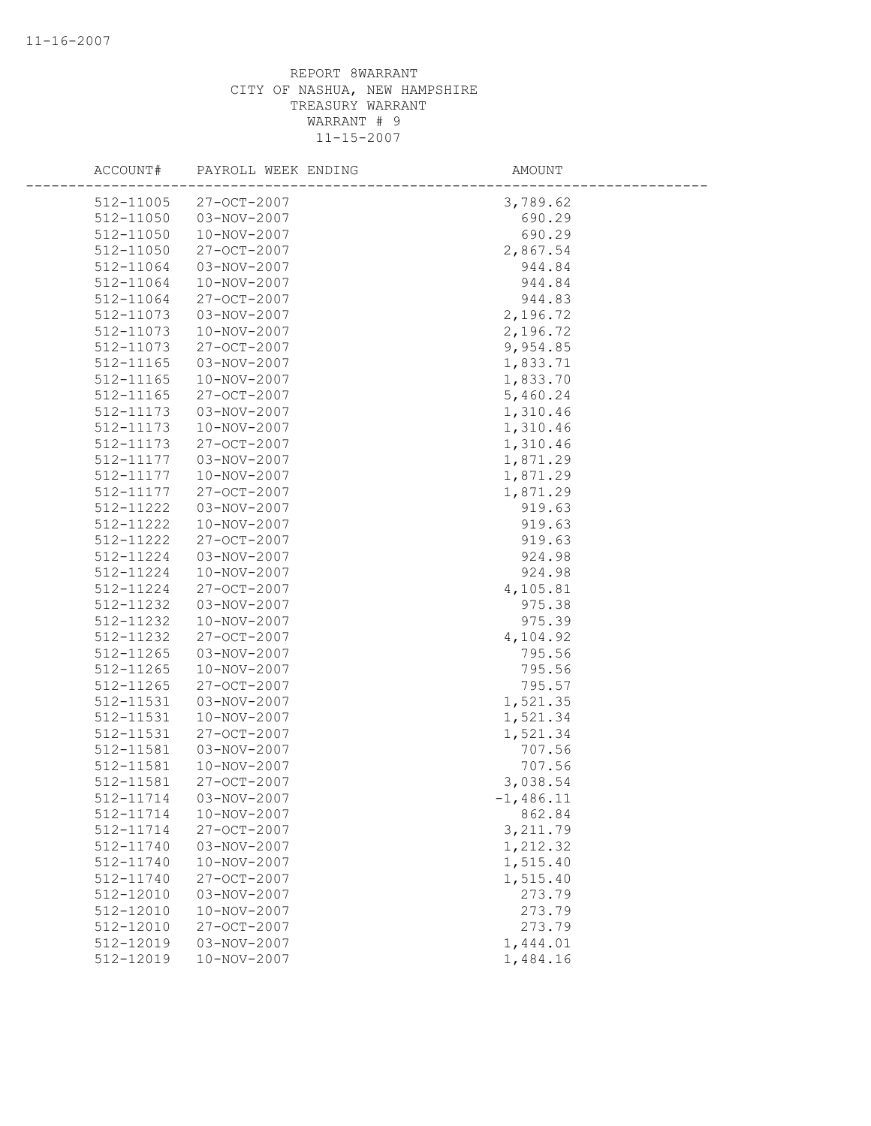| ACCOUNT#  | PAYROLL WEEK ENDING | AMOUNT      |
|-----------|---------------------|-------------|
| 512-11005 | 27-OCT-2007         | 3,789.62    |
| 512-11050 | 03-NOV-2007         | 690.29      |
| 512-11050 | 10-NOV-2007         | 690.29      |
| 512-11050 | 27-OCT-2007         | 2,867.54    |
| 512-11064 | 03-NOV-2007         | 944.84      |
| 512-11064 | 10-NOV-2007         | 944.84      |
| 512-11064 | 27-OCT-2007         | 944.83      |
| 512-11073 | 03-NOV-2007         | 2,196.72    |
| 512-11073 | 10-NOV-2007         | 2,196.72    |
| 512-11073 | 27-OCT-2007         | 9,954.85    |
| 512-11165 | 03-NOV-2007         | 1,833.71    |
| 512-11165 | 10-NOV-2007         | 1,833.70    |
| 512-11165 | 27-OCT-2007         | 5,460.24    |
| 512-11173 | 03-NOV-2007         | 1,310.46    |
| 512-11173 | 10-NOV-2007         | 1,310.46    |
| 512-11173 | 27-OCT-2007         | 1,310.46    |
| 512-11177 | 03-NOV-2007         | 1,871.29    |
| 512-11177 | 10-NOV-2007         | 1,871.29    |
| 512-11177 | 27-OCT-2007         | 1,871.29    |
| 512-11222 | 03-NOV-2007         | 919.63      |
| 512-11222 | 10-NOV-2007         | 919.63      |
| 512-11222 | 27-OCT-2007         | 919.63      |
| 512-11224 | 03-NOV-2007         | 924.98      |
| 512-11224 | 10-NOV-2007         | 924.98      |
| 512-11224 | 27-OCT-2007         | 4,105.81    |
| 512-11232 | 03-NOV-2007         | 975.38      |
| 512-11232 | 10-NOV-2007         | 975.39      |
| 512-11232 | 27-OCT-2007         | 4,104.92    |
| 512-11265 | 03-NOV-2007         | 795.56      |
| 512-11265 | 10-NOV-2007         | 795.56      |
| 512-11265 | 27-OCT-2007         | 795.57      |
| 512-11531 | 03-NOV-2007         | 1,521.35    |
| 512-11531 | 10-NOV-2007         | 1,521.34    |
| 512-11531 | 27-OCT-2007         | 1,521.34    |
| 512-11581 | 03-NOV-2007         | 707.56      |
| 512-11581 | 10-NOV-2007         | 707.56      |
| 512-11581 | 27-OCT-2007         | 3,038.54    |
| 512-11714 | 03-NOV-2007         | $-1,486.11$ |
| 512-11714 | 10-NOV-2007         | 862.84      |
| 512-11714 | 27-OCT-2007         | 3,211.79    |
| 512-11740 | 03-NOV-2007         | 1,212.32    |
| 512-11740 | 10-NOV-2007         | 1,515.40    |
| 512-11740 | 27-OCT-2007         | 1,515.40    |
| 512-12010 | 03-NOV-2007         | 273.79      |
| 512-12010 | 10-NOV-2007         | 273.79      |
| 512-12010 | 27-OCT-2007         | 273.79      |
| 512-12019 | 03-NOV-2007         | 1,444.01    |
| 512-12019 | 10-NOV-2007         | 1,484.16    |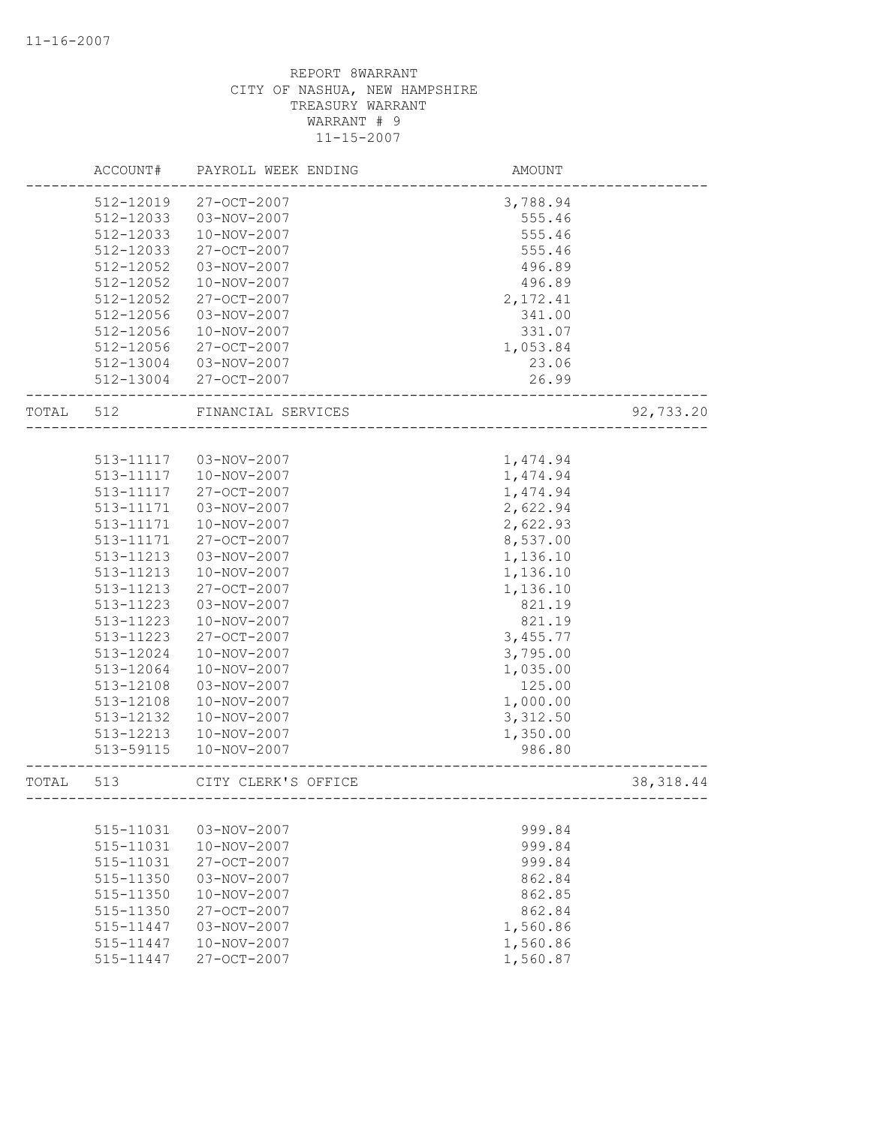|       | ACCOUNT#      | PAYROLL WEEK ENDING | AMOUNT   |            |
|-------|---------------|---------------------|----------|------------|
|       | 512-12019     | 27-OCT-2007         | 3,788.94 |            |
|       | 512-12033     | 03-NOV-2007         | 555.46   |            |
|       | 512-12033     | 10-NOV-2007         | 555.46   |            |
|       | 512-12033     | 27-OCT-2007         | 555.46   |            |
|       | 512-12052     | 03-NOV-2007         | 496.89   |            |
|       | 512-12052     | 10-NOV-2007         | 496.89   |            |
|       | 512-12052     | 27-OCT-2007         | 2,172.41 |            |
|       | 512-12056     | 03-NOV-2007         | 341.00   |            |
|       | 512-12056     | 10-NOV-2007         | 331.07   |            |
|       | 512-12056     | 27-OCT-2007         | 1,053.84 |            |
|       | 512-13004     | 03-NOV-2007         | 23.06    |            |
|       | 512-13004     | 27-OCT-2007         | 26.99    |            |
| TOTAL | 512           | FINANCIAL SERVICES  |          | 92,733.20  |
|       |               |                     |          |            |
|       | 513-11117     | 03-NOV-2007         | 1,474.94 |            |
|       | 513-11117     | 10-NOV-2007         | 1,474.94 |            |
|       | 513-11117     | $27 - OCT - 2007$   | 1,474.94 |            |
|       | 513-11171     | 03-NOV-2007         | 2,622.94 |            |
|       | 513-11171     | 10-NOV-2007         | 2,622.93 |            |
|       | 513-11171     | 27-OCT-2007         | 8,537.00 |            |
|       | 513-11213     | 03-NOV-2007         | 1,136.10 |            |
|       | 513-11213     | 10-NOV-2007         | 1,136.10 |            |
|       | 513-11213     | 27-OCT-2007         | 1,136.10 |            |
|       | 513-11223     | 03-NOV-2007         | 821.19   |            |
|       | 513-11223     | 10-NOV-2007         | 821.19   |            |
|       | 513-11223     | 27-OCT-2007         | 3,455.77 |            |
|       | 513-12024     | 10-NOV-2007         | 3,795.00 |            |
|       | 513-12064     | 10-NOV-2007         | 1,035.00 |            |
|       | 513-12108     | 03-NOV-2007         | 125.00   |            |
|       | 513-12108     | 10-NOV-2007         | 1,000.00 |            |
|       | 513-12132     | 10-NOV-2007         | 3,312.50 |            |
|       | 513-12213     | 10-NOV-2007         | 1,350.00 |            |
|       | 513-59115     | 10-NOV-2007         | 986.80   |            |
| TOTAL | 513           | CITY CLERK'S OFFICE |          | 38, 318.44 |
|       |               |                     |          |            |
|       | 515-11031     | 03-NOV-2007         | 999.84   |            |
|       | 515-11031     | $10 - NOV - 2007$   | 999.84   |            |
|       | 515-11031     | $27 - OCT - 2007$   | 999.84   |            |
|       | 515-11350     | 03-NOV-2007         | 862.84   |            |
|       | $515 - 11350$ | 10-NOV-2007         | 862.85   |            |
|       | 515-11350     | $27 - OCT - 2007$   | 862.84   |            |
|       | 515-11447     | 03-NOV-2007         | 1,560.86 |            |
|       | 515-11447     | 10-NOV-2007         | 1,560.86 |            |
|       | 515-11447     | 27-OCT-2007         | 1,560.87 |            |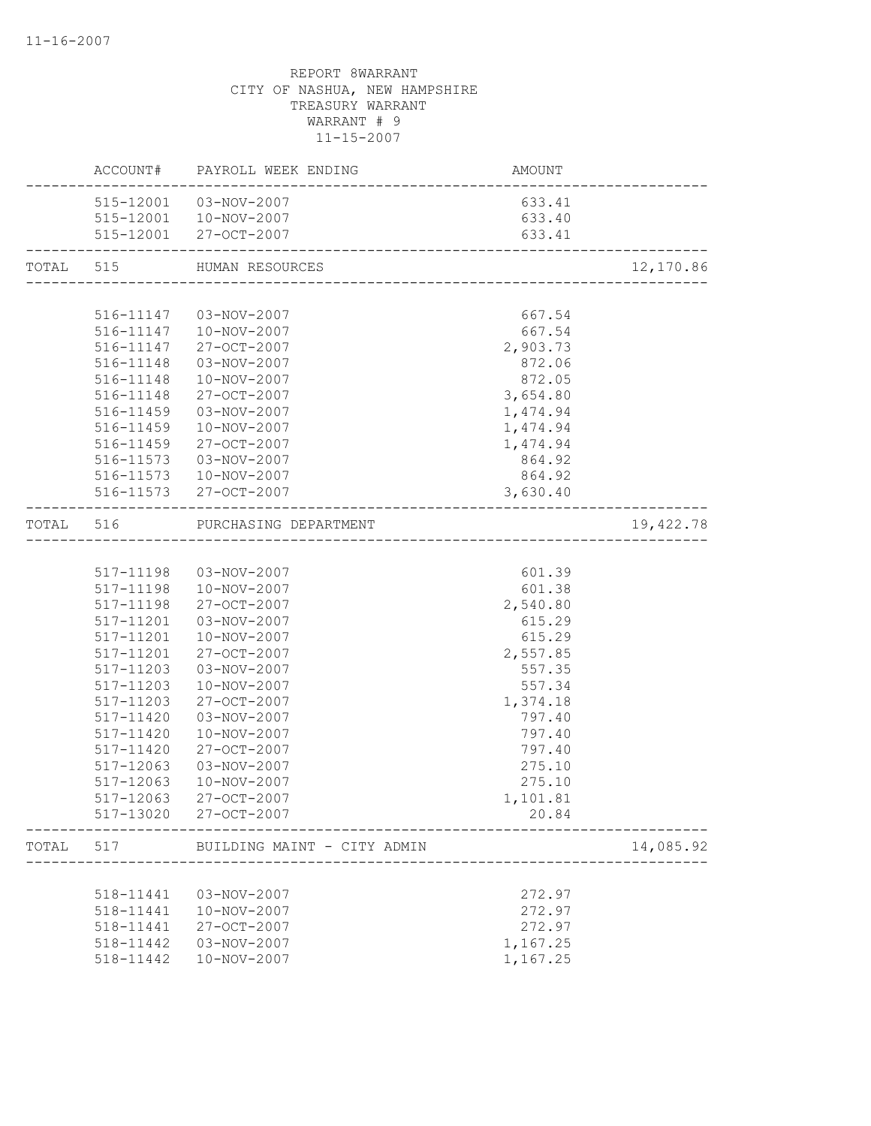|           |           | ACCOUNT# PAYROLL WEEK ENDING    | AMOUNT<br>-------------------------            |           |
|-----------|-----------|---------------------------------|------------------------------------------------|-----------|
|           |           | 515-12001  03-NOV-2007          | 633.41                                         |           |
|           |           | 515-12001  10-NOV-2007          | 633.40                                         |           |
|           |           | 515-12001 27-OCT-2007           | 633.41<br>------------------------------------ |           |
| TOTAL 515 |           | HUMAN RESOURCES                 |                                                | 12,170.86 |
|           |           |                                 |                                                |           |
|           |           | 516-11147  03-NOV-2007          | 667.54                                         |           |
|           |           | 516-11147  10-NOV-2007          | 667.54                                         |           |
|           |           | 516-11147 27-OCT-2007           | 2,903.73                                       |           |
|           | 516-11148 | 03-NOV-2007                     | 872.06                                         |           |
|           | 516-11148 | 10-NOV-2007                     | 872.05                                         |           |
|           | 516-11148 | 27-OCT-2007                     | 3,654.80                                       |           |
|           | 516-11459 | 03-NOV-2007                     | 1,474.94                                       |           |
|           | 516-11459 | 10-NOV-2007                     | 1,474.94                                       |           |
|           | 516-11459 | 27-OCT-2007                     | 1,474.94                                       |           |
|           | 516-11573 | 03-NOV-2007                     | 864.92                                         |           |
|           |           | 516-11573  10-NOV-2007          | 864.92                                         |           |
|           |           | 516-11573 27-OCT-2007           | 3,630.40                                       |           |
|           |           | TOTAL 516 PURCHASING DEPARTMENT |                                                | 19,422.78 |
|           |           |                                 |                                                |           |
|           |           | 517-11198  03-NOV-2007          | 601.39                                         |           |
|           | 517-11198 | 10-NOV-2007                     | 601.38                                         |           |
|           | 517-11198 | 27-OCT-2007                     | 2,540.80                                       |           |
|           | 517-11201 | 03-NOV-2007                     | 615.29                                         |           |
|           | 517-11201 | 10-NOV-2007                     | 615.29                                         |           |
|           | 517-11201 | 27-OCT-2007                     | 2,557.85                                       |           |
|           | 517-11203 | 03-NOV-2007                     | 557.35                                         |           |
|           | 517-11203 | 10-NOV-2007                     | 557.34                                         |           |
|           | 517-11203 | 27-OCT-2007                     | 1,374.18                                       |           |
|           | 517-11420 | 03-NOV-2007                     | 797.40                                         |           |
|           | 517-11420 | 10-NOV-2007                     | 797.40                                         |           |
|           | 517-11420 | 27-OCT-2007                     | 797.40                                         |           |
|           | 517-12063 | 03-NOV-2007                     | 275.10                                         |           |
|           | 517-12063 | 10-NOV-2007                     | 275.10                                         |           |
|           | 517-12063 | 27-OCT-2007                     | 1,101.81                                       |           |
|           |           | 517-13020 27-OCT-2007           | 20.84                                          |           |
| TOTAL     | 517       | BUILDING MAINT - CITY ADMIN     |                                                | 14,085.92 |
|           |           |                                 |                                                |           |
|           | 518-11441 | $03 - NOV - 2007$               | 272.97                                         |           |
|           | 518-11441 | $10 - NOV - 2007$               | 272.97                                         |           |
|           | 518-11441 | 27-OCT-2007                     | 272.97                                         |           |
|           | 518-11442 | 03-NOV-2007                     | 1,167.25                                       |           |
|           | 518-11442 | 10-NOV-2007                     | 1,167.25                                       |           |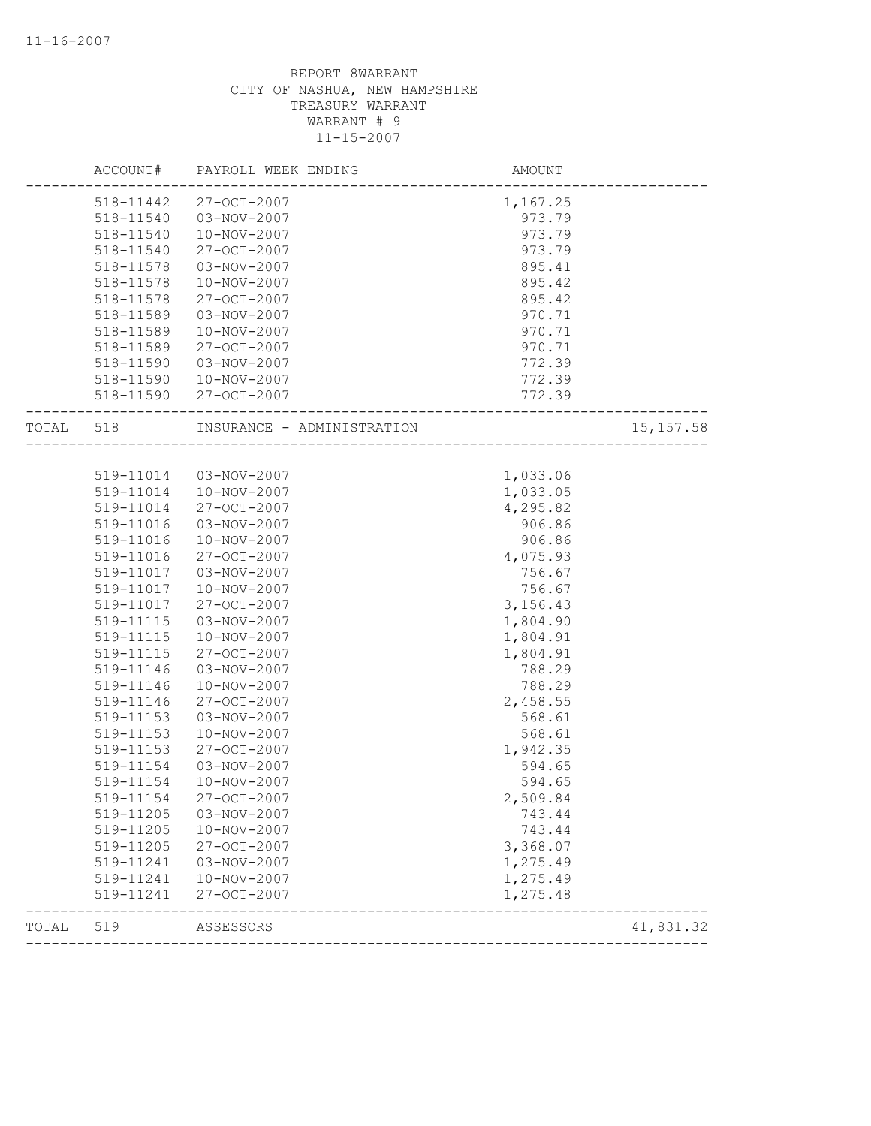|       | ACCOUNT#  | PAYROLL WEEK ENDING        | AMOUNT   |            |
|-------|-----------|----------------------------|----------|------------|
|       | 518-11442 | 27-OCT-2007                | 1,167.25 |            |
|       | 518-11540 | 03-NOV-2007                | 973.79   |            |
|       | 518-11540 | 10-NOV-2007                | 973.79   |            |
|       | 518-11540 | 27-OCT-2007                | 973.79   |            |
|       | 518-11578 | 03-NOV-2007                | 895.41   |            |
|       | 518-11578 | 10-NOV-2007                | 895.42   |            |
|       | 518-11578 | 27-OCT-2007                | 895.42   |            |
|       | 518-11589 | 03-NOV-2007                | 970.71   |            |
|       | 518-11589 | 10-NOV-2007                | 970.71   |            |
|       | 518-11589 | 27-OCT-2007                | 970.71   |            |
|       | 518-11590 | 03-NOV-2007                | 772.39   |            |
|       | 518-11590 | 10-NOV-2007                | 772.39   |            |
|       | 518-11590 | 27-OCT-2007                | 772.39   |            |
| TOTAL | 518       | INSURANCE - ADMINISTRATION |          | 15, 157.58 |
|       |           |                            |          |            |
|       | 519-11014 | 03-NOV-2007                | 1,033.06 |            |
|       | 519-11014 | 10-NOV-2007                | 1,033.05 |            |
|       | 519-11014 | 27-OCT-2007                | 4,295.82 |            |
|       | 519-11016 | 03-NOV-2007                | 906.86   |            |
|       | 519-11016 | 10-NOV-2007                | 906.86   |            |
|       | 519-11016 | 27-OCT-2007                | 4,075.93 |            |
|       | 519-11017 | 03-NOV-2007                | 756.67   |            |
|       | 519-11017 | 10-NOV-2007                | 756.67   |            |
|       | 519-11017 | 27-OCT-2007                | 3,156.43 |            |
|       | 519-11115 | 03-NOV-2007                | 1,804.90 |            |
|       | 519-11115 | 10-NOV-2007                | 1,804.91 |            |
|       | 519-11115 | 27-OCT-2007                | 1,804.91 |            |
|       | 519-11146 | 03-NOV-2007                | 788.29   |            |
|       | 519-11146 | 10-NOV-2007                | 788.29   |            |
|       | 519-11146 | 27-OCT-2007                | 2,458.55 |            |
|       | 519-11153 | 03-NOV-2007                | 568.61   |            |
|       | 519-11153 | 10-NOV-2007                | 568.61   |            |
|       | 519-11153 | 27-OCT-2007                | 1,942.35 |            |
|       | 519-11154 | 03-NOV-2007                | 594.65   |            |
|       | 519-11154 | 10-NOV-2007                | 594.65   |            |
|       | 519-11154 | 27-OCT-2007                | 2,509.84 |            |
|       | 519-11205 | 03-NOV-2007                | 743.44   |            |
|       | 519-11205 | 10-NOV-2007                | 743.44   |            |
|       | 519-11205 | 27-OCT-2007                | 3,368.07 |            |
|       | 519-11241 | 03-NOV-2007                | 1,275.49 |            |
|       | 519-11241 | 10-NOV-2007                | 1,275.49 |            |
|       | 519-11241 | 27-OCT-2007                | 1,275.48 |            |
| TOTAL | 519       | ASSESSORS                  |          | 41,831.32  |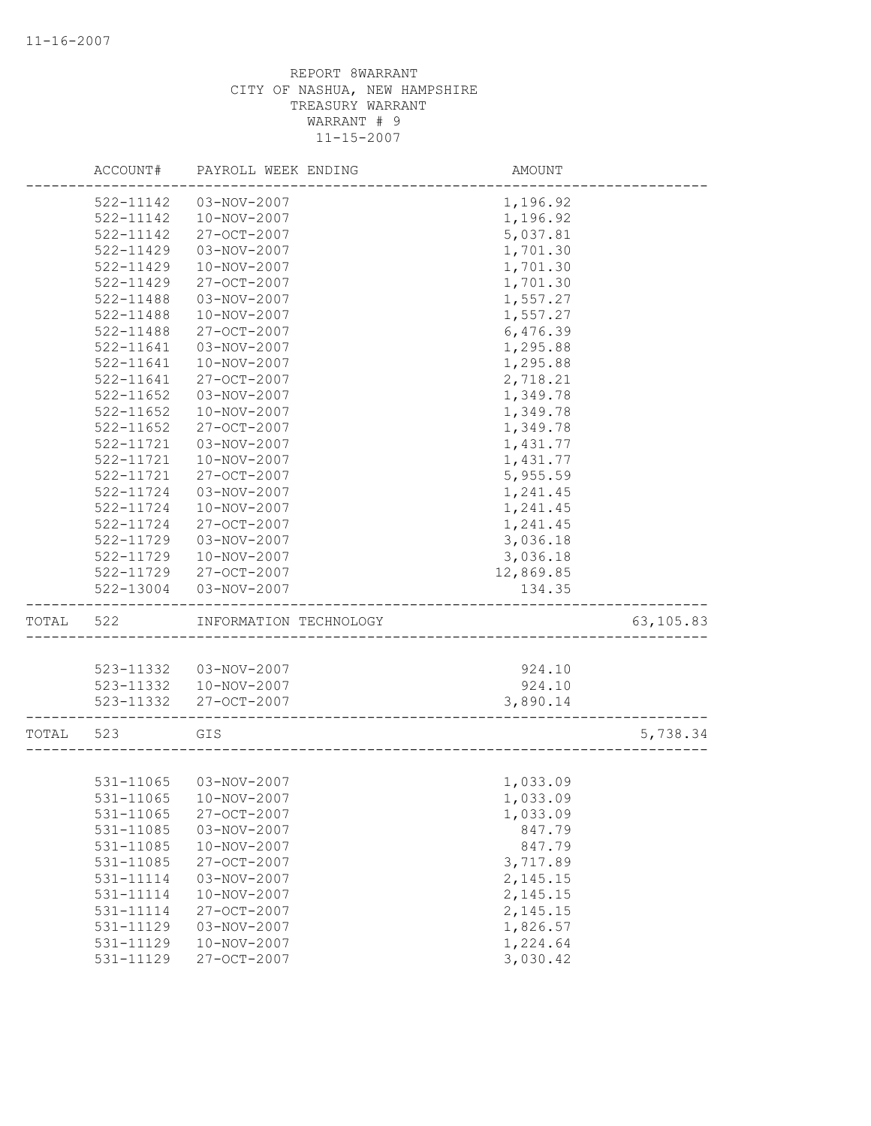|       | ACCOUNT#      | PAYROLL WEEK ENDING    | AMOUNT    |           |
|-------|---------------|------------------------|-----------|-----------|
|       | 522-11142     | 03-NOV-2007            | 1,196.92  |           |
|       | 522-11142     | 10-NOV-2007            | 1,196.92  |           |
|       | 522-11142     | 27-OCT-2007            | 5,037.81  |           |
|       | $522 - 11429$ | 03-NOV-2007            | 1,701.30  |           |
|       | 522-11429     | 10-NOV-2007            | 1,701.30  |           |
|       | 522-11429     | 27-OCT-2007            | 1,701.30  |           |
|       | 522-11488     | 03-NOV-2007            | 1,557.27  |           |
|       | 522-11488     | 10-NOV-2007            | 1,557.27  |           |
|       | 522-11488     | 27-OCT-2007            | 6,476.39  |           |
|       | 522-11641     | 03-NOV-2007            | 1,295.88  |           |
|       | 522-11641     | 10-NOV-2007            | 1,295.88  |           |
|       | 522-11641     | 27-OCT-2007            | 2,718.21  |           |
|       | 522-11652     | 03-NOV-2007            | 1,349.78  |           |
|       | $522 - 11652$ | 10-NOV-2007            | 1,349.78  |           |
|       | 522-11652     | 27-OCT-2007            | 1,349.78  |           |
|       | 522-11721     | 03-NOV-2007            | 1,431.77  |           |
|       | 522-11721     | 10-NOV-2007            | 1,431.77  |           |
|       | 522-11721     | 27-OCT-2007            | 5,955.59  |           |
|       | 522-11724     | 03-NOV-2007            | 1,241.45  |           |
|       | 522-11724     | 10-NOV-2007            | 1,241.45  |           |
|       | 522-11724     | 27-OCT-2007            | 1,241.45  |           |
|       | 522-11729     | 03-NOV-2007            | 3,036.18  |           |
|       | 522-11729     | 10-NOV-2007            | 3,036.18  |           |
|       | 522-11729     | 27-OCT-2007            | 12,869.85 |           |
|       | 522-13004     | 03-NOV-2007            | 134.35    |           |
| TOTAL | 522           | INFORMATION TECHNOLOGY |           | 63,105.83 |
|       |               |                        |           |           |
|       | 523-11332     | 03-NOV-2007            | 924.10    |           |
|       | 523-11332     | 10-NOV-2007            | 924.10    |           |
|       | 523-11332     | 27-OCT-2007            | 3,890.14  |           |
| TOTAL | 523           | GIS                    |           | 5,738.34  |
|       |               |                        |           |           |
|       | 531-11065     | 03-NOV-2007            | 1,033.09  |           |
|       |               | 531-11065  10-NOV-2007 | 1,033.09  |           |
|       | 531-11065     | 27-OCT-2007            | 1,033.09  |           |
|       | 531-11085     | 03-NOV-2007            | 847.79    |           |
|       | 531-11085     | 10-NOV-2007            | 847.79    |           |
|       | 531-11085     | 27-OCT-2007            | 3,717.89  |           |
|       | 531-11114     | 03-NOV-2007            | 2,145.15  |           |
|       | 531-11114     | 10-NOV-2007            | 2,145.15  |           |
|       | 531-11114     | 27-OCT-2007            | 2,145.15  |           |
|       | 531-11129     | 03-NOV-2007            | 1,826.57  |           |
|       | 531-11129     | 10-NOV-2007            | 1,224.64  |           |
|       | 531-11129     | 27-OCT-2007            | 3,030.42  |           |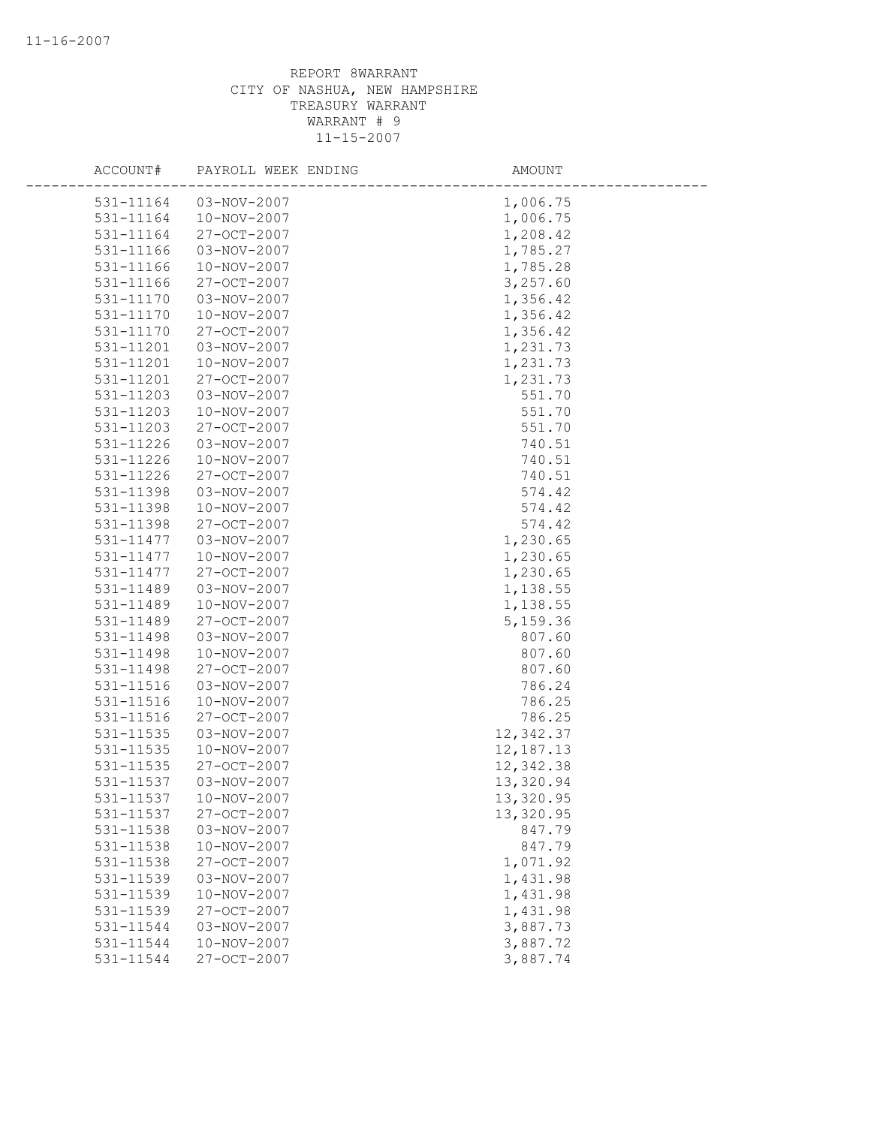| ACCOUNT#  | PAYROLL WEEK ENDING | AMOUNT      |
|-----------|---------------------|-------------|
| 531-11164 | 03-NOV-2007         | 1,006.75    |
| 531-11164 | 10-NOV-2007         | 1,006.75    |
| 531-11164 | 27-OCT-2007         | 1,208.42    |
| 531-11166 | 03-NOV-2007         | 1,785.27    |
| 531-11166 | 10-NOV-2007         | 1,785.28    |
| 531-11166 | 27-OCT-2007         | 3,257.60    |
| 531-11170 | 03-NOV-2007         | 1,356.42    |
| 531-11170 | $10 - NOV - 2007$   | 1,356.42    |
| 531-11170 | 27-OCT-2007         | 1,356.42    |
| 531-11201 | 03-NOV-2007         | 1,231.73    |
| 531-11201 | 10-NOV-2007         | 1,231.73    |
| 531-11201 | 27-OCT-2007         | 1,231.73    |
| 531-11203 | 03-NOV-2007         | 551.70      |
| 531-11203 | 10-NOV-2007         | 551.70      |
| 531-11203 | 27-OCT-2007         | 551.70      |
| 531-11226 | 03-NOV-2007         | 740.51      |
| 531-11226 | 10-NOV-2007         | 740.51      |
| 531-11226 | 27-OCT-2007         | 740.51      |
| 531-11398 | 03-NOV-2007         | 574.42      |
| 531-11398 | 10-NOV-2007         | 574.42      |
| 531-11398 | 27-OCT-2007         | 574.42      |
| 531-11477 | 03-NOV-2007         | 1,230.65    |
| 531-11477 | 10-NOV-2007         | 1,230.65    |
| 531-11477 | 27-OCT-2007         | 1,230.65    |
| 531-11489 | 03-NOV-2007         | 1,138.55    |
| 531-11489 | 10-NOV-2007         | 1,138.55    |
| 531-11489 | 27-OCT-2007         | 5,159.36    |
| 531-11498 | 03-NOV-2007         | 807.60      |
| 531-11498 | 10-NOV-2007         | 807.60      |
| 531-11498 | 27-OCT-2007         | 807.60      |
| 531-11516 | 03-NOV-2007         | 786.24      |
| 531-11516 | 10-NOV-2007         | 786.25      |
| 531-11516 | 27-OCT-2007         | 786.25      |
| 531-11535 | 03-NOV-2007         | 12,342.37   |
| 531-11535 | 10-NOV-2007         | 12, 187. 13 |
| 531-11535 | 27-OCT-2007         | 12,342.38   |
| 531-11537 | 03-NOV-2007         | 13,320.94   |
| 531-11537 | 10-NOV-2007         | 13,320.95   |
| 531-11537 | 27-OCT-2007         | 13,320.95   |
| 531-11538 | 03-NOV-2007         | 847.79      |
| 531-11538 | 10-NOV-2007         | 847.79      |
| 531-11538 | 27-OCT-2007         | 1,071.92    |
| 531-11539 | 03-NOV-2007         | 1,431.98    |
| 531-11539 | 10-NOV-2007         | 1,431.98    |
| 531-11539 | 27-OCT-2007         | 1,431.98    |
| 531-11544 | 03-NOV-2007         | 3,887.73    |
| 531-11544 | 10-NOV-2007         | 3,887.72    |
| 531-11544 | 27-OCT-2007         | 3,887.74    |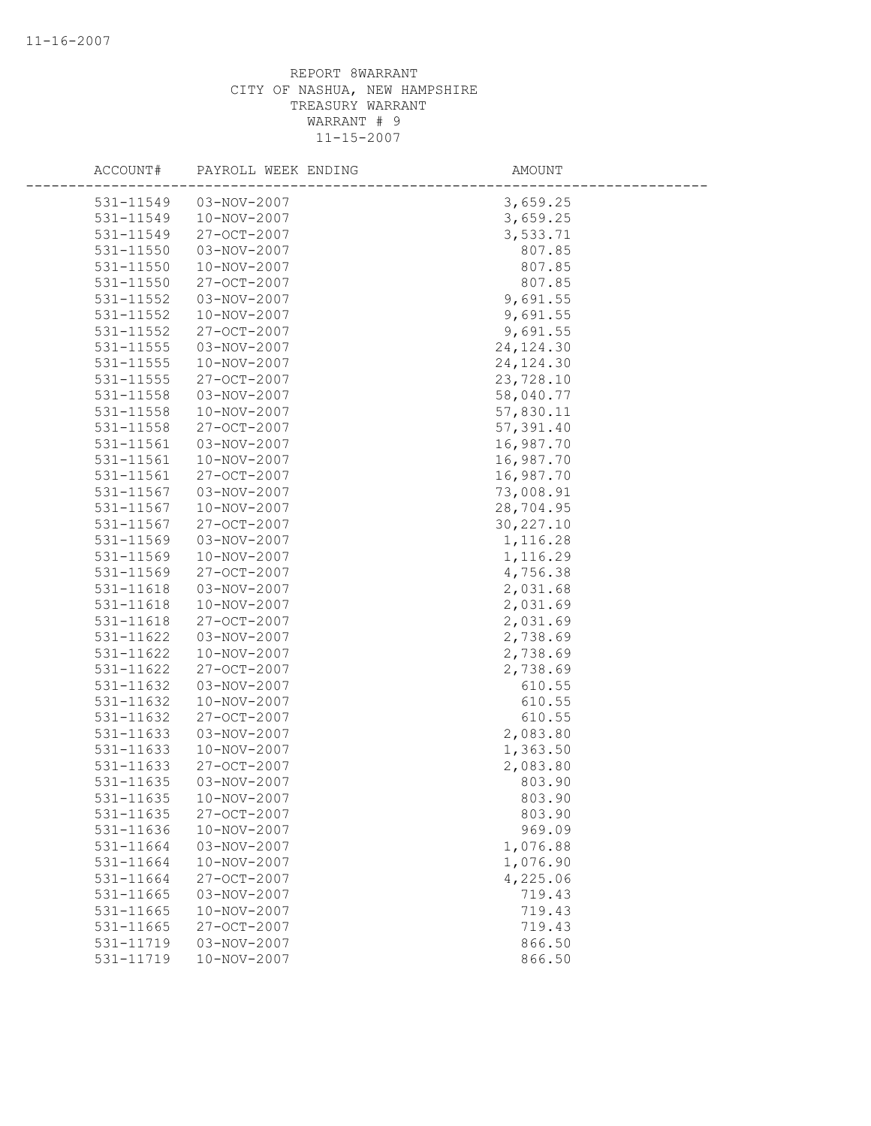| ACCOUNT#      | PAYROLL WEEK ENDING | AMOUNT     |
|---------------|---------------------|------------|
| 531-11549     | $03 - NOV - 2007$   | 3,659.25   |
| 531-11549     | 10-NOV-2007         | 3,659.25   |
| 531-11549     | 27-OCT-2007         | 3,533.71   |
| 531-11550     | 03-NOV-2007         | 807.85     |
| 531-11550     | 10-NOV-2007         | 807.85     |
| 531-11550     | 27-OCT-2007         | 807.85     |
| 531-11552     | 03-NOV-2007         | 9,691.55   |
| 531-11552     | $10 - NOV - 2007$   | 9,691.55   |
| 531-11552     | 27-OCT-2007         | 9,691.55   |
| $531 - 11555$ | 03-NOV-2007         | 24, 124.30 |
| 531-11555     | 10-NOV-2007         | 24, 124.30 |
| 531-11555     | 27-OCT-2007         | 23,728.10  |
| 531-11558     | 03-NOV-2007         | 58,040.77  |
| 531-11558     | 10-NOV-2007         | 57,830.11  |
| 531-11558     | 27-OCT-2007         | 57,391.40  |
| 531-11561     | 03-NOV-2007         | 16,987.70  |
| 531-11561     | 10-NOV-2007         | 16,987.70  |
| 531-11561     | 27-OCT-2007         | 16,987.70  |
| 531-11567     | 03-NOV-2007         | 73,008.91  |
| 531-11567     | 10-NOV-2007         | 28,704.95  |
| 531-11567     | 27-OCT-2007         | 30, 227.10 |
| 531-11569     | 03-NOV-2007         | 1,116.28   |
| 531-11569     | 10-NOV-2007         | 1,116.29   |
| 531-11569     | 27-OCT-2007         | 4,756.38   |
| 531-11618     | 03-NOV-2007         | 2,031.68   |
| $531 - 11618$ | 10-NOV-2007         | 2,031.69   |
| 531-11618     | 27-OCT-2007         | 2,031.69   |
| 531-11622     | 03-NOV-2007         | 2,738.69   |
| 531-11622     | 10-NOV-2007         | 2,738.69   |
| 531-11622     | 27-OCT-2007         | 2,738.69   |
| 531-11632     | 03-NOV-2007         | 610.55     |
| 531-11632     | 10-NOV-2007         | 610.55     |
| 531-11632     | 27-OCT-2007         | 610.55     |
| 531-11633     | 03-NOV-2007         | 2,083.80   |
| 531-11633     | 10-NOV-2007         | 1,363.50   |
| 531-11633     | 27-OCT-2007         | 2,083.80   |
| 531-11635     | 03-NOV-2007         | 803.90     |
| 531-11635     | 10-NOV-2007         | 803.90     |
| 531-11635     | 27-OCT-2007         | 803.90     |
| 531-11636     | 10-NOV-2007         | 969.09     |
| 531-11664     | 03-NOV-2007         | 1,076.88   |
| 531-11664     | 10-NOV-2007         | 1,076.90   |
| 531-11664     | 27-OCT-2007         | 4,225.06   |
| 531-11665     | 03-NOV-2007         | 719.43     |
| 531-11665     | 10-NOV-2007         | 719.43     |
| 531-11665     | 27-OCT-2007         | 719.43     |
| 531-11719     | 03-NOV-2007         | 866.50     |
| 531-11719     | 10-NOV-2007         | 866.50     |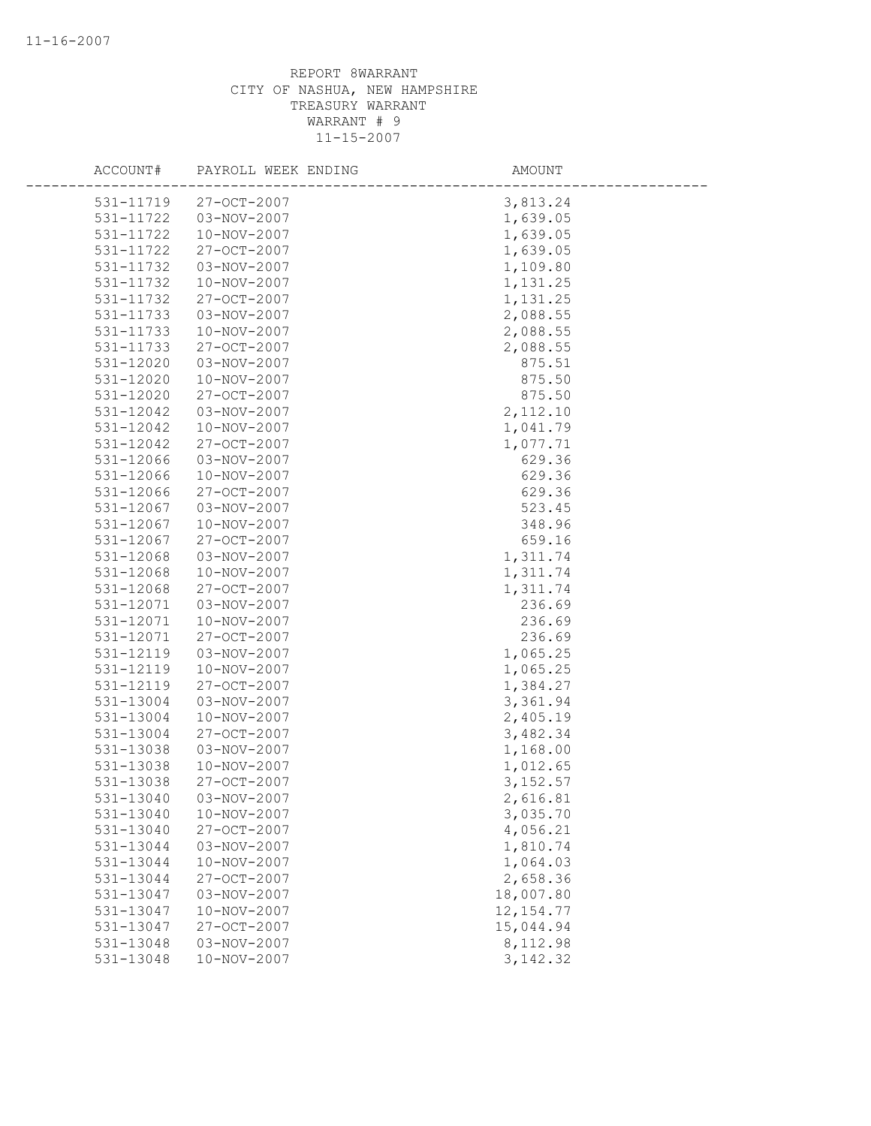| ACCOUNT#  | PAYROLL WEEK ENDING | AMOUNT      |
|-----------|---------------------|-------------|
| 531-11719 | $27 - OCT - 2007$   | 3,813.24    |
| 531-11722 | 03-NOV-2007         | 1,639.05    |
| 531-11722 | 10-NOV-2007         | 1,639.05    |
| 531-11722 | 27-OCT-2007         | 1,639.05    |
| 531-11732 | 03-NOV-2007         | 1,109.80    |
| 531-11732 | 10-NOV-2007         | 1,131.25    |
| 531-11732 | 27-OCT-2007         | 1,131.25    |
| 531-11733 | 03-NOV-2007         | 2,088.55    |
| 531-11733 | 10-NOV-2007         | 2,088.55    |
| 531-11733 | $27 - OCT - 2007$   | 2,088.55    |
| 531-12020 | 03-NOV-2007         | 875.51      |
| 531-12020 | 10-NOV-2007         | 875.50      |
| 531-12020 | 27-OCT-2007         | 875.50      |
| 531-12042 | 03-NOV-2007         | 2,112.10    |
| 531-12042 | 10-NOV-2007         | 1,041.79    |
| 531-12042 | 27-OCT-2007         | 1,077.71    |
| 531-12066 | 03-NOV-2007         | 629.36      |
| 531-12066 | 10-NOV-2007         | 629.36      |
| 531-12066 | 27-OCT-2007         | 629.36      |
| 531-12067 | 03-NOV-2007         | 523.45      |
| 531-12067 | 10-NOV-2007         | 348.96      |
| 531-12067 | 27-OCT-2007         | 659.16      |
| 531-12068 | 03-NOV-2007         | 1,311.74    |
| 531-12068 | 10-NOV-2007         | 1,311.74    |
| 531-12068 | 27-OCT-2007         | 1,311.74    |
| 531-12071 | 03-NOV-2007         | 236.69      |
| 531-12071 | 10-NOV-2007         | 236.69      |
| 531-12071 | 27-OCT-2007         | 236.69      |
| 531-12119 | 03-NOV-2007         | 1,065.25    |
| 531-12119 | 10-NOV-2007         | 1,065.25    |
| 531-12119 | 27-OCT-2007         | 1,384.27    |
| 531-13004 | 03-NOV-2007         | 3,361.94    |
| 531-13004 | 10-NOV-2007         | 2,405.19    |
| 531-13004 | 27-OCT-2007         | 3,482.34    |
| 531-13038 | 03-NOV-2007         | 1,168.00    |
| 531-13038 | 10-NOV-2007         | 1,012.65    |
| 531-13038 | 27-OCT-2007         | 3, 152.57   |
| 531-13040 | 03-NOV-2007         | 2,616.81    |
| 531-13040 | 10-NOV-2007         | 3,035.70    |
| 531-13040 | 27-OCT-2007         | 4,056.21    |
| 531-13044 | 03-NOV-2007         | 1,810.74    |
| 531-13044 | 10-NOV-2007         | 1,064.03    |
| 531-13044 | 27-OCT-2007         | 2,658.36    |
| 531-13047 | 03-NOV-2007         | 18,007.80   |
| 531-13047 | 10-NOV-2007         | 12, 154. 77 |
| 531-13047 | $27 - OCT - 2007$   | 15,044.94   |
| 531-13048 | 03-NOV-2007         | 8,112.98    |
| 531-13048 | 10-NOV-2007         | 3, 142.32   |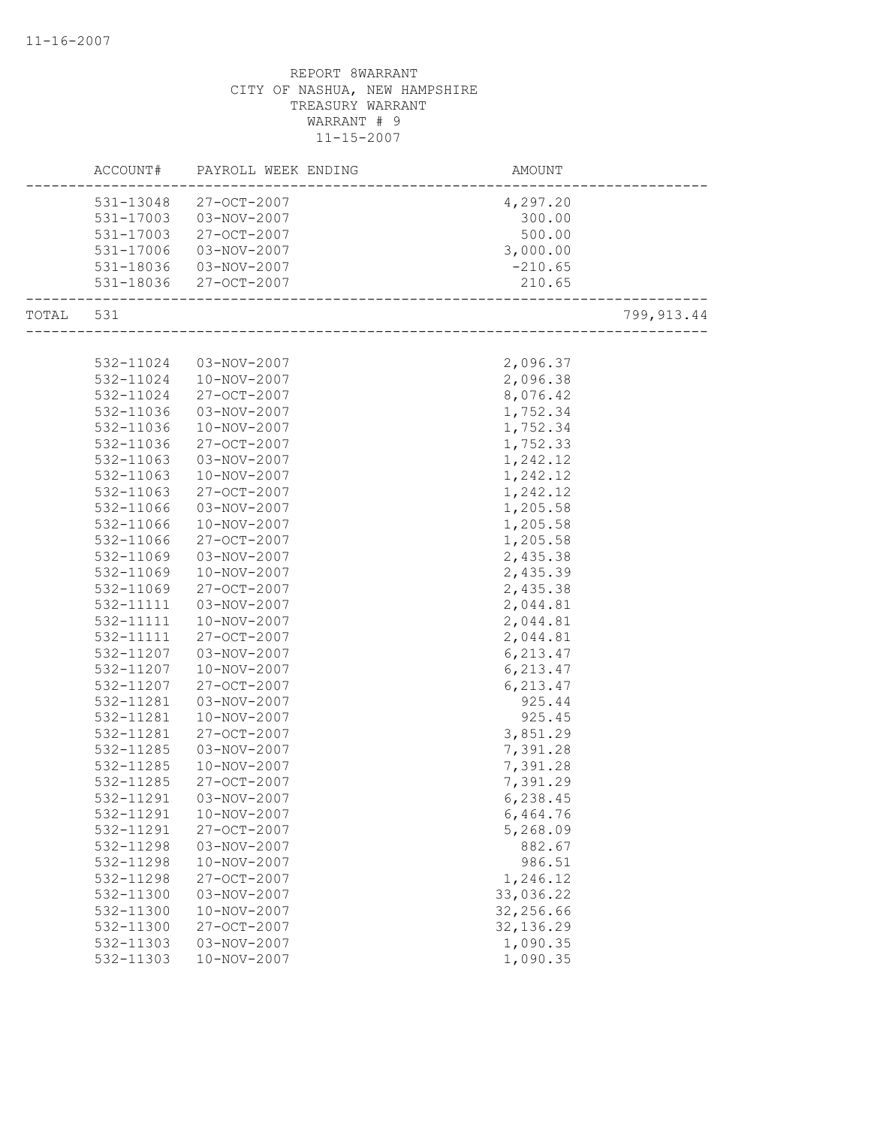|           | ACCOUNT#  | PAYROLL WEEK ENDING    | AMOUNT      |
|-----------|-----------|------------------------|-------------|
|           | 531-13048 | 27-OCT-2007            | 4,297.20    |
|           | 531-17003 | 03-NOV-2007            | 300.00      |
|           | 531-17003 | 27-OCT-2007            | 500.00      |
|           | 531-17006 | 03-NOV-2007            | 3,000.00    |
|           |           | 531-18036  03-NOV-2007 | $-210.65$   |
|           |           | 531-18036 27-OCT-2007  | 210.65      |
|           |           |                        | ___________ |
| TOTAL 531 |           |                        | 799,913.44  |
|           |           |                        |             |
|           | 532-11024 | 03-NOV-2007            | 2,096.37    |
|           | 532-11024 | 10-NOV-2007            | 2,096.38    |
|           | 532-11024 | 27-OCT-2007            | 8,076.42    |
|           | 532-11036 | 03-NOV-2007            | 1,752.34    |
|           | 532-11036 | 10-NOV-2007            | 1,752.34    |
|           | 532-11036 | 27-OCT-2007            | 1,752.33    |
|           | 532-11063 | 03-NOV-2007            | 1,242.12    |
|           | 532-11063 | 10-NOV-2007            | 1,242.12    |
|           | 532-11063 | 27-OCT-2007            | 1,242.12    |
|           | 532-11066 | 03-NOV-2007            | 1,205.58    |
|           | 532-11066 | 10-NOV-2007            | 1,205.58    |
|           | 532-11066 | 27-OCT-2007            | 1,205.58    |
|           | 532-11069 | 03-NOV-2007            | 2,435.38    |
|           | 532-11069 | 10-NOV-2007            | 2,435.39    |
|           | 532-11069 | 27-OCT-2007            | 2,435.38    |
|           | 532-11111 | 03-NOV-2007            | 2,044.81    |
|           | 532-11111 | 10-NOV-2007            | 2,044.81    |
|           | 532-11111 | 27-OCT-2007            | 2,044.81    |
|           | 532-11207 | 03-NOV-2007            | 6,213.47    |
|           | 532-11207 | 10-NOV-2007            | 6,213.47    |
|           | 532-11207 | 27-OCT-2007            | 6, 213.47   |
|           | 532-11281 | 03-NOV-2007            | 925.44      |
|           | 532-11281 | 10-NOV-2007            | 925.45      |
|           | 532-11281 | 27-OCT-2007            | 3,851.29    |
|           | 532-11285 | 03-NOV-2007            | 7,391.28    |
|           | 532-11285 | 10-NOV-2007            | 7,391.28    |
|           | 532-11285 | $27 - OCT - 2007$      | 7,391.29    |
|           | 532-11291 | 03-NOV-2007            | 6,238.45    |
|           | 532-11291 | 10-NOV-2007            | 6,464.76    |
|           | 532-11291 | 27-OCT-2007            | 5,268.09    |
|           | 532-11298 | 03-NOV-2007            | 882.67      |
|           | 532-11298 | 10-NOV-2007            | 986.51      |
|           | 532-11298 | 27-OCT-2007            | 1,246.12    |
|           | 532-11300 | 03-NOV-2007            | 33,036.22   |
|           | 532-11300 | 10-NOV-2007            | 32,256.66   |
|           | 532-11300 | 27-OCT-2007            | 32, 136.29  |
|           | 532-11303 | 03-NOV-2007            | 1,090.35    |
|           | 532-11303 | $10 - NOV - 2007$      | 1,090.35    |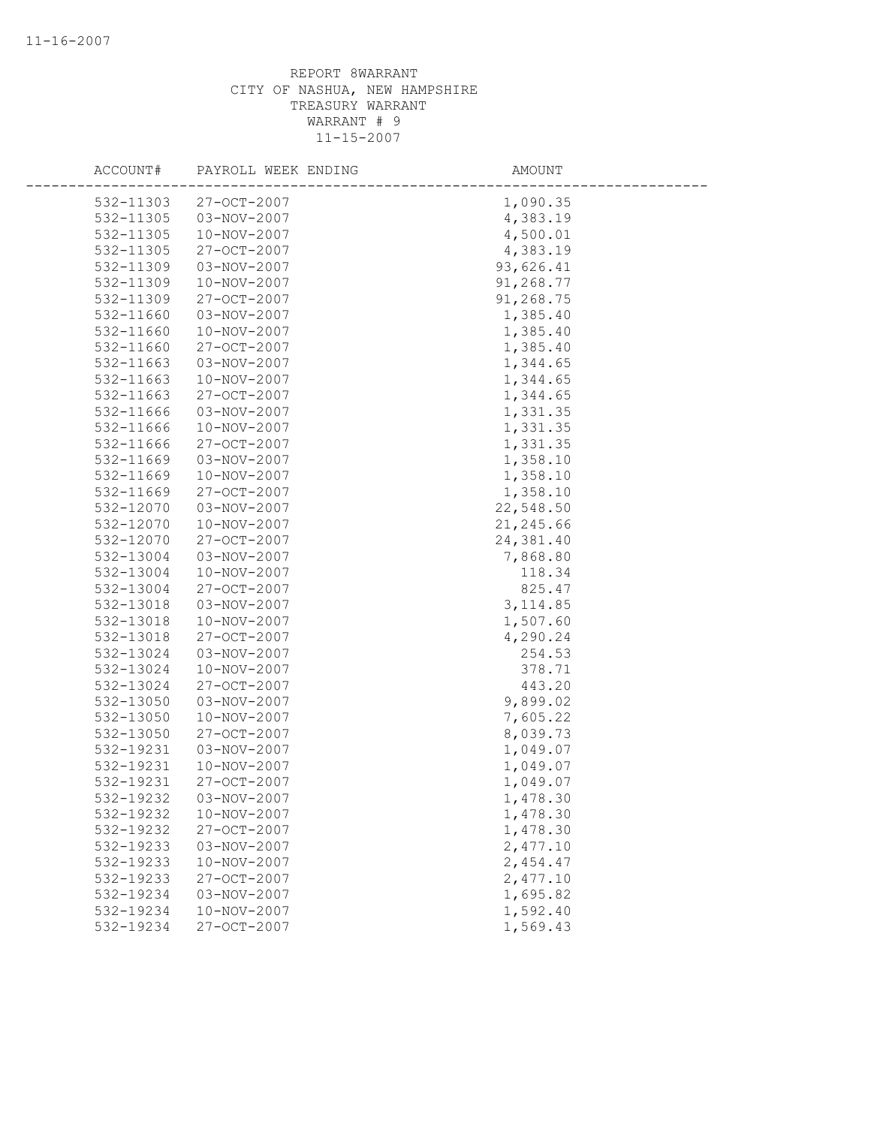| ACCOUNT#               | PAYROLL WEEK ENDING        | AMOUNT               |
|------------------------|----------------------------|----------------------|
| 532-11303              | 27-OCT-2007                | 1,090.35             |
| 532-11305              | $03 - NOV - 2007$          | 4,383.19             |
| 532-11305              | 10-NOV-2007                | 4,500.01             |
| 532-11305              | 27-OCT-2007                | 4,383.19             |
| 532-11309              | 03-NOV-2007                | 93,626.41            |
| 532-11309              | 10-NOV-2007                | 91,268.77            |
| 532-11309              | 27-OCT-2007                | 91,268.75            |
| 532-11660              | 03-NOV-2007                | 1,385.40             |
| 532-11660              | 10-NOV-2007                | 1,385.40             |
| 532-11660              | 27-OCT-2007                | 1,385.40             |
| 532-11663              | 03-NOV-2007                | 1,344.65             |
| 532-11663              | 10-NOV-2007                | 1,344.65             |
| 532-11663              | 27-OCT-2007                | 1,344.65             |
| 532-11666              | 03-NOV-2007                | 1,331.35             |
| 532-11666              | 10-NOV-2007                | 1,331.35             |
| 532-11666              | 27-OCT-2007                | 1,331.35             |
| 532-11669              | 03-NOV-2007                | 1,358.10             |
| 532-11669              | 10-NOV-2007                | 1,358.10             |
| 532-11669              | $27 - OCT - 2007$          | 1,358.10             |
| 532-12070              | 03-NOV-2007                | 22,548.50            |
| 532-12070              | 10-NOV-2007                | 21,245.66            |
| 532-12070              | 27-OCT-2007                | 24,381.40            |
| 532-13004              | 03-NOV-2007                | 7,868.80             |
| 532-13004              | 10-NOV-2007                | 118.34               |
| 532-13004              | 27-OCT-2007                | 825.47               |
| 532-13018              | 03-NOV-2007                | 3, 114.85            |
| 532-13018              | 10-NOV-2007                | 1,507.60             |
| 532-13018              | 27-OCT-2007                | 4,290.24             |
| 532-13024              | 03-NOV-2007                | 254.53               |
| 532-13024              | 10-NOV-2007                | 378.71               |
| 532-13024              | 27-OCT-2007                | 443.20               |
| 532-13050              | 03-NOV-2007                | 9,899.02             |
| 532-13050              | 10-NOV-2007                | 7,605.22             |
| 532-13050              | 27-OCT-2007                | 8,039.73             |
| 532-19231              | 03-NOV-2007                | 1,049.07             |
| 532-19231              | 10-NOV-2007                | 1,049.07             |
| 532-19231              | 27-OCT-2007                | 1,049.07             |
| 532-19232              | 03-NOV-2007                | 1,478.30             |
| 532-19232              | 10-NOV-2007                | 1,478.30             |
| 532-19232<br>532-19233 | 27-OCT-2007<br>03-NOV-2007 | 1,478.30<br>2,477.10 |
| 532-19233              | 10-NOV-2007                | 2,454.47             |
| 532-19233              | 27-OCT-2007                | 2,477.10             |
| 532-19234              | 03-NOV-2007                | 1,695.82             |
| 532-19234              | 10-NOV-2007                | 1,592.40             |
| 532-19234              | 27-OCT-2007                | 1,569.43             |
|                        |                            |                      |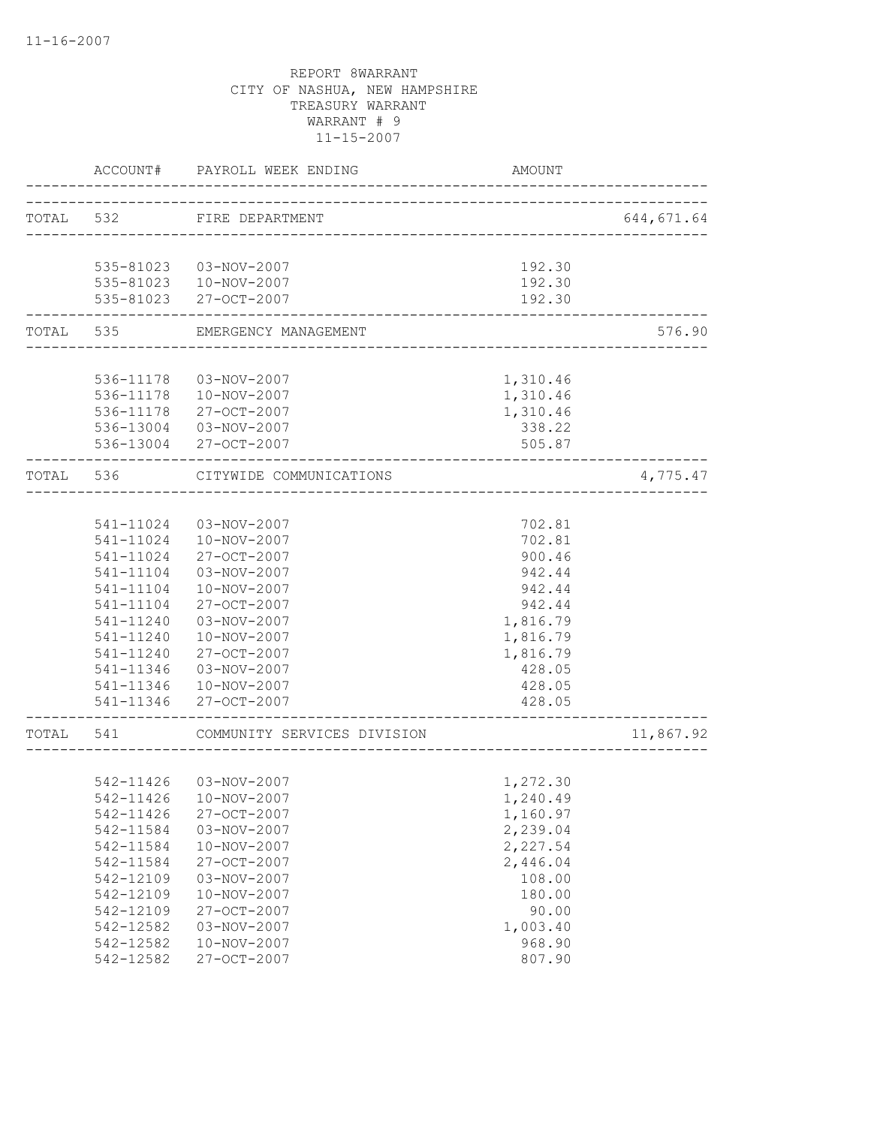|           | ACCOUNT#  | PAYROLL WEEK ENDING         | AMOUNT                               |            |
|-----------|-----------|-----------------------------|--------------------------------------|------------|
|           |           | TOTAL 532 FIRE DEPARTMENT   | ____________________________________ | 644,671.64 |
|           |           |                             |                                      |            |
|           |           | 535-81023  03-NOV-2007      | 192.30                               |            |
|           |           | 535-81023  10-NOV-2007      | 192.30                               |            |
|           |           | 535-81023 27-OCT-2007       | 192.30                               |            |
| TOTAL 535 |           | EMERGENCY MANAGEMENT        |                                      | 576.90     |
|           |           |                             |                                      |            |
|           | 536-11178 | 03-NOV-2007                 | 1,310.46                             |            |
|           |           | 536-11178  10-NOV-2007      | 1,310.46                             |            |
|           |           | 536-11178 27-OCT-2007       | 1,310.46                             |            |
|           |           | 536-13004  03-NOV-2007      | 338.22                               |            |
|           |           | 536-13004 27-OCT-2007       | 505.87                               |            |
| TOTAL 536 |           | CITYWIDE COMMUNICATIONS     |                                      | 4,775.47   |
|           |           |                             |                                      |            |
|           | 541-11024 | 03-NOV-2007                 | 702.81                               |            |
|           | 541-11024 | 10-NOV-2007                 | 702.81                               |            |
|           | 541-11024 | 27-OCT-2007                 | 900.46                               |            |
|           | 541-11104 | 03-NOV-2007                 | 942.44                               |            |
|           | 541-11104 | 10-NOV-2007                 | 942.44                               |            |
|           | 541-11104 | 27-OCT-2007                 | 942.44                               |            |
|           | 541-11240 | 03-NOV-2007                 | 1,816.79                             |            |
|           | 541-11240 | 10-NOV-2007                 | 1,816.79                             |            |
|           | 541-11240 | 27-OCT-2007                 | 1,816.79                             |            |
|           | 541-11346 | 03-NOV-2007                 | 428.05                               |            |
|           | 541-11346 | 10-NOV-2007                 | 428.05                               |            |
|           | 541-11346 | 27-OCT-2007                 | 428.05                               |            |
| TOTAL 541 |           | COMMUNITY SERVICES DIVISION |                                      | 11,867.92  |
|           |           |                             |                                      |            |
|           | 542-11426 | 03-NOV-2007                 | 1,272.30                             |            |
|           |           | 542-11426  10-NOV-2007      | 1,240.49                             |            |
|           | 542-11426 | 27-OCT-2007                 | 1,160.97                             |            |
|           | 542-11584 | $03 - NOV - 2007$           | 2,239.04                             |            |
|           | 542-11584 | 10-NOV-2007                 | 2,227.54                             |            |
|           | 542-11584 | 27-OCT-2007                 | 2,446.04                             |            |
|           | 542-12109 | 03-NOV-2007                 | 108.00                               |            |
|           | 542-12109 | 10-NOV-2007                 | 180.00                               |            |
|           | 542-12109 | 27-OCT-2007                 | 90.00                                |            |
|           | 542-12582 | $03 - NOV - 2007$           | 1,003.40                             |            |
|           | 542-12582 | 10-NOV-2007                 | 968.90                               |            |
|           | 542-12582 | 27-OCT-2007                 | 807.90                               |            |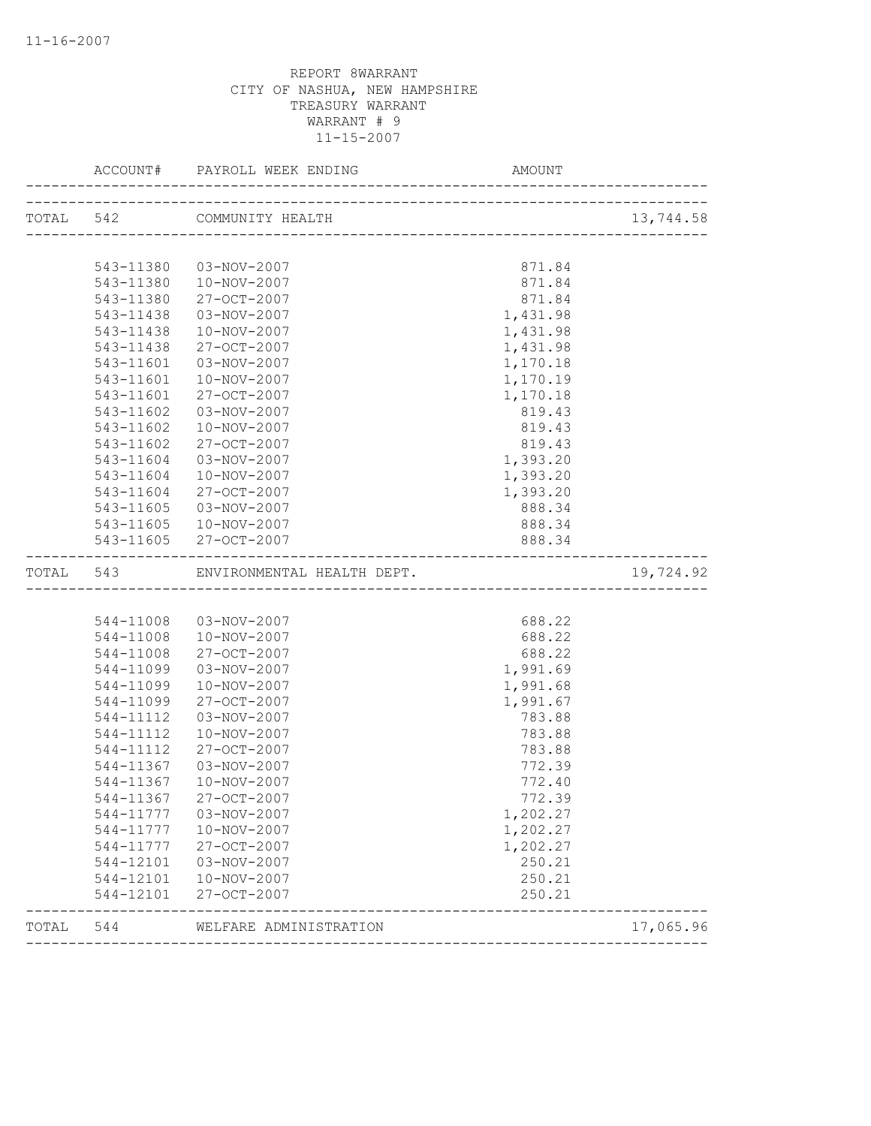|           |           |                            |          | 13,744.58 |
|-----------|-----------|----------------------------|----------|-----------|
|           |           |                            |          |           |
|           |           | 543-11380  03-NOV-2007     | 871.84   |           |
|           | 543-11380 | 10-NOV-2007                | 871.84   |           |
|           | 543-11380 | 27-OCT-2007                | 871.84   |           |
|           | 543-11438 | 03-NOV-2007                | 1,431.98 |           |
|           | 543-11438 | 10-NOV-2007                | 1,431.98 |           |
|           | 543-11438 | $27 - OCT - 2007$          | 1,431.98 |           |
|           | 543-11601 | 03-NOV-2007                | 1,170.18 |           |
|           | 543-11601 | 10-NOV-2007                | 1,170.19 |           |
|           | 543-11601 | 27-OCT-2007                | 1,170.18 |           |
|           | 543-11602 | 03-NOV-2007                | 819.43   |           |
|           | 543-11602 | 10-NOV-2007                | 819.43   |           |
|           | 543-11602 | 27-OCT-2007                | 819.43   |           |
|           | 543-11604 | 03-NOV-2007                | 1,393.20 |           |
|           | 543-11604 | 10-NOV-2007                | 1,393.20 |           |
|           | 543-11604 | 27-OCT-2007                | 1,393.20 |           |
|           | 543-11605 | 03-NOV-2007                | 888.34   |           |
|           | 543-11605 | 10-NOV-2007                | 888.34   |           |
|           |           | 543-11605 27-OCT-2007      | 888.34   |           |
| TOTAL 543 |           | ENVIRONMENTAL HEALTH DEPT. |          | 19,724.92 |
|           |           |                            |          |           |
|           | 544-11008 | 03-NOV-2007                | 688.22   |           |
|           | 544-11008 | 10-NOV-2007                | 688.22   |           |
|           | 544-11008 | 27-OCT-2007                | 688.22   |           |
|           | 544-11099 | 03-NOV-2007                | 1,991.69 |           |
|           | 544-11099 | 10-NOV-2007                | 1,991.68 |           |
|           | 544-11099 | 27-OCT-2007                | 1,991.67 |           |
|           | 544-11112 | 03-NOV-2007                | 783.88   |           |
|           | 544-11112 | 10-NOV-2007                | 783.88   |           |
|           | 544-11112 | 27-OCT-2007                | 783.88   |           |
|           | 544-11367 | 03-NOV-2007                | 772.39   |           |
|           | 544-11367 | 10-NOV-2007                | 772.40   |           |
|           | 544-11367 | 27-OCT-2007                | 772.39   |           |
|           | 544-11777 | 03-NOV-2007                | 1,202.27 |           |
|           | 544-11777 | 10-NOV-2007                | 1,202.27 |           |
|           | 544-11777 | $27 - OCT - 2007$          | 1,202.27 |           |
|           | 544-12101 | 03-NOV-2007                | 250.21   |           |
|           | 544-12101 | 10-NOV-2007                | 250.21   |           |
|           | 544-12101 | 27-OCT-2007                | 250.21   |           |
| TOTAL     | 544       | WELFARE ADMINISTRATION     |          | 17,065.96 |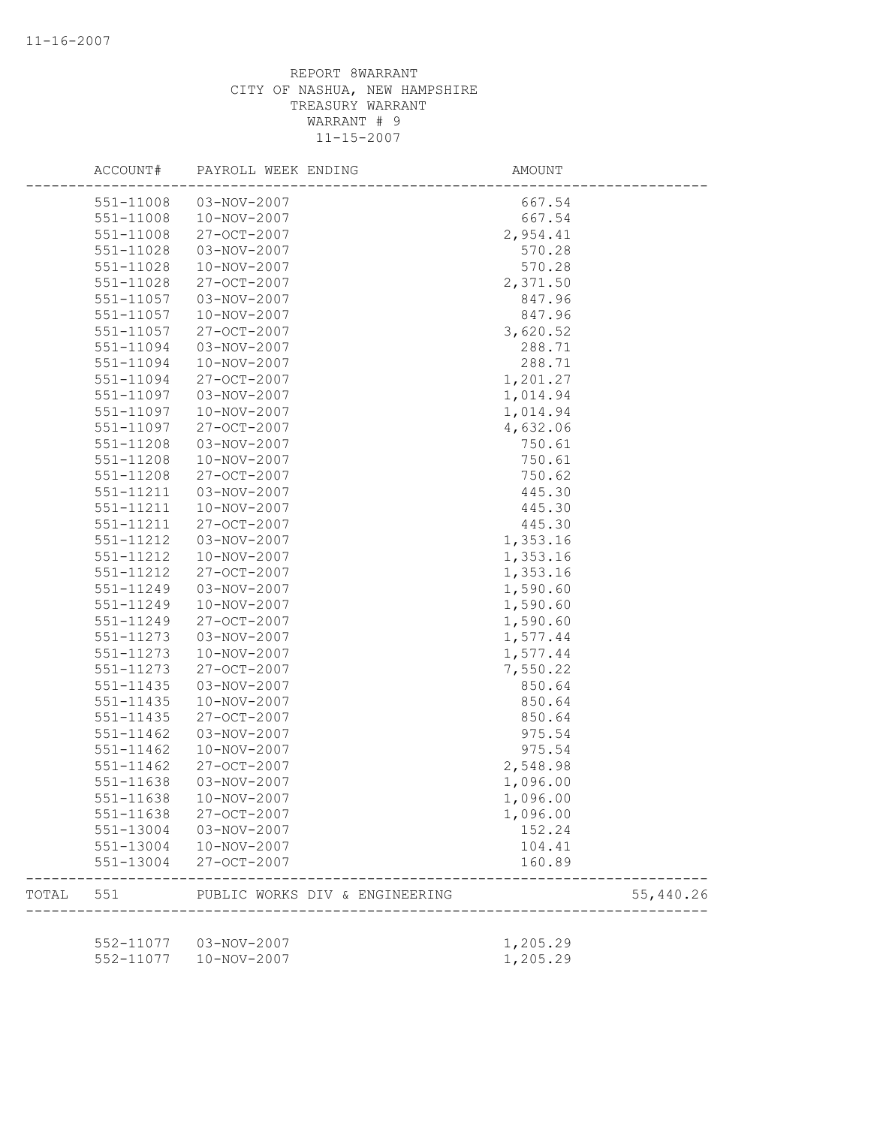|       | ACCOUNT#      | PAYROLL WEEK ENDING            | AMOUNT   |           |
|-------|---------------|--------------------------------|----------|-----------|
|       | 551-11008     | 03-NOV-2007                    | 667.54   |           |
|       | 551-11008     | 10-NOV-2007                    | 667.54   |           |
|       | 551-11008     | 27-OCT-2007                    | 2,954.41 |           |
|       | 551-11028     | 03-NOV-2007                    | 570.28   |           |
|       | 551-11028     | 10-NOV-2007                    | 570.28   |           |
|       | 551-11028     | 27-OCT-2007                    | 2,371.50 |           |
|       | 551-11057     | 03-NOV-2007                    | 847.96   |           |
|       | 551-11057     | 10-NOV-2007                    | 847.96   |           |
|       | 551-11057     | 27-OCT-2007                    | 3,620.52 |           |
|       | 551-11094     | 03-NOV-2007                    | 288.71   |           |
|       | 551-11094     | 10-NOV-2007                    | 288.71   |           |
|       | 551-11094     | 27-OCT-2007                    | 1,201.27 |           |
|       | 551-11097     | 03-NOV-2007                    | 1,014.94 |           |
|       | 551-11097     | 10-NOV-2007                    | 1,014.94 |           |
|       | 551-11097     | 27-OCT-2007                    | 4,632.06 |           |
|       | $551 - 11208$ | 03-NOV-2007                    | 750.61   |           |
|       | 551-11208     | 10-NOV-2007                    | 750.61   |           |
|       | 551-11208     | 27-OCT-2007                    | 750.62   |           |
|       | 551-11211     | 03-NOV-2007                    | 445.30   |           |
|       | 551-11211     | 10-NOV-2007                    | 445.30   |           |
|       | 551-11211     | 27-OCT-2007                    | 445.30   |           |
|       | 551-11212     | 03-NOV-2007                    | 1,353.16 |           |
|       | 551-11212     | 10-NOV-2007                    | 1,353.16 |           |
|       | 551-11212     | 27-OCT-2007                    | 1,353.16 |           |
|       | 551-11249     | 03-NOV-2007                    | 1,590.60 |           |
|       | 551-11249     | 10-NOV-2007                    | 1,590.60 |           |
|       | 551-11249     | 27-OCT-2007                    | 1,590.60 |           |
|       | 551-11273     | 03-NOV-2007                    | 1,577.44 |           |
|       | 551-11273     | 10-NOV-2007                    | 1,577.44 |           |
|       | 551-11273     | 27-OCT-2007                    | 7,550.22 |           |
|       | 551-11435     | 03-NOV-2007                    | 850.64   |           |
|       | 551-11435     | 10-NOV-2007                    | 850.64   |           |
|       | 551-11435     | 27-OCT-2007                    | 850.64   |           |
|       | $551 - 11462$ | 03-NOV-2007                    | 975.54   |           |
|       | $551 - 11462$ | 10-NOV-2007                    | 975.54   |           |
|       | $551 - 11462$ | 27-OCT-2007                    | 2,548.98 |           |
|       | 551-11638     | 03-NOV-2007                    | 1,096.00 |           |
|       | 551-11638     | 10-NOV-2007                    | 1,096.00 |           |
|       | 551-11638     | 27-OCT-2007                    | 1,096.00 |           |
|       | 551-13004     | 03-NOV-2007                    | 152.24   |           |
|       | 551-13004     | 10-NOV-2007                    | 104.41   |           |
|       | 551-13004     | 27-OCT-2007                    | 160.89   |           |
| TOTAL | 551           | PUBLIC WORKS DIV & ENGINEERING |          | 55,440.26 |
|       |               |                                |          |           |
|       | 552-11077     | 03-NOV-2007<br>10-NOV-2007     | 1,205.29 |           |
|       | 552-11077     |                                | 1,205.29 |           |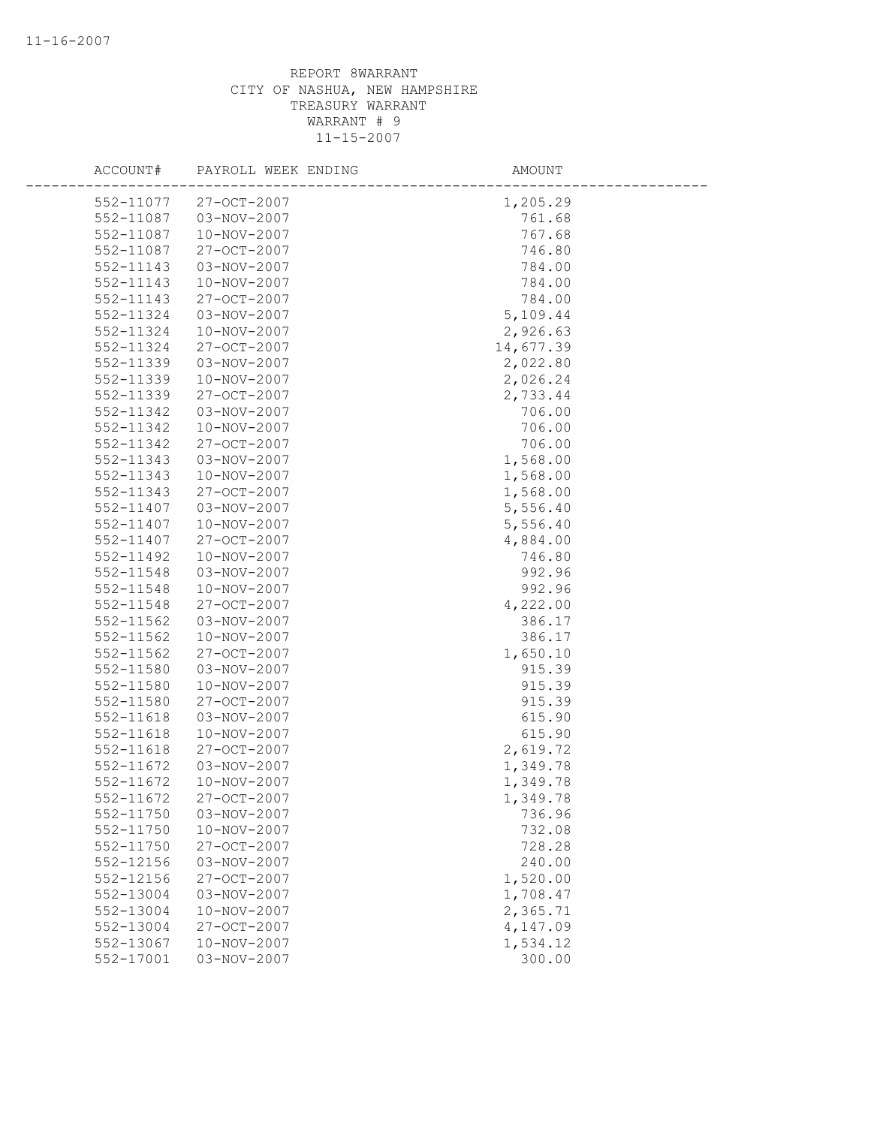| ACCOUNT#  | PAYROLL WEEK ENDING | AMOUNT    |
|-----------|---------------------|-----------|
| 552-11077 | 27-OCT-2007         | 1,205.29  |
| 552-11087 | 03-NOV-2007         | 761.68    |
| 552-11087 | 10-NOV-2007         | 767.68    |
| 552-11087 | 27-OCT-2007         | 746.80    |
| 552-11143 | 03-NOV-2007         | 784.00    |
| 552-11143 | 10-NOV-2007         | 784.00    |
| 552-11143 | 27-OCT-2007         | 784.00    |
| 552-11324 | 03-NOV-2007         | 5,109.44  |
| 552-11324 | 10-NOV-2007         | 2,926.63  |
| 552-11324 | $27 - OCT - 2007$   | 14,677.39 |
| 552-11339 | 03-NOV-2007         | 2,022.80  |
| 552-11339 | 10-NOV-2007         | 2,026.24  |
| 552-11339 | 27-OCT-2007         | 2,733.44  |
| 552-11342 | 03-NOV-2007         | 706.00    |
| 552-11342 | 10-NOV-2007         | 706.00    |
| 552-11342 | 27-OCT-2007         | 706.00    |
| 552-11343 | 03-NOV-2007         | 1,568.00  |
| 552-11343 | 10-NOV-2007         | 1,568.00  |
| 552-11343 | $27 - OCT - 2007$   | 1,568.00  |
| 552-11407 | 03-NOV-2007         | 5,556.40  |
| 552-11407 | 10-NOV-2007         | 5,556.40  |
| 552-11407 | 27-OCT-2007         | 4,884.00  |
| 552-11492 | 10-NOV-2007         | 746.80    |
| 552-11548 | 03-NOV-2007         | 992.96    |
| 552-11548 | 10-NOV-2007         | 992.96    |
| 552-11548 | 27-OCT-2007         | 4,222.00  |
| 552-11562 | 03-NOV-2007         | 386.17    |
| 552-11562 | 10-NOV-2007         | 386.17    |
| 552-11562 | 27-OCT-2007         | 1,650.10  |
| 552-11580 | 03-NOV-2007         | 915.39    |
| 552-11580 | 10-NOV-2007         | 915.39    |
| 552-11580 | 27-OCT-2007         | 915.39    |
| 552-11618 | 03-NOV-2007         | 615.90    |
| 552-11618 | 10-NOV-2007         | 615.90    |
| 552-11618 | 27-OCT-2007         | 2,619.72  |
| 552-11672 | 03-NOV-2007         | 1,349.78  |
| 552-11672 | 10-NOV-2007         | 1,349.78  |
| 552-11672 | 27-OCT-2007         | 1,349.78  |
| 552-11750 | 03-NOV-2007         | 736.96    |
| 552-11750 | $10 - NOV - 2007$   | 732.08    |
| 552-11750 | 27-OCT-2007         | 728.28    |
| 552-12156 | 03-NOV-2007         | 240.00    |
| 552-12156 | 27-OCT-2007         | 1,520.00  |
| 552-13004 | 03-NOV-2007         | 1,708.47  |
| 552-13004 | 10-NOV-2007         | 2,365.71  |
| 552-13004 | 27-OCT-2007         | 4,147.09  |
| 552-13067 | 10-NOV-2007         | 1,534.12  |
| 552-17001 | 03-NOV-2007         | 300.00    |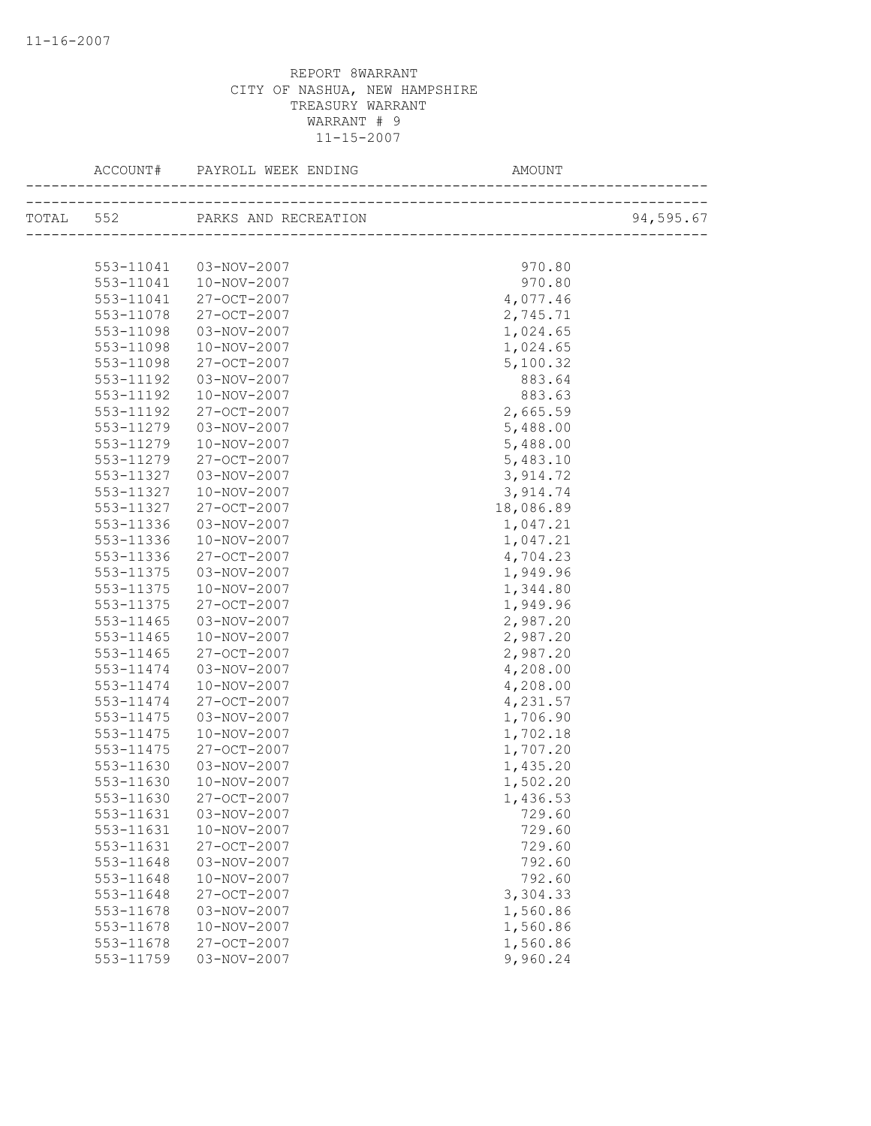|           | TOTAL 552 PARKS AND RECREATION |           | 94,595.67 |
|-----------|--------------------------------|-----------|-----------|
|           |                                |           |           |
| 553-11041 | 03-NOV-2007                    | 970.80    |           |
| 553-11041 | 10-NOV-2007                    | 970.80    |           |
| 553-11041 | 27-OCT-2007                    | 4,077.46  |           |
| 553-11078 | 27-OCT-2007                    | 2,745.71  |           |
| 553-11098 | 03-NOV-2007                    | 1,024.65  |           |
| 553-11098 | 10-NOV-2007                    | 1,024.65  |           |
| 553-11098 | 27-OCT-2007                    | 5,100.32  |           |
| 553-11192 | 03-NOV-2007                    | 883.64    |           |
| 553-11192 | 10-NOV-2007                    | 883.63    |           |
| 553-11192 | 27-OCT-2007                    | 2,665.59  |           |
| 553-11279 | 03-NOV-2007                    | 5,488.00  |           |
| 553-11279 | 10-NOV-2007                    | 5,488.00  |           |
| 553-11279 | 27-OCT-2007                    | 5,483.10  |           |
| 553-11327 | 03-NOV-2007                    | 3,914.72  |           |
| 553-11327 | 10-NOV-2007                    | 3,914.74  |           |
| 553-11327 | 27-OCT-2007                    | 18,086.89 |           |
| 553-11336 | 03-NOV-2007                    | 1,047.21  |           |
| 553-11336 | 10-NOV-2007                    | 1,047.21  |           |
| 553-11336 | 27-OCT-2007                    | 4,704.23  |           |
| 553-11375 | 03-NOV-2007                    | 1,949.96  |           |
| 553-11375 | 10-NOV-2007                    | 1,344.80  |           |
| 553-11375 | 27-OCT-2007                    | 1,949.96  |           |
| 553-11465 | 03-NOV-2007                    | 2,987.20  |           |
| 553-11465 | 10-NOV-2007                    | 2,987.20  |           |
| 553-11465 | 27-OCT-2007                    | 2,987.20  |           |
| 553-11474 | 03-NOV-2007                    | 4,208.00  |           |
| 553-11474 | 10-NOV-2007                    | 4,208.00  |           |
| 553-11474 | 27-OCT-2007                    | 4,231.57  |           |
| 553-11475 | 03-NOV-2007                    | 1,706.90  |           |
| 553-11475 | 10-NOV-2007                    | 1,702.18  |           |
| 553-11475 | 27-OCT-2007                    | 1,707.20  |           |
| 553-11630 | 03-NOV-2007                    | 1,435.20  |           |
| 553-11630 | 10-NOV-2007                    | 1,502.20  |           |
| 553-11630 | 27-OCT-2007                    | 1,436.53  |           |
| 553-11631 | 03-NOV-2007                    | 729.60    |           |
| 553-11631 | 10-NOV-2007                    | 729.60    |           |
| 553-11631 | 27-OCT-2007                    | 729.60    |           |
| 553-11648 | 03-NOV-2007                    | 792.60    |           |
| 553-11648 | 10-NOV-2007                    | 792.60    |           |
| 553-11648 | 27-OCT-2007                    | 3,304.33  |           |
| 553-11678 | 03-NOV-2007                    | 1,560.86  |           |
| 553-11678 | 10-NOV-2007                    | 1,560.86  |           |
| 553-11678 | 27-OCT-2007                    | 1,560.86  |           |
| 553-11759 | 03-NOV-2007                    | 9,960.24  |           |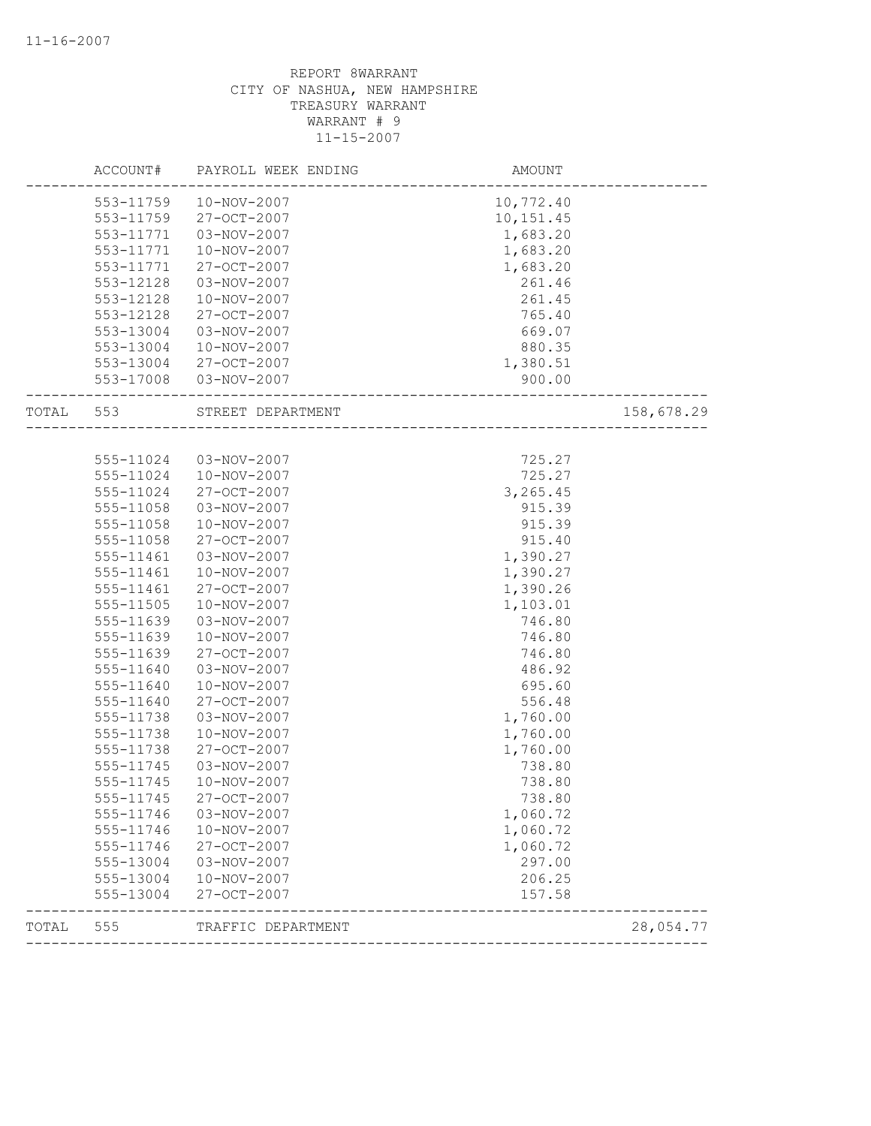|       | ACCOUNT#  | PAYROLL WEEK ENDING | AMOUNT    |            |
|-------|-----------|---------------------|-----------|------------|
|       | 553-11759 | 10-NOV-2007         | 10,772.40 |            |
|       | 553-11759 | 27-OCT-2007         | 10,151.45 |            |
|       | 553-11771 | 03-NOV-2007         | 1,683.20  |            |
|       | 553-11771 | 10-NOV-2007         | 1,683.20  |            |
|       | 553-11771 | 27-OCT-2007         | 1,683.20  |            |
|       | 553-12128 | 03-NOV-2007         | 261.46    |            |
|       | 553-12128 | 10-NOV-2007         | 261.45    |            |
|       | 553-12128 | 27-OCT-2007         | 765.40    |            |
|       | 553-13004 | 03-NOV-2007         | 669.07    |            |
|       | 553-13004 | 10-NOV-2007         | 880.35    |            |
|       | 553-13004 | 27-OCT-2007         | 1,380.51  |            |
|       | 553-17008 | 03-NOV-2007         | 900.00    |            |
| TOTAL | 553       | STREET DEPARTMENT   |           | 158,678.29 |
|       |           |                     |           |            |
|       | 555-11024 | 03-NOV-2007         | 725.27    |            |
|       | 555-11024 | 10-NOV-2007         | 725.27    |            |
|       | 555-11024 | $27 - OCT - 2007$   | 3,265.45  |            |
|       | 555-11058 | 03-NOV-2007         | 915.39    |            |
|       | 555-11058 | 10-NOV-2007         | 915.39    |            |
|       | 555-11058 | 27-OCT-2007         | 915.40    |            |
|       | 555-11461 | 03-NOV-2007         | 1,390.27  |            |
|       | 555-11461 | 10-NOV-2007         | 1,390.27  |            |
|       | 555-11461 | 27-OCT-2007         | 1,390.26  |            |
|       | 555-11505 | 10-NOV-2007         | 1,103.01  |            |
|       | 555-11639 | 03-NOV-2007         | 746.80    |            |
|       | 555-11639 | 10-NOV-2007         | 746.80    |            |
|       | 555-11639 | 27-OCT-2007         | 746.80    |            |
|       | 555-11640 | 03-NOV-2007         | 486.92    |            |
|       | 555-11640 | 10-NOV-2007         | 695.60    |            |
|       | 555-11640 | 27-OCT-2007         | 556.48    |            |
|       | 555-11738 | 03-NOV-2007         | 1,760.00  |            |
|       | 555-11738 | 10-NOV-2007         | 1,760.00  |            |
|       | 555-11738 | 27-OCT-2007         | 1,760.00  |            |
|       | 555-11745 | 03-NOV-2007         | 738.80    |            |
|       | 555-11745 | 10-NOV-2007         | 738.80    |            |
|       | 555-11745 | 27-OCT-2007         | 738.80    |            |
|       | 555-11746 | 03-NOV-2007         | 1,060.72  |            |
|       | 555-11746 | 10-NOV-2007         | 1,060.72  |            |
|       | 555-11746 | 27-OCT-2007         | 1,060.72  |            |
|       | 555-13004 | 03-NOV-2007         | 297.00    |            |
|       | 555-13004 | 10-NOV-2007         | 206.25    |            |
|       | 555-13004 | 27-OCT-2007         | 157.58    |            |
| TOTAL | 555       | TRAFFIC DEPARTMENT  |           | 28,054.77  |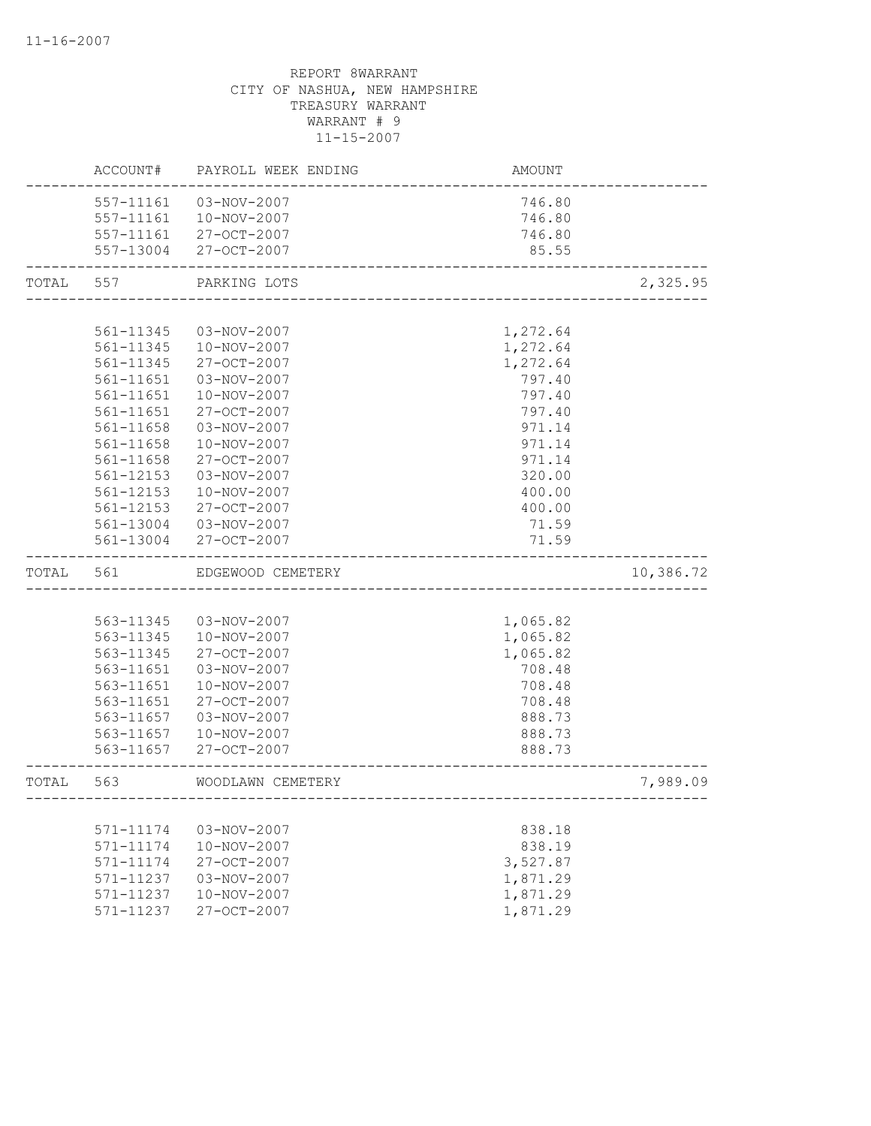|       | ACCOUNT#  | PAYROLL WEEK ENDING   | AMOUNT                      |           |
|-------|-----------|-----------------------|-----------------------------|-----------|
|       | 557-11161 | 03-NOV-2007           | 746.80                      |           |
|       | 557-11161 | 10-NOV-2007           | 746.80                      |           |
|       | 557-11161 | 27-OCT-2007           | 746.80                      |           |
|       |           | 557-13004 27-OCT-2007 | 85.55                       |           |
| TOTAL | 557       | PARKING LOTS          | __________________          | 2,325.95  |
|       |           |                       |                             |           |
|       | 561-11345 | 03-NOV-2007           | 1,272.64                    |           |
|       | 561-11345 | 10-NOV-2007           | 1,272.64                    |           |
|       | 561-11345 | 27-OCT-2007           | 1,272.64                    |           |
|       | 561-11651 | 03-NOV-2007           | 797.40                      |           |
|       | 561-11651 | 10-NOV-2007           | 797.40                      |           |
|       | 561-11651 | 27-OCT-2007           | 797.40                      |           |
|       | 561-11658 | 03-NOV-2007           | 971.14                      |           |
|       | 561-11658 | 10-NOV-2007           | 971.14                      |           |
|       | 561-11658 | 27-OCT-2007           | 971.14                      |           |
|       | 561-12153 | 03-NOV-2007           | 320.00                      |           |
|       | 561-12153 | 10-NOV-2007           | 400.00                      |           |
|       | 561-12153 | 27-OCT-2007           | 400.00                      |           |
|       |           | 561-13004 03-NOV-2007 | 71.59                       |           |
|       | 561-13004 | 27-OCT-2007           | 71.59                       |           |
| TOTAL | 561       | EDGEWOOD CEMETERY     |                             | 10,386.72 |
|       |           |                       |                             |           |
|       | 563-11345 | 03-NOV-2007           | 1,065.82                    |           |
|       | 563-11345 | 10-NOV-2007           | 1,065.82                    |           |
|       | 563-11345 | 27-OCT-2007           | 1,065.82                    |           |
|       | 563-11651 | 03-NOV-2007           | 708.48                      |           |
|       | 563-11651 | 10-NOV-2007           | 708.48                      |           |
|       | 563-11651 | 27-OCT-2007           | 708.48                      |           |
|       | 563-11657 | 03-NOV-2007           | 888.73                      |           |
|       | 563-11657 | 10-NOV-2007           | 888.73                      |           |
|       | 563-11657 | 27-OCT-2007           | 888.73                      |           |
| TOTAL | 563       | WOODLAWN CEMETERY     |                             | 7,989.09  |
|       |           |                       | --------------------------- |           |
|       | 571-11174 | 03-NOV-2007           | 838.18                      |           |
|       | 571-11174 | 10-NOV-2007           | 838.19                      |           |
|       | 571-11174 | 27-OCT-2007           | 3,527.87                    |           |
|       | 571-11237 | 03-NOV-2007           | 1,871.29                    |           |
|       | 571-11237 | 10-NOV-2007           | 1,871.29                    |           |
|       | 571-11237 | 27-OCT-2007           | 1,871.29                    |           |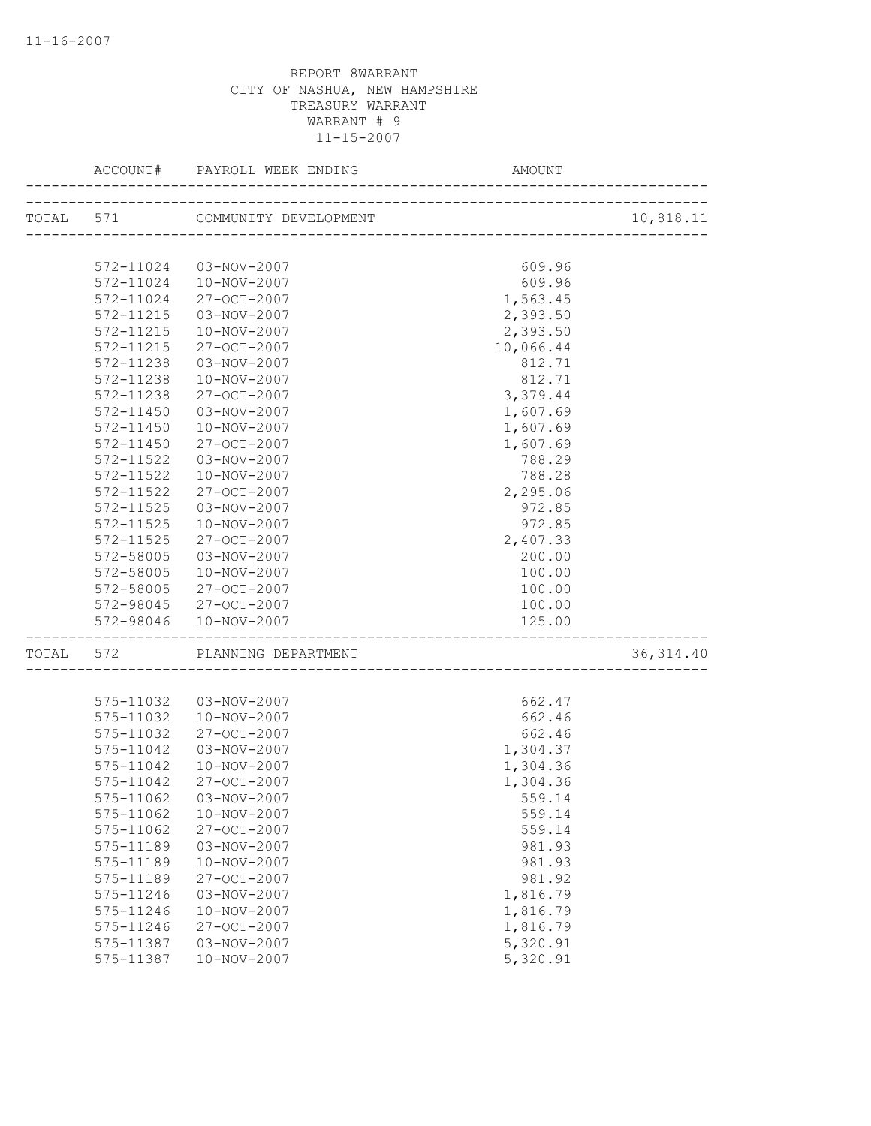|           |           | ACCOUNT# PAYROLL WEEK ENDING<br>---------------------- | AMOUNT    |            |
|-----------|-----------|--------------------------------------------------------|-----------|------------|
|           |           |                                                        |           | 10,818.11  |
|           |           |                                                        |           |            |
|           | 572-11024 | 03-NOV-2007                                            | 609.96    |            |
|           |           | 572-11024  10-NOV-2007                                 | 609.96    |            |
|           | 572-11024 | 27-OCT-2007                                            | 1,563.45  |            |
|           | 572-11215 | 03-NOV-2007                                            | 2,393.50  |            |
|           | 572-11215 | 10-NOV-2007                                            | 2,393.50  |            |
|           | 572-11215 | 27-OCT-2007                                            | 10,066.44 |            |
|           | 572-11238 | 03-NOV-2007                                            | 812.71    |            |
|           | 572-11238 | 10-NOV-2007                                            | 812.71    |            |
|           | 572-11238 | 27-OCT-2007                                            | 3,379.44  |            |
|           | 572-11450 | 03-NOV-2007                                            | 1,607.69  |            |
|           | 572-11450 | 10-NOV-2007                                            | 1,607.69  |            |
|           | 572-11450 | 27-OCT-2007                                            | 1,607.69  |            |
|           | 572-11522 | 03-NOV-2007                                            | 788.29    |            |
|           | 572-11522 | 10-NOV-2007                                            | 788.28    |            |
|           | 572-11522 | 27-OCT-2007                                            | 2,295.06  |            |
|           | 572-11525 | 03-NOV-2007                                            | 972.85    |            |
|           | 572-11525 | 10-NOV-2007                                            | 972.85    |            |
|           | 572-11525 | 27-OCT-2007                                            | 2,407.33  |            |
|           | 572-58005 | 03-NOV-2007                                            | 200.00    |            |
|           | 572-58005 | 10-NOV-2007                                            | 100.00    |            |
|           | 572-58005 | 27-OCT-2007                                            | 100.00    |            |
|           |           | 572-98045 27-OCT-2007                                  | 100.00    |            |
|           | 572-98046 | 10-NOV-2007                                            | 125.00    |            |
| TOTAL 572 |           | PLANNING DEPARTMENT                                    |           | 36, 314.40 |
|           |           |                                                        |           |            |
|           | 575-11032 | 03-NOV-2007                                            | 662.47    |            |
|           | 575-11032 | 10-NOV-2007                                            | 662.46    |            |
|           | 575-11032 | 27-OCT-2007                                            | 662.46    |            |
|           | 575-11042 | 03-NOV-2007                                            | 1,304.37  |            |
|           | 575-11042 | 10-NOV-2007                                            | 1,304.36  |            |
|           | 575-11042 | 27-OCT-2007                                            | 1,304.36  |            |
|           |           | 575-11062  03-NOV-2007                                 | 559.14    |            |
|           | 575-11062 | 10-NOV-2007                                            | 559.14    |            |
|           | 575-11062 | 27-OCT-2007                                            | 559.14    |            |
|           | 575-11189 | 03-NOV-2007                                            | 981.93    |            |
|           | 575-11189 | 10-NOV-2007                                            | 981.93    |            |
|           | 575-11189 | 27-OCT-2007                                            | 981.92    |            |
|           | 575-11246 | 03-NOV-2007                                            | 1,816.79  |            |
|           | 575-11246 | 10-NOV-2007                                            | 1,816.79  |            |
|           | 575-11246 | 27-OCT-2007                                            | 1,816.79  |            |
|           | 575-11387 | 03-NOV-2007                                            | 5,320.91  |            |
|           | 575-11387 | 10-NOV-2007                                            | 5,320.91  |            |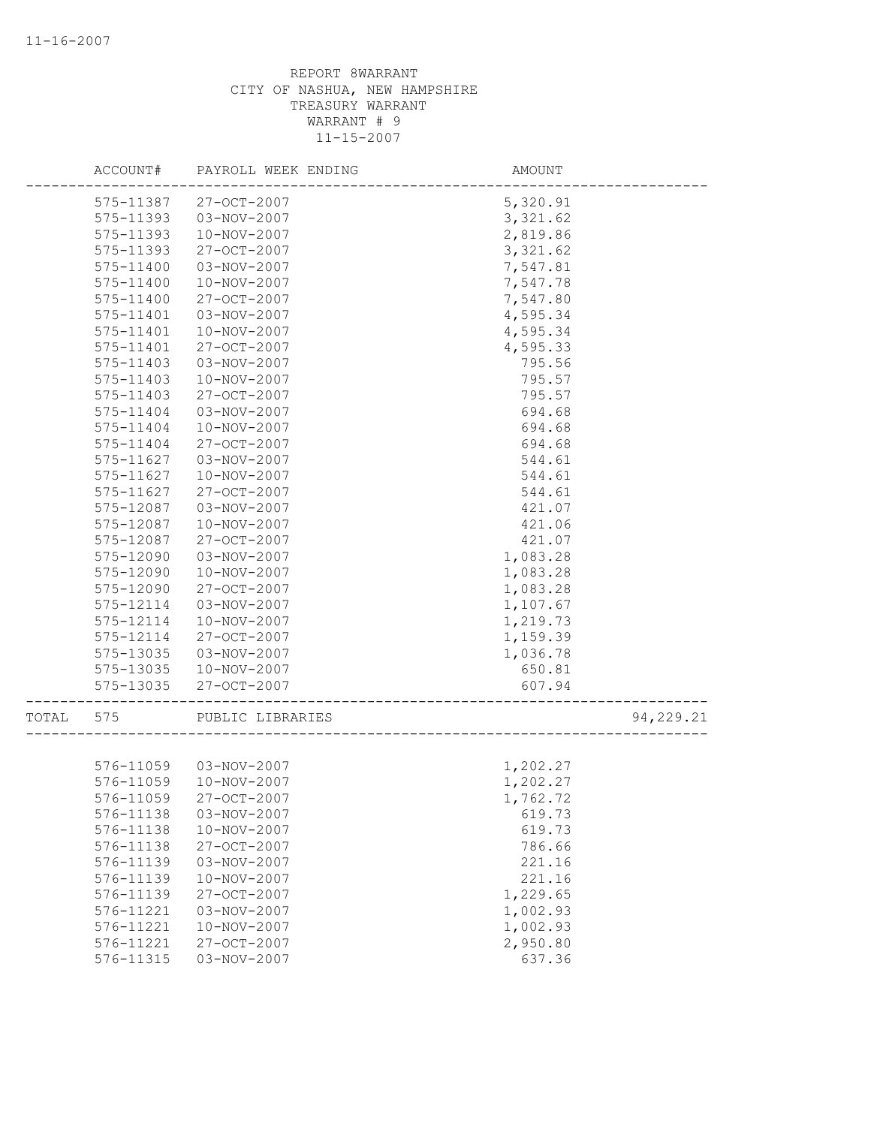|       | ACCOUNT#      | PAYROLL WEEK ENDING    | AMOUNT   |           |
|-------|---------------|------------------------|----------|-----------|
|       | 575-11387     | 27-OCT-2007            | 5,320.91 |           |
|       | 575-11393     | 03-NOV-2007            | 3,321.62 |           |
|       | 575-11393     | 10-NOV-2007            | 2,819.86 |           |
|       | 575-11393     | 27-OCT-2007            | 3,321.62 |           |
|       | 575-11400     | 03-NOV-2007            | 7,547.81 |           |
|       | 575-11400     | 10-NOV-2007            | 7,547.78 |           |
|       | 575-11400     | 27-OCT-2007            | 7,547.80 |           |
|       | 575-11401     | 03-NOV-2007            | 4,595.34 |           |
|       | 575-11401     | 10-NOV-2007            | 4,595.34 |           |
|       | 575-11401     | 27-OCT-2007            | 4,595.33 |           |
|       | 575-11403     | 03-NOV-2007            | 795.56   |           |
|       | 575-11403     | 10-NOV-2007            | 795.57   |           |
|       | 575-11403     | 27-OCT-2007            | 795.57   |           |
|       | 575-11404     | 03-NOV-2007            | 694.68   |           |
|       | 575-11404     | 10-NOV-2007            | 694.68   |           |
|       | 575-11404     | 27-OCT-2007            | 694.68   |           |
|       | 575-11627     | 03-NOV-2007            | 544.61   |           |
|       | 575-11627     | 10-NOV-2007            | 544.61   |           |
|       | $575 - 11627$ | 27-OCT-2007            | 544.61   |           |
|       | 575-12087     | 03-NOV-2007            | 421.07   |           |
|       | 575-12087     | 10-NOV-2007            | 421.06   |           |
|       | 575-12087     | $27 - OCT - 2007$      | 421.07   |           |
|       | 575-12090     | 03-NOV-2007            | 1,083.28 |           |
|       | 575-12090     | 10-NOV-2007            | 1,083.28 |           |
|       | 575-12090     | 27-OCT-2007            | 1,083.28 |           |
|       | 575-12114     | 03-NOV-2007            | 1,107.67 |           |
|       | 575-12114     | 10-NOV-2007            | 1,219.73 |           |
|       | 575-12114     | 27-OCT-2007            | 1,159.39 |           |
|       | 575-13035     | 03-NOV-2007            | 1,036.78 |           |
|       | 575-13035     | 10-NOV-2007            | 650.81   |           |
|       | 575-13035     |                        |          |           |
|       |               | 27-OCT-2007            | 607.94   |           |
| TOTAL | 575           | PUBLIC LIBRARIES       |          | 94,229.21 |
|       |               |                        |          |           |
|       |               | 576-11059  03-NOV-2007 | 1,202.27 |           |
|       | 576-11059     | 10-NOV-2007            | 1,202.27 |           |
|       | 576-11059     | $27 - OCT - 2007$      | 1,762.72 |           |
|       | 576-11138     | 03-NOV-2007            | 619.73   |           |
|       | 576-11138     | 10-NOV-2007            | 619.73   |           |
|       | 576-11138     | 27-OCT-2007            | 786.66   |           |
|       | 576-11139     | 03-NOV-2007            | 221.16   |           |
|       | 576-11139     | 10-NOV-2007            | 221.16   |           |
|       | 576-11139     | 27-OCT-2007            | 1,229.65 |           |
|       | 576-11221     | 03-NOV-2007            | 1,002.93 |           |
|       | 576-11221     | 10-NOV-2007            | 1,002.93 |           |
|       | 576-11221     | 27-OCT-2007            | 2,950.80 |           |
|       | 576-11315     | 03-NOV-2007            | 637.36   |           |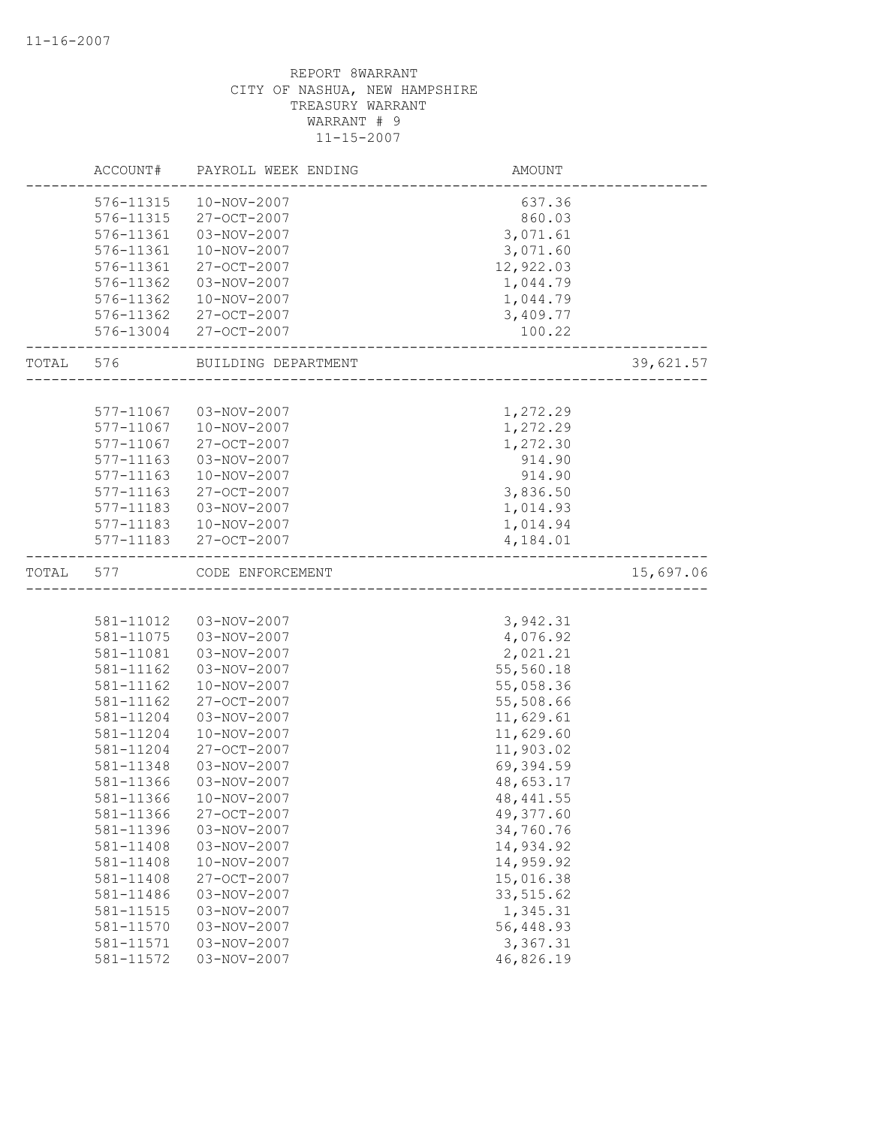|       | ACCOUNT#  | PAYROLL WEEK ENDING | AMOUNT     |           |
|-------|-----------|---------------------|------------|-----------|
|       | 576-11315 | 10-NOV-2007         | 637.36     |           |
|       | 576-11315 | 27-OCT-2007         | 860.03     |           |
|       | 576-11361 | 03-NOV-2007         | 3,071.61   |           |
|       | 576-11361 | 10-NOV-2007         | 3,071.60   |           |
|       | 576-11361 | 27-OCT-2007         | 12,922.03  |           |
|       | 576-11362 | 03-NOV-2007         | 1,044.79   |           |
|       | 576-11362 | 10-NOV-2007         | 1,044.79   |           |
|       | 576-11362 | 27-OCT-2007         | 3,409.77   |           |
|       | 576-13004 | 27-OCT-2007         | 100.22     |           |
| TOTAL | 576       | BUILDING DEPARTMENT |            | 39,621.57 |
|       |           |                     |            |           |
|       | 577-11067 | 03-NOV-2007         | 1,272.29   |           |
|       | 577-11067 | 10-NOV-2007         | 1,272.29   |           |
|       | 577-11067 | 27-OCT-2007         | 1,272.30   |           |
|       | 577-11163 | 03-NOV-2007         | 914.90     |           |
|       | 577-11163 | 10-NOV-2007         | 914.90     |           |
|       | 577-11163 | 27-OCT-2007         | 3,836.50   |           |
|       | 577-11183 | 03-NOV-2007         | 1,014.93   |           |
|       | 577-11183 | 10-NOV-2007         | 1,014.94   |           |
|       | 577-11183 | 27-OCT-2007         | 4,184.01   |           |
| TOTAL | 577       | CODE ENFORCEMENT    |            | 15,697.06 |
|       |           |                     |            |           |
|       | 581-11012 | 03-NOV-2007         | 3,942.31   |           |
|       | 581-11075 | 03-NOV-2007         | 4,076.92   |           |
|       | 581-11081 | 03-NOV-2007         | 2,021.21   |           |
|       | 581-11162 | 03-NOV-2007         | 55,560.18  |           |
|       | 581-11162 | 10-NOV-2007         | 55,058.36  |           |
|       | 581-11162 | 27-OCT-2007         | 55,508.66  |           |
|       | 581-11204 | 03-NOV-2007         | 11,629.61  |           |
|       | 581-11204 | 10-NOV-2007         | 11,629.60  |           |
|       | 581-11204 | 27-OCT-2007         | 11,903.02  |           |
|       | 581-11348 | 03-NOV-2007         | 69,394.59  |           |
|       | 581-11366 | 03-NOV-2007         | 48,653.17  |           |
|       | 581-11366 | 10-NOV-2007         | 48, 441.55 |           |
|       | 581-11366 | 27-OCT-2007         | 49,377.60  |           |
|       | 581-11396 | 03-NOV-2007         | 34,760.76  |           |
|       | 581-11408 | $03 - NOV - 2007$   | 14,934.92  |           |
|       | 581-11408 | 10-NOV-2007         | 14,959.92  |           |
|       | 581-11408 | 27-OCT-2007         | 15,016.38  |           |
|       | 581-11486 | 03-NOV-2007         | 33, 515.62 |           |
|       | 581-11515 | 03-NOV-2007         | 1,345.31   |           |
|       | 581-11570 | 03-NOV-2007         | 56,448.93  |           |
|       | 581-11571 | 03-NOV-2007         | 3,367.31   |           |
|       | 581-11572 | 03-NOV-2007         | 46,826.19  |           |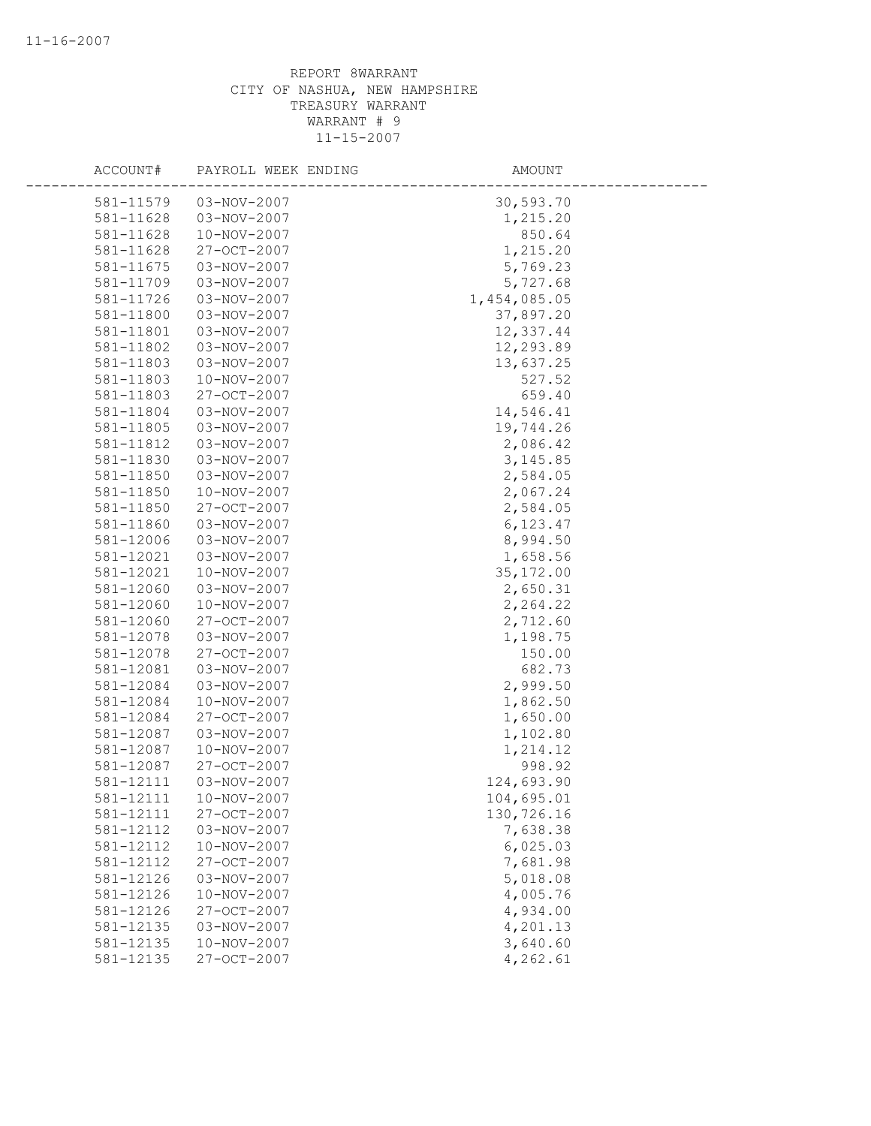| ACCOUNT#               | PAYROLL WEEK ENDING        | AMOUNT                 |
|------------------------|----------------------------|------------------------|
| 581-11579              | 03-NOV-2007                | 30,593.70              |
| 581-11628              | 03-NOV-2007                | 1,215.20               |
| 581-11628              | 10-NOV-2007                | 850.64                 |
| 581-11628              | 27-OCT-2007                | 1,215.20               |
| 581-11675              | 03-NOV-2007                | 5,769.23               |
| 581-11709              | 03-NOV-2007                | 5,727.68               |
| 581-11726              | 03-NOV-2007                | 1,454,085.05           |
| 581-11800              | 03-NOV-2007                | 37,897.20              |
| 581-11801              | 03-NOV-2007                | 12,337.44              |
| 581-11802              | 03-NOV-2007                | 12,293.89              |
| 581-11803              | 03-NOV-2007                | 13,637.25              |
| 581-11803              | 10-NOV-2007                | 527.52                 |
| 581-11803              | 27-OCT-2007                | 659.40                 |
| 581-11804              | 03-NOV-2007                | 14,546.41              |
| 581-11805              | 03-NOV-2007                | 19,744.26              |
| 581-11812              | 03-NOV-2007                | 2,086.42               |
| 581-11830              | 03-NOV-2007                | 3, 145.85              |
| 581-11850              | 03-NOV-2007                | 2,584.05               |
| 581-11850              | 10-NOV-2007                | 2,067.24               |
| 581-11850              | 27-OCT-2007                | 2,584.05               |
| 581-11860              | 03-NOV-2007                |                        |
| 581-12006              | 03-NOV-2007                | 6,123.47<br>8,994.50   |
| 581-12021              | 03-NOV-2007                |                        |
| 581-12021              | 10-NOV-2007                | 1,658.56<br>35, 172.00 |
|                        | 03-NOV-2007                | 2,650.31               |
| 581-12060              | 10-NOV-2007                |                        |
| 581-12060              |                            | 2,264.22               |
| 581-12060              | 27-OCT-2007                | 2,712.60               |
| 581-12078<br>581-12078 | 03-NOV-2007<br>27-OCT-2007 | 1,198.75               |
|                        | 03-NOV-2007                | 150.00                 |
| 581-12081              | $03 - NOV - 2007$          | 682.73                 |
| 581-12084<br>581-12084 | 10-NOV-2007                | 2,999.50<br>1,862.50   |
| 581-12084              | 27-OCT-2007                | 1,650.00               |
| 581-12087              |                            | 1,102.80               |
| 581-12087              | 03-NOV-2007<br>10-NOV-2007 | 1,214.12               |
| 581-12087              | 27-OCT-2007                | 998.92                 |
| 581-12111              | 03-NOV-2007                | 124,693.90             |
|                        | 10-NOV-2007                |                        |
| 581-12111              |                            | 104,695.01             |
| 581-12111<br>581-12112 | 27-OCT-2007                | 130,726.16             |
|                        | 03-NOV-2007<br>10-NOV-2007 | 7,638.38<br>6,025.03   |
| 581-12112              | 27-OCT-2007                | 7,681.98               |
| 581-12112              |                            |                        |
| 581-12126              | 03-NOV-2007                | 5,018.08               |
| 581-12126              | 10-NOV-2007                | 4,005.76               |
| 581-12126              | 27-OCT-2007                | 4,934.00               |
| 581-12135              | 03-NOV-2007                | 4,201.13               |
| 581-12135              | 10-NOV-2007                | 3,640.60               |
| 581-12135              | 27-OCT-2007                | 4,262.61               |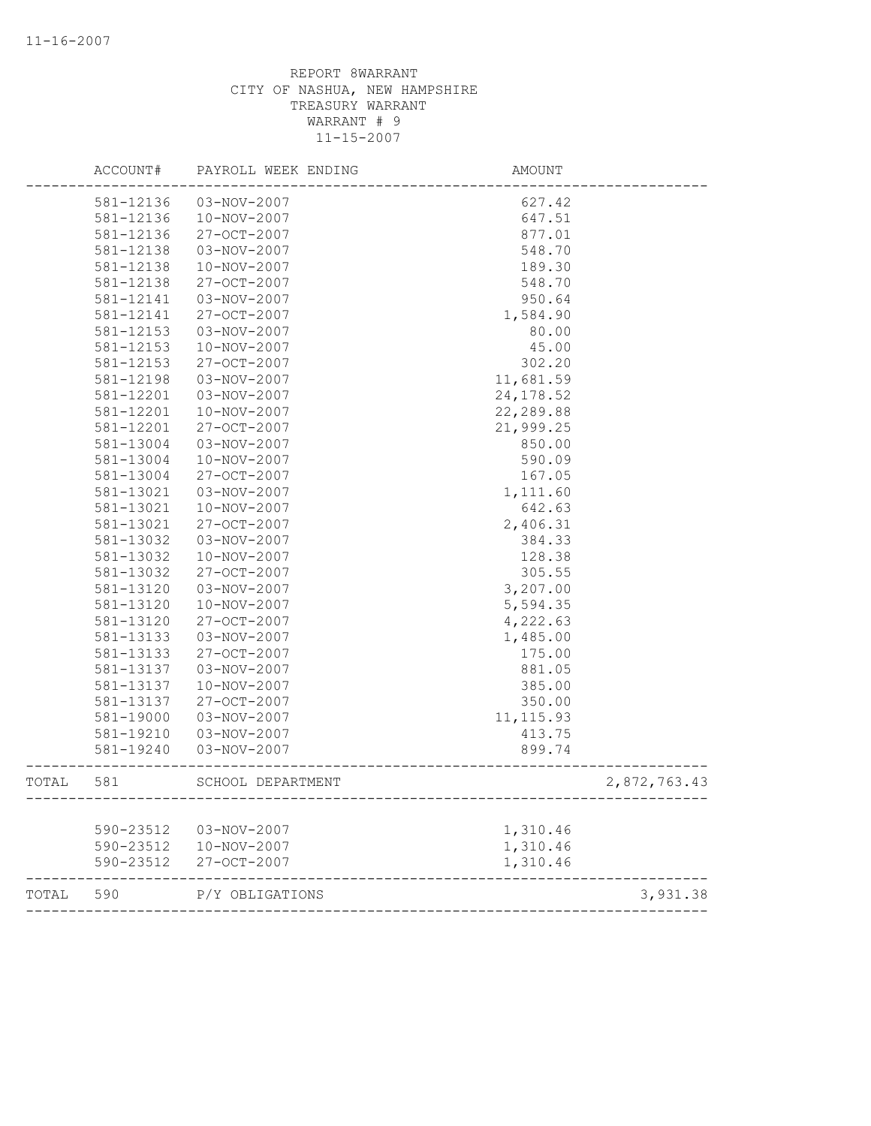|       | ACCOUNT#  | PAYROLL WEEK ENDING                   | AMOUNT                      |              |
|-------|-----------|---------------------------------------|-----------------------------|--------------|
|       | 581-12136 | 03-NOV-2007                           | 627.42                      |              |
|       | 581-12136 | 10-NOV-2007                           | 647.51                      |              |
|       | 581-12136 | 27-OCT-2007                           | 877.01                      |              |
|       | 581-12138 | 03-NOV-2007                           | 548.70                      |              |
|       | 581-12138 | 10-NOV-2007                           | 189.30                      |              |
|       | 581-12138 | 27-OCT-2007                           | 548.70                      |              |
|       | 581-12141 | 03-NOV-2007                           | 950.64                      |              |
|       | 581-12141 | 27-OCT-2007                           | 1,584.90                    |              |
|       | 581-12153 | 03-NOV-2007                           | 80.00                       |              |
|       | 581-12153 | 10-NOV-2007                           | 45.00                       |              |
|       | 581-12153 | $27 - OCT - 2007$                     | 302.20                      |              |
|       | 581-12198 | 03-NOV-2007                           | 11,681.59                   |              |
|       | 581-12201 | 03-NOV-2007                           | 24, 178.52                  |              |
|       | 581-12201 | 10-NOV-2007                           | 22,289.88                   |              |
|       | 581-12201 | 27-OCT-2007                           | 21,999.25                   |              |
|       | 581-13004 | 03-NOV-2007                           | 850.00                      |              |
|       | 581-13004 | 10-NOV-2007                           | 590.09                      |              |
|       | 581-13004 | 27-OCT-2007                           | 167.05                      |              |
|       | 581-13021 | 03-NOV-2007                           | 1,111.60                    |              |
|       | 581-13021 | 10-NOV-2007                           | 642.63                      |              |
|       | 581-13021 | 27-OCT-2007                           | 2,406.31                    |              |
|       | 581-13032 | 03-NOV-2007                           | 384.33                      |              |
|       | 581-13032 | 10-NOV-2007                           | 128.38                      |              |
|       | 581-13032 | 27-OCT-2007                           | 305.55                      |              |
|       | 581-13120 | 03-NOV-2007                           | 3,207.00                    |              |
|       | 581-13120 | 10-NOV-2007                           | 5,594.35                    |              |
|       | 581-13120 | 27-OCT-2007                           | 4,222.63                    |              |
|       | 581-13133 | 03-NOV-2007                           | 1,485.00                    |              |
|       | 581-13133 | 27-OCT-2007                           | 175.00                      |              |
|       | 581-13137 | 03-NOV-2007                           | 881.05                      |              |
|       | 581-13137 | 10-NOV-2007                           | 385.00                      |              |
|       | 581-13137 | 27-OCT-2007                           | 350.00                      |              |
|       | 581-19000 | 03-NOV-2007                           | 11, 115.93                  |              |
|       | 581-19210 | 03-NOV-2007                           | 413.75                      |              |
|       | 581-19240 | 03-NOV-2007                           | 899.74                      |              |
| TOTAL | 581       | SCHOOL DEPARTMENT<br>---------------- | --------------------------- | 2,872,763.43 |
|       |           |                                       |                             |              |
|       | 590-23512 | 03-NOV-2007                           | 1,310.46                    |              |
|       | 590-23512 | 10-NOV-2007                           | 1,310.46                    |              |
|       | 590-23512 | 27-OCT-2007                           | 1,310.46                    |              |
| TOTAL | 590       | P/Y OBLIGATIONS                       |                             | 3,931.38     |
|       |           |                                       |                             |              |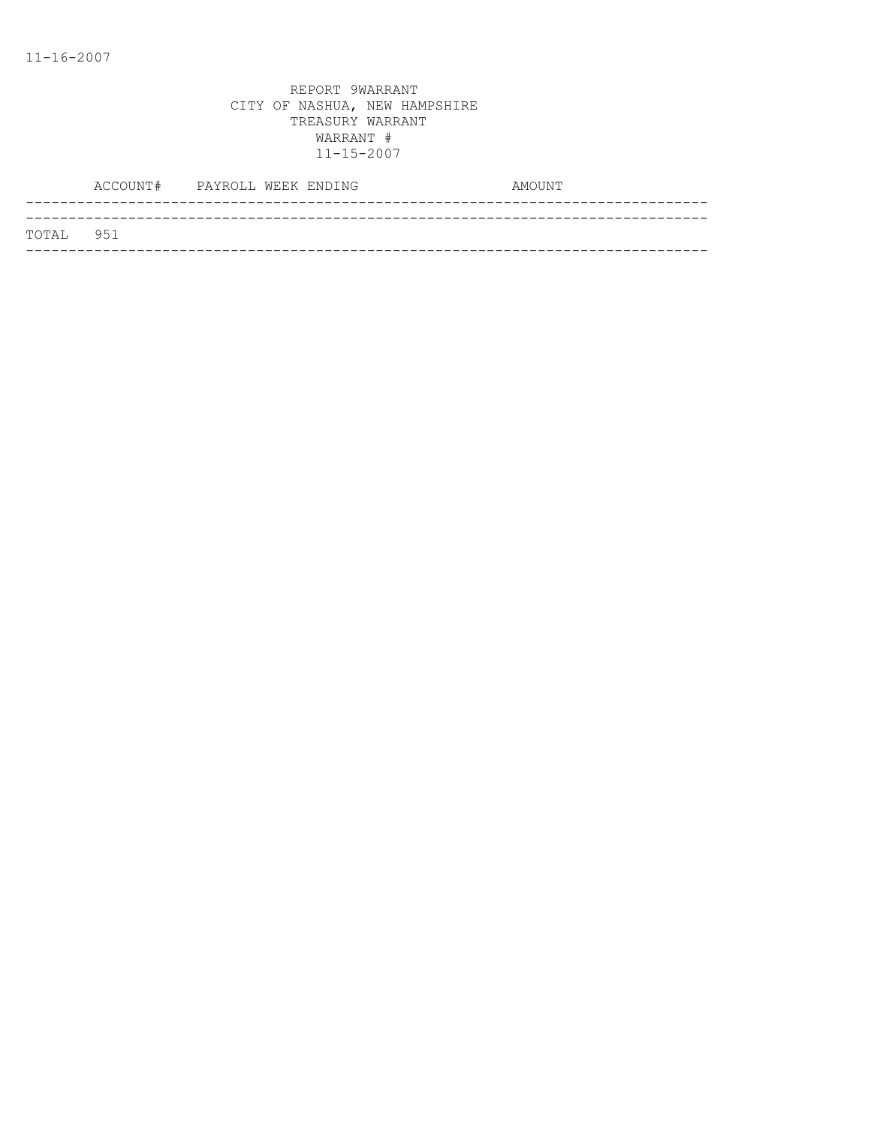|           | ACCOUNT# PAYROLL WEEK ENDING |  |  | AMOUNT |
|-----------|------------------------------|--|--|--------|
|           |                              |  |  |        |
| TOTAL 951 |                              |  |  |        |
|           |                              |  |  |        |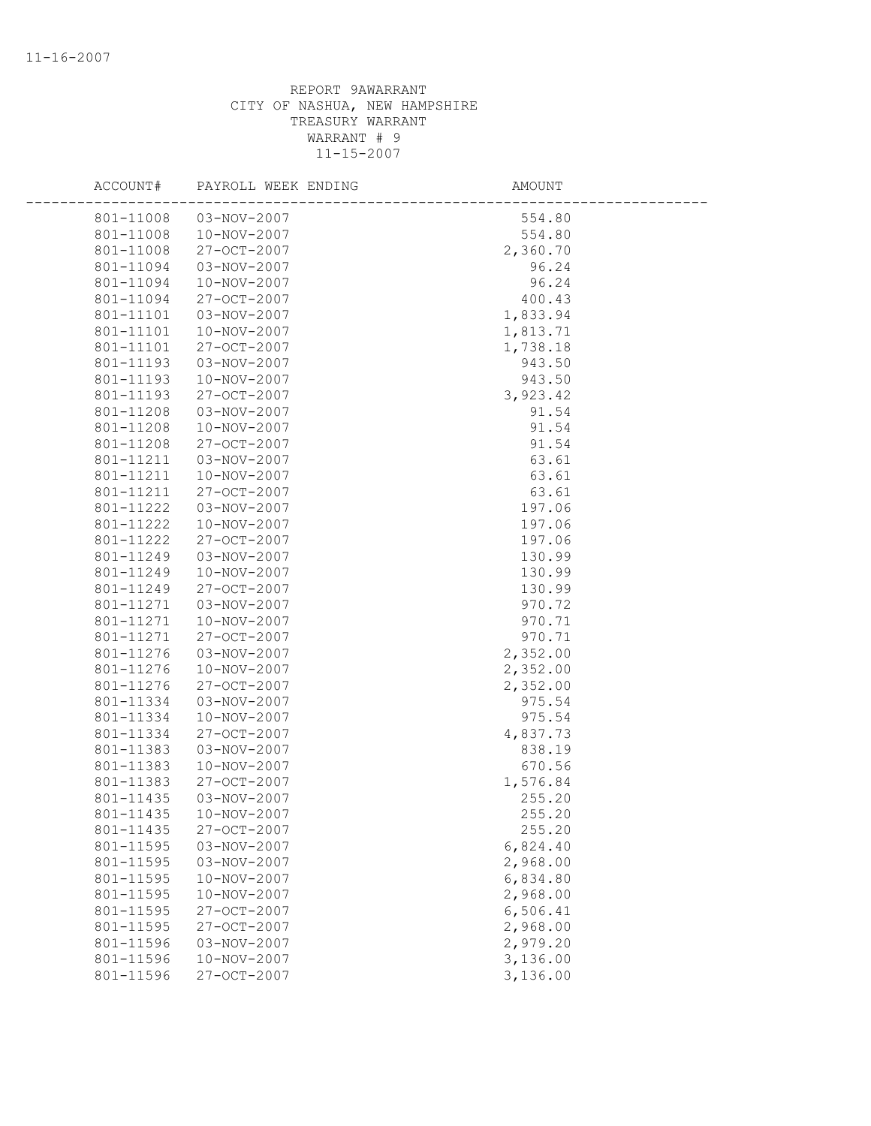| ACCOUNT#  | PAYROLL WEEK ENDING | <b>AMOUNT</b> |
|-----------|---------------------|---------------|
| 801-11008 | 03-NOV-2007         | 554.80        |
| 801-11008 | 10-NOV-2007         | 554.80        |
| 801-11008 | 27-OCT-2007         | 2,360.70      |
| 801-11094 | $03 - NOV - 2007$   | 96.24         |
| 801-11094 | 10-NOV-2007         | 96.24         |
| 801-11094 | 27-OCT-2007         | 400.43        |
| 801-11101 | 03-NOV-2007         | 1,833.94      |
| 801-11101 | 10-NOV-2007         | 1,813.71      |
| 801-11101 | 27-OCT-2007         | 1,738.18      |
| 801-11193 | 03-NOV-2007         | 943.50        |
| 801-11193 | 10-NOV-2007         | 943.50        |
| 801-11193 | 27-OCT-2007         | 3,923.42      |
| 801-11208 | 03-NOV-2007         | 91.54         |
| 801-11208 | 10-NOV-2007         | 91.54         |
| 801-11208 | 27-OCT-2007         | 91.54         |
| 801-11211 | 03-NOV-2007         | 63.61         |
| 801-11211 | 10-NOV-2007         | 63.61         |
| 801-11211 | 27-OCT-2007         | 63.61         |
| 801-11222 | 03-NOV-2007         | 197.06        |
| 801-11222 | 10-NOV-2007         | 197.06        |
| 801-11222 | 27-OCT-2007         | 197.06        |
| 801-11249 | 03-NOV-2007         | 130.99        |
| 801-11249 | 10-NOV-2007         | 130.99        |
| 801-11249 | 27-OCT-2007         | 130.99        |
| 801-11271 | 03-NOV-2007         | 970.72        |
| 801-11271 | 10-NOV-2007         | 970.71        |
| 801-11271 | 27-OCT-2007         | 970.71        |
| 801-11276 | 03-NOV-2007         | 2,352.00      |
| 801-11276 | 10-NOV-2007         | 2,352.00      |
| 801-11276 | 27-OCT-2007         | 2,352.00      |
| 801-11334 | 03-NOV-2007         | 975.54        |
| 801-11334 | 10-NOV-2007         | 975.54        |
| 801-11334 | 27-OCT-2007         | 4,837.73      |
| 801-11383 | 03-NOV-2007         | 838.19        |
| 801-11383 | 10-NOV-2007         | 670.56        |
| 801-11383 | $27 - OCT - 2007$   | 1,576.84      |
| 801-11435 | 03-NOV-2007         | 255.20        |
| 801-11435 | 10-NOV-2007         | 255.20        |
| 801-11435 | 27-OCT-2007         | 255.20        |
| 801-11595 | 03-NOV-2007         | 6,824.40      |
| 801-11595 | 03-NOV-2007         | 2,968.00      |
| 801-11595 | 10-NOV-2007         | 6,834.80      |
| 801-11595 | 10-NOV-2007         | 2,968.00      |
| 801-11595 | 27-OCT-2007         | 6,506.41      |
| 801-11595 | 27-OCT-2007         | 2,968.00      |
| 801-11596 | 03-NOV-2007         | 2,979.20      |
| 801-11596 | 10-NOV-2007         | 3,136.00      |
| 801-11596 | 27-OCT-2007         | 3,136.00      |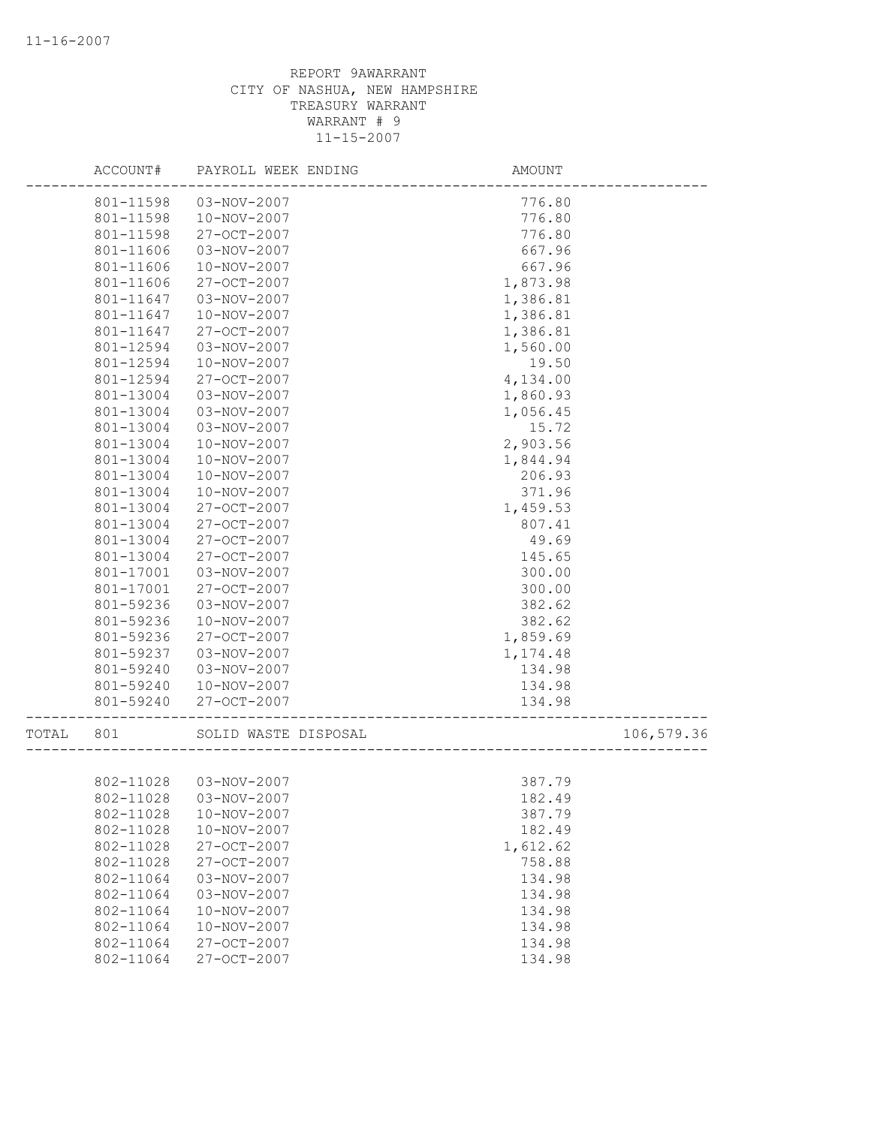|       | ACCOUNT#  | PAYROLL WEEK ENDING    | AMOUNT   |            |
|-------|-----------|------------------------|----------|------------|
|       | 801-11598 | 03-NOV-2007            | 776.80   |            |
|       | 801-11598 | 10-NOV-2007            | 776.80   |            |
|       | 801-11598 | 27-OCT-2007            | 776.80   |            |
|       | 801-11606 | 03-NOV-2007            | 667.96   |            |
|       | 801-11606 | $10 - NOV - 2007$      | 667.96   |            |
|       | 801-11606 | 27-OCT-2007            | 1,873.98 |            |
|       | 801-11647 | 03-NOV-2007            | 1,386.81 |            |
|       | 801-11647 | 10-NOV-2007            | 1,386.81 |            |
|       | 801-11647 | 27-OCT-2007            | 1,386.81 |            |
|       | 801-12594 | 03-NOV-2007            | 1,560.00 |            |
|       | 801-12594 | 10-NOV-2007            | 19.50    |            |
|       | 801-12594 | 27-OCT-2007            | 4,134.00 |            |
|       | 801-13004 | 03-NOV-2007            | 1,860.93 |            |
|       | 801-13004 | 03-NOV-2007            | 1,056.45 |            |
|       | 801-13004 | 03-NOV-2007            | 15.72    |            |
|       | 801-13004 | 10-NOV-2007            | 2,903.56 |            |
|       | 801-13004 | 10-NOV-2007            | 1,844.94 |            |
|       | 801-13004 | 10-NOV-2007            | 206.93   |            |
|       | 801-13004 | 10-NOV-2007            | 371.96   |            |
|       | 801-13004 | 27-OCT-2007            | 1,459.53 |            |
|       | 801-13004 | 27-OCT-2007            | 807.41   |            |
|       | 801-13004 | 27-OCT-2007            | 49.69    |            |
|       | 801-13004 | 27-OCT-2007            | 145.65   |            |
|       | 801-17001 | 03-NOV-2007            | 300.00   |            |
|       | 801-17001 | 27-OCT-2007            | 300.00   |            |
|       | 801-59236 | 03-NOV-2007            | 382.62   |            |
|       | 801-59236 | 10-NOV-2007            | 382.62   |            |
|       | 801-59236 | 27-OCT-2007            | 1,859.69 |            |
|       | 801-59237 | 03-NOV-2007            | 1,174.48 |            |
|       | 801-59240 | 03-NOV-2007            | 134.98   |            |
|       | 801-59240 | 10-NOV-2007            | 134.98   |            |
|       | 801-59240 | 27-OCT-2007            | 134.98   |            |
| TOTAL | 801       | SOLID WASTE DISPOSAL   |          | 106,579.36 |
|       |           |                        |          |            |
|       | 802-11028 | 03-NOV-2007            | 387.79   |            |
|       |           | 802-11028  03-NOV-2007 | 182.49   |            |
|       | 802-11028 | 10-NOV-2007            | 387.79   |            |
|       | 802-11028 | 10-NOV-2007            | 182.49   |            |
|       | 802-11028 | 27-OCT-2007            | 1,612.62 |            |
|       | 802-11028 | 27-OCT-2007            | 758.88   |            |
|       | 802-11064 | 03-NOV-2007            | 134.98   |            |
|       | 802-11064 | 03-NOV-2007            | 134.98   |            |
|       | 802-11064 | 10-NOV-2007            | 134.98   |            |
|       | 802-11064 | 10-NOV-2007            | 134.98   |            |
|       | 802-11064 | 27-OCT-2007            | 134.98   |            |
|       | 802-11064 | 27-OCT-2007            | 134.98   |            |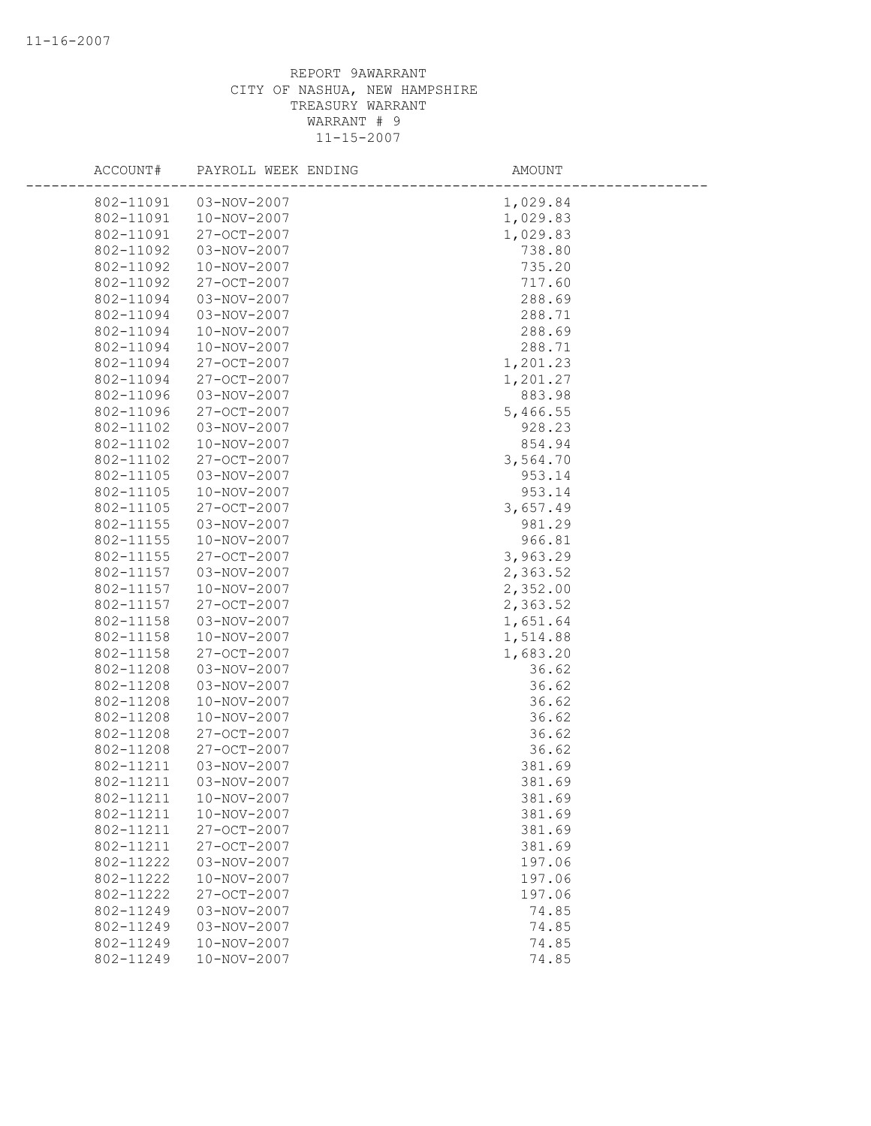| ACCOUNT#  | PAYROLL WEEK ENDING | AMOUNT   |  |
|-----------|---------------------|----------|--|
| 802-11091 | 03-NOV-2007         | 1,029.84 |  |
| 802-11091 | 10-NOV-2007         | 1,029.83 |  |
| 802-11091 | 27-OCT-2007         | 1,029.83 |  |
| 802-11092 | 03-NOV-2007         | 738.80   |  |
| 802-11092 | 10-NOV-2007         | 735.20   |  |
| 802-11092 | 27-OCT-2007         | 717.60   |  |
| 802-11094 | 03-NOV-2007         | 288.69   |  |
| 802-11094 | 03-NOV-2007         | 288.71   |  |
| 802-11094 | 10-NOV-2007         | 288.69   |  |
| 802-11094 | 10-NOV-2007         | 288.71   |  |
| 802-11094 | 27-OCT-2007         | 1,201.23 |  |
| 802-11094 | 27-OCT-2007         | 1,201.27 |  |
| 802-11096 | 03-NOV-2007         | 883.98   |  |
| 802-11096 | 27-OCT-2007         | 5,466.55 |  |
| 802-11102 | 03-NOV-2007         | 928.23   |  |
| 802-11102 | 10-NOV-2007         | 854.94   |  |
| 802-11102 | 27-OCT-2007         | 3,564.70 |  |
| 802-11105 | 03-NOV-2007         | 953.14   |  |
| 802-11105 | 10-NOV-2007         | 953.14   |  |
| 802-11105 | 27-OCT-2007         | 3,657.49 |  |
| 802-11155 | 03-NOV-2007         | 981.29   |  |
| 802-11155 | 10-NOV-2007         | 966.81   |  |
| 802-11155 | 27-OCT-2007         | 3,963.29 |  |
| 802-11157 | 03-NOV-2007         | 2,363.52 |  |
| 802-11157 | 10-NOV-2007         | 2,352.00 |  |
| 802-11157 | 27-OCT-2007         | 2,363.52 |  |
| 802-11158 | 03-NOV-2007         | 1,651.64 |  |
| 802-11158 | 10-NOV-2007         | 1,514.88 |  |
| 802-11158 | 27-OCT-2007         | 1,683.20 |  |
| 802-11208 | 03-NOV-2007         | 36.62    |  |
| 802-11208 | 03-NOV-2007         | 36.62    |  |
| 802-11208 | 10-NOV-2007         | 36.62    |  |
| 802-11208 | 10-NOV-2007         | 36.62    |  |
| 802-11208 | 27-OCT-2007         | 36.62    |  |
| 802-11208 | 27-OCT-2007         | 36.62    |  |
| 802-11211 | 03-NOV-2007         | 381.69   |  |
| 802-11211 | 03-NOV-2007         | 381.69   |  |
| 802-11211 | 10-NOV-2007         | 381.69   |  |
| 802-11211 | 10-NOV-2007         | 381.69   |  |
| 802-11211 | 27-OCT-2007         | 381.69   |  |
| 802-11211 | 27-OCT-2007         | 381.69   |  |
| 802-11222 | 03-NOV-2007         | 197.06   |  |
| 802-11222 | 10-NOV-2007         | 197.06   |  |
| 802-11222 | 27-OCT-2007         | 197.06   |  |
| 802-11249 | 03-NOV-2007         | 74.85    |  |
| 802-11249 | $03 - NOV - 2007$   | 74.85    |  |
| 802-11249 | $10 - NOV - 2007$   | 74.85    |  |
| 802-11249 | 10-NOV-2007         | 74.85    |  |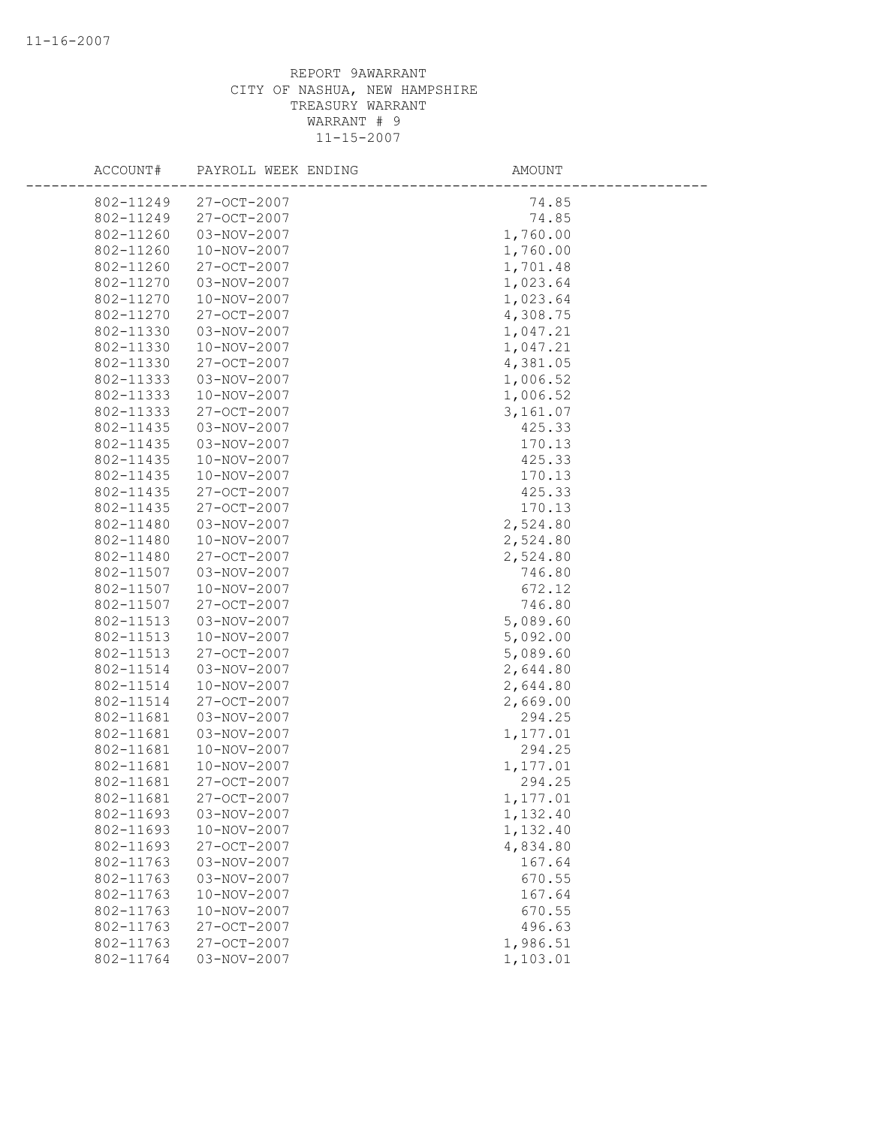| ACCOUNT#               | PAYROLL WEEK ENDING              | AMOUNT               |
|------------------------|----------------------------------|----------------------|
| 802-11249              | 27-OCT-2007                      | 74.85                |
| 802-11249              | 27-OCT-2007                      | 74.85                |
| 802-11260              | 03-NOV-2007                      | 1,760.00             |
| 802-11260              | 10-NOV-2007                      | 1,760.00             |
| 802-11260              | 27-OCT-2007                      | 1,701.48             |
| 802-11270              | 03-NOV-2007                      | 1,023.64             |
| 802-11270              | 10-NOV-2007                      | 1,023.64             |
| 802-11270              | 27-OCT-2007                      | 4,308.75             |
| 802-11330              | 03-NOV-2007                      | 1,047.21             |
| 802-11330              | 10-NOV-2007                      | 1,047.21             |
| 802-11330              | 27-OCT-2007                      | 4,381.05             |
| 802-11333              | 03-NOV-2007                      | 1,006.52             |
| 802-11333              | 10-NOV-2007                      | 1,006.52             |
| 802-11333              | 27-OCT-2007                      | 3,161.07             |
| 802-11435              | 03-NOV-2007                      | 425.33               |
| 802-11435              | 03-NOV-2007                      | 170.13               |
| 802-11435              | 10-NOV-2007                      | 425.33               |
| 802-11435              | 10-NOV-2007                      | 170.13               |
| 802-11435              | 27-OCT-2007                      | 425.33               |
| 802-11435              | 27-OCT-2007                      | 170.13               |
| 802-11480              | 03-NOV-2007                      | 2,524.80             |
| 802-11480              | 10-NOV-2007                      | 2,524.80             |
| 802-11480              | 27-OCT-2007                      | 2,524.80             |
| 802-11507              | 03-NOV-2007                      | 746.80               |
| 802-11507              | 10-NOV-2007                      | 672.12               |
| 802-11507              | 27-OCT-2007                      | 746.80               |
| 802-11513              | 03-NOV-2007                      | 5,089.60             |
| 802-11513              | 10-NOV-2007                      | 5,092.00             |
| 802-11513              | 27-OCT-2007                      | 5,089.60             |
| 802-11514              | 03-NOV-2007                      | 2,644.80             |
| 802-11514              | 10-NOV-2007                      | 2,644.80             |
| 802-11514              | 27-OCT-2007                      | 2,669.00             |
| 802-11681              | 03-NOV-2007                      | 294.25               |
| 802-11681              | 03-NOV-2007                      | 1,177.01             |
| 802-11681              | 10-NOV-2007                      | 294.25               |
| 802-11681              | 10-NOV-2007<br>$27 - OCT - 2007$ | 1,177.01             |
| 802-11681              | 27-OCT-2007                      | 294.25               |
| 802-11681              |                                  | 1,177.01             |
| 802-11693<br>802-11693 | 03-NOV-2007<br>10-NOV-2007       | 1,132.40<br>1,132.40 |
| 802-11693              | 27-OCT-2007                      | 4,834.80             |
| 802-11763              | 03-NOV-2007                      | 167.64               |
| 802-11763              | 03-NOV-2007                      | 670.55               |
| 802-11763              | 10-NOV-2007                      | 167.64               |
| 802-11763              | 10-NOV-2007                      | 670.55               |
| 802-11763              | 27-OCT-2007                      | 496.63               |
| 802-11763              | 27-OCT-2007                      | 1,986.51             |
| 802-11764              | 03-NOV-2007                      | 1,103.01             |
|                        |                                  |                      |